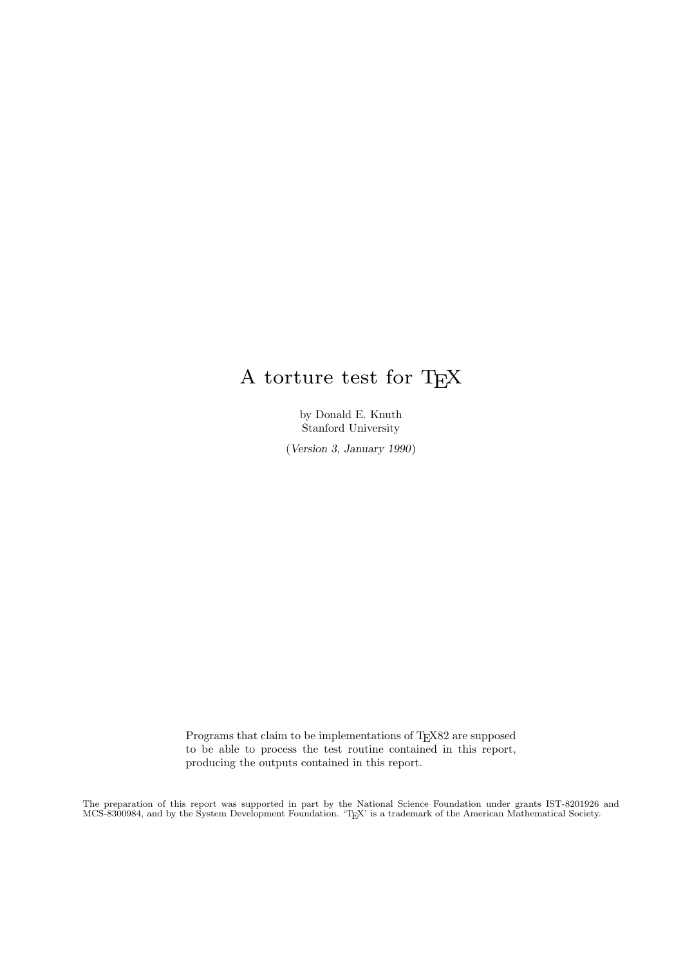# A torture test for TEX

by Donald E. Knuth Stanford University

(Version 3, January 1990)

Programs that claim to be implementations of T<sub>E</sub>X82 are supposed to be able to process the test routine contained in this report, producing the outputs contained in this report.

The preparation of this report was supported in part by the National Science Foundation under grants IST-8201926 and MCS-8300984, and by the System Development Foundation. 'TEX' is a trademark of the American Mathematical Society.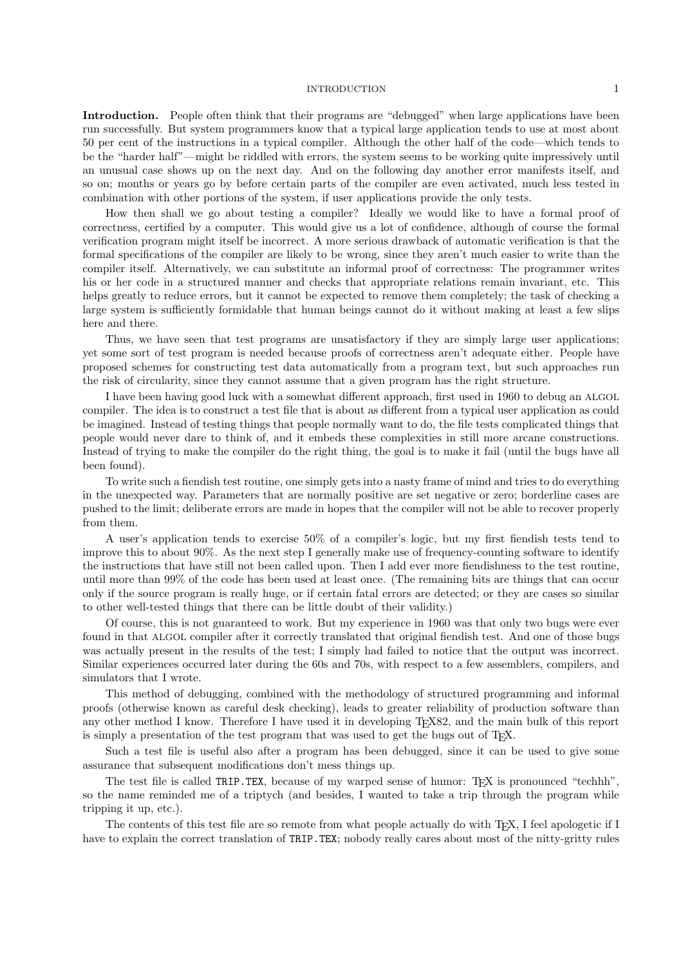#### INTRODUCTION 1

Introduction. People often think that their programs are "debugged" when large applications have been run successfully. But system programmers know that a typical large application tends to use at most about 50 per cent of the instructions in a typical compiler. Although the other half of the code—which tends to be the "harder half"—might be riddled with errors, the system seems to be working quite impressively until an unusual case shows up on the next day. And on the following day another error manifests itself, and so on; months or years go by before certain parts of the compiler are even activated, much less tested in combination with other portions of the system, if user applications provide the only tests.

How then shall we go about testing a compiler? Ideally we would like to have a formal proof of correctness, certified by a computer. This would give us a lot of confidence, although of course the formal verification program might itself be incorrect. A more serious drawback of automatic verification is that the formal specifications of the compiler are likely to be wrong, since they aren't much easier to write than the compiler itself. Alternatively, we can substitute an informal proof of correctness: The programmer writes his or her code in a structured manner and checks that appropriate relations remain invariant, etc. This helps greatly to reduce errors, but it cannot be expected to remove them completely; the task of checking a large system is sufficiently formidable that human beings cannot do it without making at least a few slips here and there.

Thus, we have seen that test programs are unsatisfactory if they are simply large user applications; yet some sort of test program is needed because proofs of correctness aren't adequate either. People have proposed schemes for constructing test data automatically from a program text, but such approaches run the risk of circularity, since they cannot assume that a given program has the right structure.

I have been having good luck with a somewhat different approach, first used in 1960 to debug an ALGOL compiler. The idea is to construct a test file that is about as different from a typical user application as could be imagined. Instead of testing things that people normally want to do, the file tests complicated things that people would never dare to think of, and it embeds these complexities in still more arcane constructions. Instead of trying to make the compiler do the right thing, the goal is to make it fail (until the bugs have all been found).

To write such a fiendish test routine, one simply gets into a nasty frame of mind and tries to do everything in the unexpected way. Parameters that are normally positive are set negative or zero; borderline cases are pushed to the limit; deliberate errors are made in hopes that the compiler will not be able to recover properly from them.

A user's application tends to exercise 50% of a compiler's logic, but my first fiendish tests tend to improve this to about 90%. As the next step I generally make use of frequency-counting software to identify the instructions that have still not been called upon. Then I add ever more fiendishness to the test routine, until more than 99% of the code has been used at least once. (The remaining bits are things that can occur only if the source program is really huge, or if certain fatal errors are detected; or they are cases so similar to other well-tested things that there can be little doubt of their validity.)

Of course, this is not guaranteed to work. But my experience in 1960 was that only two bugs were ever found in that ALGOL compiler after it correctly translated that original fiendish test. And one of those bugs was actually present in the results of the test; I simply had failed to notice that the output was incorrect. Similar experiences occurred later during the 60s and 70s, with respect to a few assemblers, compilers, and simulators that I wrote.

This method of debugging, combined with the methodology of structured programming and informal proofs (otherwise known as careful desk checking), leads to greater reliability of production software than any other method I know. Therefore I have used it in developing TEX82, and the main bulk of this report is simply a presentation of the test program that was used to get the bugs out of TEX.

Such a test file is useful also after a program has been debugged, since it can be used to give some assurance that subsequent modifications don't mess things up.

The test file is called TRIP.TEX, because of my warped sense of humor: T<sub>F</sub>X is pronounced "techhh", so the name reminded me of a triptych (and besides, I wanted to take a trip through the program while tripping it up, etc.).

The contents of this test file are so remote from what people actually do with T<sub>E</sub>X, I feel apologetic if I have to explain the correct translation of TRIP.TEX; nobody really cares about most of the nitty-gritty rules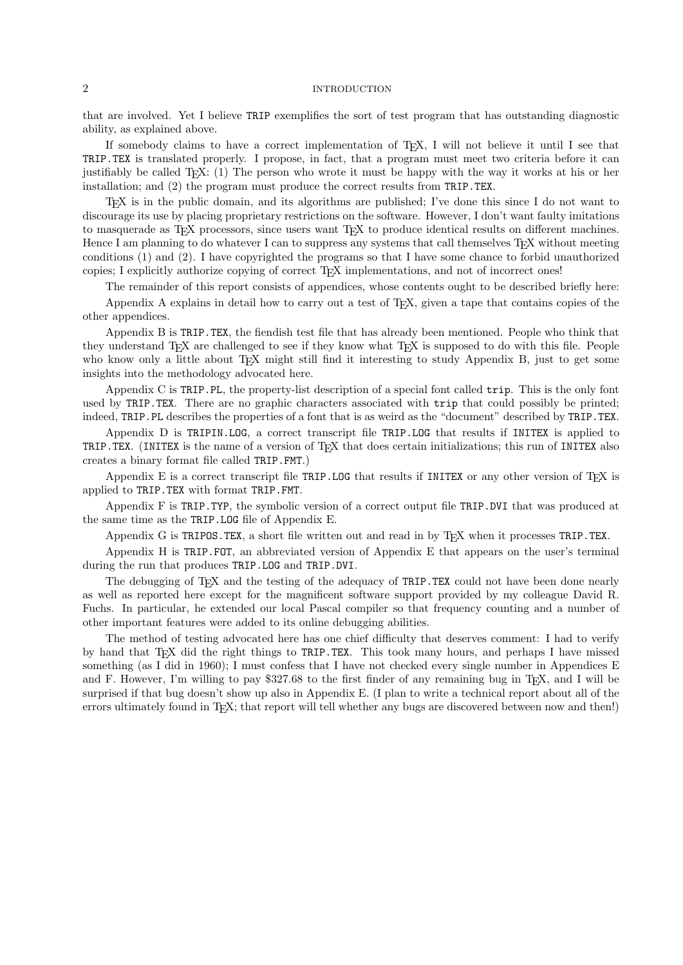### 2 INTRODUCTION

that are involved. Yet I believe TRIP exemplifies the sort of test program that has outstanding diagnostic ability, as explained above.

If somebody claims to have a correct implementation of T<sub>E</sub>X, I will not believe it until I see that TRIP.TEX is translated properly. I propose, in fact, that a program must meet two criteria before it can justifiably be called TEX: (1) The person who wrote it must be happy with the way it works at his or her installation; and (2) the program must produce the correct results from TRIP.TEX.

TEX is in the public domain, and its algorithms are published; I've done this since I do not want to discourage its use by placing proprietary restrictions on the software. However, I don't want faulty imitations to masquerade as TEX processors, since users want TEX to produce identical results on different machines. Hence I am planning to do whatever I can to suppress any systems that call themselves T<sub>E</sub>X without meeting conditions (1) and (2). I have copyrighted the programs so that I have some chance to forbid unauthorized copies; I explicitly authorize copying of correct TEX implementations, and not of incorrect ones!

The remainder of this report consists of appendices, whose contents ought to be described briefly here:

Appendix A explains in detail how to carry out a test of TEX, given a tape that contains copies of the other appendices.

Appendix B is TRIP.TEX, the fiendish test file that has already been mentioned. People who think that they understand T<sub>EX</sub> are challenged to see if they know what T<sub>EX</sub> is supposed to do with this file. People who know only a little about T<sub>EX</sub> might still find it interesting to study Appendix B, just to get some insights into the methodology advocated here.

Appendix C is TRIP.PL, the property-list description of a special font called trip. This is the only font used by TRIP.TEX. There are no graphic characters associated with trip that could possibly be printed; indeed, TRIP.PL describes the properties of a font that is as weird as the "document" described by TRIP.TEX.

Appendix D is TRIPIN.LOG, a correct transcript file TRIP.LOG that results if INITEX is applied to TRIP.TEX. (INITEX is the name of a version of TEX that does certain initializations; this run of INITEX also creates a binary format file called TRIP.FMT.)

Appendix E is a correct transcript file TRIP.LOG that results if INITEX or any other version of  $T_F X$  is applied to TRIP.TEX with format TRIP.FMT.

Appendix F is TRIP.TYP, the symbolic version of a correct output file TRIP.DVI that was produced at the same time as the TRIP.LOG file of Appendix E.

Appendix G is TRIPOS. TEX, a short file written out and read in by T<sub>E</sub>X when it processes TRIP. TEX.

Appendix H is TRIP.FOT, an abbreviated version of Appendix E that appears on the user's terminal during the run that produces TRIP.LOG and TRIP.DVI.

The debugging of TEX and the testing of the adequacy of TRIP.TEX could not have been done nearly as well as reported here except for the magnificent software support provided by my colleague David R. Fuchs. In particular, he extended our local Pascal compiler so that frequency counting and a number of other important features were added to its online debugging abilities.

The method of testing advocated here has one chief difficulty that deserves comment: I had to verify by hand that T<sub>E</sub>X did the right things to TRIP.TEX. This took many hours, and perhaps I have missed something (as I did in 1960); I must confess that I have not checked every single number in Appendices E and F. However, I'm willing to pay \$327.68 to the first finder of any remaining bug in T<sub>E</sub>X, and I will be surprised if that bug doesn't show up also in Appendix E. (I plan to write a technical report about all of the errors ultimately found in TEX; that report will tell whether any bugs are discovered between now and then!)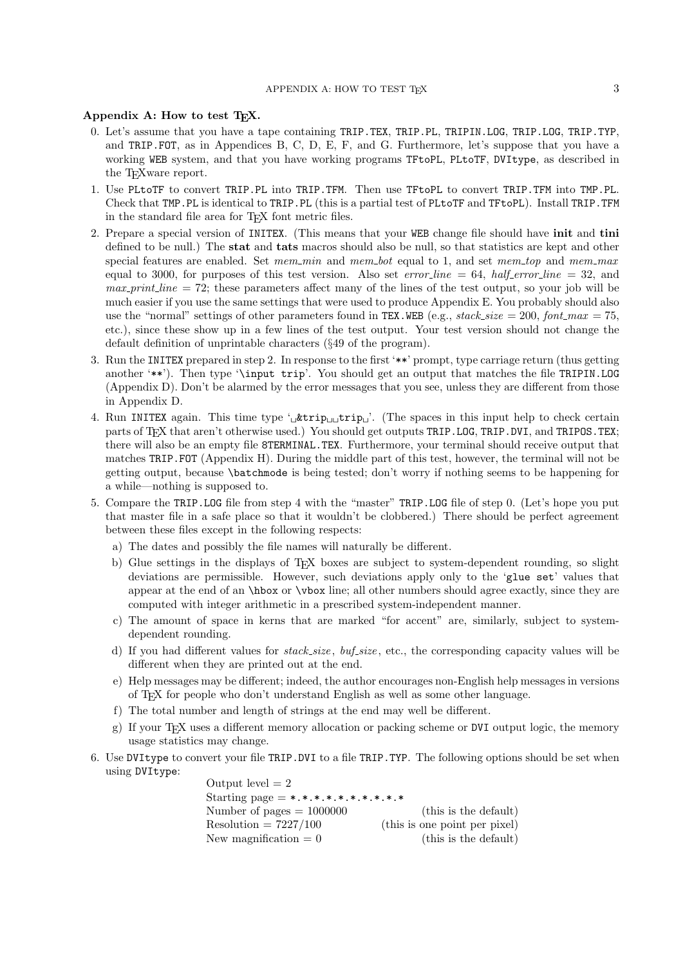## Appendix A: How to test T<sub>E</sub>X.

- 0. Let's assume that you have a tape containing TRIP.TEX, TRIP.PL, TRIPIN.LOG, TRIP.LOG, TRIP.TYP, and TRIP.FOT, as in Appendices B, C, D, E, F, and G. Furthermore, let's suppose that you have a working WEB system, and that you have working programs TFtoPL, PLtoTF, DVItype, as described in the T<sub>EX</sub> ware report.
- 1. Use PLtoTF to convert TRIP.PL into TRIP.TFM. Then use TFtoPL to convert TRIP.TFM into TMP.PL. Check that TMP.PL is identical to TRIP.PL (this is a partial test of PLtoTF and TFtoPL). Install TRIP.TFM in the standard file area for TEX font metric files.
- 2. Prepare a special version of INITEX. (This means that your WEB change file should have init and tini defined to be null.) The **stat** and **tats** macros should also be null, so that statistics are kept and other special features are enabled. Set mem min and mem bot equal to 1, and set mem top and mem max equal to 3000, for purposes of this test version. Also set error-line = 64, half-error-line = 32, and  $max-print-line = 72$ ; these parameters affect many of the lines of the test output, so your job will be much easier if you use the same settings that were used to produce Appendix E. You probably should also use the "normal" settings of other parameters found in TEX.WEB (e.g., stack size = 200, font max = 75, etc.), since these show up in a few lines of the test output. Your test version should not change the default definition of unprintable characters (§49 of the program).
- 3. Run the INITEX prepared in step 2. In response to the first '\*\*' prompt, type carriage return (thus getting another '\*\*'). Then type '\input trip'. You should get an output that matches the file TRIPIN.LOG (Appendix D). Don't be alarmed by the error messages that you see, unless they are different from those in Appendix D.
- 4. Run INITEX again. This time type ' $\mu$ trip $\mu$ <sub>L</sub>' (The spaces in this input help to check certain parts of T<sub>E</sub>X that aren't otherwise used.) You should get outputs TRIP.LOG, TRIP.DVI, and TRIPOS.TEX; there will also be an empty file 8TERMINAL.TEX. Furthermore, your terminal should receive output that matches TRIP.FOT (Appendix H). During the middle part of this test, however, the terminal will not be getting output, because \batchmode is being tested; don't worry if nothing seems to be happening for a while—nothing is supposed to.
- 5. Compare the TRIP.LOG file from step 4 with the "master" TRIP.LOG file of step 0. (Let's hope you put that master file in a safe place so that it wouldn't be clobbered.) There should be perfect agreement between these files except in the following respects:
	- a) The dates and possibly the file names will naturally be different.
	- b) Glue settings in the displays of TEX boxes are subject to system-dependent rounding, so slight deviations are permissible. However, such deviations apply only to the 'glue set' values that appear at the end of an \hbox or \vbox line; all other numbers should agree exactly, since they are computed with integer arithmetic in a prescribed system-independent manner.
	- c) The amount of space in kerns that are marked "for accent" are, similarly, subject to systemdependent rounding.
	- d) If you had different values for  $stack_size, \mathit{buf}.\mathit{size}$ , etc., the corresponding capacity values will be different when they are printed out at the end.
	- e) Help messages may be different; indeed, the author encourages non-English help messages in versions of TEX for people who don't understand English as well as some other language.
	- f) The total number and length of strings at the end may well be different.
	- g) If your TEX uses a different memory allocation or packing scheme or DVI output logic, the memory usage statistics may change.
- 6. Use DVItype to convert your file TRIP.DVI to a file TRIP.TYP. The following options should be set when using DVItype:

Output level  $= 2$ Starting page =  $*.*.*.*.*.*.*.*.*.*.*.*.*$ Number of pages  $= 1000000$  (this is the default)  $Resolution = 7227/100$  (this is one point per pixel) New magnification  $= 0$  (this is the default)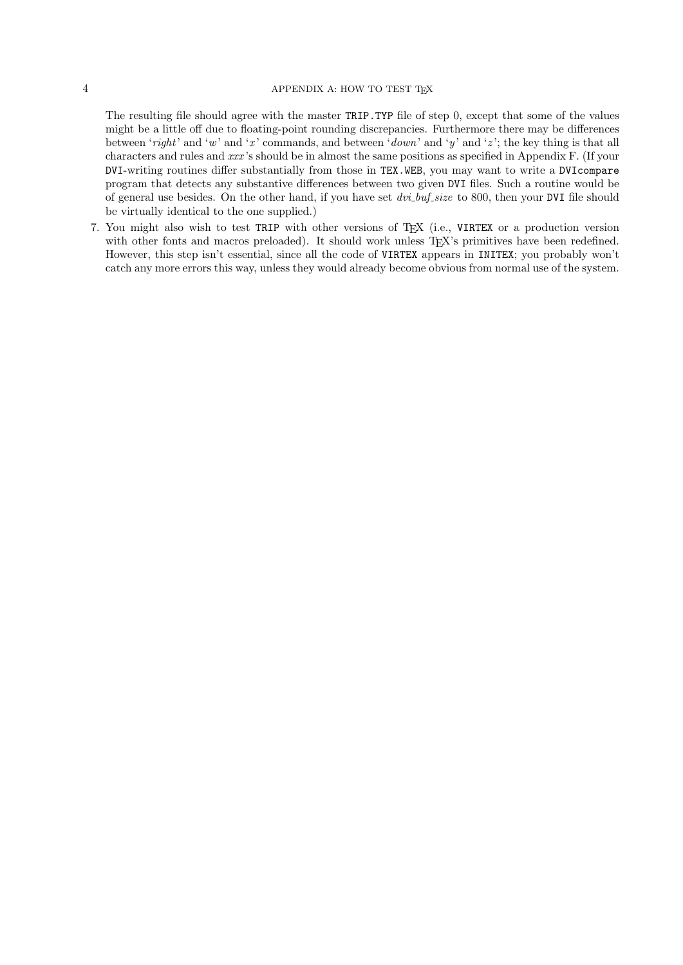## $4\,$  APPENDIX A: HOW TO TEST TEX

The resulting file should agree with the master TRIP.TYP file of step 0, except that some of the values might be a little off due to floating-point rounding discrepancies. Furthermore there may be differences between 'right' and 'w' and 'x' commands, and between 'down' and 'y' and 'z'; the key thing is that all characters and rules and xxx 's should be in almost the same positions as specified in Appendix F. (If your DVI-writing routines differ substantially from those in TEX.WEB, you may want to write a DVIcompare program that detects any substantive differences between two given DVI files. Such a routine would be of general use besides. On the other hand, if you have set  $dvi_bu_f$  size to 800, then your DVI file should be virtually identical to the one supplied.)

7. You might also wish to test TRIP with other versions of TEX (i.e., VIRTEX or a production version with other fonts and macros preloaded). It should work unless T<sub>E</sub>X's primitives have been redefined. However, this step isn't essential, since all the code of VIRTEX appears in INITEX; you probably won't catch any more errors this way, unless they would already become obvious from normal use of the system.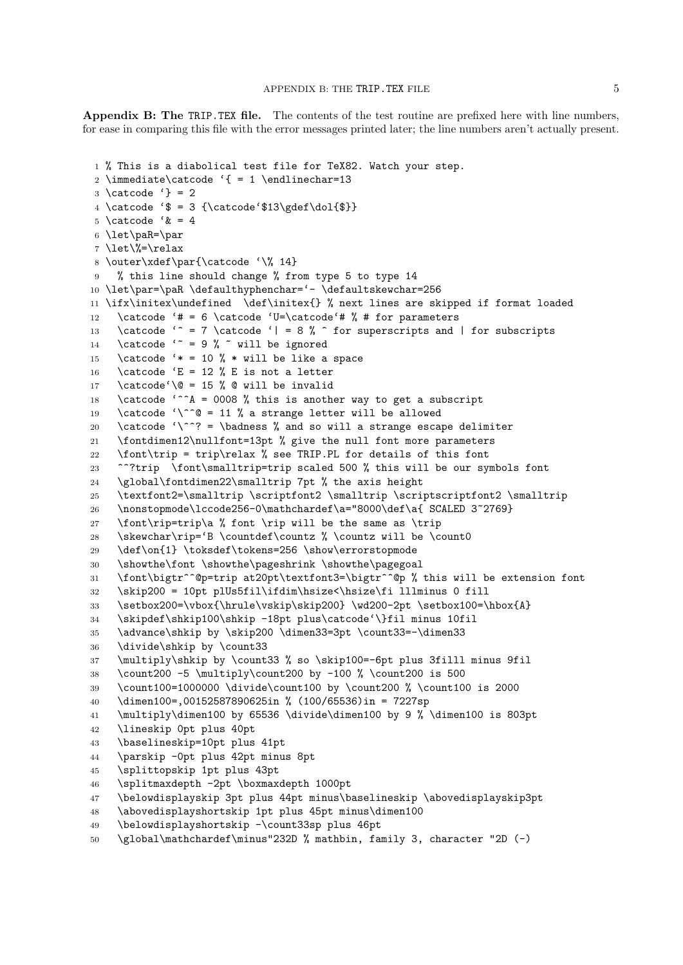Appendix B: The TRIP.TEX file. The contents of the test routine are prefixed here with line numbers, for ease in comparing this file with the error messages printed later; the line numbers aren't actually present.

```
1 % This is a diabolical test file for TeX82. Watch your step.
2 \immediate\catcode '{ = 1 \endlinechar=13
3 \ \text{catcode} '} = 2
4 \catcode '$ = 3 {\catcode'$13\gdef\dol{$}}
5 \catcode '\& = 4
6 \let\paR=\par
7 \let\%=\relax
8 \outer\xdef\par{\catcode '\% 14}
    % this line should change % from type 5 to type 14
10 \let\par=\paR \defaulthyphenchar='- \defaultskewchar=256
11 \ifx\initex\undefined \def\initex{} % next lines are skipped if format loaded
12 \catcode '# = 6 \catcode 'U=\catcode'# % # for parameters
13 \catcode '^ = 7 \catcode '| = 8 % ^ for superscripts and | for subscripts
14 \catcode ' = 9 % \tilde{ } will be ignored
15 \catcode '* = 10 % * will be like a space
16 \catcode 'E = 12 % E is not a letter
17 \catcode'\@ = 15 % @ will be invalid
18 \catcode '^^A = 0008 % this is another way to get a subscript
19 \catcode '\^^@ = 11 % a strange letter will be allowed
20 \catcode '\^^? = \badness % and so will a strange escape delimiter
21 \fontdimen12\nullfont=13pt % give the null font more parameters
22 \font\trip = trip\relax % see TRIP.PL for details of this font
23 ^^?trip \font\smalltrip=trip scaled 500 % this will be our symbols font
24 \global\fontdimen22\smalltrip 7pt % the axis height
25 \textfont2=\smalltrip \scriptfont2 \smalltrip \scriptscriptfont2 \smalltrip
26 \nonstopmode\lccode256-0\mathchardef\a="8000\def\a{ SCALED 3~2769}
27 \font\rip=trip\a % font \rip will be the same as \trip
28 \skewchar\rip='B \countdef\countz % \countz will be \count0
29 \def\on{1} \toksdef\tokens=256 \show\errorstopmode
30 \showthe\font \showthe\pageshrink \showthe\pagegoal
31 \font\bigtr^^@p=trip at20pt\textfont3=\bigtr^^@p % this will be extension font
32 \skip200 = 10pt plUs5fil\ifdim\hsize<\hsize\fi lllminus 0 fill
33 \setbox200=\vbox{\hrule\vskip\skip200} \wd200-2pt \setbox100=\hbox{A}
34 \skipdef\shkip100\shkip -18pt plus\catcode'\}fil minus 10fil
35 \advance\shkip by \skip200 \dimen33=3pt \count33=-\dimen33
36 \divide\shkip by \count33
37 \multiply\shkip by \count33 % so \skip100=-6pt plus 3filll minus 9fil
38 \count200 -5 \multiply\count200 by -100 % \count200 is 500
39 \count100=1000000 \divide\count100 by \count200 % \count100 is 2000
40 \dimen100=,00152587890625in % (100/65536)in = 7227sp
41 \multiply\dimen100 by 65536 \divide\dimen100 by 9 % \dimen100 is 803pt
42 \lineskip 0pt plus 40pt
43 \baselineskip=10pt plus 41pt
44 \parskip -0pt plus 42pt minus 8pt
45 \splittopskip 1pt plus 43pt
46 \splitmaxdepth -2pt \boxmaxdepth 1000pt
47 \belowdisplayskip 3pt plus 44pt minus\baselineskip \abovedisplayskip3pt
48 \abovedisplayshortskip 1pt plus 45pt minus\dimen100
49 \belowdisplayshortskip -\count33sp plus 46pt
```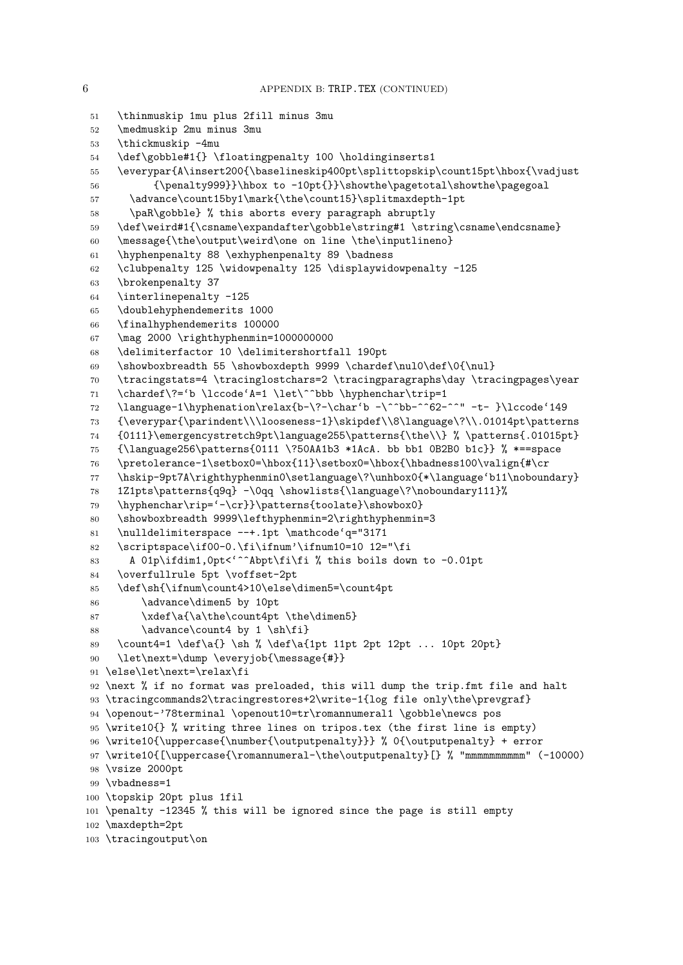```
51 \thinmuskip 1mu plus 2fill minus 3mu
52 \medmuskip 2mu minus 3mu
53 \thickmuskip -4mu
54 \def\gobble#1{} \floatingpenalty 100 \holdinginserts1
55 \everypar{A\insert200{\baselineskip400pt\splittopskip\count15pt\hbox{\vadjust
56 {\penalty999}}\hbox to -10pt{}}\showthe\pagetotal\showthe\pagegoal
57 \advance\count15by1\mark{\the\count15}\splitmaxdepth-1pt
58 \paR\gobble} % this aborts every paragraph abruptly
59 \def\weird#1{\csname\expandafter\gobble\string#1 \string\csname\endcsname}
60 \message{\the\output\weird\one on line \the\inputlineno}
61 \hyphenpenalty 88 \exhyphenpenalty 89 \badness
62 \clubpenalty 125 \widowpenalty 125 \displaywidowpenalty -125
63 \brokenpenalty 37
64 \interlinepenalty -125
65 \doublehyphendemerits 1000
66 \finalhyphendemerits 100000
67 \mag 2000 \righthyphenmin=1000000000
68 \delimiterfactor 10 \delimitershortfall 190pt
69 \showboxbreadth 55 \showboxdepth 9999 \chardef\nul0\def\0{\nul}
70 \tracingstats=4 \tracinglostchars=2 \tracingparagraphs\day \tracingpages\year
71 \chardef\?='b \lccode'A=1 \let\^^bbb \hyphenchar\trip=1
72 \language-1\hyphenation\relax{b-\?-\char'b -\^^bb-^^62-^^" -t- }\lccode'149
73 {\everypar{\parindent\\\looseness-1}\skipdef\\8\language\?\\.01014pt\patterns
74 {0111}\emergencystretch9pt\language255\patterns{\the\\} % \patterns{.01015pt}
75 {\language256\patterns{0111 \?50AA1b3 *1AcA. bb bb1 0B2B0 b1c}} % *==space
76 \pretolerance-1\setbox0=\hbox{11}\setbox0=\hbox{\hbadness100\valign{#\cr
77 \hskip-9pt7A\righthyphenmin0\setlanguage\?\unhbox0{*\language'b11\noboundary}
78 1Z1pts\patterns{q9q} -\0qq \showlists{\language\?\noboundary111}%
79 \hyphenchar\rip='-\cr}}\patterns{toolate}\showbox0}
80 \showboxbreadth 9999\lefthyphenmin=2\righthyphenmin=3
81 \nulldelimiterspace --+.1pt \mathcode'q="3171
82 \scriptspace\if00-0.\fi\ifnum'\ifnum10=10 12="\fi
83 A 01p\ifdim1, Opt<'^^Abpt\fi\fi % this boils down to -0.01pt
84 \overfullrule 5pt \voffset-2pt
85 \def\sh{\ifnum\count4>10\else\dimen5=\count4pt
86 \advance\dimen5 by 10pt
87 \quad \quad \text{a\the\count4pt \qthe\dimen5}88 \advance\count4 by 1 \sh\fi89 \count4=1 \def\a{} \sh % \def\a{1pt 11pt 2pt 12pt ... 10pt 20pt}
90 \let\next=\dump \everyjob{\message{#}}
91 \else\let\next=\relax\fi
92 \next % if no format was preloaded, this will dump the trip.fmt file and halt
93 \tracingcommands2\tracingrestores+2\write-1{log file only\the\prevgraf}
94 \openout-'78terminal \openout10=tr\romannumeral1 \gobble\newcs pos
95 \write10{} % writing three lines on tripos.tex (the first line is empty)
96 \write10{\uppercase{\number{\outputpenalty}}} % 0{\outputpenalty} + error
97 \write10{[\uppercase{\romannumeral-\the\outputpenalty}[} % "mmmmmmmmmm" (-10000)
98 \vsize 2000pt
99 \vbadness=1
100 \topskip 20pt plus 1fil
101 \penalty -12345 % this will be ignored since the page is still empty
102 \maxdepth=2pt
103 \tracingoutput\on
```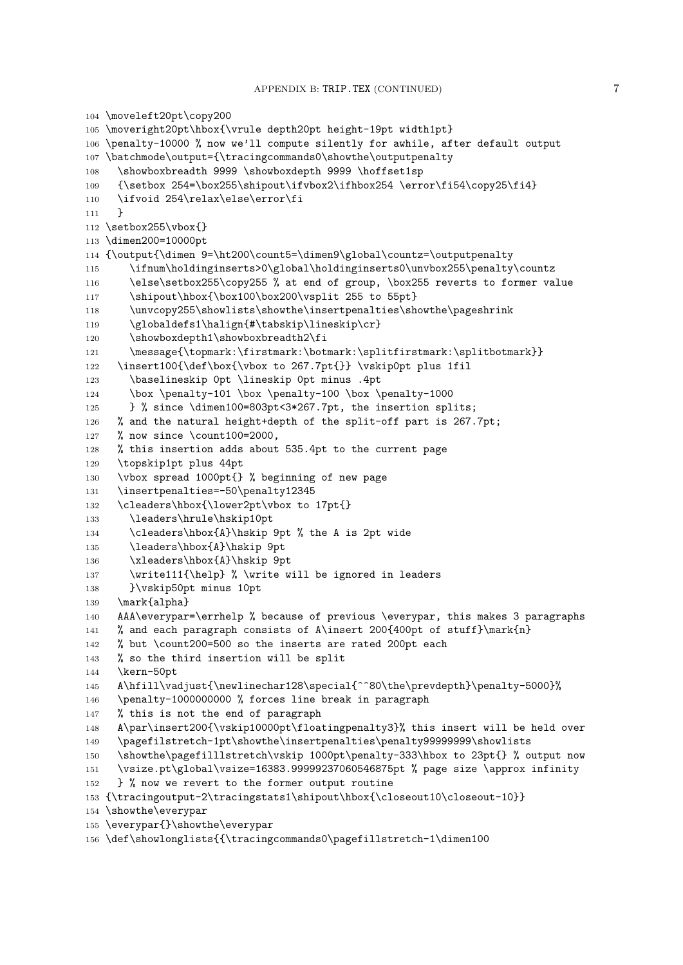```
104 \moveleft20pt\copy200
105 \moveright20pt\hbox{\vrule depth20pt height-19pt width1pt}
106 \penalty-10000 % now we'll compute silently for awhile, after default output
107 \batchmode\output={\tracingcommands0\showthe\outputpenalty
108 \showboxbreadth 9999 \showboxdepth 9999 \hoffset1sp
109 {\setbox 254=\box255\shipout\ifvbox2\ifhbox254 \error\fi54\copy25\fi4}
110 \ifvoid 254\relax\else\error\fi
111 }
112 \setbox255\vbox{}
113 \dimen200=10000pt
114 {\output{\dimen 9=\ht200\count5=\dimen9\global\countz=\outputpenalty
115 \ifnum\holdinginserts>0\global\holdinginserts0\unvbox255\penalty\countz
116 \else\setbox255\copy255 % at end of group, \box255 reverts to former value
117 \shipout\hbox{\box100\box200\vsplit 255 to 55pt}
118 \unvcopy255\showlists\showthe\insertpenalties\showthe\pageshrink
119 \globaldefs1\halign{#\tabskip\lineskip\cr}
120 \showboxdepth1\showboxbreadth2\fi
121 \message{\topmark:\firstmark:\botmark:\splitfirstmark:\splitbotmark}}
122 \insert100{\def\box{\vbox to 267.7pt{}} \vskip0pt plus 1fil
123 \baselineskip 0pt \lineskip 0pt minus .4pt
124 \box \penalty-101 \box \penalty-100 \box \penalty-1000
125 } % since \dimen100=803pt<3*267.7pt, the insertion splits;
126 % and the natural height+depth of the split-off part is 267.7pt;
127 % now since \count100=2000,
128 % this insertion adds about 535.4pt to the current page
129 \topskip1pt plus 44pt
130 \vbox spread 1000pt{} % beginning of new page
131 \insertpenalties=-50\penalty12345
132 \cleaders\hbox{\lower2pt\vbox to 17pt{}
133 \leaders\hrule\hskip10pt
134 \cleaders\hbox{A}\hskip 9pt % the A is 2pt wide
135 \leaders\hbox{A}\hskip 9pt
136 \xleaders\hbox{A}\hskip 9pt
137 \write111{\help} % \write will be ignored in leaders
138 }\vskip50pt minus 10pt
139 \mark{alpha}
140 AAA\everypar=\errhelp % because of previous \everypar, this makes 3 paragraphs
141 % and each paragraph consists of A\insert 200{400pt of stuff}\mark{n}
142 % but \count200=500 so the inserts are rated 200pt each
143 % so the third insertion will be split
144 \kern-50pt
145 A\hfill\vadjust{\newlinechar128\special{^^80\the\prevdepth}\penalty-5000}%
146 \penalty-1000000000 % forces line break in paragraph
147 % this is not the end of paragraph
148 A\par\insert200{\vskip10000pt\floatingpenalty3}% this insert will be held over
149 \pagefilstretch-1pt\showthe\insertpenalties\penalty99999999\showlists
150 \showthe\pagefilllstretch\vskip 1000pt\penalty-333\hbox to 23pt{} % output now
151 \vsize.pt\global\vsize=16383.99999237060546875pt % page size \approx infinity
152 } % now we revert to the former output routine
153 {\tracingoutput-2\tracingstats1\shipout\hbox{\closeout10\closeout-10}}
154 \showthe\everypar
155 \everypar{}\showthe\everypar
156 \def\showlonglists{{\tracingcommands0\pagefillstretch-1\dimen100
```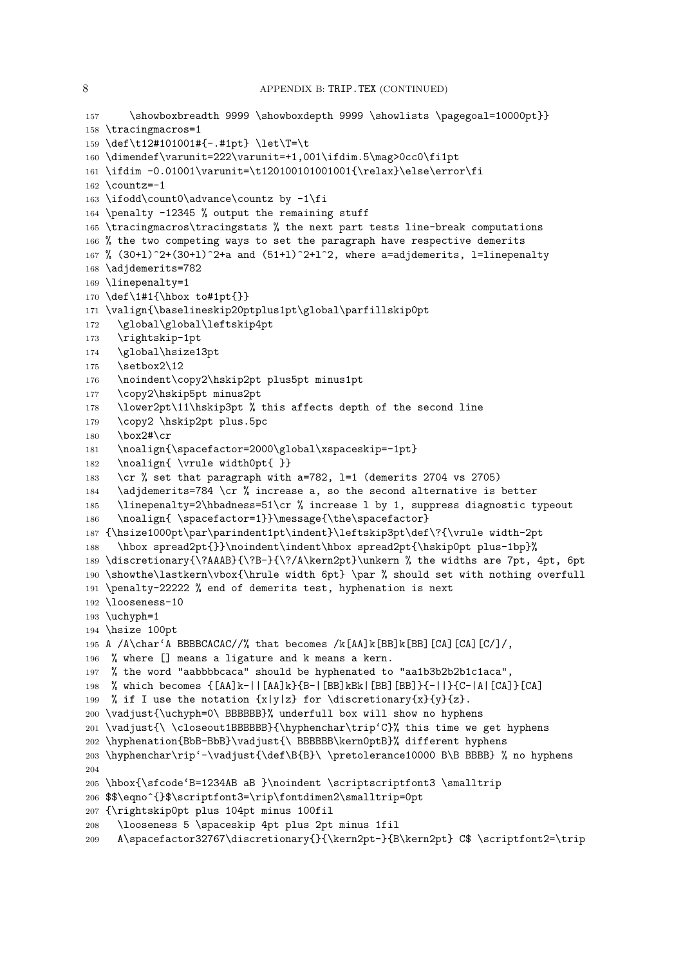```
157 \showboxbreadth 9999 \showboxdepth 9999 \showlists \pagegoal=10000pt}}
158 \tracingmacros=1
159 \def\t12#101001#{-.#1pt} \let\T=\t
160 \dimendef\varunit=222\varunit=+1,001\ifdim.5\mag>0cc0\fi1pt
161 \ifdim -0.01001\varunit=\t120100101001001{\relax}\else\error\fi
162 \ \text{countz} = -1163 \ifodd\count0\advance\countz by -1\fi
164 \penalty -12345 % output the remaining stuff
165 \tracingmacros\tracingstats % the next part tests line-break computations
166 % the two competing ways to set the paragraph have respective demerits
167 % (30+1)^2+(30+1)^2+a and (51+1)^2+1^2, where a=adjdemerits, l=linepenalty
168 \adjdemerits=782
169 \linepenalty=1
170 \def\1#1{\hbox to#1pt{}}
171 \valign{\baselineskip20ptplus1pt\global\parfillskip0pt
172 \global\global\leftskip4pt
173 \rightskip-1pt
174 \global\hsize13pt
175 \setbox2\12
176 \noindent\copy2\hskip2pt plus5pt minus1pt
177 \copy2\hskip5pt minus2pt
178 \lower2pt\11\hskip3pt % this affects depth of the second line
179 \copy2 \hskip2pt plus.5pc
180 \box2#\cr
181 \noalign{\spacefactor=2000\global\xspaceskip=-1pt}
182 \noalign{ \vrule width0pt{ }}
183 \cr % set that paragraph with a=782, 1=1 (demerits 2704 vs 2705)
184 \adjdemerits=784 \cr % increase a, so the second alternative is better
185 \linepenalty=2\hbadness=51\cr % increase l by 1, suppress diagnostic typeout
186 \noalign{ \spacefactor=1}}\message{\the\spacefactor}
187 {\hsize1000pt\par\parindent1pt\indent}\leftskip3pt\def\?{\vrule width-2pt
188 \hbox spread2pt{}}\noindent\indent\hbox spread2pt{\hskip0pt plus-1bp}%
189 \discretionary{\?AAAB}{\?B-}{\?/A\kern2pt}\unkern % the widths are 7pt, 4pt, 6pt
190 \showthe\lastkern\vbox{\hrule width 6pt} \par % should set with nothing overfull
191 \penalty-22222 % end of demerits test, hyphenation is next
192 \looseness-10
193 \uchyph=1
194 \hsize 100pt
195 A /A\char'A BBBBCACAC//% that becomes /k[AA]k[BB]k[BB] [CA] [CA] [C]/,
196 % where [] means a ligature and k means a kern.
197 % the word "aabbbbcaca" should be hyphenated to "aa1b3b2b2b1c1aca",
198 % which becomes {[AA]k-||[AA]k}{B-|[BB]kBk|[BB][BB]}{-||}{C-|A|[CA]}[CA]
199 % if I use the notation \{x|y|z\} for \discretionary{x}{y}{z}.200 \vadjust{\uchyph=0\ BBBBBB}% underfull box will show no hyphens
201 \vadjust{\ \closeout1BBBBBB}{\hyphenchar\trip'C}% this time we get hyphens
202 \hyphenation{BbB-BbB}\vadjust{\ BBBBBB\kern0ptB}% different hyphens
203 \hyphenchar\rip'-\vadjust{\def\B{B}\ \pretolerance10000 B\B BBBB} % no hyphens
204
205 \hbox{\sfcode'B=1234AB aB }\noindent \scriptscriptfont3 \smalltrip
206 $$\eqno^{}$\scriptfont3=\rip\fontdimen2\smalltrip=0pt
207 {\rightskip0pt plus 104pt minus 100fil
208 \looseness 5 \spaceskip 4pt plus 2pt minus 1fil
209 A\spacefactor32767\discretionary{}{\kern2pt-}{B\kern2pt} C$ \scriptfont2=\trip
```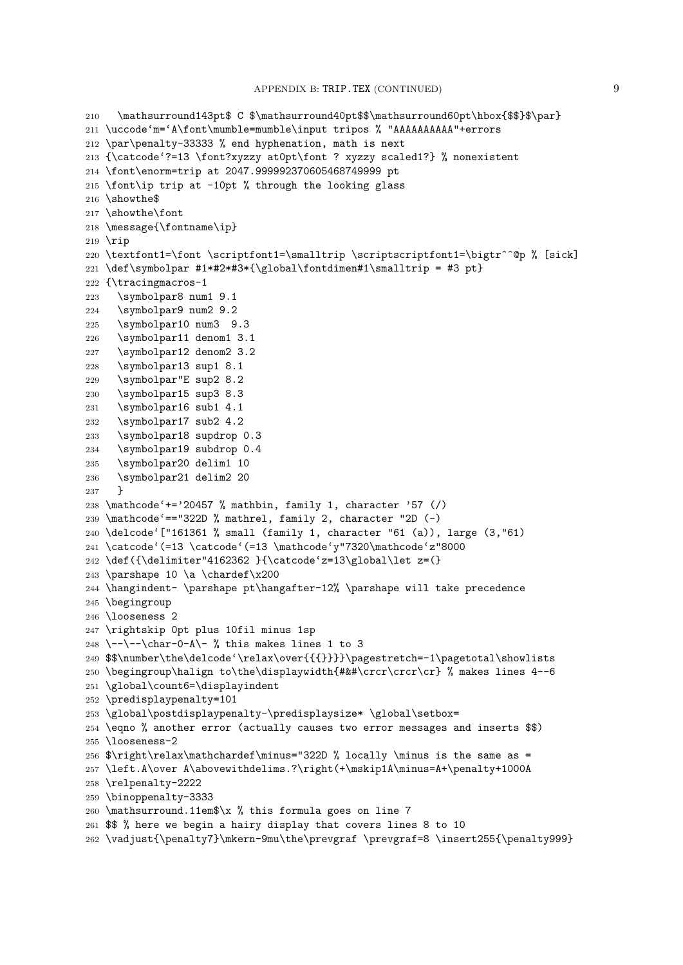```
210 \mathsurround143pt$ C $\mathsurround40pt$$\mathsurround60pt\hbox{$$}$\par}
211 \uccode'm='A\font\mumble=mumble\input tripos % "AAAAAAAAAA"+errors
212 \par\penalty-33333 % end hyphenation, math is next
213 {\catcode'?=13 \font?xyzzy at0pt\font ? xyzzy scaled1?} % nonexistent
214 \font\enorm=trip at 2047.999992370605468749999 pt
215 \font\ip trip at -10pt % through the looking glass
216 \showthe$
217 \showthe\font
218 \message{\fontname\ip}
219 \rip
220 \textfont1=\font \scriptfont1=\smalltrip \scriptscriptfont1=\bigtr^^@p % [sick]
221 \def\symbolpar #1*#2*#3*{\global\fontdimen#1\smalltrip = #3 pt}
222 {\tracingmacros-1
223 \symbolpar8 num1 9.1
224 \symbolpar9 num2 9.2
225 \symbolpar10 num3 9.3
226 \symbolpar11 denom1 3.1
227 \symbolpar12 denom2 3.2
228 \symbolpar13 sup1 8.1
229 \symbolpar"E sup2 8.2
230 \symbolpar15 sup3 8.3
231 \symbolpar16 sub1 4.1
232 \symbolpar17 sub2 4.2
233 \symbolpar18 supdrop 0.3
234 \symbolpar19 subdrop 0.4
235 \symbolpar20 delim1 10
236 \symbolpar21 delim2 20
237 }
238 \mathcode'+='20457 % mathbin, family 1, character '57 (/)
239 \mathcode'=="322D % mathrel, family 2, character "2D (-)
240 \delcode'["161361 % small (family 1, character "61 (a)), large (3,"61)
241 \catcode'(=13 \catcode'(=13 \mathcode'y"7320\mathcode'z"8000
242 \def({\delimiter"4162362 }{\catcode'z=13\global\let z=(}
243 \parshape 10 \a \chardef\x200
244 \hangindent- \parshape pt\hangafter-12% \parshape will take precedence
245 \begingroup
246 \looseness 2
247 \rightskip 0pt plus 10fil minus 1sp
248 \--\--\char-0-A\- % this makes lines 1 to 3
249 $$\number\the\delcode'\relax\over{{{}}}}\pagestretch=-1\pagetotal\showlists
250 \begingroup\halign to\the\displaywidth{#&#\crcr\crcr\cr} % makes lines 4--6
251 \global\count6=\displayindent
252 \predisplaypenalty=101
253 \global\postdisplaypenalty-\predisplaysize* \global\setbox=
254 \eqno % another error (actually causes two error messages and inserts $$)
255 \looseness-2
256 $\right\relax\mathchardef\minus="322D % locally \minus is the same as =
257 \left.A\over A\abovewithdelims.?\right(+\mskip1A\minus=A+\penalty+1000A
258 \relpenalty-2222
259 \binoppenalty-3333
260 \mathsurround.11em$\x % this formula goes on line 7
261 $$ % here we begin a hairy display that covers lines 8 to 10
262 \vadjust{\penalty7}\mkern-9mu\the\prevgraf \prevgraf=8 \insert255{\penalty999}
```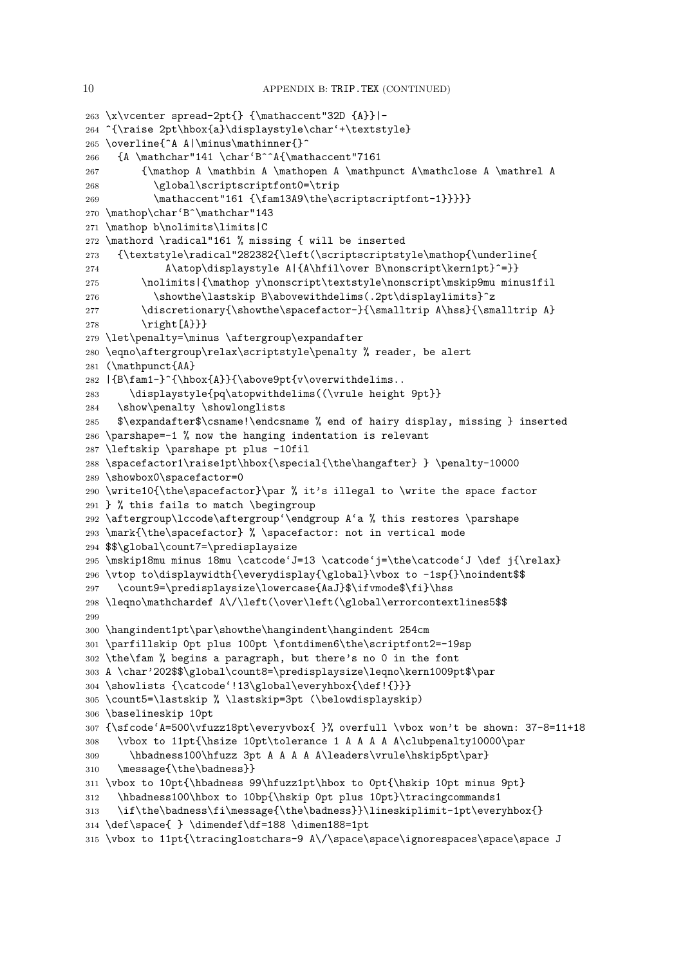```
263 \x\vcenter spread-2pt{} {\mathaccent"32D {A}}|-
264 ^{\raise 2pt\hbox{a}\displaystyle\char'+\textstyle}
265 \overline{^A A|\minus\mathinner{}^
266 {A \mathchar"141 \char'B^^A{\mathaccent"7161
267 {\mathop A \mathbin A \mathopen A \mathpunct A\mathclose A \mathrel A
268 \global\scriptscriptfont0=\trip
269 \mathaccent"161 {\fam13A9\the\scriptscriptfont-1}}}}}
270 \mathop\char'B^\mathchar"143
271 \mathop b\nolimits\limits|C
272 \mathord \radical"161 % missing { will be inserted
273 {\textstyle\radical"282382{\left(\scriptscriptstyle\mathop{\underline{
274 A\atop\displaystyle A|{A\hfil\over B\nonscript\kern1pt}^=}}
275 \nolimits|{\mathop y\nonscript\textstyle\nonscript\mskip9mu minus1fil
276 \showthe\lastskip B\abovewithdelims(.2pt\displaylimits}^z
277 \discretionary{\showthe\spacefactor-}{\smalltrip A\hss}{\smalltrip A}
278 \{\text{right[A\}}\}279 \let\penalty=\minus \aftergroup\expandafter
280 \eqno\aftergroup\relax\scriptstyle\penalty % reader, be alert
281 (\mathpunct{AA}
282 | {B\fam1-}^{\hbox{A}}{\above9pt{v\overwithdelims..
283 \displaystyle{pq\atopwithdelims((\vrule height 9pt}}
284 \show\penalty \showlonglists
285 $\expandafter$\csname!\endcsname % end of hairy display, missing } inserted
286 \parshape=-1 % now the hanging indentation is relevant
287 \leftskip \parshape pt plus -10fil
288 \spacefactor1\raise1pt\hbox{\special{\the\hangafter} } \penalty-10000
289 \showbox0\spacefactor=0
290 \write10{\the\spacefactor}\par % it's illegal to \write the space factor
291 } % this fails to match \begingroup
292 \aftergroup\lccode\aftergroup'\endgroup A'a % this restores \parshape
293 \mark{\the\spacefactor} % \spacefactor: not in vertical mode
294 $$\global\count7=\predisplaysize
295 \mskip18mu minus 18mu \catcode'J=13 \catcode'j=\the\catcode'J \def j{\relax}
296 \vtop to\displaywidth{\everydisplay{\global}\vbox to -1sp{}\noindent$$
297 \count9=\predisplaysize\lowercase{AaJ}$\ifvmode$\fi}\hss
298 \leqno\mathchardef A\/\left(\over\left(\global\errorcontextlines5$$
299
300 \hangindent1pt\par\showthe\hangindent\hangindent 254cm
301 \parfillskip 0pt plus 100pt \fontdimen6\the\scriptfont2=-19sp
302 \the\fam % begins a paragraph, but there's no 0 in the font
303 A \char'202$$\global\count8=\predisplaysize\leqno\kern1009pt$\par
304 \showlists {\catcode'!13\global\everyhbox{\def!{}}}
305 \count5=\lastskip % \lastskip=3pt (\belowdisplayskip)
306 \baselineskip 10pt
307 {\sfcode'A=500\vfuzz18pt\everyvbox{ }% overfull \vbox won't be shown: 37-8=11+18
308 \vbox to 11pt{\hsize 10pt\tolerance 1 A A A A A\clubpenalty10000\par
309 \hbadness100\hfuzz 3pt A A A A\leaders\vrule\hskip5pt\par}
310 \message{\the\badness}}
311 \vbox to 10pt{\hbadness 99\hfuzz1pt\hbox to 0pt{\hskip 10pt minus 9pt}
312 \hbadness100\hbox to 10bp{\hskip 0pt plus 10pt}\tracingcommands1
313 \if\the\badness\fi\message{\the\badness}}\lineskiplimit-1pt\everyhbox{}
314 \def\space{ } \dimendef\df=188 \dimen188=1pt
315 \vbox to 11pt{\tracinglostchars-9 A\/\space\space\ignorespaces\space\space J
```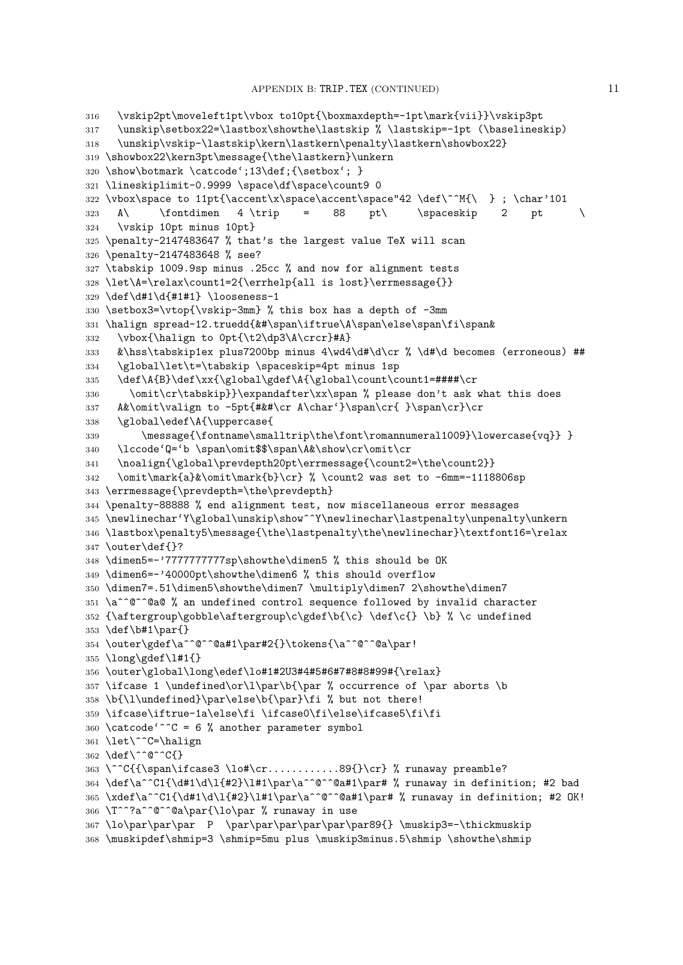```
316 \vskip2pt\moveleft1pt\vbox to10pt{\boxmaxdepth=-1pt\mark{vii}}\vskip3pt
317 \unskip\setbox22=\lastbox\showthe\lastskip % \lastskip=-1pt (\baselineskip)
318 \unskip\vskip-\lastskip\kern\lastkern\penalty\lastkern\showbox22}
319 \showbox22\kern3pt\message{\the\lastkern}\unkern
320 \show\botmark \catcode';13\def;{\setbox'; }
321 \lineskiplimit-0.9999 \space\df\space\count9 0
322 \vbox\rpace to 11pt{\accent}\x\rpace\xspace323 A\ \fontdimen 4 \trip = 88 pt\ \spaceskip 2 pt
324 \vskip 10pt minus 10pt}
325 \penalty-2147483647 % that's the largest value TeX will scan
326 \penalty-2147483648 % see?
327 \tabskip 1009.9sp minus .25cc % and now for alignment tests
328 \let\A=\relax\count1=2{\errhelp{all is lost}\errmessage{}}
329 \def\d#1\d{#1#1} \looseness-1
330 \setbox3=\vtop{\vskip-3mm} % this box has a depth of -3mm
331 \halign spread-12.truedd{&#\span\iftrue\A\span\else\span\fi\span&
332 \vbox{\halign to 0pt{\t2\dp3\A\crcr}#A}
333 &\hss\tabskip1ex plus7200bp minus 4\wd4\d#\d\cr % \d#\d becomes (erroneous) ##
334 \global\let\t=\tabskip \spaceskip=4pt minus 1sp
335 \def\A{B}\def\xx{\global\gdef\A{\global\count\count1=####\cr
336 \omit\cr\tabskip}}\expandafter\xx\span % please don't ask what this does
337 A&\omit\valign to -5pt{#&#\cr A\char'}\span\cr{ }\span\cr}\cr
338 \global\edef\A{\uppercase{
339 \message{\fontname\smalltrip\the\font\romannumeral1009}\lowercase{vq}} }
340 \lccode'Q='b \span\omit$$\span\A&\show\cr\omit\cr
341 \noalign{\global\prevdepth20pt\errmessage{\count2=\the\count2}}
342 \omit\mark{a}&\omit\mark{b}\cr} % \count2 was set to -6mm=-1118806sp
343 \errmessage{\prevdepth=\the\prevdepth}
344 \penalty-88888 % end alignment test, now miscellaneous error messages
345 \newlinechar'Y\global\unskip\show^^Y\newlinechar\lastpenalty\unpenalty\unkern
346 \lastbox\penalty5\message{\the\lastpenalty\the\newlinechar}\textfont16=\relax
347 \outer\def{}?
348 \dimen5=-'7777777777sp\showthe\dimen5 % this should be OK
349 \dimen6=-'40000pt\showthe\dimen6 % this should overflow
350 \dimen7=.51\dimen5\showthe\dimen7 \multiply\dimen7 2\showthe\dimen7
351 \a^^@^^@a@ % an undefined control sequence followed by invalid character
352 {\aftergroup\gobble\aftergroup\c\gdef\b{\c} \def\c{} \b} % \c undefined
353 \def\b#1\par{}
354 \outer\gdef\a^^@^^@a#1\par#2{}\tokens{\a^^@^^@a\par!
355 \long\gdef\l#1{}
356 \outer\global\long\edef\lo#1#2U3#4#5#6#7#8#8#99#{\relax}
357 \ifcase 1 \undefined\or\l\par\b{\par % occurrence of \par aborts \b
358 \b{\l\undefined}\par\else\b{\par}\fi % but not there!
359 \ifcase\iftrue-1a\else\fi \ifcase0\fi\else\ifcase5\fi\fi
360 \text{ \textdegree}^c \text{ C} = 6 \% another parameter symbol
361 \let\^^C=\halign
362 \def\^^@^^C{}
363 \^^C{{\span\ifcase3 \lo#\cr.............89{}\cr} % runaway preamble?
364 \def\a^^C1{\d#1\d\l{#2}\l#1\par\a^^@^^@a#1\par# % runaway in definition; #2 bad
365 \xdef\a^^C1{\d#1\d\l{#2}\l#1\par\a^^@^^@a#1\par# % runaway in definition; #2 OK!
366 \T^^?a^^@^^@a\par{\lo\par % runaway in use
367 \lo\par\par\par P \par\par\par\par\par\par89{} \muskip3=-\thickmuskip
368 \muskipdef\shmip=3 \shmip=5mu plus \muskip3minus.5\shmip \showthe\shmip
```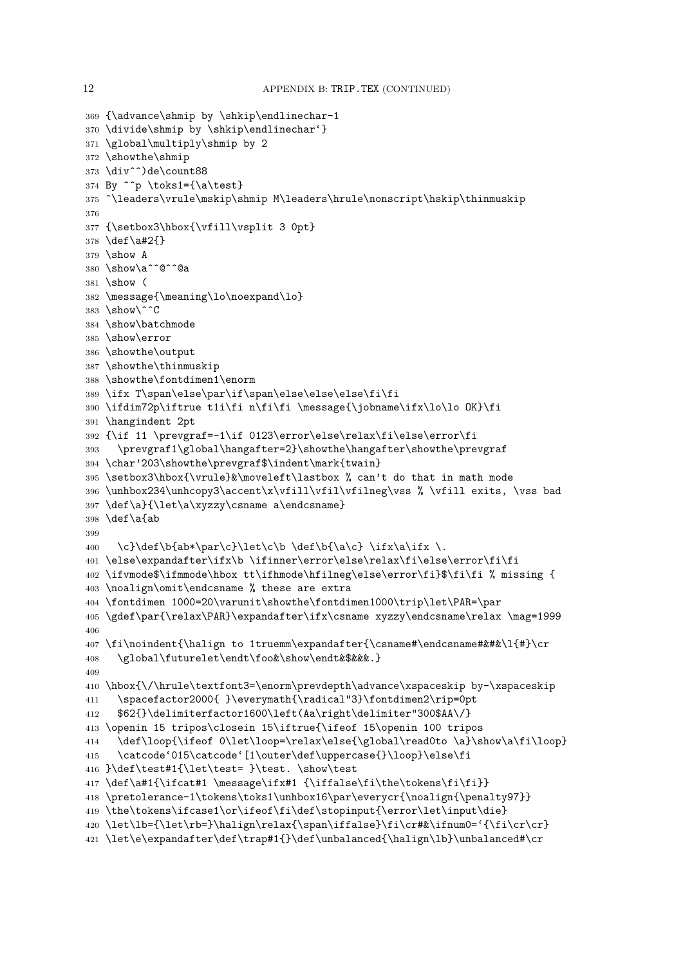```
370 \divide\shmip by \shkip\endlinechar'}
371 \global\multiply\shmip by 2
372 \showthe\shmip
373 \div^^)de\count88
374 By \hat{p} \toks1={\a\test}
375 ^\leaders\vrule\mskip\shmip M\leaders\hrule\nonscript\hskip\thinmuskip
376
377 {\setbox3\hbox{\vfill\vsplit 3 0pt}
378 \def\a#2{}
379 \show A
380 \show\a^^@^^@a
381 \show (
382 \message{\meaning\lo\noexpand\lo}
383 \show\^^C
384 \show\batchmode
385 \show\error
386 \showthe\output
387 \showthe\thinmuskip
388 \showthe\fontdimen1\enorm
389 \ifx T\span\else\par\if\span\else\else\else\fi\fi
390 \ifdim72p\iftrue t1i\fi n\fi\fi \message{\jobname\ifx\lo\lo OK}\fi
391 \hangindent 2pt
392 {\if 11 \prevgraf=-1\if 0123\error\else\relax\fi\else\error\fi
393 \prevgraf1\global\hangafter=2}\showthe\hangafter\showthe\prevgraf
394 \char'203\showthe\prevgraf$\indent\mark{twain}
395 \setbox3\hbox{\vrule}&\moveleft\lastbox % can't do that in math mode
396 \unhbox234\unhcopy3\accent\x\vfill\vfil\vfilneg\vss % \vfill exits, \vss bad
397 \def\a}{\let\a\xyzzy\csname a\endcsname}
398 \def\a{ab
399
400 \ \c\delta\b{ab*\par{c}\llet\c\b \def\bf\a\c} \ifx\a\ifx \.401 \else\expandafter\ifx\b \ifinner\error\else\relax\fi\else\error\fi\fi
402 \ifvmode$\ifmmode\hbox tt\ifhmode\hfilneg\else\error\fi}$\fi\fi % missing {
403 \noalign\omit\endcsname % these are extra
404 \fontdimen 1000=20\varunit\showthe\fontdimen1000\trip\let\PAR=\par
405 \gdef\par{\relax\PAR}\expandafter\ifx\csname xyzzy\endcsname\relax \mag=1999
406
407 \fi\noindent{\halign to 1truemm\expandafter{\csname#\endcsname#&#&\l{#}\cr
408 \global\futurelet\endt\foo&\show\endt&$&&&.}
409
410 \hbox{\/\hrule\textfont3=\enorm\prevdepth\advance\xspaceskip by-\xspaceskip
411 \spacefactor2000{ }\everymath{\radical"3}\fontdimen2\rip=0pt
412 $62{}\delimiterfactor1600\left(Aa\right\delimiter"300$AA\/}
413 \openin 15 tripos\closein 15\iftrue{\ifeof 15\openin 100 tripos
414 \def\loop{\ifeof 0\let\loop=\relax\else{\global\read0to \a}\show\a\fi\loop}
415 \catcode'015\catcode'[1\outer\def\uppercase{}\loop}\else\fi
416 }\def\test#1{\let\test= }\test. \show\test
417 \def\a#1{\ifcat#1 \message\ifx#1 {\iffalse\fi\the\tokens\fi\fi}}
418 \pretolerance-1\tokens\toks1\unhbox16\par\everycr{\noalign{\penalty97}}
419 \the\tokens\ifcase1\or\ifeof\fi\def\stopinput{\error\let\input\die}
420 \let\lb={\let\rb=}\halign\relax{\span\iffalse}\fi\cr#&\ifnum0='{\fi\cr\cr}
```

```
421 \let\e\expandafter\def\trap#1{}\def\unbalanced{\halign\lb}\unbalanced#\cr
```
{\advance\shmip by \shkip\endlinechar-1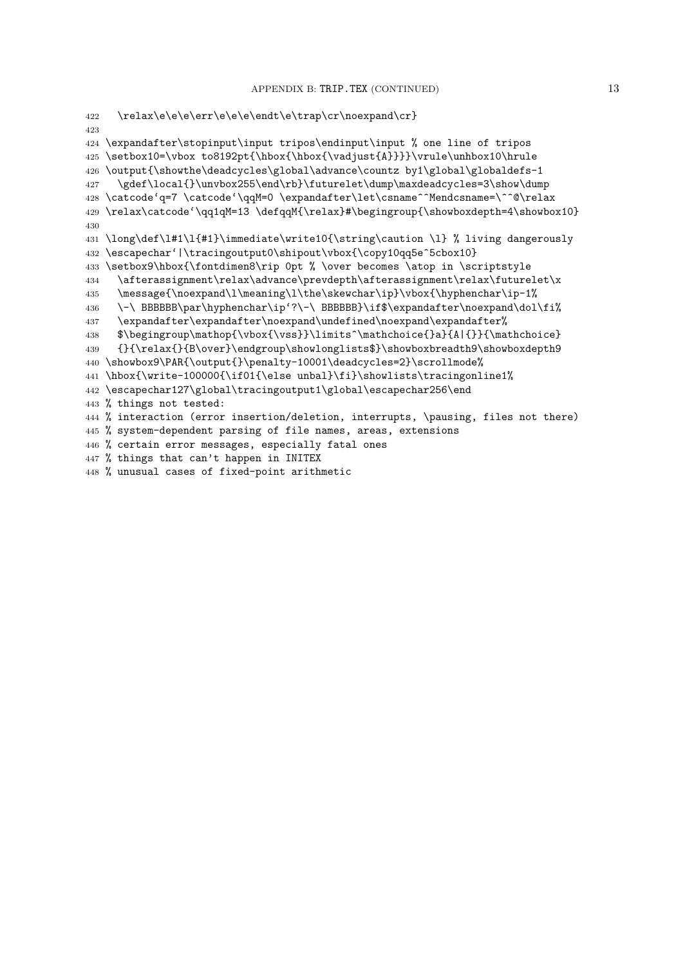```
422 \relax\e\e\e\err\e\e\e\endt\e\trap\cr\noexpand\cr}
423
424 \expandafter\stopinput\input tripos\endinput\input % one line of tripos
425 \setbox10=\vbox to8192pt{\hbox{\hbox{\vadjust{A}}}}\vrule\unhbox10\hrule
426 \output{\showthe\deadcycles\global\advance\countz by1\global\globaldefs-1
427 \gdef\local{}\unvbox255\end\rb}\futurelet\dump\maxdeadcycles=3\show\dump
428 \catcode'q=7 \catcode'\qqM=0 \expandafter\let\csname^^Mendcsname=\^^@\relax
429 \relax\catcode'\qq1qM=13 \defqqM{\relax}#\begingroup{\showboxdepth=4\showbox10}
430
431 \long\def\l#1\l{#1}\immediate\write10{\string\caution \l} % living dangerously
432 \escapechar'|\tracingoutput0\shipout\vbox{\copy10qq5e^5cbox10}
433 \setbox9\hbox{\fontdimen8\rip 0pt % \over becomes \atop in \scriptstyle
434 \afterassignment\relax\advance\prevdepth\afterassignment\relax\futurelet\x
435 \message{\noexpand\l\meaning\l\the\skewchar\ip}\vbox{\hyphenchar\ip-1%
436 \-\ BBBBBB\par\hyphenchar\ip'?\-\ BBBBBB}\if$\expandafter\noexpand\dol\fi%
437 \expandafter\expandafter\noexpand\undefined\noexpand\expandafter%
438 $\begingroup\mathop{\vbox{\vss}}\limits^\mathchoice{}a}{A|{}}{\mathchoice}
439 {}{\relax{}{B\over}\endgroup\showlonglists$}\showboxbreadth9\showboxdepth9
440 \showbox9\PAR{\output{}\penalty-10001\deadcycles=2}\scrollmode%
441 \hbox{\write-100000{\if01{\else unbal}\fi}\showlists\tracingonline1%
442 \escapechar127\global\tracingoutput1\global\escapechar256\end
443 % things not tested:
444 % interaction (error insertion/deletion, interrupts, \pausing, files not there)
445 % system-dependent parsing of file names, areas, extensions
446 % certain error messages, especially fatal ones
447 % things that can't happen in INITEX
448 % unusual cases of fixed-point arithmetic
```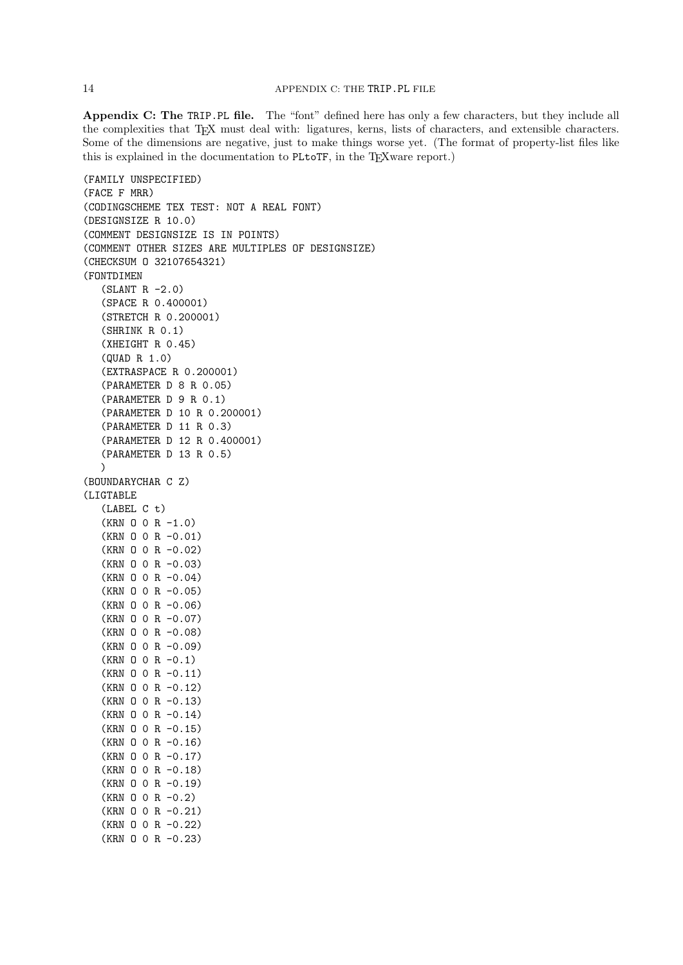Appendix C: The TRIP.PL file. The "font" defined here has only a few characters, but they include all the complexities that TEX must deal with: ligatures, kerns, lists of characters, and extensible characters. Some of the dimensions are negative, just to make things worse yet. (The format of property-list files like this is explained in the documentation to PLtoTF, in the T<sub>E</sub>Xware report.)

```
(FAMILY UNSPECIFIED)
(FACE F MRR)
(CODINGSCHEME TEX TEST: NOT A REAL FONT)
(DESIGNSIZE R 10.0)
(COMMENT DESIGNSIZE IS IN POINTS)
(COMMENT OTHER SIZES ARE MULTIPLES OF DESIGNSIZE)
(CHECKSUM O 32107654321)
(FONTDIMEN
   (SLANT R -2.0)
   (SPACE R 0.400001)
   (STRETCH R 0.200001)
   (SHRINK R 0.1)
   (XHEIGHT R 0.45)
  (QUAD R 1.0)
   (EXTRASPACE R 0.200001)
   (PARAMETER D 8 R 0.05)
   (PARAMETER D 9 R 0.1)
   (PARAMETER D 10 R 0.200001)
   (PARAMETER D 11 R 0.3)
   (PARAMETER D 12 R 0.400001)
   (PARAMETER D 13 R 0.5)
  )
(BOUNDARYCHAR C Z)
(LIGTABLE
   (LABEL C t)
   (KRN O 0 R -1.0)
   (KRN O 0 R -0.01)
   (KRN O 0 R -0.02)
   (KRN O 0 R -0.03)
   (KRN O 0 R -0.04)
   (KRN O 0 R -0.05)
   (KRN O 0 R -0.06)
   (KRN O 0 R -0.07)
   (KRN O 0 R -0.08)
   (KRN O 0 R -0.09)
   (KRN 0 0 R -0.1)(KRN O 0 R -0.11)
   (KRN O 0 R -0.12)
   (KRN O 0 R -0.13)
   (KRN O 0 R -0.14)
   (KRN O 0 R -0.15)
   (KRN O 0 R -0.16)
   (KRN O 0 R -0.17)
   (KRN O 0 R -0.18)
   (KRN O 0 R -0.19)
   (KRN O 0 R -0.2)
   (KRN O 0 R -0.21)
   (KRN O 0 R -0.22)
   (KRN O 0 R -0.23)
```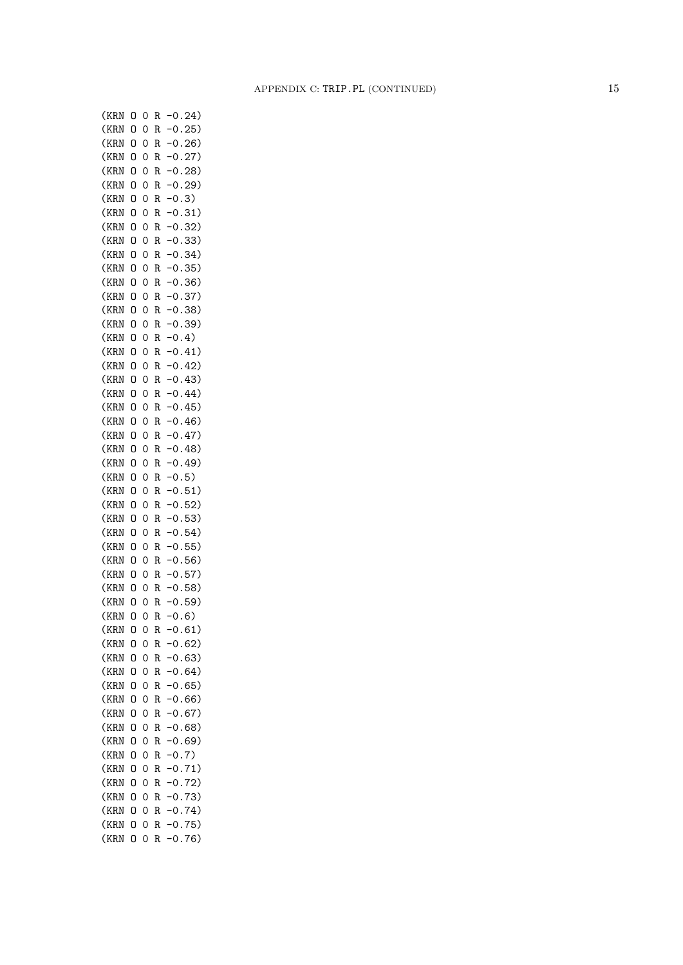| (KRN | 0 | 0              | R | 0.24)     |
|------|---|----------------|---|-----------|
| (KRN | 0 | 0              | R | 0.<br>25) |
| (KRN | 0 | 0              | R | 26)<br>0. |
| (KRN | 0 | 0              | R | 0.27)     |
| (KRN | 0 | 0              | R | 0.28      |
| (KRN | 0 | 0              | R | 0.29)     |
| (KRN | 0 | 0              | R | 0.3)      |
| (KRN | 0 | 0              | R | 0.31)     |
| (KRN | O | 0              | R | 0.32)     |
| (KRN | Ō | 0              | R | 0.33)     |
| (KRN | 0 | 0              | R | 0.34)     |
| (KRN | 0 | 0              | R | 0.35)     |
| (KRN |   | 0              |   | 0.36)     |
|      | 0 |                | R |           |
| (KRN | 0 | 0              | R | 0.37)     |
| (KRN | 0 | 0              | R | 0.38)     |
| (KRN | 0 | 0              | R | 0.39)     |
| (KRN | O | 0              | R | 0.4)      |
| (KRN | O | 0              | R | 0.41)     |
| (KRN | O | 0              | R | 0.42)     |
| (KRN | 0 | 0              | R | 0.43)     |
| (KRN | O | 0              | R | 0.44)     |
| (KRN | O | O              | R | 0.45)     |
| (KRN | O | 0              | R | 0.46)     |
| (KRN | O | O              | R | $-0.47)$  |
| (KRN | 0 | O              | R | $-0.48)$  |
| (KRN | 0 | O              | R | $-0.49)$  |
| (KRN | O | O              | R | 0.5)      |
| (KRN | O | O              | R | 0.51)     |
| (KRN | 0 | O              | R | 0.52)     |
| (KRN | 0 | $\mathbf 0$    | R | 0.53)     |
| (KRN | 0 | 0              | R | $-0.54)$  |
| (KRN | 0 | 0              | R | $-0.55)$  |
|      | O | 0              |   |           |
| (KRN |   |                | R | 0.56)     |
| (KRN | O | 0              | R | 0.57)     |
| (KRN | 0 | 0              | R | 0.58)     |
| (KRN | 0 | 0              | R | $-0.59)$  |
| (KRN | O | $\overline{0}$ | R | $-0.6)$   |
| (KRN | 0 | 0              | R | $-0.61)$  |
| (KRN | 0 | 0              | R | 0.62)     |
| (KRN | 0 | 0              | R | 0.63)     |
| (KRN | 0 | 0              | R | 0.64)     |
| (KRN | 0 | 0              | R | 0.65)     |
| (KRN | 0 | 0              | R | 0.66)     |
| (KRN | 0 | 0              | R | 0.67)     |
| (KRN | 0 | 0              | R | 0.68)     |
| (KRN | 0 | 0              | R | $-0.69)$  |
| (KRN | O | 0              | R | $-0.7)$   |
| (KRN | 0 | 0              | R | $-0.71)$  |
| (KRN | 0 | 0              | R | $-0.72)$  |
| (KRN | 0 | 0              | R | $-0.73)$  |
| (KRN | 0 | 0              | R | 0.74)     |
|      |   |                |   | $-0.75)$  |
| (KRN | 0 | 0              | R |           |
| (KRN | 0 | 0              | R | 0.76)     |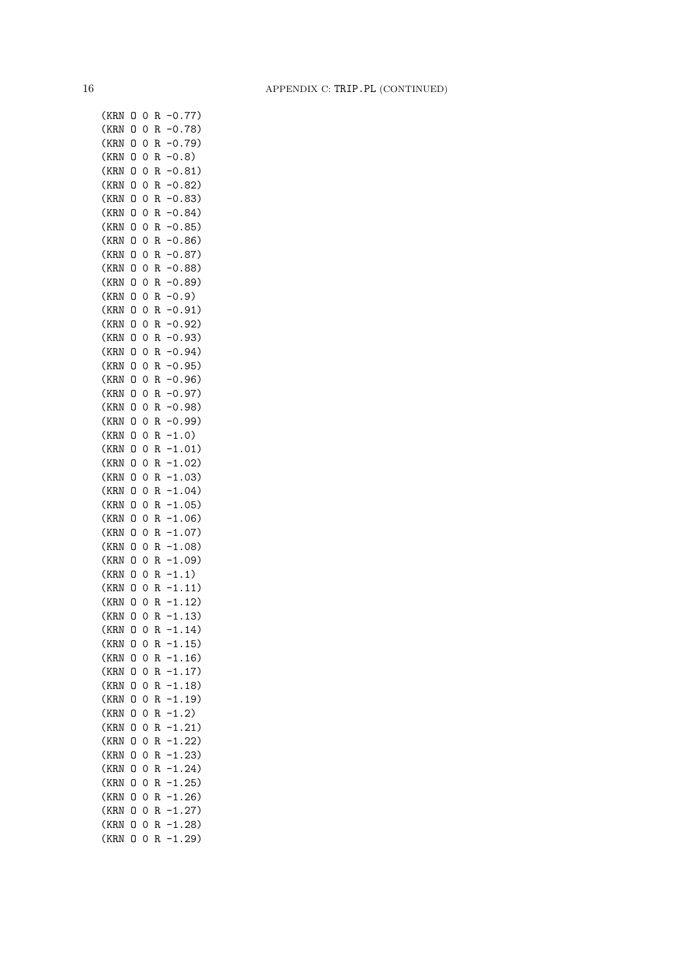| (KRN         | 0 | 0              | R | $-0.77)$          |
|--------------|---|----------------|---|-------------------|
| (KRN         | 0 | 0              | R | 0.78)             |
| (KRN         | 0 | 0              | R | 0.79)             |
| (KRN         | 0 | 0              | R | 0.8)              |
| (KRN         | 0 | 0              | R | $-0.81)$          |
| (KRN         | 0 | 0              | R | $-0.82)$          |
| (KRN         | 0 | 0              | R | $-0.83)$          |
| (KRN         | 0 | 0              | R | 0.84)             |
| (KRN         | 0 | 0              | R | 0.85)             |
| (KRN         | O | 0              | R | 0.86)             |
| (KRN         | 0 | 0              | R | $-0.87)$          |
| (KRN         | 0 | 0              | R | 0.88)             |
| (KRN         | 0 | 0              | R | 0.89)             |
| (KRN         | 0 | 0              | R | $-0.9$            |
| (KRN         | 0 | 0              | R | 0.91)             |
| (KRN         | 0 | 0              | R | 0.92)             |
| (KRN         | 0 | 0              | R | 0.93)             |
| (KRN         | 0 | 0              | R | 0.94)             |
| (KRN         | 0 | 0              | R | 0.95)             |
| (KRN         | 0 | 0              | R | 0.96)             |
| (KRN         | 0 | 0              | R | 0.97)             |
|              | O | 0              |   | 0.98)             |
| (KRN<br>(KRN | O | 0              | R |                   |
|              |   |                | R | 0.99)             |
| (KRN         | 0 | 0              | R | $-1.0)$           |
| (KRN         | 0 | 0              | R | 1.01)             |
| (KRN         | 0 | 0              | R | 1.02)             |
| (KRN         | O | 0              | R | $-1.03)$          |
| (KRN         | O | 0              | R | $-1.04)$          |
| (KRN         | 0 | 0              | R | $-1.05)$          |
| (KRN         | O | 0              | R | $-1.06$ )         |
| (KRN         | 0 | 0              | R | $-1.07)$          |
| (KRN         | 0 | 0              | R | $-1.08$ )         |
| (KRN         | 0 | 0              | R | 1.09)             |
| (KRN         | 0 | 0              | R | $\cdot$ 1.<br>1)  |
| (KRN         | 0 | 0              | R | 11)<br>$1$ .      |
| (KRN         | O | $\overline{O}$ | R | 12)<br>$-1.$      |
| (KRN         | 0 | 0              | R | 13)<br>1.         |
| (KRN         | 0 | 0              | R | $-1.14)$          |
| (KRN         | O | 0              | R | $-1.15)$          |
| (KRN         | 0 | 0              | R | $-1$ .<br>16)     |
| (KRN         | 0 | 0              | R | 17)<br>$-1.$      |
| (KRN         | 0 | 0              | R | $-1$ .<br>18)     |
| (KRN         | 0 | 0              | R | $\cdot$ 1.<br>19) |
| (KRN         | 0 | 0              | R | $-1.2)$           |
| (KRN         | 0 | 0              | R | $-1.21)$          |
| (KRN         | 0 | 0              | R | $-1.22)$          |
| (KRN         | 0 | 0              | R | $-1.23)$          |
| (KRN         | 0 | 0              | R | $-1.24)$          |
| (KRN         | 0 | 0              | R | $-1.25)$          |
| (KRN         | 0 | 0              | R | $-1.26$ )         |
| (KRN         | 0 | 0              | R | $-1.27)$          |
| (KRN         | 0 | 0              | R | $-1.28)$          |
| (KRN         | 0 | 0              | R | $-1.29)$          |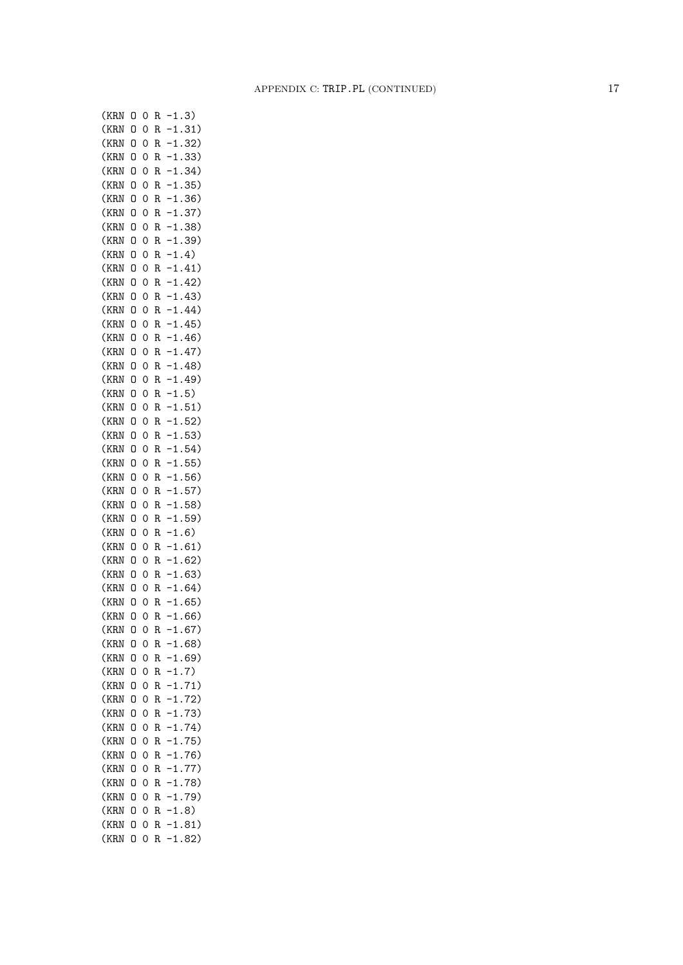| (KRN | 0 | 0              | R | .3)<br>$\mathbf 1$                          |
|------|---|----------------|---|---------------------------------------------|
| (KRN | 0 | 0              | R | $-1.31)$                                    |
| (KRN | 0 | 0              | R | 1.32)                                       |
| (KRN | 0 | O              | R | $-1.33)$                                    |
| (KRN | 0 | O              | R | $-1.34)$                                    |
| (KRN | 0 | O              | R | $-1.35)$                                    |
| (KRN | 0 | 0              | R | $-1.36)$                                    |
| (KRN | 0 | O              | R | $-1.37)$                                    |
| (KRN | 0 | $\overline{O}$ | R | .38)<br>$\cdot$ 1                           |
| (KRN | 0 | 0              | R | .39)<br>$\cdot$ 1                           |
| (KRN | 0 | O              | R | $-1.4)$                                     |
| (KRN | 0 | 0              | R | $-1.41)$                                    |
| (KRN | 0 | 0              | R | $-1.42)$                                    |
| (KRN | 0 | 0              | R | $-1.43)$                                    |
| (KRN | 0 | 0              | R | $-1.44)$                                    |
| (KRN | 0 | O              | R | $-1.45)$                                    |
| (KRN | 0 | 0              | R | $-1.46)$                                    |
|      |   |                | R | $-1.47)$                                    |
| (KRN | 0 | 0              |   |                                             |
| (KRN | O | 0              | R | $-1.48)$                                    |
| (KRN | O | 0              | R | $-1.49)$                                    |
| (KRN | O | 0              | R | $-1.5)$                                     |
| (KRN | 0 | 0              | R | $-1.51)$                                    |
| (KRN | 0 | 0              | R | $-1.52)$                                    |
| (KRN | O | 0              | R | $-1.53)$                                    |
| (KRN | O | 0              | R | 1.54)                                       |
| (KRN | 0 | 0              | R | $-1.55)$                                    |
| (KRN | 0 | 0              | R | $\mathbf{1}$<br>56)<br>$\ddot{\phantom{0}}$ |
| (KRN | 0 | 0              | R | 57)<br>$\mathbf{1}$                         |
| (KRN | 0 | 0              | R | $\mathbf{1}$<br>58)                         |
| (KRN | O | 0              | R | $\mathbf{1}$<br>59)<br>$\ddot{\phantom{0}}$ |
| (KRN | 0 | 0              | R | 1.6)                                        |
| (KRN | 0 | 0              | R | 1.61)                                       |
| (KRN | 0 | O              | R | $1$ .<br>62)                                |
| (KRN | 0 | O              | R | $-1.63)$                                    |
| (KRN | O | O              | R | $-1.64)$                                    |
| (KRN | 0 | O              | R | $-1.65)$                                    |
| (KRN | 0 | O              | R | $-1.66)$                                    |
| (KRN | 0 | 0              | R | $-1.67)$                                    |
| (KRN | 0 | 0              | R | -1.68)                                      |
| (KRN | 0 | $\mathbf{O}$   | R | $-1.69)$                                    |
| (KRN | 0 | 0              | R | 1.7)                                        |
| (KRN | 0 | 0              | R | 1.71)                                       |
| (KRN | 0 | $\mathbf{O}$   | R | 1.72)                                       |
|      |   |                |   | 1.                                          |
| (KRN | 0 | 0              | R | 73)                                         |
| (KRN | 0 | $\mathbf{O}$   | R | 1.<br>74)                                   |
| (KRN | 0 | 0              | R | $-1.$<br>75)                                |
| (KRN | 0 | 0              | R | 76)<br>$-1.$                                |
| (KRN | 0 | $\mathbf{O}$   | R | 77)<br>$\cdot$ 1.                           |
| (KRN | 0 | 0              | R | $\cdot$ 1.<br>78)                           |
| (KRN | 0 | 0              | R | 79)<br>$\cdot$ 1.                           |
| (KRN | 0 | 0              | R | 1.8)                                        |
| (KRN | 0 | 0              | R | 1.81)                                       |
| (KRN | 0 | 0              | R | $-1.82)$                                    |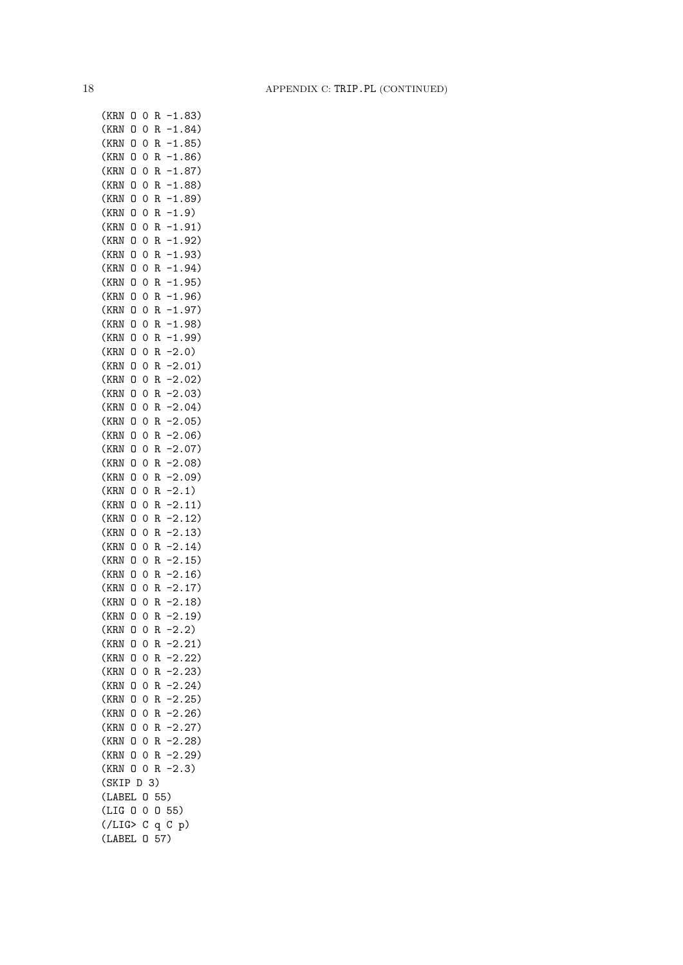| (KRN        | 0 | 0 | R   |            | $-1.83)$  |
|-------------|---|---|-----|------------|-----------|
| (KRN        | 0 | 0 | R   |            | $-1.84)$  |
| (KRN        | 0 | 0 | R   |            | $-1.85)$  |
| (KRN        | 0 | 0 | R   |            | $-1.86)$  |
| (KRN        | 0 | 0 | R   |            | $-1.87)$  |
| (KRN        | 0 | 0 | R   |            | $-1.88)$  |
| (KRN        | 0 | 0 | R   |            | $-1.89$   |
| (KRN        | 0 | 0 | R   |            | $-1.9)$   |
| (KRN        | 0 | 0 | R   |            | $-1.91)$  |
| (KRN        | 0 | 0 | R   |            | $-1.92)$  |
| (KRN        | 0 | 0 | R   |            | $-1.93)$  |
| (KRN        | 0 | 0 | R   |            | $-1.94)$  |
| (KRN        | 0 | 0 | R   |            | $-1.95)$  |
|             | 0 |   | R   |            | $-1.96)$  |
| (KRN        |   | 0 |     |            |           |
| (KRN        | 0 | 0 | R   |            | $-1.97)$  |
| (KRN        | 0 | 0 | R   |            | $-1.98)$  |
| (KRN        | 0 | 0 | R   |            | $-1.99)$  |
| (KRN        | 0 | 0 | R   |            | 2.0)      |
| (KRN        | 0 | 0 | R   |            | $-2.01)$  |
| (KRN        | 0 | 0 | R   |            | $-2.02)$  |
| (KRN        | 0 | 0 | R   |            | 2.03)     |
| (KRN        | 0 | 0 | R   |            | 2.04)     |
| (KRN        | 0 | 0 | R   |            | $-2.05)$  |
| (KRN        | 0 | 0 | R   |            | 2.06)     |
| (KRN        | 0 | 0 | R   |            | 2.07)     |
| (KRN        | 0 | 0 | R   |            | 2.08)     |
| (KRN        | O | 0 | R   | $\cdot$ 2. | 09)       |
| (KRN        | O | 0 | R   | $\cdot$ 2. | 1)        |
| (KRN        | O | 0 | R   | $\cdot$ 2. | 11)       |
| (KRN        | 0 | 0 | R   | $\cdot$ 2. | 12)       |
| (KRN        | 0 | 0 | R   | 2.         | 13)       |
| (KRN        | 0 | 0 | R   | 2.         | 14)       |
| (KRN        | 0 | 0 | R   |            | 2.15)     |
| (KRN        | 0 | 0 | R   |            | 2.16)     |
| (KRN        | 0 | 0 | R   |            | 2.17)     |
| (KRN        | O | 0 | R   |            | 2.18)     |
| (KRN        | 0 | 0 | R   |            | 2.19)     |
| (KRN        | 0 | 0 | R   | $-2.2)$    |           |
| (KRN        | 0 | 0 | R   |            | $-2.21)$  |
| (KRN        | 0 | 0 | R   |            | $-2.22)$  |
|             | 0 | 0 |     |            | $-2.23)$  |
| (KRN        |   |   | R   |            | $-2.24)$  |
| (KRN        | 0 | 0 | R   |            |           |
| (KRN        | 0 | 0 | R   |            | $-2.25)$  |
| (KRN        | 0 | 0 | R   |            | $-2.26$   |
| (KRN        | 0 | 0 | R   |            | $-2.27)$  |
| (KRN        | 0 | 0 | R   |            | $-2.28$ ) |
| (KRN        | 0 | 0 | R   |            | $-2.29$   |
| (KRN        | 0 | 0 | R   | $-2.3)$    |           |
| (SKIP D 3)  |   |   |     |            |           |
| (LABEL      |   | 0 | 55) |            |           |
| (LIG 0      |   | 0 |     | 055)       |           |
| $($ /LIG> C |   |   | q   | $C$ p)     |           |
| (LABEL      |   | 0 | 57) |            |           |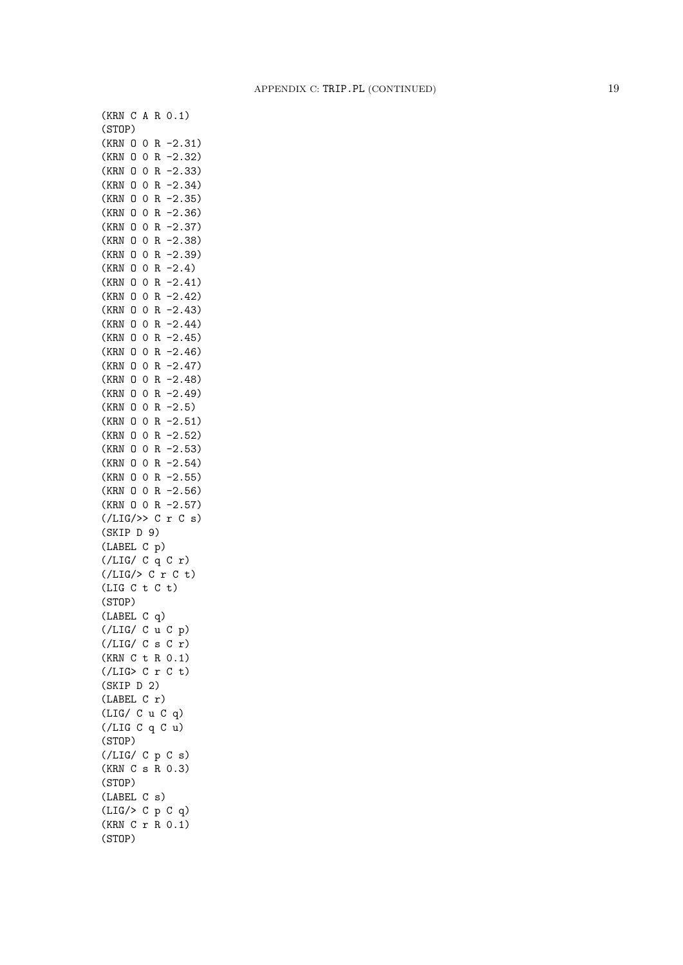(KRN C A R 0.1) (STOP) (KRN O 0 R -2.31) (KRN O 0 R -2.32) (KRN O 0 R -2.33) (KRN O 0 R -2.34) (KRN O 0 R -2.35) (KRN O 0 R -2.36) (KRN O 0 R -2.37) (KRN O 0 R -2.38) (KRN O 0 R -2.39) (KRN O 0 R -2.4) (KRN O 0 R -2.41) (KRN O 0 R -2.42) (KRN O 0 R -2.43) (KRN O 0 R -2.44)  $(KRN 0 0 R -2.45)$ (KRN O 0 R -2.46) (KRN O 0 R -2.47) (KRN O 0 R -2.48) (KRN O 0 R -2.49) (KRN O 0 R -2.5) (KRN O 0 R -2.51) (KRN O 0 R -2.52) (KRN O 0 R -2.53) (KRN O 0 R -2.54) (KRN O 0 R -2.55) (KRN O 0 R -2.56) (KRN O 0 R -2.57)  $($ /LIG/>> C r C s) (SKIP D 9) (LABEL C p) (/LIG/ C q C r)  $(\angle LIG \rangle > C r C t)$  $(LIG C t C t)$ (STOP) (LABEL C q) (/LIG/ C u C p) (/LIG/ C s C r) (KRN C t R 0.1)  $($ /LIG> C r C t) (SKIP D 2) (LABEL C r) (LIG/ C u C q) (/LIG C q C u) (STOP) (/LIG/ C p C s) (KRN C s R 0.3) (STOP) (LABEL C s) (LIG/> C p C q) (KRN C r R 0.1) (STOP)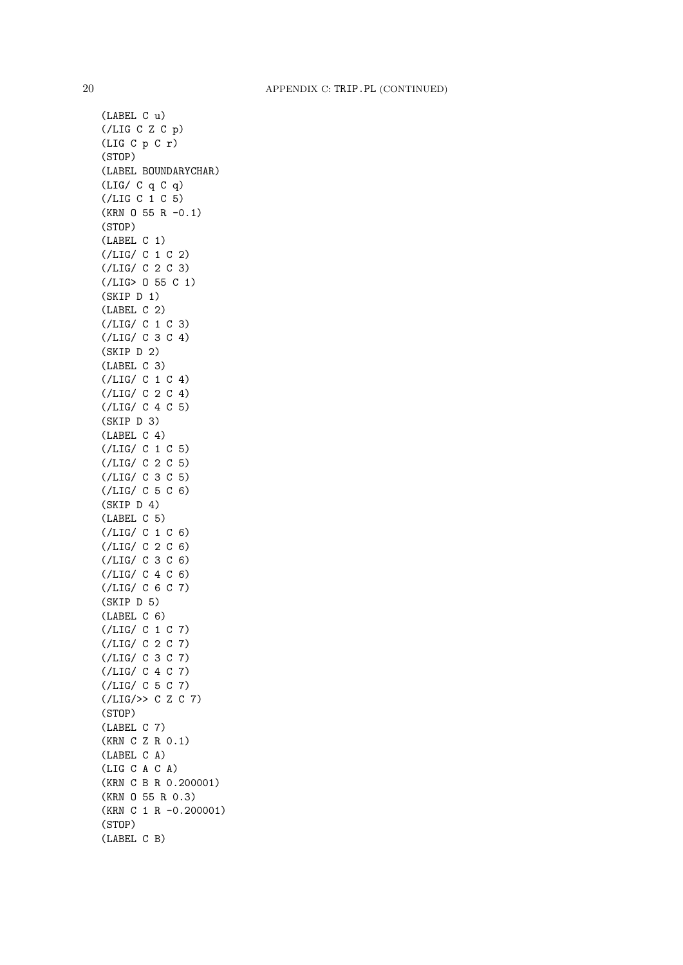(LABEL C u) (/LIG C Z C p) (LIG C p C r) (STOP) (LABEL BOUNDARYCHAR) (LIG/ C q C q) (/LIG C 1 C 5)  $(KRN 0 55 R -0.1)$ (STOP) (LABEL C 1) (/LIG/ C 1 C 2) (/LIG/ C 2 C 3) (/LIG> O 55 C 1) (SKIP D 1) (LABEL C 2) (/LIG/ C 1 C 3) (/LIG/ C 3 C 4) (SKIP D 2) (LABEL C 3) (/LIG/ C 1 C 4) (/LIG/ C 2 C 4) (/LIG/ C 4 C 5) (SKIP D 3) (LABEL C 4) (/LIG/ C 1 C 5) (/LIG/ C 2 C 5) (/LIG/ C 3 C 5) (/LIG/ C 5 C 6) (SKIP D 4) (LABEL C 5) (/LIG/ C 1 C 6) (/LIG/ C 2 C 6) (/LIG/ C 3 C 6) (/LIG/ C 4 C 6) (/LIG/ C 6 C 7) (SKIP D 5) (LABEL C 6) (/LIG/ C 1 C 7) (/LIG/ C 2 C 7) (/LIG/ C 3 C 7) (/LIG/ C 4 C 7) (/LIG/ C 5 C 7) (/LIG/>> C Z C 7) (STOP) (LABEL C 7) (KRN C Z R 0.1) (LABEL C A) (LIG C A C A) (KRN C B R 0.200001) (KRN O 55 R 0.3) (KRN C 1 R -0.200001) (STOP) (LABEL C B)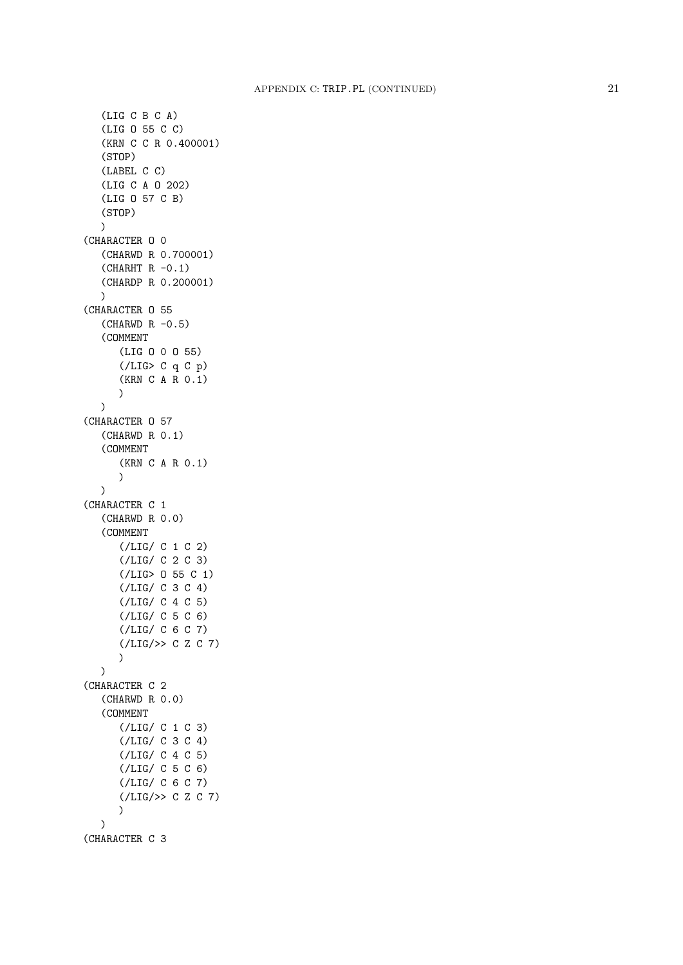```
(LIG C B C A)
   (LIG O 55 C C)
   (KRN C C R 0.400001)
   (STOP)
   (LABEL C C)
   (LIG C A O 202)
   (LIG O 57 C B)
   (STOP) \lambda(CHARACTER O 0
   (CHARWD R 0.700001)
   (CHAPTER F R -0.1)(CHARDP R 0.200001) )
(CHARACTER O 55
   (CHARMD R -0.5)(COMMENT
      (LIG O 0 O 55)
      (/LIG> C q C p)
      (KRN C A R 0.1) )
   \mathcal{L}(CHARACTER O 57
   (CHARWD R 0.1)
   (COMMENT
      (KRN C A R 0.1) \lambda)
(CHARACTER C 1
   (CHARWD R 0.0)
   (COMMENT
      (/LIG/ C 1 C 2)
      (/LIG/ C 2 C 3)
      (/LIG> O 55 C 1)
      (/LIG/ C 3 C 4)
      (/LIG/ C 4 C 5)
      (/LIG/ C 5 C 6)
      (/LIG/ C 6 C 7)
      (/LIG/>> C Z C 7) )
   )
(CHARACTER C 2
   (CHARWD R 0.0)
   (COMMENT
      (/LIG/ C 1 C 3)
      (/LIG/ C 3 C 4)
      (/LIG/ C 4 C 5)
      (/LIG/ C 5 C 6)
      (/LIG/ C 6 C 7)
      ( /LIG/>> C Z C 7))
   \lambda(CHARACTER C 3
```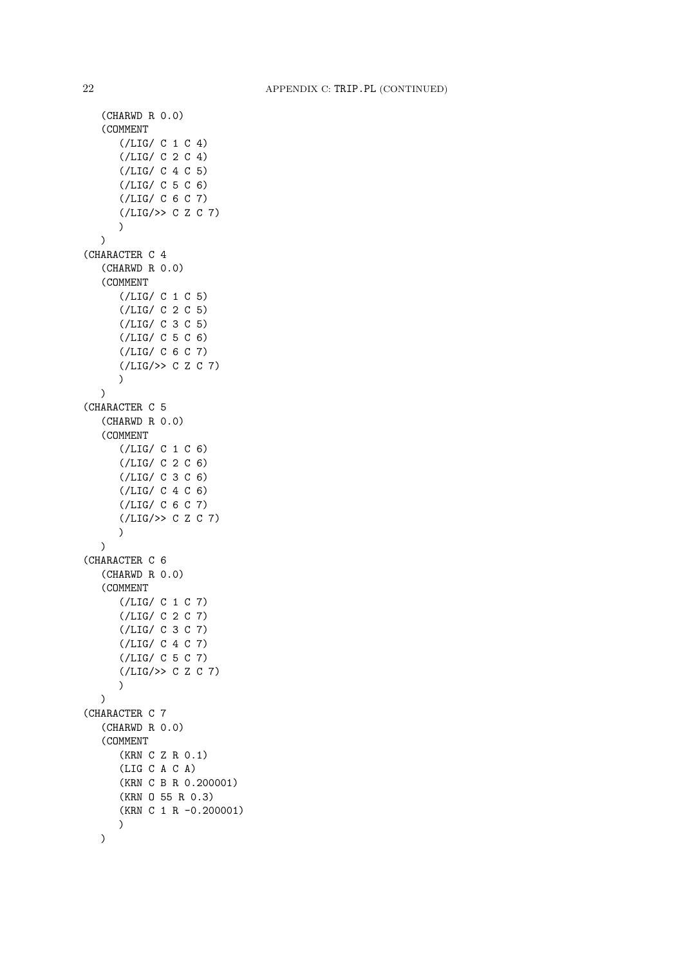```
(CHARWD R 0.0)
   (COMMENT
      (/LIG/ C 1 C 4)
      (/LIG/ C 2 C 4)
      (/LIG/ C 4 C 5)
      (/LIG/ C 5 C 6)
      (/LIG/ C 6 C 7)
      (\angle LIG \rightarrow > C Z C 7))
   )
(CHARACTER C 4
   (CHARWD R 0.0)
   (COMMENT
      (/LIG/ C 1 C 5)
      (/LIG/ C 2 C 5)
      (/LIG/ C 3 C 5)
      (/LIG/ C 5 C 6)
      (/LIG/ C 6 C 7)
      (/LIG/>> C Z C 7)
      )
   )
(CHARACTER C 5
   (CHARWD R 0.0)
   (COMMENT
      (/LIG/ C 1 C 6)
      (/LIG/ C 2 C 6)
      (/LIG/ C 3 C 6)
      (/LIG/ C 4 C 6)
      (/LIG/ C 6 C 7)
      (/LIG/>> C Z C 7)
      )
   )
(CHARACTER C 6
   (CHARWD R 0.0)
   (COMMENT
      (/LIG/ C 1 C 7)
      (/LIG/ C 2 C 7)
      (/LIG/ C 3 C 7)
      (/LIG/ C 4 C 7)
      (/LIG/ C 5 C 7)
      (\angle LIG \rightarrow > C Z C 7)\lambda\lambda(CHARACTER C 7
   (CHARWD R 0.0)
   (COMMENT
      (KRN C Z R 0.1)
      (LIG C A C A)
      (KRN C B R 0.200001)
      (KRN O 55 R 0.3)
      (KRN C 1 R -0.200001)
      )
   )
```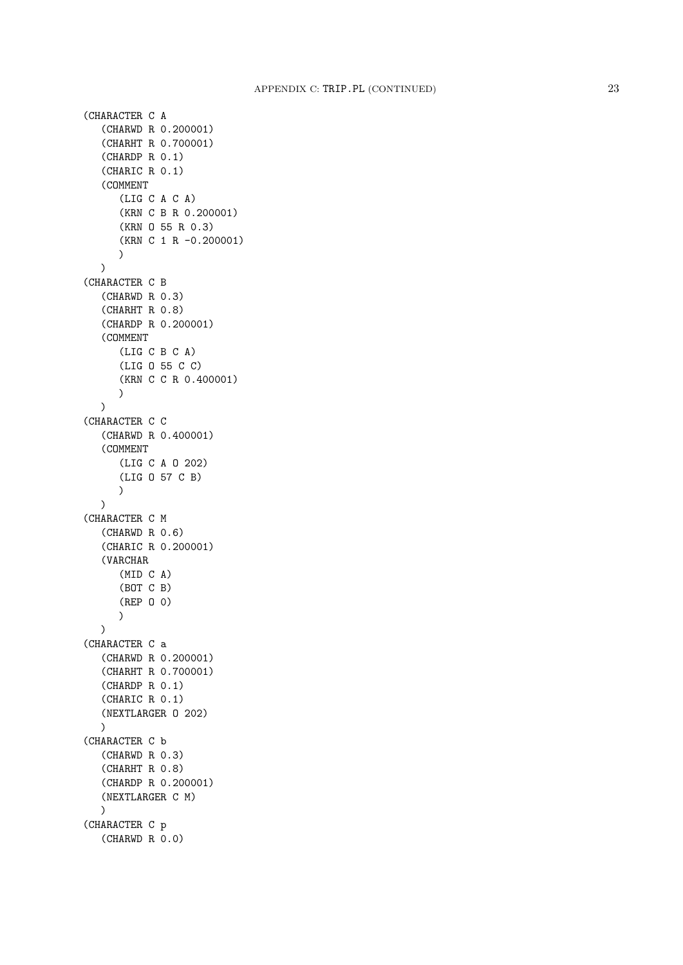```
(CHARACTER C A
   (CHARWD R 0.200001)
   (CHARHT R 0.700001)
   (CHARDP R 0.1)
   (CHARIC R 0.1)
   (COMMENT
      (LIG C A C A)
      (KRN C B R 0.200001)
      (KRN O 55 R 0.3)
      (KRN C 1 R -0.200001)
      )
  \lambda(CHARACTER C B
   (CHARWD R 0.3)
   (CHARHT R 0.8)
   (CHARDP R 0.200001)
   (COMMENT
      (LIG C B C A)
      (LIG O 55 C C)
      (KRN C C R 0.400001)
      )
   \lambda(CHARACTER C C
   (CHARWD R 0.400001)
   (COMMENT
      (LIG C A O 202)
      (LIG O 57 C B)
     )
  )
(CHARACTER C M
   (CHARWD R 0.6)
   (CHARIC R 0.200001)
   (VARCHAR
      (MID C A)
      (BOT C B)
      (REP O 0)
      )
  \lambda(CHARACTER C a
   (CHARWD R 0.200001)
   (CHARHT R 0.700001)
   (CHARDP R 0.1)
   (CHARIC R 0.1)
   (NEXTLARGER O 202)
  \lambda(CHARACTER C b
  (CHARWD R 0.3)
   (CHARHT R 0.8)
   (CHARDP R 0.200001)
  (NEXTLARGER C M)
  \lambda(CHARACTER C p
   (CHARWD R 0.0)
```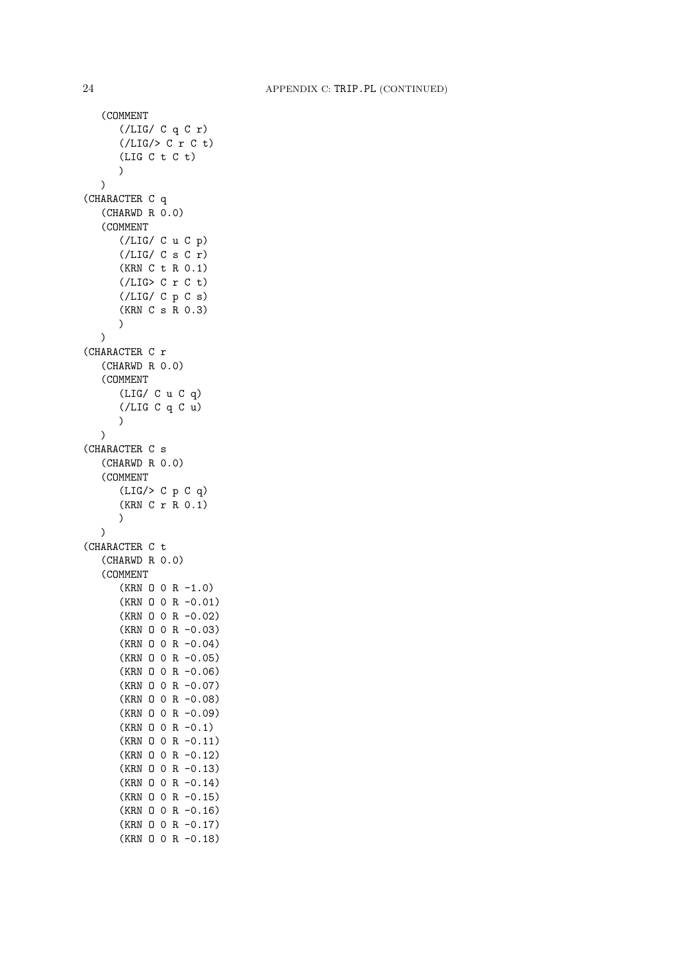```
(COMMENT
      (/LIG/ C q C r)
      (/LIG/> C r C t)
      (LIG C t C t)
      )
   \lambda(CHARACTER C q
   (CHARWD R 0.0)
   (COMMENT
      (/LIG/ C u C p)
      (/LIG/ C s C r)(KRN C t R 0.1)
      (/LIG> C r C t)
      (/LIG/ C p C s)
      (KRN C s R 0.3)
      )
   \mathcal{L}(CHARACTER C r
   (CHARWD R 0.0)
   (COMMENT
      (LIG/ C u C q)
      (/LIG C q C u)
      )
   \lambda(CHARACTER C s
   (CHARWD R 0.0)
   (COMMENT
      (LIG/> C p C q)
      (KRN C r R 0.1)
      )
   \lambda(CHARACTER C t
   (CHARWD R 0.0)
   (COMMENT
      (KRN 0 0 R -1.0)(KRN O 0 R -0.01)
      (KRN O 0 R -0.02)
      (KRN O 0 R -0.03)
      (KRN O 0 R -0.04)
      (KRN O 0 R -0.05)
      (KRN O 0 R -0.06)
      (KRN O 0 R -0.07)
      (KRN O 0 R -0.08)
      (KRN O 0 R -0.09)
      (KRN O 0 R -0.1)
      (KRN O 0 R -0.11)
      (KRN O 0 R -0.12)
      (KRN O 0 R -0.13)
      (KRN O 0 R -0.14)
      (KRN O 0 R -0.15)
      (KRN O 0 R -0.16)
      (KRN O 0 R -0.17)
      (KRN O 0 R -0.18)
```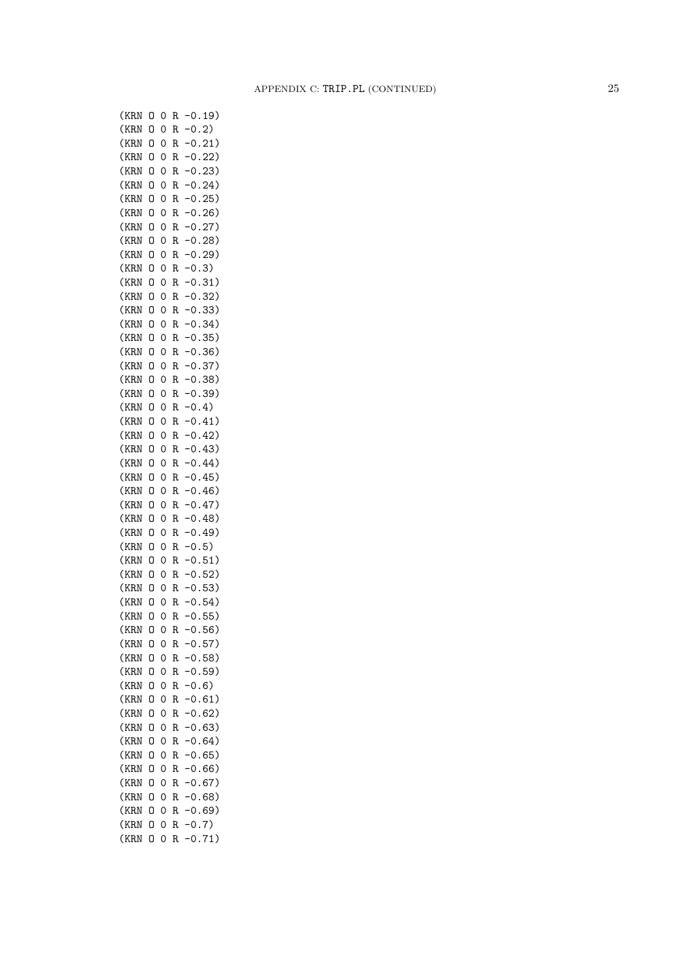| (KRN | 0 | 0              | R | 19)<br>0                 |
|------|---|----------------|---|--------------------------|
| (KRN | 0 | 0              | R | $0$ .<br>2)              |
| (KRN | 0 | 0              | R | 21)<br>0.                |
| (KRN | 0 | 0              | R | 22)<br>0.                |
| (KRN | 0 | 0              | R | 23)<br>0.                |
| (KRN | 0 | 0              | R | 24)<br>0.                |
| (KRN | 0 | 0              | R | 25)<br>$\mathsf{0}$ .    |
| (KRN | 0 | 0              | R | 26)<br>0.                |
| (KRN | 0 | 0              | R | 27)<br>$\cdot$ O $\cdot$ |
| (KRN | 0 | 0              | R | 28)<br>$\cdot$ O $\cdot$ |
| (KRN | 0 | 0              | R | 29)<br>0.                |
| (KRN | 0 | 0              | R | 0.3)                     |
| (KRN | 0 | 0              | R | 0.<br>31)                |
|      |   |                |   | 0.<br>32)                |
| (KRN | 0 | 0              | R |                          |
| (KRN | 0 | 0              | R | 0.33)                    |
| (KRN | 0 | 0              | R | 0.34)                    |
| (KRN | 0 | 0              | R | 0.35)                    |
| (KRN | 0 | 0              | R | 0.36)                    |
| (KRN | 0 | 0              | R | 0.37)                    |
| (KRN | 0 | 0              | R | 0.38)                    |
| (KRN | 0 | 0              | R | 0.39)                    |
| (KRN | 0 | $\overline{O}$ | R | 0.4)                     |
| (KRN | 0 | 0              | R | 0.41)                    |
| (KRN | 0 | 0              | R | 0.42)                    |
| (KRN | 0 | 0              | R | 0.43)                    |
| (KRN | 0 | 0              | R | 0.44)                    |
| (KRN | 0 | 0              | R | 0.45)                    |
| (KRN | 0 | 0              | R | 0.46)                    |
| (KRN | 0 | 0              | R | 0.47)                    |
| (KRN | 0 | 0              | R | 0.48)                    |
| (KRN | 0 | 0              | R | 0.49)                    |
| (KRN | 0 | 0              | R | 0.5)                     |
|      |   |                |   |                          |
| (KRN | 0 | 0              | R | 0.51)                    |
| (KRN | 0 | 0              | R | 0.52)                    |
| (KRN | 0 | O              | R | 0.53)                    |
| (KRN | 0 | O              | R | 0.54)                    |
| (KRN | 0 | O              | R | 0.55)                    |
| (KRN | 0 | 0              | R | $-0.56)$                 |
| (KRN | 0 | 0              | R | $-0.57)$                 |
| (KRN | O | 0              | R | $-0.58)$                 |
| (KRN | 0 | 0              | R | 0.59)                    |
| (KRN | O | 0              | R | 0.6)                     |
| (KRN | O | 0              | R | 0.61)                    |
| (KRN | 0 | 0              | R | $-0.62)$                 |
| (KRN | 0 | 0              | R | $-0.63)$                 |
| (KRN | 0 | 0              | R | 0.64)                    |
| (KRN | 0 | 0              | R | $-0.65)$                 |
| (KRN | 0 | 0              | R | 0.66)                    |
| (KRN | 0 | 0              | R | $-0.67)$                 |
| (KRN | 0 | 0              | R | $-0.68)$                 |
| (KRN | 0 | 0              | R | 0.69)                    |
| (KRN | 0 | 0              | R | 0.7)                     |
| (KRN | 0 | 0              | R | 71)<br>$\mathbf 0$ .     |
|      |   |                |   |                          |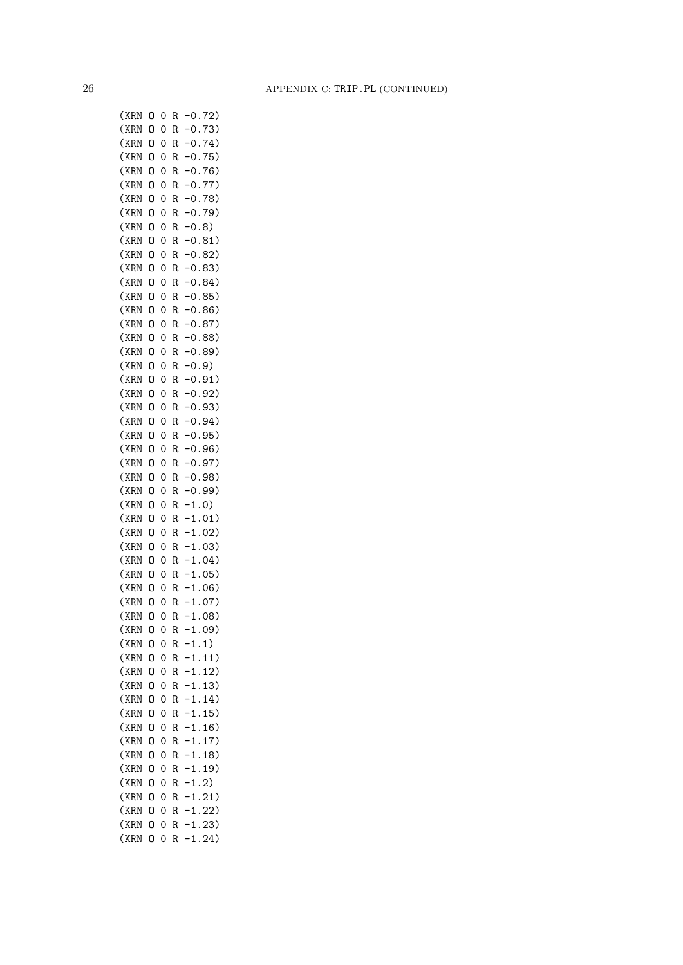(KRN O 0 R -0.72) (KRN O 0 R -0.73) (KRN O 0 R -0.74) (KRN O 0 R -0.75) (KRN O 0 R -0.76) (KRN O 0 R -0.77) (KRN O 0 R -0.78) (KRN O 0 R -0.79) (KRN O 0 R -0.8) (KRN O 0 R -0.81) (KRN O 0 R -0.82) (KRN O 0 R -0.83) (KRN O 0 R -0.84) (KRN O 0 R -0.85) (KRN O 0 R -0.86) (KRN O 0 R -0.87) (KRN O 0 R -0.88) (KRN O 0 R -0.89) (KRN O 0 R -0.9) (KRN O 0 R -0.91) (KRN O 0 R -0.92) (KRN O 0 R -0.93) (KRN O 0 R -0.94) (KRN O 0 R -0.95) (KRN O 0 R -0.96) (KRN O 0 R -0.97) (KRN O 0 R -0.98) (KRN O 0 R -0.99) (KRN O 0 R -1.0) (KRN O 0 R -1.01) (KRN O 0 R -1.02) (KRN O 0 R -1.03) (KRN O 0 R -1.04) (KRN O 0 R -1.05) (KRN O 0 R -1.06) (KRN O 0 R -1.07) (KRN O 0 R -1.08) (KRN O 0 R -1.09) (KRN O 0 R -1.1) (KRN O 0 R -1.11) (KRN O 0 R -1.12) (KRN O 0 R -1.13) (KRN O 0 R -1.14) (KRN O 0 R -1.15) (KRN O 0 R -1.16) (KRN O 0 R -1.17) (KRN O 0 R -1.18) (KRN O 0 R -1.19) (KRN O 0 R -1.2) (KRN O 0 R -1.21) (KRN O 0 R -1.22) (KRN O 0 R -1.23) (KRN O 0 R -1.24)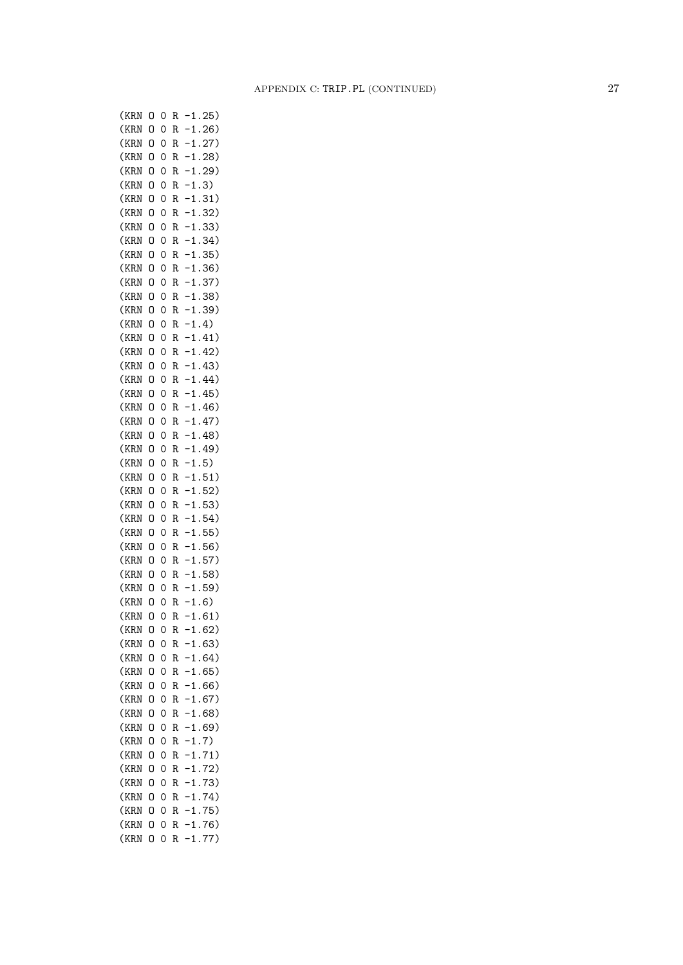(KRN O 0 R -1.25) (KRN O 0 R -1.26) (KRN O 0 R -1.27) (KRN O 0 R -1.28) (KRN O 0 R -1.29) (KRN O 0 R -1.3) (KRN O 0 R -1.31) (KRN O 0 R -1.32) (KRN O 0 R -1.33) (KRN O 0 R -1.34) (KRN O 0 R -1.35) (KRN O 0 R -1.36) (KRN O 0 R -1.37) (KRN O 0 R -1.38) (KRN O 0 R -1.39)  $(KRN 0 0 R -1.4)$ (KRN O 0 R -1.41) (KRN O 0 R -1.42) (KRN O 0 R -1.43) (KRN O 0 R -1.44) (KRN O 0 R -1.45) (KRN O 0 R -1.46) (KRN O 0 R -1.47) (KRN O 0 R -1.48) (KRN O 0 R -1.49) (KRN O 0 R -1.5) (KRN O 0 R -1.51) (KRN O 0 R -1.52) (KRN O 0 R -1.53) (KRN O 0 R -1.54) (KRN O 0 R -1.55) (KRN O 0 R -1.56) (KRN O 0 R -1.57) (KRN O 0 R -1.58) (KRN O 0 R -1.59)  $(KRN 0 0 R -1.6)$ (KRN O 0 R -1.61) (KRN O 0 R -1.62) (KRN O 0 R -1.63) (KRN O 0 R -1.64) (KRN O 0 R -1.65) (KRN O 0 R -1.66) (KRN O 0 R -1.67) (KRN O 0 R -1.68) (KRN O 0 R -1.69) (KRN O 0 R -1.7) (KRN O 0 R -1.71) (KRN O 0 R -1.72) (KRN O 0 R -1.73) (KRN O 0 R -1.74) (KRN O 0 R -1.75) (KRN O 0 R -1.76) (KRN O 0 R -1.77)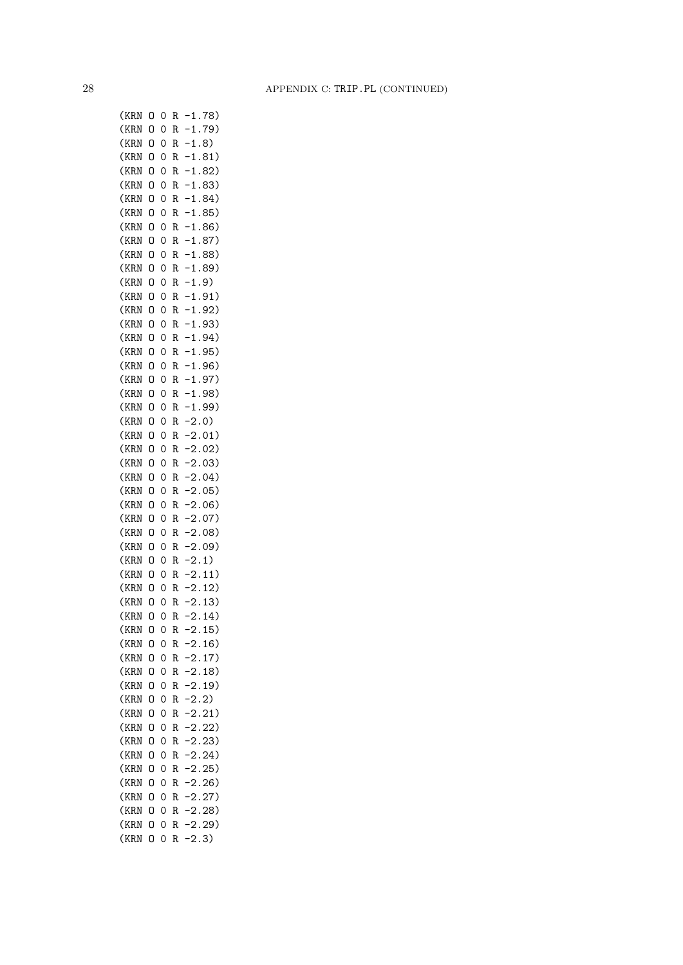(KRN O 0 R -1.78) (KRN O 0 R -1.79) (KRN O 0 R -1.8) (KRN O 0 R -1.81) (KRN O 0 R -1.82) (KRN O 0 R -1.83) (KRN O 0 R -1.84) (KRN O 0 R -1.85) (KRN O 0 R -1.86) (KRN O 0 R -1.87) (KRN O 0 R -1.88) (KRN O 0 R -1.89) (KRN O 0 R -1.9) (KRN O 0 R -1.91) (KRN O 0 R -1.92) (KRN O 0 R -1.93) (KRN O 0 R -1.94) (KRN O 0 R -1.95) (KRN O 0 R -1.96) (KRN O 0 R -1.97) (KRN O 0 R -1.98) (KRN O 0 R -1.99) (KRN O 0 R -2.0) (KRN O 0 R -2.01) (KRN O 0 R -2.02) (KRN O 0 R -2.03) (KRN O 0 R -2.04) (KRN O 0 R -2.05) (KRN O 0 R -2.06) (KRN O 0 R -2.07) (KRN O 0 R -2.08) (KRN O 0 R -2.09) (KRN O 0 R -2.1) (KRN O 0 R -2.11) (KRN O 0 R -2.12) (KRN O 0 R -2.13) (KRN O 0 R -2.14) (KRN O 0 R -2.15) (KRN O 0 R -2.16) (KRN O 0 R -2.17) (KRN O 0 R -2.18) (KRN O 0 R -2.19) (KRN O 0 R -2.2) (KRN O 0 R -2.21) (KRN O 0 R -2.22) (KRN O 0 R -2.23) (KRN O 0 R -2.24) (KRN O 0 R -2.25) (KRN O 0 R -2.26) (KRN O 0 R -2.27) (KRN O 0 R -2.28) (KRN O 0 R -2.29) (KRN O 0 R -2.3)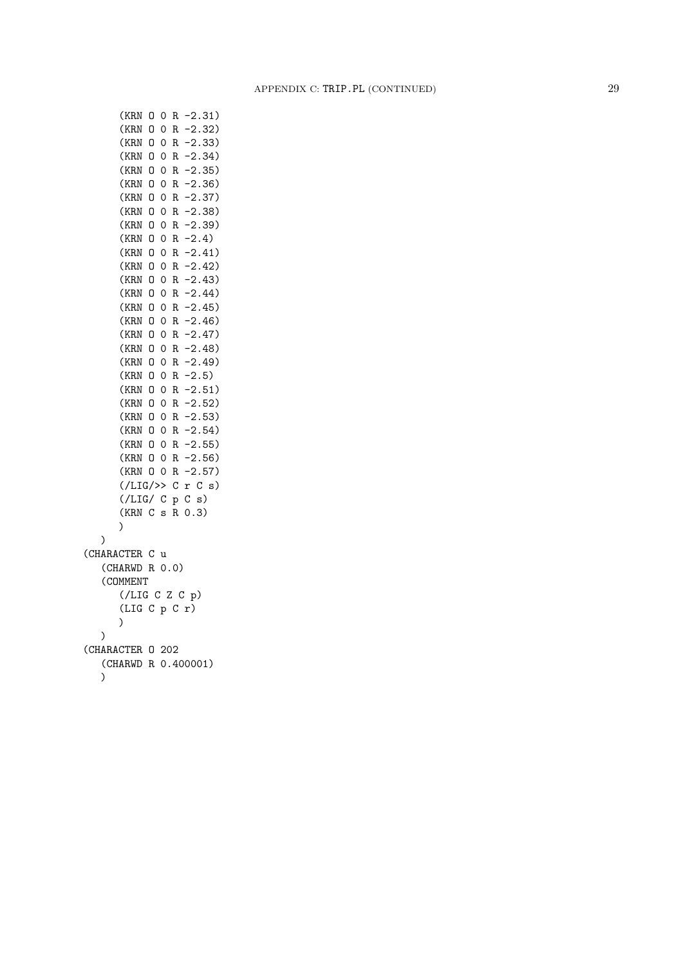(KRN O 0 R -2.31) (KRN O 0 R -2.32) (KRN O 0 R -2.33) (KRN O 0 R -2.34) (KRN O 0 R -2.35) (KRN O 0 R -2.36) (KRN O 0 R -2.37) (KRN O 0 R -2.38) (KRN O 0 R -2.39) (KRN O 0 R -2.4) (KRN O 0 R -2.41) (KRN O 0 R -2.42) (KRN O 0 R -2.43) (KRN O 0 R -2.44) (KRN O 0 R -2.45) (KRN O 0 R -2.46) (KRN O 0 R -2.47) (KRN O 0 R -2.48) (KRN O 0 R -2.49) (KRN O 0 R -2.5) (KRN O 0 R -2.51) (KRN O 0 R -2.52) (KRN O 0 R -2.53) (KRN O 0 R -2.54) (KRN O 0 R -2.55) (KRN O 0 R -2.56) (KRN O 0 R -2.57)  $(\angle LIG \rightarrow \circ c \r c \s)$ (/LIG/ C p C s) (KRN C s R 0.3) )  $\lambda$ (CHARACTER C u (CHARWD R 0.0) (COMMENT (/LIG C Z C p) (LIG C p C r) ) ) (CHARACTER O 202 (CHARWD R 0.400001)  $\lambda$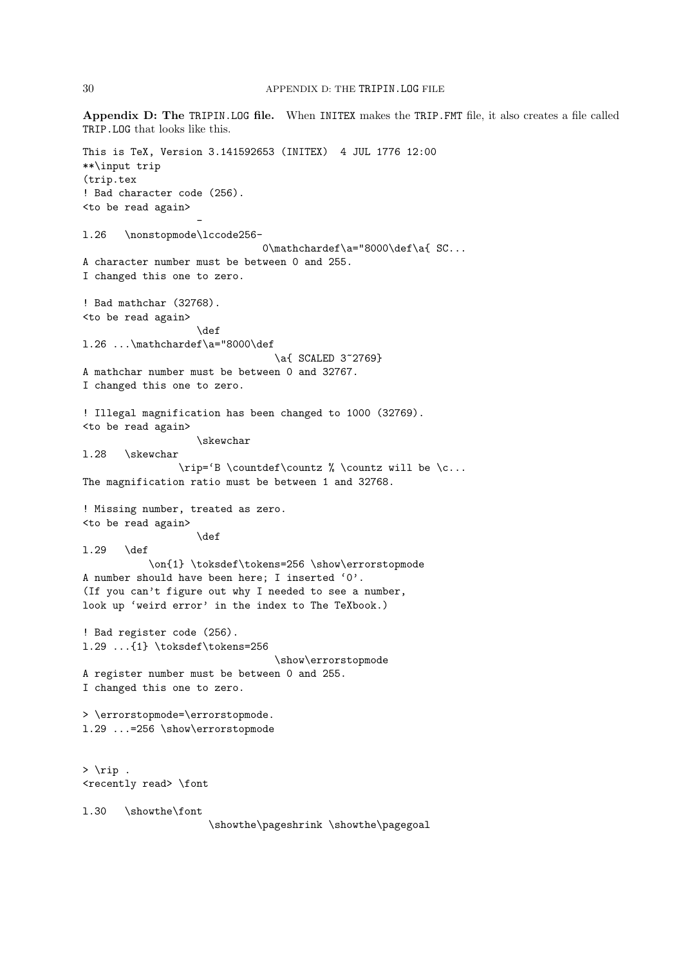Appendix D: The TRIPIN.LOG file. When INITEX makes the TRIP.FMT file, it also creates a file called TRIP.LOG that looks like this. This is TeX, Version 3.141592653 (INITEX) 4 JUL 1776 12:00 \*\*\input trip (trip.tex ! Bad character code (256). <to be read again> l.26 \nonstopmode\lccode256- 0\mathchardef\a="8000\def\a{ SC... A character number must be between 0 and 255. I changed this one to zero. ! Bad mathchar (32768). <to be read again> \def l.26 ...\mathchardef\a="8000\def \a{ SCALED 3~2769} A mathchar number must be between 0 and 32767. I changed this one to zero. ! Illegal magnification has been changed to 1000 (32769). <to be read again> \skewchar l.28 \skewchar \rip='B \countdef\countz % \countz will be \c... The magnification ratio must be between 1 and 32768. ! Missing number, treated as zero. <to be read again> \def l.29 \def \on{1} \toksdef\tokens=256 \show\errorstopmode A number should have been here; I inserted '0'. (If you can't figure out why I needed to see a number, look up 'weird error' in the index to The TeXbook.) ! Bad register code (256). l.29 ...{1} \toksdef\tokens=256 \show\errorstopmode A register number must be between 0 and 255. I changed this one to zero. > \errorstopmode=\errorstopmode. l.29 ...=256 \show\errorstopmode  $>$  \rip . <recently read> \font l.30 \showthe\font \showthe\pageshrink \showthe\pagegoal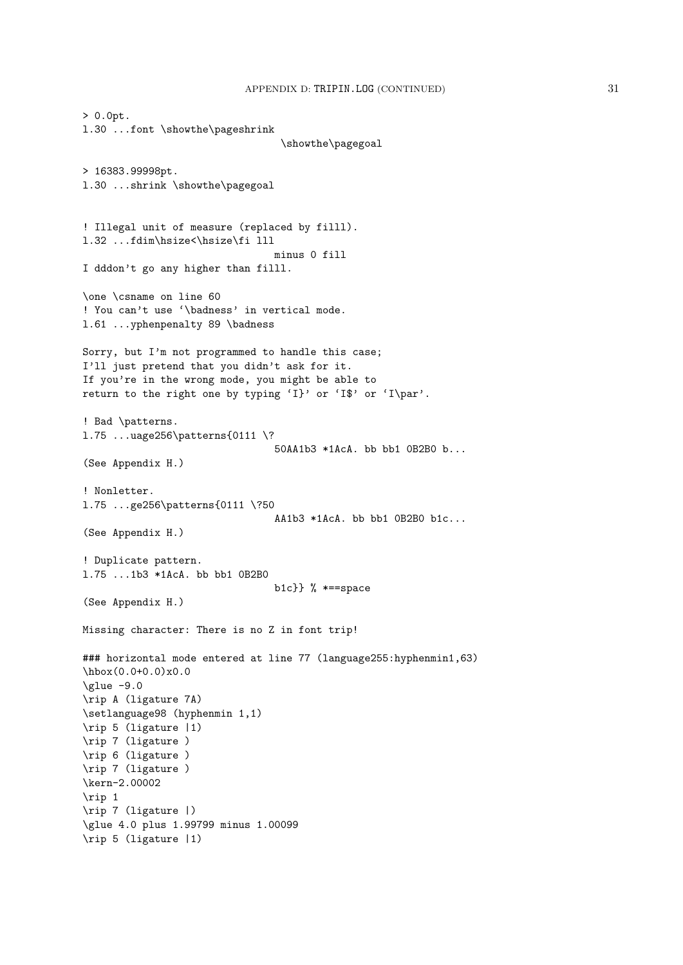```
> 0.0pt.
l.30 ...font \showthe\pageshrink
                                 \showthe\pagegoal
> 16383.99998pt.
l.30 ...shrink \showthe\pagegoal
! Illegal unit of measure (replaced by filll).
l.32 ...fdim\hsize<\hsize\fi lll
                                minus 0 fill
I dddon't go any higher than filll.
\one \csname on line 60
! You can't use '\badness' in vertical mode.
l.61 ...yphenpenalty 89 \badness
Sorry, but I'm not programmed to handle this case;
I'll just pretend that you didn't ask for it.
If you're in the wrong mode, you might be able to
return to the right one by typing 'I}' or 'I$' or 'I\par'.
! Bad \patterns.
l.75 ...uage256\patterns{0111 \?
                                50AA1b3 *1AcA. bb bb1 0B2B0 b...
(See Appendix H.)
! Nonletter.
l.75 ...ge256\patterns{0111 \?50
                                AA1b3 *1AcA. bb bb1 0B2B0 b1c...
(See Appendix H.)
! Duplicate pattern.
l.75 ...1b3 *1AcA. bb bb1 0B2B0
                                b1c}} % * =space
(See Appendix H.)
Missing character: There is no Z in font trip!
### horizontal mode entered at line 77 (language255:hyphenmin1,63)
\hbarbox(0.0+0.0)x0.0
\qquad -9.0\rip A (ligature 7A)
\setlanguage98 (hyphenmin 1,1)
\rip 5 (ligature |1)
\rip 7 (ligature )
\rip 6 (ligature )
\rip 7 (ligature )
\kern-2.00002
\rip 1
\rip 7 (ligature |)
\glue 4.0 plus 1.99799 minus 1.00099
\rip 5 (ligature |1)
```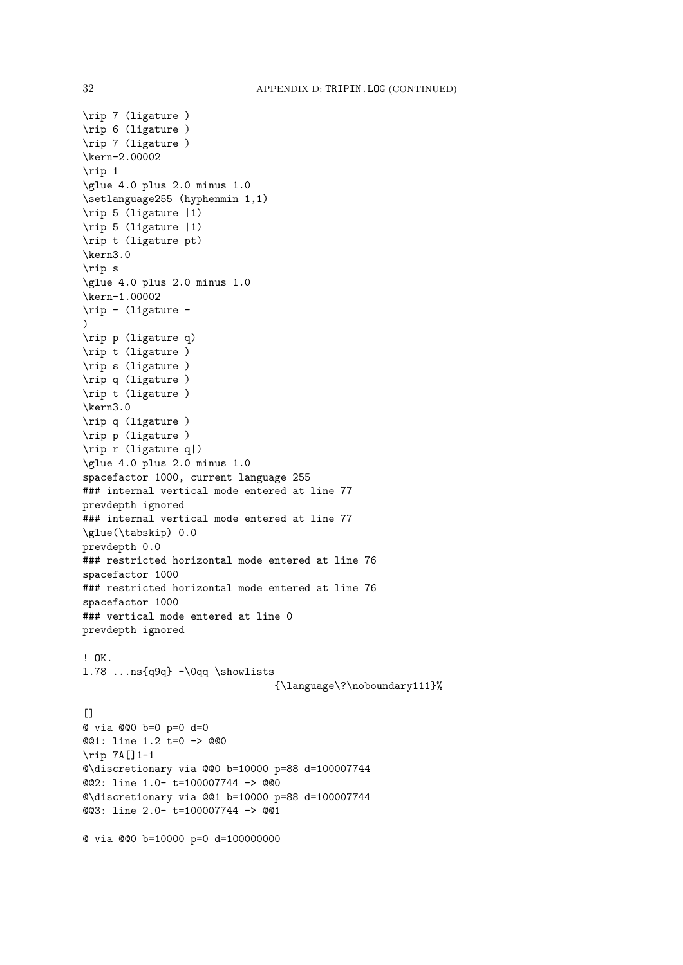```
\rip 7 (ligature )
\rip 6 (ligature )
\rip 7 (ligature )
\kern-2.00002
\rip 1
\glue 4.0 plus 2.0 minus 1.0
\setlanguage255 (hyphenmin 1,1)
\rip 5 (ligature |1)
\rip 5 (ligature |1)
\rip t (ligature pt)
\kern3.0
\rip s
\glue 4.0 plus 2.0 minus 1.0
\kern-1.00002
\rip - (ligature -
\lambda\rip p (ligature q)
\rip t (ligature )
\rip s (ligature )
\rip q (ligature )
\rip t (ligature )
\kern3.0
\rip q (ligature )
\rip p (ligature )
\rip r (ligature q|)
\glue 4.0 plus 2.0 minus 1.0
spacefactor 1000, current language 255
### internal vertical mode entered at line 77
prevdepth ignored
### internal vertical mode entered at line 77
\glue(\tabskip) 0.0
prevdepth 0.0
### restricted horizontal mode entered at line 76
spacefactor 1000
### restricted horizontal mode entered at line 76
spacefactor 1000
### vertical mode entered at line 0
prevdepth ignored
! OK.
l.78 ...ns{q9q} -\0qq \showlists
                                {\language\?\noboundary111}%
\lceil]
@ via @@0 b=0 p=0 d=0
@@1: line 1.2 t=0 -> @@0
\rip 7A[]1-1
@\discretionary via @@0 b=10000 p=88 d=100007744
@@2: line 1.0- t=100007744 -> @@0
@\discretionary via @@1 b=10000 p=88 d=100007744
@@3: line 2.0- t=100007744 -> @@1
@ via @@0 b=10000 p=0 d=100000000
```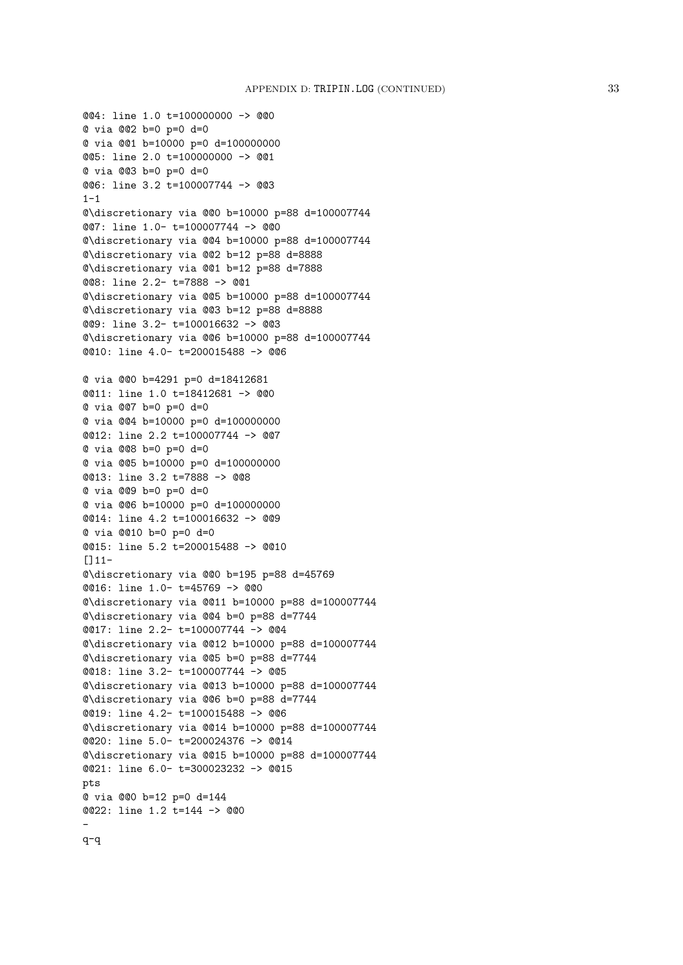```
@@4: line 1.0 t=100000000 -> @@0
@ via @@2 b=0 p=0 d=0
@ via @@1 b=10000 p=0 d=100000000
@@5: line 2.0 t=100000000 -> @@1
@ via @@3 b=0 p=0 d=0
@@6: line 3.2 t=100007744 -> @@3
1 - 1@\discretionary via @@0 b=10000 p=88 d=100007744
@@7: line 1.0- t=100007744 -> @@0
@\discretionary via @@4 b=10000 p=88 d=100007744
@\discretionary via @@2 b=12 p=88 d=8888
@\discretionary via @@1 b=12 p=88 d=7888
@@8: line 2.2- t=7888 -> @@1
@\discretionary via @@5 b=10000 p=88 d=100007744
@\discretionary via @@3 b=12 p=88 d=8888
@@9: line 3.2- t=100016632 -> @@3
@\discretionary via @@6 b=10000 p=88 d=100007744
@@10: line 4.0- t=200015488 -> @@6
@ via @@0 b=4291 p=0 d=18412681
@@11: line 1.0 t=18412681 -> @@0
@ via @@7 b=0 p=0 d=0
@ via @@4 b=10000 p=0 d=100000000
@@12: line 2.2 t=100007744 -> @@7
@ via @@8 b=0 p=0 d=0
@ via @@5 b=10000 p=0 d=100000000
@@13: line 3.2 t=7888 -> @@8
@ via @@9 b=0 p=0 d=0
@ via @@6 b=10000 p=0 d=100000000
@@14: line 4.2 t=100016632 -> @@9
@ via @@10 b=0 p=0 d=0
@@15: line 5.2 t=200015488 -> @@10
[111-@\discretionary via @@0 b=195 p=88 d=45769
@@16: line 1.0- t=45769 -> @@0
@\discretionary via @@11 b=10000 p=88 d=100007744
@\discretionary via @@4 b=0 p=88 d=7744
@@17: line 2.2- t=100007744 -> @@4
@\discretionary via @@12 b=10000 p=88 d=100007744
@\discretionary via @@5 b=0 p=88 d=7744
@@18: line 3.2- t=100007744 -> @@5
@\discretionary via @@13 b=10000 p=88 d=100007744
@\discretionary via @@6 b=0 p=88 d=7744
@@19: line 4.2- t=100015488 -> @@6
@\discretionary via @@14 b=10000 p=88 d=100007744
@@20: line 5.0- t=200024376 -> @@14
@\discretionary via @@15 b=10000 p=88 d=100007744
@@21: line 6.0- t=300023232 -> @@15
pts
@ via @@0 b=12 p=0 d=144
@@22: line 1.2 t=144 -> @@0
-
```
q-q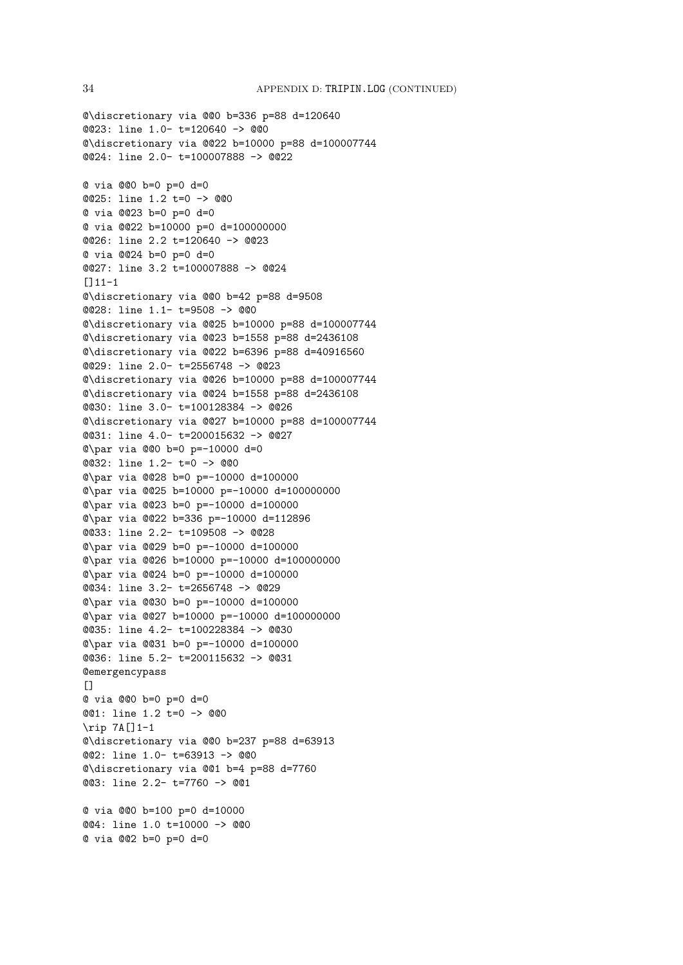@@24: line 2.0- t=100007888 -> @@22 @ via @@0 b=0 p=0 d=0 @@25: line 1.2 t=0 -> @@0 @ via @@23 b=0 p=0 d=0 @ via @@22 b=10000 p=0 d=100000000 @@26: line 2.2 t=120640 -> @@23 @ via @@24 b=0 p=0 d=0 @@27: line 3.2 t=100007888 -> @@24 []11-1 @\discretionary via @@0 b=42 p=88 d=9508 @@28: line 1.1- t=9508 -> @@0 @\discretionary via @@25 b=10000 p=88 d=100007744 @\discretionary via @@23 b=1558 p=88 d=2436108 @\discretionary via @@22 b=6396 p=88 d=40916560 @@29: line 2.0- t=2556748 -> @@23 @\discretionary via @@26 b=10000 p=88 d=100007744 @\discretionary via @@24 b=1558 p=88 d=2436108 @@30: line 3.0- t=100128384 -> @@26 @\discretionary via @@27 b=10000 p=88 d=100007744 @@31: line 4.0- t=200015632 -> @@27 @\par via @@0 b=0 p=-10000 d=0 @@32: line 1.2- t=0 -> @@0 @\par via @@28 b=0 p=-10000 d=100000 @\par via @@25 b=10000 p=-10000 d=100000000 @\par via @@23 b=0 p=-10000 d=100000 @\par via @@22 b=336 p=-10000 d=112896 @@33: line 2.2- t=109508 -> @@28 @\par via @@29 b=0 p=-10000 d=100000 @\par via @@26 b=10000 p=-10000 d=100000000 @\par via @@24 b=0 p=-10000 d=100000 @@34: line 3.2- t=2656748 -> @@29 @\par via @@30 b=0 p=-10000 d=100000 @\par via @@27 b=10000 p=-10000 d=100000000 @@35: line 4.2- t=100228384 -> @@30 @\par via @@31 b=0 p=-10000 d=100000 @@36: line 5.2- t=200115632 -> @@31 **@emergencypass**  $\Box$ @ via @@0 b=0 p=0 d=0 @@1: line 1.2 t=0 -> @@0 \rip 7A[]1-1 @\discretionary via @@0 b=237 p=88 d=63913 @@2: line 1.0- t=63913 -> @@0 @\discretionary via @@1 b=4 p=88 d=7760 @@3: line 2.2- t=7760 -> @@1 @ via @@0 b=100 p=0 d=10000 @@4: line 1.0 t=10000 -> @@0

@ via @@2 b=0 p=0 d=0

@\discretionary via @@0 b=336 p=88 d=120640

@\discretionary via @@22 b=10000 p=88 d=100007744

@@23: line 1.0- t=120640 -> @@0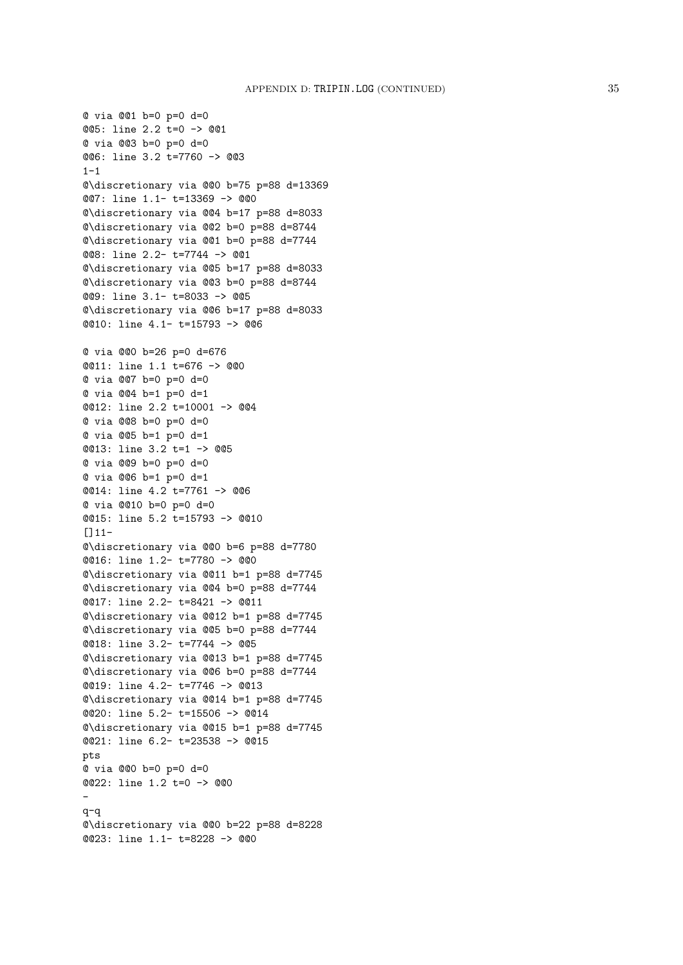@ via @@1 b=0 p=0 d=0 @@5: line 2.2 t=0 -> @@1 @ via @@3 b=0 p=0 d=0 @@6: line 3.2 t=7760 -> @@3  $1 - 1$ @\discretionary via @@0 b=75 p=88 d=13369 @@7: line 1.1- t=13369 -> @@0 @\discretionary via @@4 b=17 p=88 d=8033 @\discretionary via @@2 b=0 p=88 d=8744 @\discretionary via @@1 b=0 p=88 d=7744 @@8: line 2.2- t=7744 -> @@1 @\discretionary via @@5 b=17 p=88 d=8033 @\discretionary via @@3 b=0 p=88 d=8744 @@9: line 3.1- t=8033 -> @@5 @\discretionary via @@6 b=17 p=88 d=8033 @@10: line 4.1- t=15793 -> @@6 @ via @@0 b=26 p=0 d=676 @@11: line 1.1 t=676 -> @@0 @ via @@7 b=0 p=0 d=0 @ via @@4 b=1 p=0 d=1 @@12: line 2.2 t=10001 -> @@4 @ via @@8 b=0 p=0 d=0 @ via @@5 b=1 p=0 d=1 @@13: line 3.2 t=1 -> @@5 @ via @@9 b=0 p=0 d=0 @ via @@6 b=1 p=0 d=1 @@14: line 4.2 t=7761 -> @@6 @ via @@10 b=0 p=0 d=0 @@15: line 5.2 t=15793 -> @@10 []11- @\discretionary via @@0 b=6 p=88 d=7780 @@16: line 1.2- t=7780 -> @@0 @\discretionary via @@11 b=1 p=88 d=7745 @\discretionary via @@4 b=0 p=88 d=7744 @@17: line 2.2- t=8421 -> @@11 @\discretionary via @@12 b=1 p=88 d=7745 @\discretionary via @@5 b=0 p=88 d=7744 @@18: line 3.2- t=7744 -> @@5 @\discretionary via @@13 b=1 p=88 d=7745 @\discretionary via @@6 b=0 p=88 d=7744 @@19: line 4.2- t=7746 -> @@13 @\discretionary via @@14 b=1 p=88 d=7745 @@20: line 5.2- t=15506 -> @@14 @\discretionary via @@15 b=1 p=88 d=7745 @@21: line 6.2- t=23538 -> @@15 pts @ via @@0 b=0 p=0 d=0 @@22: line 1.2 t=0 -> @@0 q-q @\discretionary via @@0 b=22 p=88 d=8228 @@23: line 1.1- t=8228 -> @@0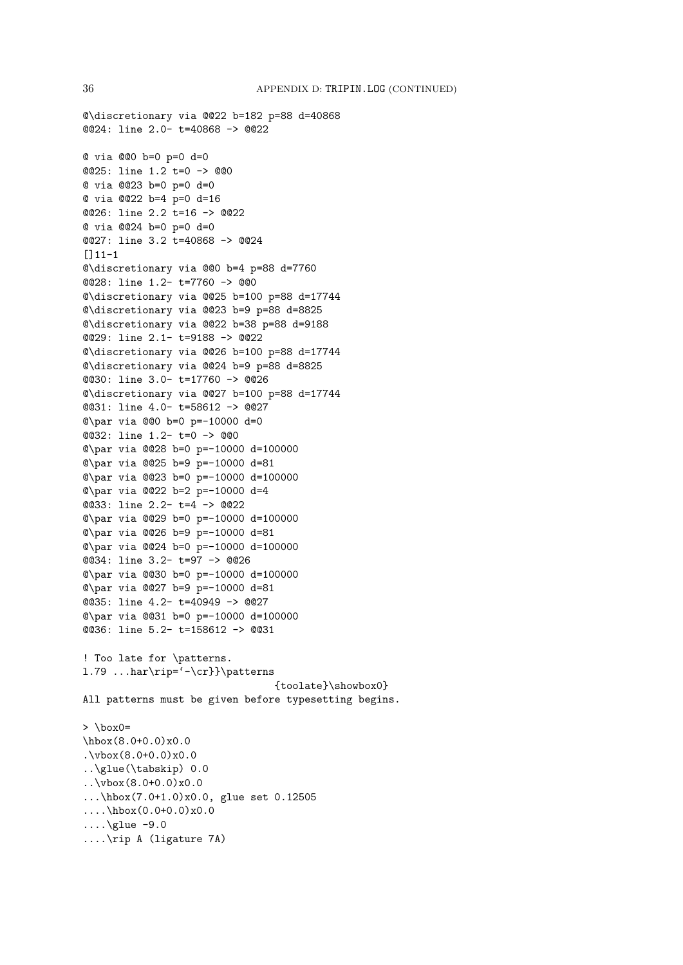```
@\discretionary via @@22 b=182 p=88 d=40868
@@24: line 2.0- t=40868 -> @@22
@ via @@0 b=0 p=0 d=0
@@25: line 1.2 t=0 -> @@0
@ via @@23 b=0 p=0 d=0
@ via @@22 b=4 p=0 d=16
@@26: line 2.2 t=16 -> @@22
@ via @@24 b=0 p=0 d=0
@@27: line 3.2 t=40868 -> @@24
[111-1]@\discretionary via @@0 b=4 p=88 d=7760
@@28: line 1.2- t=7760 -> @@0
@\discretionary via @@25 b=100 p=88 d=17744
@\discretionary via @@23 b=9 p=88 d=8825
@\discretionary via @@22 b=38 p=88 d=9188
@@29: line 2.1- t=9188 -> @@22
@\discretionary via @@26 b=100 p=88 d=17744
@\discretionary via @@24 b=9 p=88 d=8825
@@30: line 3.0- t=17760 -> @@26
@\discretionary via @@27 b=100 p=88 d=17744
@@31: line 4.0- t=58612 -> @@27
@\par via @@0 b=0 p=-10000 d=0
@@32: line 1.2- t=0 -> @@0
@\par via @@28 b=0 p=-10000 d=100000
@\par via @@25 b=9 p=-10000 d=81
@\par via @@23 b=0 p=-10000 d=100000
@\par via @@22 b=2 p=-10000 d=4
@@33: line 2.2- t=4 -> @@22
@\par via @@29 b=0 p=-10000 d=100000
@\par via @@26 b=9 p=-10000 d=81
@\par via @@24 b=0 p=-10000 d=100000
@@34: line 3.2- t=97 -> @@26
@\par via @@30 b=0 p=-10000 d=100000
@\par via @@27 b=9 p=-10000 d=81
@@35: line 4.2- t=40949 -> @@27
@\par via @@31 b=0 p=-10000 d=100000
@@36: line 5.2- t=158612 -> @@31
! Too late for \patterns.
l.79 ...har\rip='-\cr}}\patterns
                                {toolate}\showbox0}
All patterns must be given before typesetting begins.
> \box0=
\hbarbox(8.0+0.0)x0.0.\v{vbox(8.0+0.0)x0.0}..\glue(\tabskip) 0.0
..\vbox(8.0+0.0)x0.0
...\hbox(7.0+1.0)x0.0, glue set 0.12505
....\hbarbox(0.0+0.0)x0.0
\ldots\glue -9.0
....\rip A (ligature 7A)
```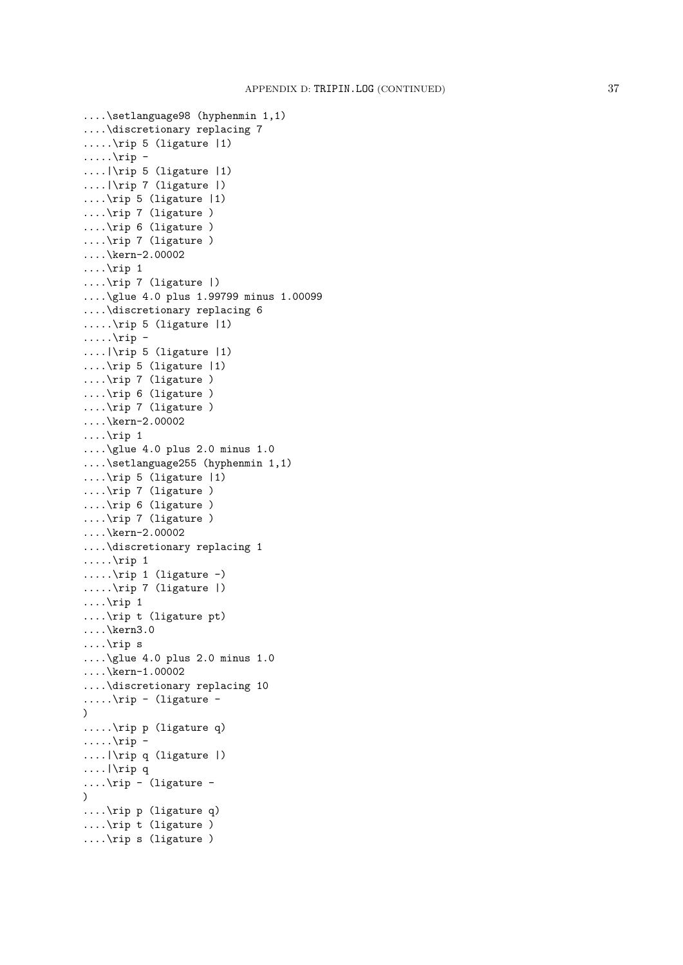```
....\setlanguage98 (hyphenmin 1,1)
....\discretionary replacing 7
.....\rip 5 (ligature |1)
\ldots....\in....|\rip 5 (ligature |1)
....|\rip 7 (ligature |)
....\rip 5 (ligature |1)
....\rip 7 (ligature )
....\rip 6 (ligature )
....\rip 7 (ligature )
....\kern-2.00002
\ldots\rip 1
....\rip 7 (ligature |)
....\glue 4.0 plus 1.99799 minus 1.00099
....\discretionary replacing 6
.....\rip 5 (ligature |1)
\ldots\rip -
....|\rip 5 (ligature |1)
....\rip 5 (ligature |1)
....\rip 7 (ligature )
....\rip 6 (ligature )
....\rip 7 (ligature )
....\kern-2.00002
\ldots\rip 1
....\glue 4.0 plus 2.0 minus 1.0
....\setlanguage255 (hyphenmin 1,1)
....\rip 5 (ligature |1)
....\rip 7 (ligature )
....\rip 6 (ligature )
....\rip 7 (ligature )
....\kern-2.00002
....\discretionary replacing 1
.....\infty 1
\ldots....\mp 1 (ligature -)
.....\rip 7 (ligature |)
\ldots\rip 1
....\rip t (ligature pt)
....\kern3.0
....\rip s
....\glue 4.0 plus 2.0 minus 1.0
....\kern-1.00002
....\discretionary replacing 10
\ldots....\in - (ligature -
\lambda.....\rip p (ligature q)
\ldots....\rip -
....|\rip q (ligature |)
....|\rip q
\ldots\rip - (ligature -
\lambda....\rip p (ligature q)
....\rip t (ligature )
....\rip s (ligature )
```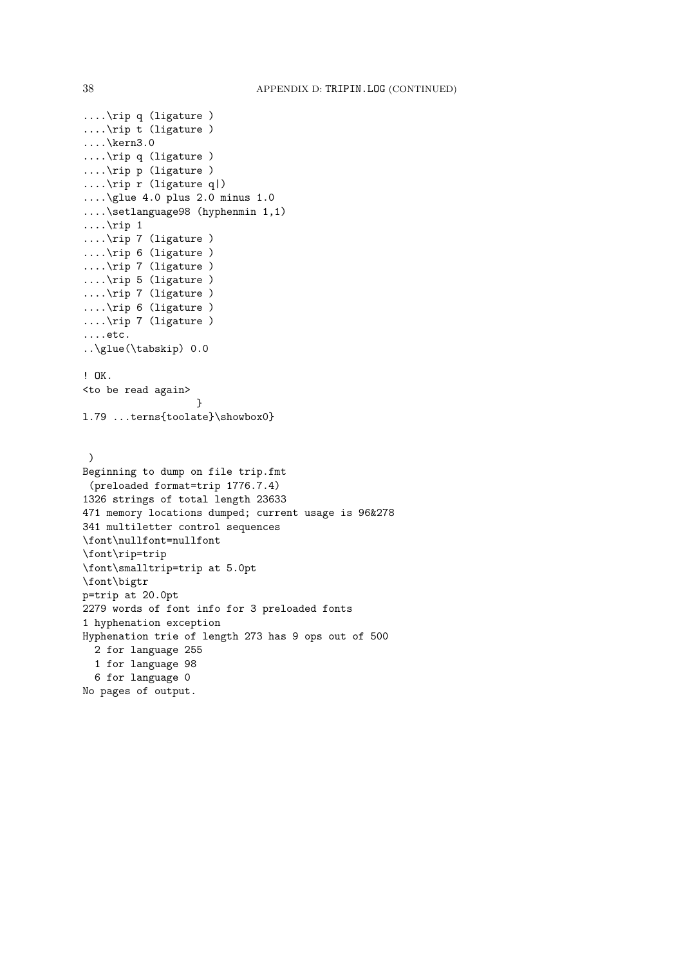```
....\rip q (ligature )
....\rip t (ligature )
....\kern3.0
....\rip q (ligature )
....\rip p (ligature )
....\rip r (ligature q|)
....\glue 4.0 plus 2.0 minus 1.0
....\setlanguage98 (hyphenmin 1,1)
\ldots\rip 1
....\rip 7 (ligature )
....\rip 6 (ligature )
....\rip 7 (ligature )
....\rip 5 (ligature )
....\rip 7 (ligature )
....\rip 6 (ligature )
....\rip 7 (ligature )
....etc.
..\glue(\tabskip) 0.0
! OK.
<to be read again>
                   }
l.79 ...terns{toolate}\showbox0}
 )
Beginning to dump on file trip.fmt
 (preloaded format=trip 1776.7.4)
1326 strings of total length 23633
471 memory locations dumped; current usage is 96&278
341 multiletter control sequences
\font\nullfont=nullfont
\font\rip=trip
\font\smalltrip=trip at 5.0pt
\font\bigtr
p=trip at 20.0pt
2279 words of font info for 3 preloaded fonts
1 hyphenation exception
Hyphenation trie of length 273 has 9 ops out of 500
  2 for language 255
  1 for language 98
  6 for language 0
No pages of output.
```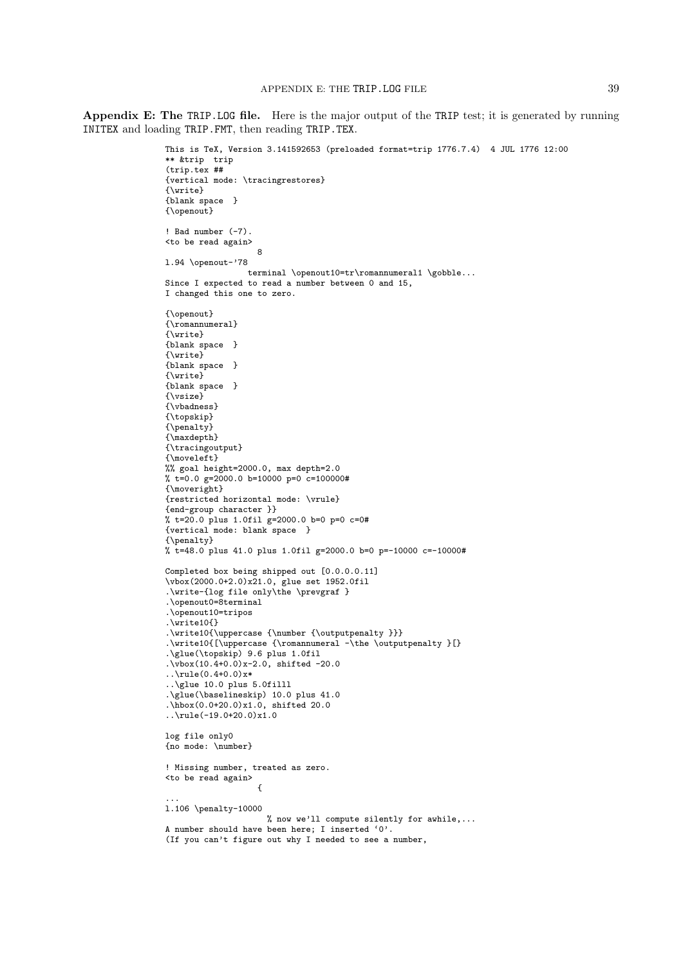Appendix E: The TRIP.LOG file. Here is the major output of the TRIP test; it is generated by running INITEX and loading TRIP.FMT, then reading TRIP.TEX.

```
This is TeX, Version 3.141592653 (preloaded format=trip 1776.7.4) 4 JUL 1776 12:00
** &trip trip
(trip.tex ##
{vertical mode: \tracingrestores}
{\write}
{blank space }
{\openout}
! Bad number (-7).
<to be read again>
                    8
l.94 \openout-'78
                 terminal \openout10=tr\romannumeral1 \gobble...
Since I expected to read a number between 0 and 15,
I changed this one to zero.
{\openout}
{\romannumeral}
{\write}
{blank space }
{\write}
{blank space }
{\write}
{blank space }
{\vsize}
{\vbadness}
{\topskip}
{\penalty}
{\maxdepth}
{\tracingoutput}
{\moveleft}
%% goal height=2000.0, max depth=2.0
% t=0.0 g=2000.0 b=10000 p=0 c=100000#
{\moveright}
{restricted horizontal mode: \vrule}
{end-group character }}
% t=20.0 plus 1.0fil g=2000.0 b=0 p=0 c=0#
{vertical mode: blank space }
{\penalty}
% t=48.0 plus 41.0 plus 1.0fil g=2000.0 b=0 p=-10000 c=-10000#
Completed box being shipped out [0.0.0.0.11]
\vbox(2000.0+2.0)x21.0, glue set 1952.0fil
.\write-{log file only\the \prevgraf }
.\openout0=8terminal
.\openout10=tripos
.\write10{}
.\write10{\uppercase {\number {\outputpenalty }}}
.\write10{[\uppercase {\romannumeral -\the \outputpenalty }[}
.\glue(\topskip) 9.6 plus 1.0fil
.\overline{\text{vbox(10.4+0.0)}\text{x-2.0}}, shifted -20.0
\ldots\rule(0.4+0.0)x*
..\glue 10.0 plus 5.0filll
.\glue(\baselineskip) 10.0 plus 41.0
.\hbox(0.0+20.0)x1.0, shifted 20.0
..\rule(-19.0+20.0)x1.0
log file only0
{no mode: \number}
! Missing number, treated as zero.
<to be read again>
                    {
...
l.106 \penalty-10000
                     % now we'll compute silently for awhile,...
A number should have been here; I inserted '0'.
(If you can't figure out why I needed to see a number,
```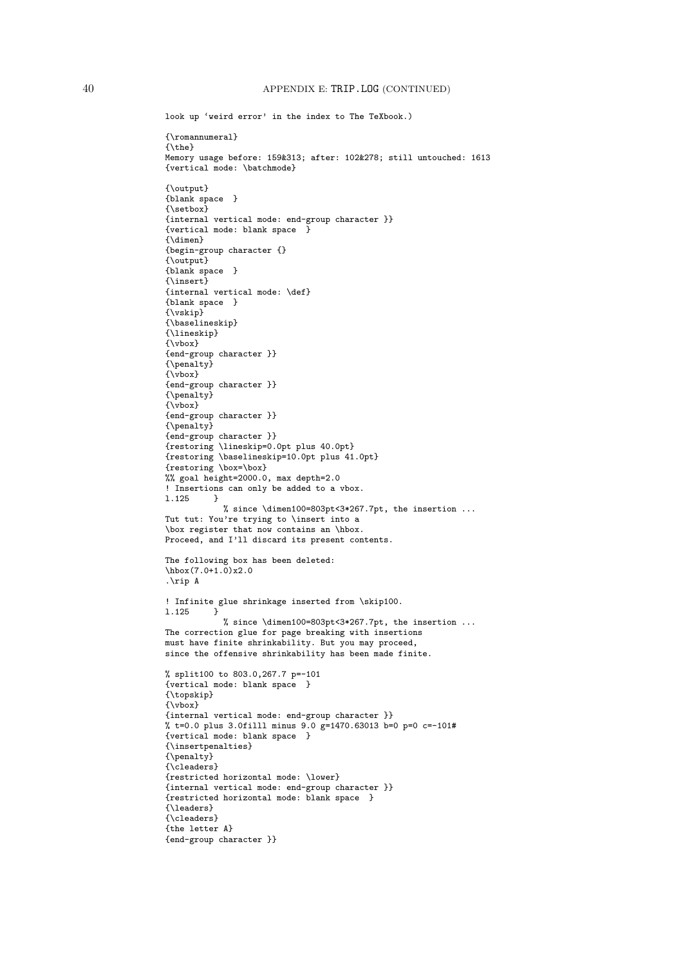```
look up 'weird error' in the index to The TeXbook.)
{\romannumeral}
{\the}
Memory usage before: 159&313; after: 102&278; still untouched: 1613
{vertical mode: \batchmode}
{\output}
{blank space }
{\setbox}
{internal vertical mode: end-group character }}
{vertical mode: blank space }
{\dimen}
{begin-group character {}
{\output}
{blank space }
{\insert}
{internal vertical mode: \def}
{blank space }
{\vskip}
{\baselineskip}
{\lineskip}
{\vbox}
{end-group character }}
{\penalty}
{\nabla}{end-group character }}
{\penalty}
{\vbox}
{end-group character }}
{\penalty}
{end-group character }}
{restoring \lineskip=0.0pt plus 40.0pt}
{restoring \baselineskip=10.0pt plus 41.0pt}
{restoring \box=\box}
%% goal height=2000.0, max depth=2.0
! Insertions can only be added to a vbox.<br>1.125 }
l.125 }
            % since \dimen100=803pt<3*267.7pt, the insertion ...
Tut tut: You're trying to \insert into a
\box register that now contains an \hbox.
Proceed, and I'll discard its present contents.
The following box has been deleted:
\hbarbox(7.0+1.0)x2.0
.\rip A
! Infinite glue shrinkage inserted from \skip100.
l.125 }
            % since \dimen100=803pt<3*267.7pt, the insertion ...
The correction glue for page breaking with insertions
must have finite shrinkability. But you may proceed,
since the offensive shrinkability has been made finite.
% split100 to 803.0,267.7 p=-101
{vertical mode: blank space }
{\topskip}
{\vbox}
{internal vertical mode: end-group character }}
% t=0.0 plus 3.0filll minus 9.0 g=1470.63013 b=0 p=0 c=-101#
{vertical mode: blank space }
{\insertpenalties}
{\penalty}
{\cleaders}
{restricted horizontal mode: \lower}
{internal vertical mode: end-group character }}
{restricted horizontal mode: blank space }
{\leaders}
{\cleaders}
{the letter A}
{end-group character }}
```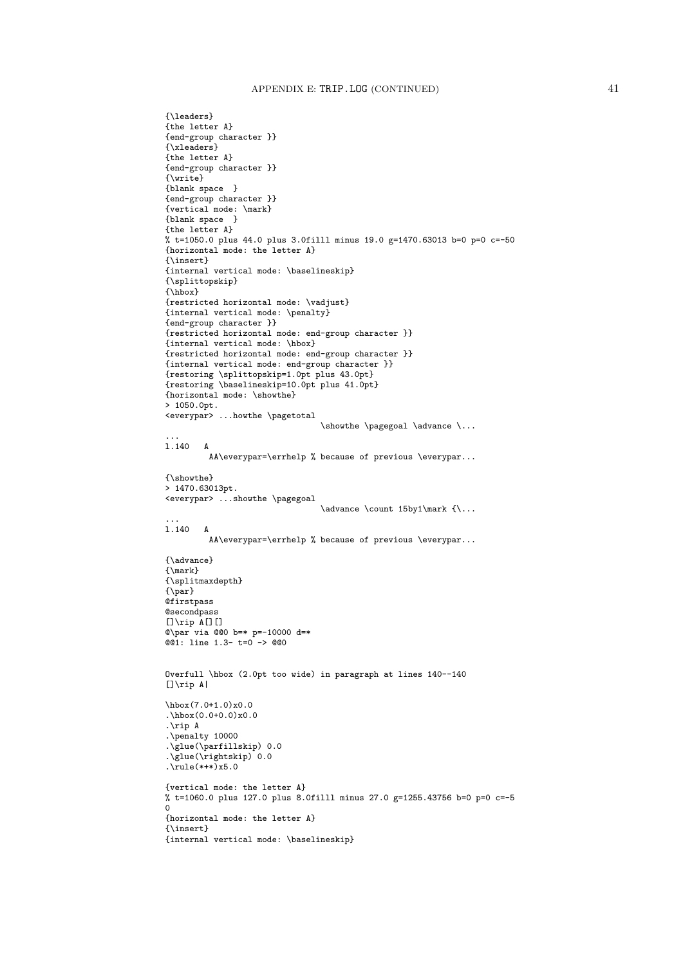```
{\leaders}
{the letter A}
{end-group character }}
{\xleaders}
{the letter A}
{end-group character }}
{\write}
{blank space }
{end-group character }}
{vertical mode: \mark}
{blank space }
{the letter A}
% t=1050.0 plus 44.0 plus 3.0filll minus 19.0 g=1470.63013 b=0 p=0 c=-50
{horizontal mode: the letter A}
{\insert}
{internal vertical mode: \baselineskip}
{\splittopskip}
{\hbox}
{restricted horizontal mode: \vadjust}
{internal vertical mode: \penalty}
{end-group character }}
{restricted horizontal mode: end-group character }}
{internal vertical mode: \hbox}
{restricted horizontal mode: end-group character }}
{internal vertical mode: end-group character }}
{restoring \splittopskip=1.0pt plus 43.0pt}
{restoring \baselineskip=10.0pt plus 41.0pt}
{horizontal mode: \showthe}
> 1050.0pt.
<everypar> ...howthe \pagetotal
                                 \showthe \pagegoal \advance \...
...
l.140 A
         AA\everypar=\errhelp % because of previous \everypar...
{\showthe}
> 1470.63013pt.
<everypar> ...showthe \pagegoal
                                 \advance \count 15by1\mark {\...
...
l.140 A
         AA\everypar=\errhelp % because of previous \everypar...
{\advance}
{\mark}
{\splitmaxdepth}
{\par}
Qfirstpass
@secondpass
[]\rip A[][]
@\par via @@0 b=* p=-10000 d=*
@@1: line 1.3- t=0 -> @@0
Overfull \hbox (2.0pt too wide) in paragraph at lines 140--140
[]\rip A|
\hbox(7.0+1.0)x0.0
.\hbox(0.0+0.0)x0.0
.\rip A
.\penalty 10000
.\glue(\parfillskip) 0.0
.\glue(\rightskip) 0.0
.\text{rule}(*++)x5.0
{vertical mode: the letter A}
% t=1060.0 plus 127.0 plus 8.0filll minus 27.0 g=1255.43756 b=0 p=0 c=-5
\Omega{horizontal mode: the letter A}
{\insert}
{internal vertical mode: \baselineskip}
```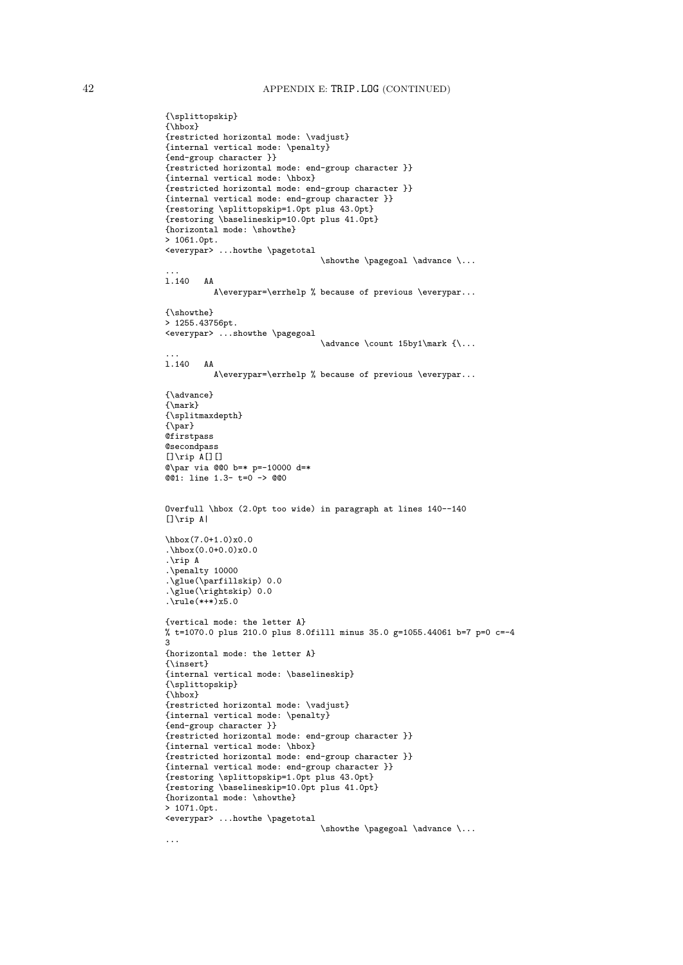```
{\splittopskip}
{\hbox}
{restricted horizontal mode: \vadjust}
{internal vertical mode: \penalty}
{end-group character }}
{restricted horizontal mode: end-group character }}
{internal vertical mode: \hbox}
{restricted horizontal mode: end-group character }}
{internal vertical mode: end-group character }}
{restoring \splittopskip=1.0pt plus 43.0pt}
{restoring \baselineskip=10.0pt plus 41.0pt}
{horizontal mode: \showthe}
> 1061.0pt.
<everypar> ...howthe \pagetotal
                                \showthe \pagegoal \advance \...
...
l.140 AA
          A\everypar=\errhelp % because of previous \everypar...
{\showthe}
> 1255.43756pt.
<everypar> ...showthe \pagegoal
                                \advance \count 15by1\mark \{ \...
l.140 AA
          A\everypar=\errhelp % because of previous \everypar...
{\advance}
{\mark}
{\splitmaxdepth}
{\pmb \{\tag{par}\} }Qfirstpass
@secondpass
[]\rip A[][]@\par via @@0 b=* p=-10000 d=*
@01: line 1.3- t=0 -> @00Overfull \hbox (2.0pt too wide) in paragraph at lines 140--140
[]\rip A|
\hbox(7.0+1.0)x0.0
.\hbox(0.0+0.0)x0.0
.\rip A
.\penalty 10000
.\glue(\parfillskip) 0.0
.\glue(\rightskip) 0.0
.rule(***) x5.0{vertical mode: the letter A}
% t=1070.0 plus 210.0 plus 8.0filll minus 35.0 g=1055.44061 b=7 p=0 c=-4
3
{horizontal mode: the letter A}
{\insert}
{internal vertical mode: \baselineskip}
{\splittopskip}
{\hbox}
{restricted horizontal mode: \vadjust}
{internal vertical mode: \penalty}
{end-group character }}
{restricted horizontal mode: end-group character }}
{internal vertical mode: \hbox}
{restricted horizontal mode: end-group character }}
{internal vertical mode: end-group character }}
{restoring \splittopskip=1.0pt plus 43.0pt}
{restoring \baselineskip=10.0pt plus 41.0pt}
{horizontal mode: \showthe}
> 1071.0pt.<everypar> ...howthe \pagetotal
                                \showthe \pagegoal \advance \...
```
...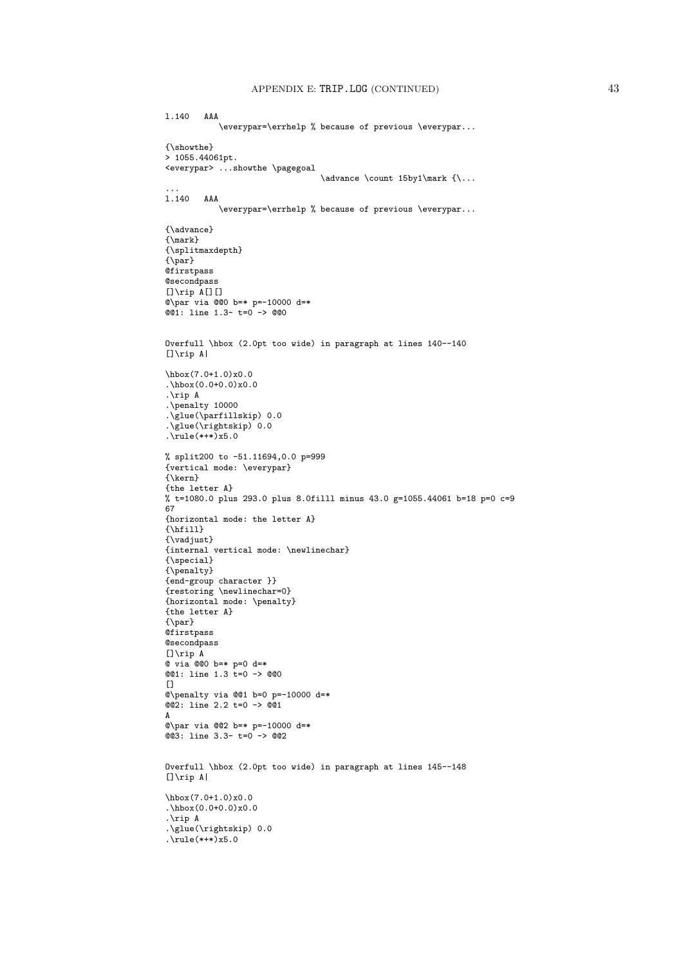l.140 AAA

```
\everypar=\errhelp % because of previous \everypar...
{\showthe}
> 1055.44061pt.
<everypar> ...showthe \pagegoal
                                 \advance \count 15by1\mark {\...
...
l.140 AAA
           \everypar=\errhelp % because of previous \everypar...
{\advance}
{\mark}
{\splitmaxdepth}
{\nightharpoonup}@firstpass
@secondpass
[]\right[[][]@\par via @@0 b=* p=-10000 d=*
@01: line 1.3- t=0 -> @00Overfull \hbox (2.0pt too wide) in paragraph at lines 140--140
[]\rip A|
\hbox(7.0+1.0)x0.0
.\hbox(0.0+0.0)x0.0
.\rip A
.\penalty 10000
.\glue(\parfillskip) 0.0
.\glue(\rightskip) 0.0
.\text{rule}(*++)x5.0
% split200 to -51.11694,0.0 p=999
{vertical mode: \everypar}
{\kern}
{the letter A}
% t=1080.0 plus 293.0 plus 8.0filll minus 43.0 g=1055.44061 b=18 p=0 c=9
67{horizontal mode: the letter A}
{\hbox{\sf{hfill}}\}{\vadjust}
{internal vertical mode: \newlinechar}
{\special}
{\penalty}
{end-group character }}
{restoring \newlinechar=0}
{horizontal mode: \penalty}
{the letter A}
\{\gamma\}Qfirstpass
@secondpass
[]\rip A
@ via @@0 b=* p=0 d=*
@@1: line 1.3 t=0 -> @@0
[@\penalty via @@1 b=0 p=-10000 d=*
@@2: line 2.2 t=0 -> @@1
A
@\par via @@2 b=* p=-10000 d=*
@3: line 3.3- t=0 -> @2Overfull \hbox (2.0pt too wide) in paragraph at lines 145--148
[]\rip A|
\hbarbox(7.0+1.0)x0.0
.\hbox{hbox}(0.0+0.0)x0.0.\rip A
.\glue(\rightskip) 0.0
.\text{rule}(*++)x5.0
```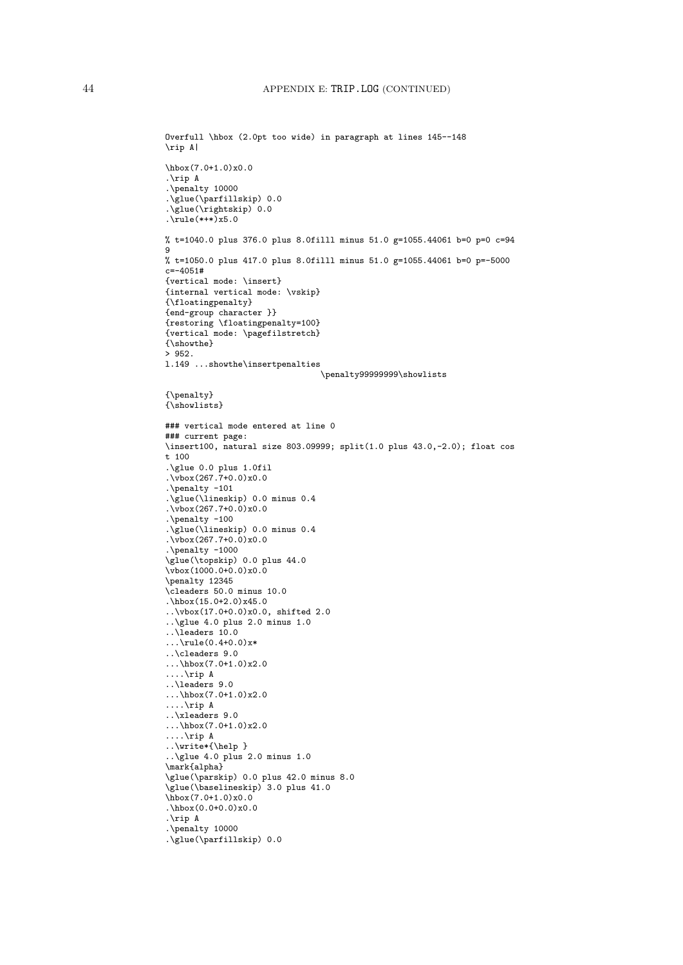```
Overfull \hbox (2.0pt too wide) in paragraph at lines 145--148
\rip A|
\hbox(7.0+1.0)x0.0
.\rip A
.\penalty 10000
.\glue(\parfillskip) 0.0
.\glue(\rightskip) 0.0
.\n\text{rule}(***)x5.0
% t=1040.0 plus 376.0 plus 8.0filll minus 51.0 g=1055.44061 b=0 p=0 c=94
9
% t=1050.0 plus 417.0 plus 8.0filll minus 51.0 g=1055.44061 b=0 p=-5000
c=-4051#{vertical mode: \insert}
{internal vertical mode: \vskip}
{\floatingpenalty}
{end-group character }}
{restoring \floatingpenalty=100}
{vertical mode: \pagefilstretch}
{\showthe}
> 952.
l.149 ...showthe\insertpenalties
                                 \penalty99999999\showlists
{\penalty}
{\showlists}
### vertical mode entered at line 0
### current page:
\insert100, natural size 803.09999; split(1.0 plus 43.0,-2.0); float cos
t 100
.\glue 0.0 plus 1.0fil
.\sqrt{vbox(267.7+0.0)x0.0}.\penalty -101
.\glue(\lineskip) 0.0 minus 0.4
\sqrt{v \text{box}(267.7+0.0)} x0.0
.\penalty -100
.\glue(\lineskip) 0.0 minus 0.4
.\vbox(267.7+0.0)x0.0
.\penalty -1000
\glue(\topskip) 0.0 plus 44.0
\sqrt{vbox(1000.0+0.0)x0.0}\penalty 12345
\cleaders 50.0 minus 10.0
.\hbox(15.0+2.0)x45.0
..\vbox(17.0+0.0)x0.0, shifted 2.0
..\glue 4.0 plus 2.0 minus 1.0
..\leaders 10.0
\ldots\rule(0.4+0.0)x*
..\cleaders 9.0
...\hbarbox(7.0+1.0)x2.0
....\rip A
..\leaders 9.0
...\hbox(7.0+1.0)x2.0
....\rip A
..\xleaders 9.0
...\hbox(7.0+1.0)x2.0
....\rip A
..\write*{\help }
..\glue 4.0 plus 2.0 minus 1.0
\mark{alpha}
\glue(\parskip) 0.0 plus 42.0 minus 8.0
\glue(\baselineskip) 3.0 plus 41.0
\hbox(7.0+1.0)x0.0
.\hbox{hbox}(0.0+0.0)x0.0.\rip A
.\penalty 10000
.\glue(\parfillskip) 0.0
```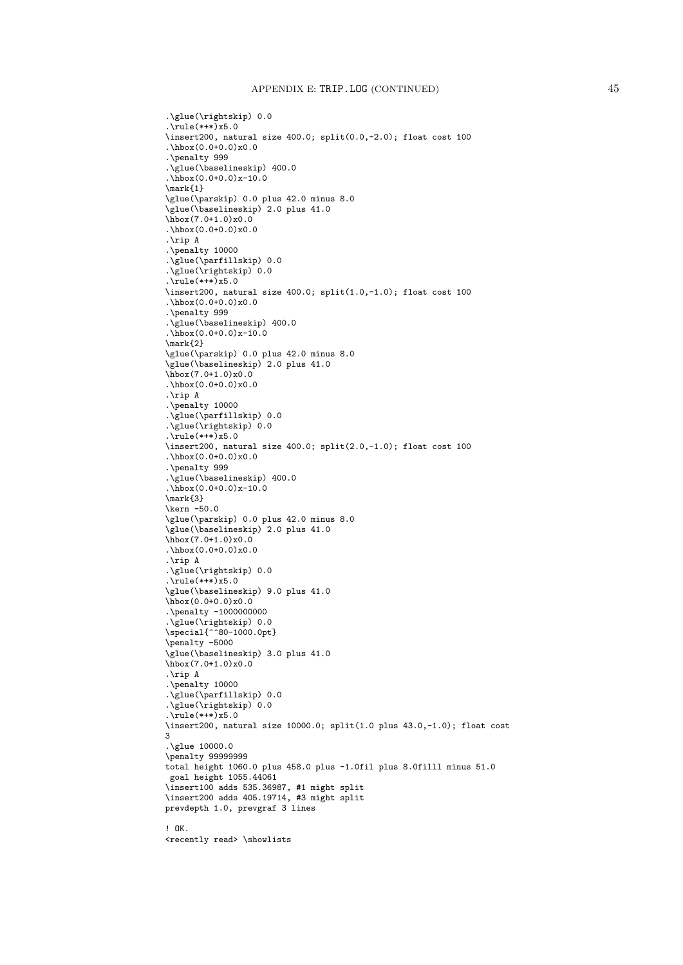```
.\glue(\rightskip) 0.0
.\n\times(***) \times 5.0\insert200, natural size 400.0; split(0.0,-2.0); float cost 100
.\hbox(0.0+0.0)x0.0
.\penalty 999
.\glue(\baselineskip) 400.0
.\hbox(0.0+0.0)x-10.0
\mark{1}
\glue(\parskip) 0.0 plus 42.0 minus 8.0
\glue(\baselineskip) 2.0 plus 41.0
\hbox{hbox(7.0+1.0)x0.0}.\hbox(0.0+0.0)x0.0
.\rip A
.\penalty 10000
.\glue(\parfillskip) 0.0
.\glue(\rightskip) 0.0
.\rule(*+*)x5.0
\insert200, natural size 400.0; split(1.0,-1.0); float cost 100
.\hbox(0.0+0.0)x0.0
.\penalty 999
.\glue(\baselineskip) 400.0
.\hbox{hbox}(0.0+0.0)x-10.0\mark{2}
\glue(\parskip) 0.0 plus 42.0 minus 8.0
\glue(\baselineskip) 2.0 plus 41.0
\hbox(7.0+1.0)x0.0
.\hbox{hbox}(0.0+0.0)x0.0.\rip A
.\penalty 10000
.\glue(\parfillskip) 0.0
.\glue(\rightskip) 0.0
.\n\times(***) x5.0\insert200, natural size 400.0; split(2.0,-1.0); float cost 100
.\hbox{hbox}(0.0+0.0)x0.0.\penalty 999
.\glue(\baselineskip) 400.0
.\hbox{hbox}(0.0+0.0)x-10.0\mark{3}
\kern -50.0
\glue(\parskip) 0.0 plus 42.0 minus 8.0
\glue(\baselineskip) 2.0 plus 41.0
\hbox(7.0+1.0)x0.0
.\hbox{hbox}(0.0+0.0)x0.0.\rip A
.\glue(\rightskip) 0.0
.\rule(*+*)x5.0
\glue(\baselineskip) 9.0 plus 41.0
\hbox(0.0+0.0)x0.0
.\penalty -1000000000
.\glue(\rightskip) 0.0
\special{^^80-1000.0pt}
\penalty -5000
\glue(\baselineskip) 3.0 plus 41.0
\hbox(7.0+1.0)x0.0
.\rip A
.\penalty 10000
.\glue(\parfillskip) 0.0
.\glue(\rightskip) 0.0
.rule(***) x5.0\insert200, natural size 10000.0; split(1.0 plus 43.0,-1.0); float cost
3
.\glue 10000.0
\penalty 99999999
total height 1060.0 plus 458.0 plus -1.0fil plus 8.0filll minus 51.0
goal height 1055.44061
\insert100 adds 535.36987, #1 might split
\insert200 adds 405.19714, #3 might split
prevdepth 1.0, prevgraf 3 lines
! OK.
<recently read> \showlists
```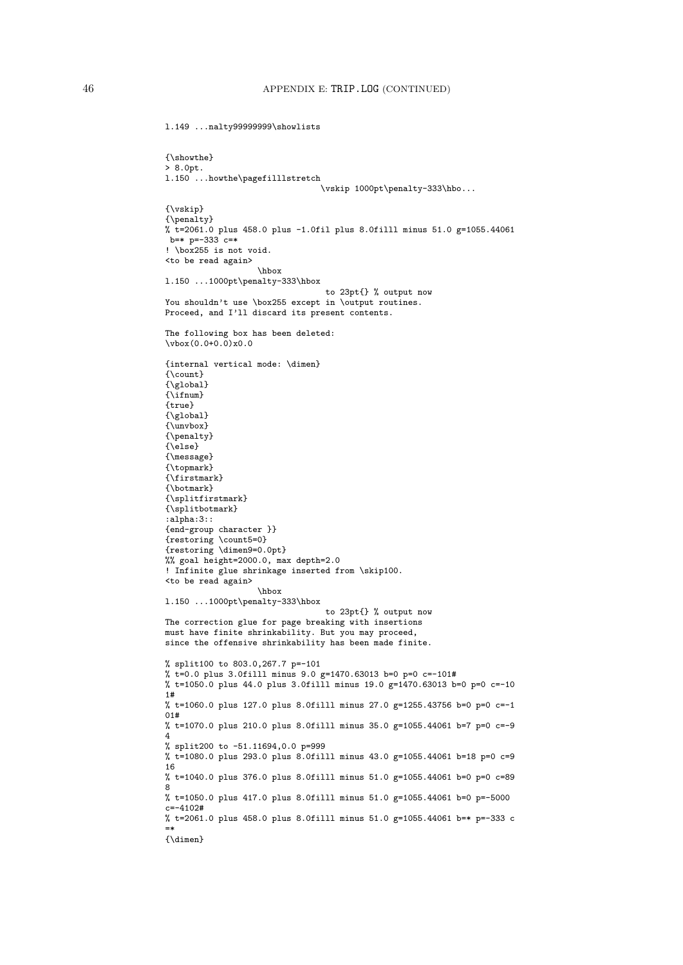l.149 ...nalty99999999\showlists

```
{\showthe}
> 8.0pt.
l.150 ...howthe\pagefilllstretch
                                 \vskip 1000pt\penalty-333\hbo...
{\vskip}
{\penalty}
% t=2061.0 plus 458.0 plus -1.0fil plus 8.0filll minus 51.0 g=1055.44061
b=* p=-333 c=*
! \box255 is not void.
<to be read again>
                    \hbox
l.150 ...1000pt\penalty-333\hbox
                                 to 23pt{} % output now
You shouldn't use \box255 except in \output routines.
Proceed, and I'll discard its present contents.
The following box has been deleted:
\forall x(0.0+0.0)x0.0{internal vertical mode: \dimen}
{\{ \emptyset, \text{count} \}}{\global}
{\ifnum}
{true}
{\global}
{\unvbox}
{\penalty}
{\bar{\aleph}}{\message}
{\topmark}
{\firstmark}
{\botmark}
{\splitfirstmark}
{\splitbotmark}
: a \overline{1} \overline{0}ha: 3: :{end-group character }}
{restoring \count5=0}
{restoring \dimen9=0.0pt}
%% goal height=2000.0, max depth=2.0
! Infinite glue shrinkage inserted from \skip100.
<to be read again>
                   \hbox
l.150 ...1000pt\penalty-333\hbox
                                  to 23pt{} % output now
The correction glue for page breaking with insertions
must have finite shrinkability. But you may proceed,
since the offensive shrinkability has been made finite.
% split100 to 803.0,267.7 p=-101
% t=0.0 plus 3.0filll minus 9.0 g=1470.63013 b=0 p=0 c=-101#
% t=1050.0 plus 44.0 plus 3.0filll minus 19.0 g=1470.63013 b=0 p=0 c=-10
1#
% t=1060.0 plus 127.0 plus 8.0filll minus 27.0 g=1255.43756 b=0 p=0 c=-1
01#
% t=1070.0 plus 210.0 plus 8.0filll minus 35.0 g=1055.44061 b=7 p=0 c=-9
4
% split200 to -51.11694,0.0 p=999
% t=1080.0 plus 293.0 plus 8.0filll minus 43.0 g=1055.44061 b=18 p=0 c=9
16
% t=1040.0 plus 376.0 plus 8.0filll minus 51.0 g=1055.44061 b=0 p=0 c=89
8
% t=1050.0 plus 417.0 plus 8.0filll minus 51.0 g=1055.44061 b=0 p=-5000
c=-4102#% t=2061.0 plus 458.0 plus 8.0filll minus 51.0 g=1055.44061 b=* p=-333 c
=*
{\dimen}
```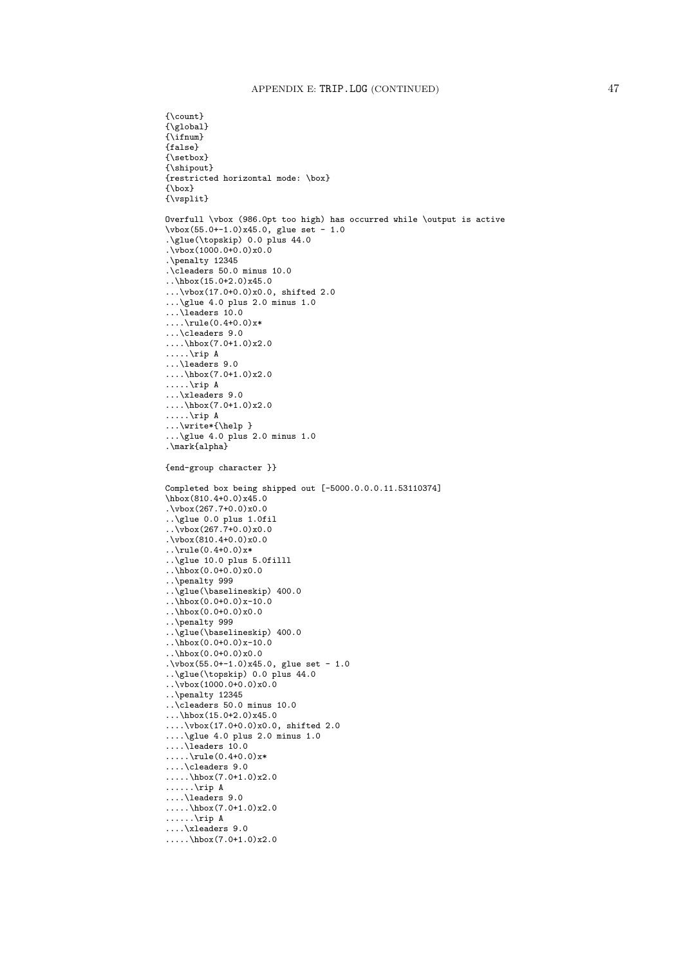```
{\count}
{\sqrt{\text{global}}}{\ifnum}
{false}
{\setbox}
{\shipout}
{restricted horizontal mode: \box}
{\box}
{\vsplit}
Overfull \vbox (986.0pt too high) has occurred while \output is active
\vbox(55.0+-1.0)x45.0, glue set - 1.0
.\glue(\topskip) 0.0 plus 44.0
.\vbox(1000.0+0.0)x0.0
.\penalty 12345
.\cleaders 50.0 minus 10.0
.\h\box{\hbox{hbox}}(15.0+2.0)x45.0...\vbox(17.0+0.0)x0.0, shifted 2.0
...\glue 4.0 plus 2.0 minus 1.0
\ldotsleaders 10.0
\ldots\rule(0.4+0.0)x*
...\cleaders 9.0
....\hbox(7.0+1.0)x2.0
.....\rip A
...\leaders 9.0
....\hbarbox(7.0+1.0)x2.0
.....\rip A
...\xleaders 9.0
....\hbox(7.0+1.0)x2.0
.....\rip A
...\write*{\help }
...\glue 4.0 plus 2.0 minus 1.0
.\mark{alpha}
{end-group character }}
Completed box being shipped out [-5000.0.0.0.11.53110374]
\hbox(810.4+0.0)x45.0
\sqrt{vbox(267.7+0.0)x0.0}..\glue 0.0 plus 1.0fil
..\vbox(267.7+0.0)x0.0
.\vbox(810.4+0.0)x0.0
.\cdot\rule(0.4+0.0)x*
..\glue 10.0 plus 5.0filll
\cdot \hbox(0.0+0.0)x0.0
..\penalty 999
..\glue(\baselineskip) 400.0
\ldots\hbox(0.0+0.0)x-10.0
..\hbox(0.0+0.0)x0.0
..\penalty 999
..\glue(\baselineskip) 400.0
..\hbox(0.0+0.0)x-10.0
..\hbox(0.0+0.0)x0.0
.\v{vbox}(55.0+-1.0)x45.0, glue set - 1.0
..\glue(\topskip) 0.0 plus 44.0
..\vbox(1000.0+0.0)x0.0
..\penalty 12345
..\cleaders 50.0 minus 10.0
...\hbox{hbox(15.0+2.0)x45.0}....\vbox(17.0+0.0)x0.0, shifted 2.0
....\glue 4.0 plus 2.0 minus 1.0
....\leaders 10.0
\ldots.....\rule(0.4+0.0)x*
....\cleaders 9.0
.....\hbox(7.0+1.0)x2.0
......\rip A
....\leaders 9.0
\ldots.....\hbox(7.0+1.0)x2.0
\ldots....\rip A
....\xleaders 9.0
\ldots.....\hbox(7.0+1.0)x2.0
```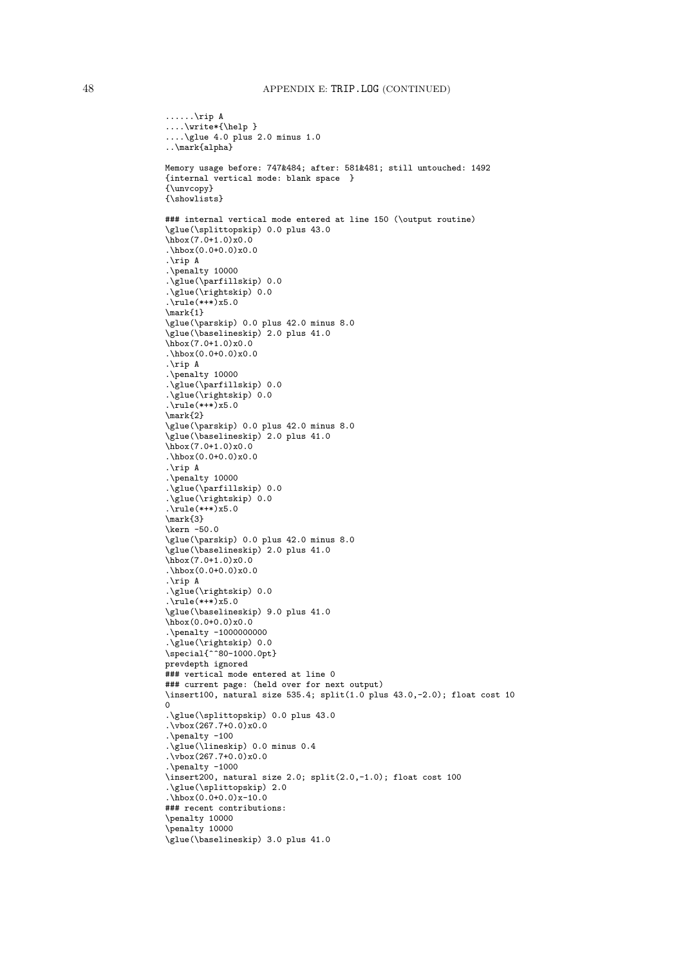```
......\rip A
....\write*{\help }
....\glue 4.0 plus 2.0 minus 1.0
..\mark{alpha}
Memory usage before: 747&484; after: 581&481; still untouched: 1492
{internal vertical mode: blank space }
{\unvcopy}
{\showlists}
### internal vertical mode entered at line 150 (\output routine)
\glue(\splittopskip) 0.0 plus 43.0
\hbox(7.0+1.0)x0.0
.\hbox(0.0+0.0)x0.0
.\rip A
.\penalty 10000
.\glue(\parfillskip) 0.0
.\glue(\rightskip) 0.0
.\text{rule}(*++)x5.0
\mark (1)</sub>
\glue(\parskip) 0.0 plus 42.0 minus 8.0
\glue(\baselineskip) 2.0 plus 41.0
\hbox(7.0+1.0)x0.0
.\hbox(0.0+0.0)x0.0
.\rip A
.\penalty 10000
.\glue(\parfillskip) 0.0
.\glue(\rightskip) 0.0
.\text{rule}(***) x5.0
\mark{2}
\glue(\parskip) 0.0 plus 42.0 minus 8.0
\glue(\baselineskip) 2.0 plus 41.0
\hbox(7.0+1.0)x0.0
.\hbox{hbox}(0.0+0.0)x0.0.\rip A
.\penalty 10000
.\glue(\parfillskip) 0.0
\sqrt{\text{glue}(\rightarrow \text{htskip}}) 0.0
.\n\times . \rule(*+*)x5.0
\mark{3}
\kern -50.0
\glue(\parskip) 0.0 plus 42.0 minus 8.0
\glue(\baselineskip) 2.0 plus 41.0
\hbarbox(7.0+1.0)x0.0\hbar box(0.0+0.0)x0.0
.\rip A
.\glue(\rightskip) 0.0
.\text{rule}(***) x5.0
\glue(\baselineskip) 9.0 plus 41.0
\hbarbox(0.0+0.0)x0.0.\penalty -1000000000
.\glue(\rightskip) 0.0
\special{^<sup>2</sup>80-1000.0pt}
prevdepth ignored
### vertical mode entered at line 0
### current page: (held over for next output)
\insert100, natural size 535.4; split(1.0 plus 43.0,-2.0); float cost 10
0
.\glue(\splittopskip) 0.0 plus 43.0
.\vbox(267.7+0.0)x0.0
.\penalty -100
.\glue(\lineskip) 0.0 minus 0.4
\sqrt{v}box(267.7+0.0)x0.0
.\penalty -1000
\insert200, natural size 2.0; split(2.0,-1.0); float cost 100
.\glue(\splittopskip) 2.0
.\hbox(0.0+0.0)x-10.0### recent contributions:
\penalty 10000
\penalty 10000
\glue(\baselineskip) 3.0 plus 41.0
```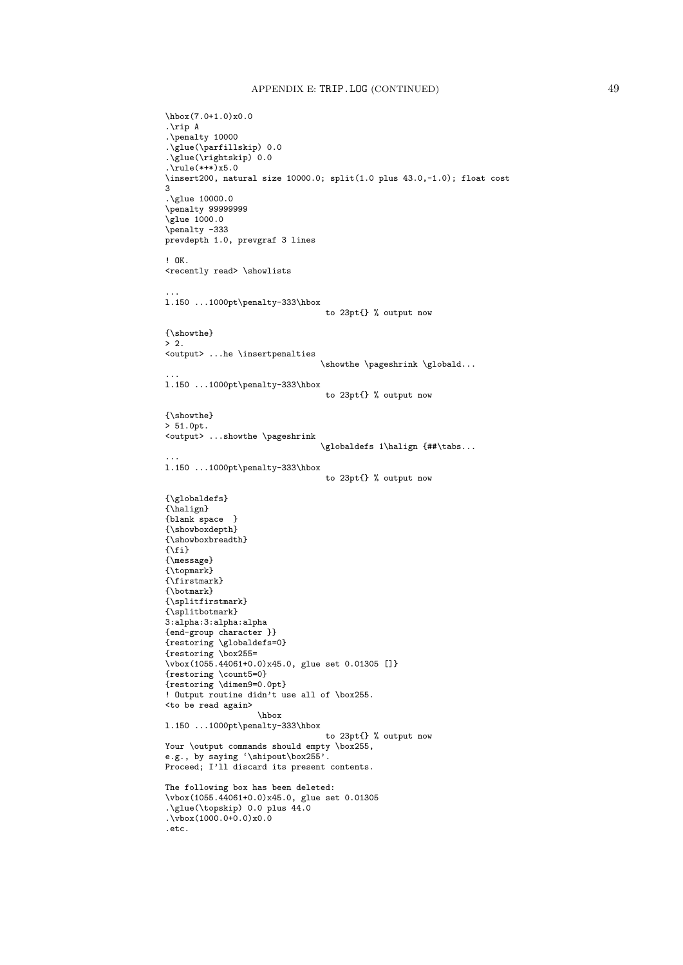```
\hbox(7.0+1.0)x0.0
.\rip A
.\penalty 10000
.\glue(\parfillskip) 0.0
.\glue(\rightskip) 0.0
.\lvert \text{rule}(*++\rvert x5.0\insert200, natural size 10000.0; split(1.0 plus 43.0,-1.0); float cost
3
.\glue 10000.0
\penalty 999999999
\glue 1000.0
\penalty -333
prevdepth 1.0, prevgraf 3 lines
! OK.
<recently read> \showlists
...
l.150 ...1000pt\penalty-333\hbox
                                 to 23pt{} % output now
{\showthe}
> 2.
<output> ...he \insertpenalties
                                 \showthe \pageshrink \globald...
...
l.150 ...1000pt\penalty-333\hbox
                                  to 23pt{} % output now
{\showthe}
> 51.0pt.
<output> ...showthe \pageshrink
                                 \globaldefs 1\halign {##\tabs...
...
l.150 ...1000pt\penalty-333\hbox
                                  to 23pt{} % output now
{\globaldefs}
{\halign}
{blank space }
{\showboxdepth}
{\showboxbreadth}
\{\setminus f\}{\message}
{\topmark}
{\firstmark}
{\botmark}
{\splitfirstmark}
{\splitbotmark}
3:alpha:3:alpha:alpha
{end-group character }}
{restoring \globaldefs=0}
{restoring \box255=
\vbox(1055.44061+0.0)x45.0, glue set 0.01305 []}
{restoring \count5=0}
{restoring \dimen9=0.0pt}
! Output routine didn't use all of \box255.
<to be read again>
                   \hbox
l.150 ...1000pt\penalty-333\hbox
                                  to 23pt{} % output now
Your \output commands should empty \box255,
e.g., by saying '\shipout\box255'.
Proceed; I'll discard its present contents.
The following box has been deleted:
\vbox(1055.44061+0.0)x45.0, glue set 0.01305
.\glue(\topskip) 0.0 plus 44.0
.\vbox(1000.0+0.0)x0.0
.etc.
```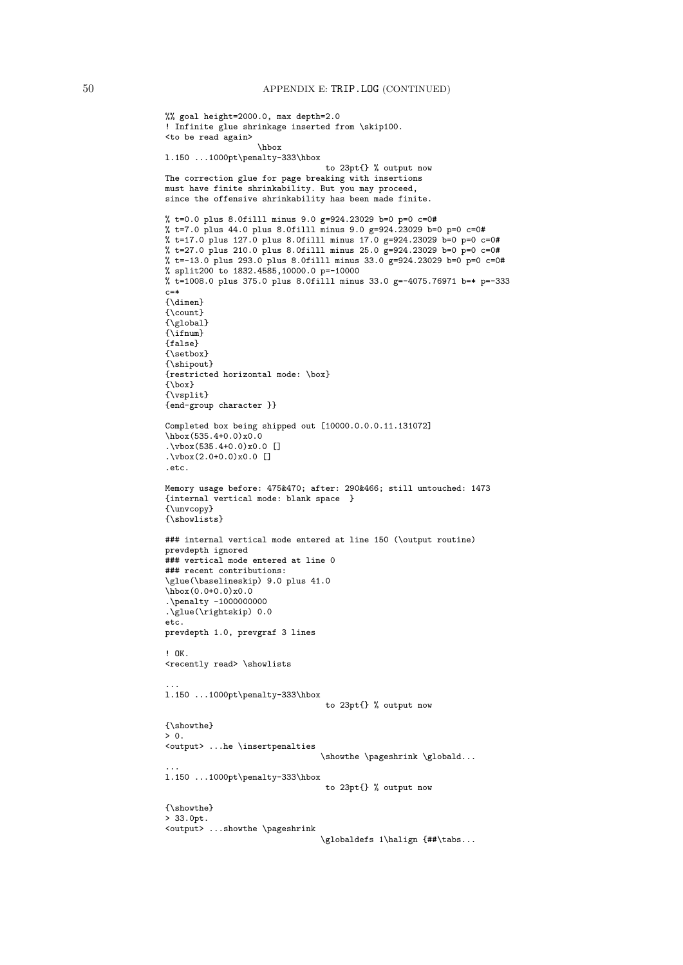```
%% goal height=2000.0, max depth=2.0
! Infinite glue shrinkage inserted from \skip100.
<to be read again>
                   \hbox
l.150 ...1000pt\penalty-333\hbox
                                 to 23pt{} % output now
The correction glue for page breaking with insertions
must have finite shrinkability. But you may proceed,
since the offensive shrinkability has been made finite.
% t=0.0 plus 8.0filll minus 9.0 g=924.23029 b=0 p=0 c=0#
% t=7.0 plus 44.0 plus 8.0filll minus 9.0 g=924.23029 b=0 p=0 c=0#
% t=17.0 plus 127.0 plus 8.0filll minus 17.0 g=924.23029 b=0 p=0 c=0#
% t=27.0 plus 210.0 plus 8.0filll minus 25.0 g=924.23029 b=0 p=0 c=0#
% t=-13.0 plus 293.0 plus 8.0filll minus 33.0 g=924.23029 b=0 p=0 c=0#
% split200 to 1832.4585,10000.0 p=-10000
% t=1008.0 plus 375.0 plus 8.0filll minus 33.0 g=-4075.76971 b=* p=-333
c = *{\dimen}
{\count}
{\global}
{\tilde{\iota}}{false}
{\setbox}
{\shipout}
{restricted horizontal mode: \box}
{\box}
{\vsplit}
{end-group character }}
Completed box being shipped out [10000.0.0.0.11.131072]
\hbox(535.4+0.0)x0.0
.\vbox(535.4+0.0)x0.0 []
.\sqrt{vbox(2.0+0.0)x0.0} []
.etc.
Memory usage before: 475&470; after: 290&466; still untouched: 1473
{internal vertical mode: blank space }
{\unvcopy}
{\showlists}
### internal vertical mode entered at line 150 (\output routine)
prevdepth ignored
### vertical mode entered at line 0
### recent contributions:
\glue(\baselineskip) 9.0 plus 41.0
\hbox(0.0+0.0)x0.0
.\penalty -1000000000
.\glue(\rightskip) 0.0
etc.
prevdepth 1.0, prevgraf 3 lines
! OK.
<recently read> \showlists
...
l.150 ...1000pt\penalty-333\hbox
                                 to 23pt{} % output now
{\showthe}
> 0.<output> ...he \insertpenalties
                                \showthe \pageshrink \globald...
...
l.150 ...1000pt\penalty-333\hbox
                                 to 23pt{} % output now
{\showthe}
> 33.0pt.
<output> ...showthe \pageshrink
                                 \globaldefs 1\halign {##\tabs...
```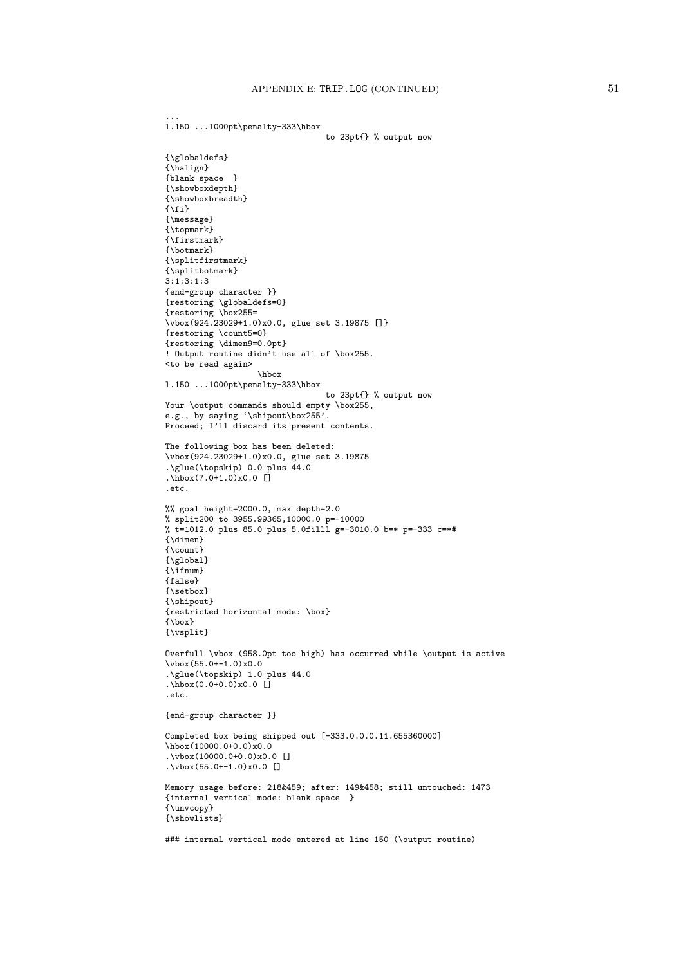...

```
l.150 ...1000pt\penalty-333\hbox
                                  to 23pt{} % output now
{\globaldefs}
{\halign}
{blank space }
{\showboxdepth}
{\showboxbreadth}
\{ \xi \}{\message}
{\topmark}
{\firstmark}
{\botmark}
{\splitfirstmark}
{\splitbotmark}
3:1:3:1:3
{end-group character }}
{restoring \globaldefs=0}
{restoring \box255=
\vbox(924.23029+1.0)x0.0, glue set 3.19875 []}
{restoring \count5=0}
{restoring \dimen9=0.0pt}
! Output routine didn't use all of \box255.
<to be read again>
                   \hbox
l.150 ...1000pt\penalty-333\hbox
                                 to 23pt{} % output now
Your \output commands should empty \box255,
e.g., by saying '\shipout\box255'.
Proceed; I'll discard its present contents.
The following box has been deleted:
\vbox(924.23029+1.0)x0.0, glue set 3.19875
.\glue(\topskip) 0.0 plus 44.0
\hbox{hbox(7.0+1.0)x0.0}.etc.
%% goal height=2000.0, max depth=2.0
% split200 to 3955.99365,10000.0 p=-10000
% t=1012.0 plus 85.0 plus 5.0filll g=-3010.0 b=* p=-333 c=*#
{\dimen}
{\count}
{\{ \gtrm\}}\{\lambda if num\}{false}
{\setbox}
{\shipout}
{restricted horizontal mode: \box}
{\box}
{\vsplit}
Overfull \vbox (958.0pt too high) has occurred while \output is active
\vbox(55.0+-1.0)x0.0
.\glue(\topskip) 1.0 plus 44.0
.\hbox(0.0+0.0)x0.0 []
.etc.
{end-group character }}
Completed box being shipped out [-333.0.0.0.11.655360000]
\hbarox(10000.0+0.0)x0.0
.\v\text{vbox}(10000.0+0.0)x0.0 []
.\vbox(55.0+-1.0)x0.0 []
Memory usage before: 218&459; after: 149&458; still untouched: 1473
{internal vertical mode: blank space }
{\unvcopy}
{\showlists}
### internal vertical mode entered at line 150 (\output routine)
```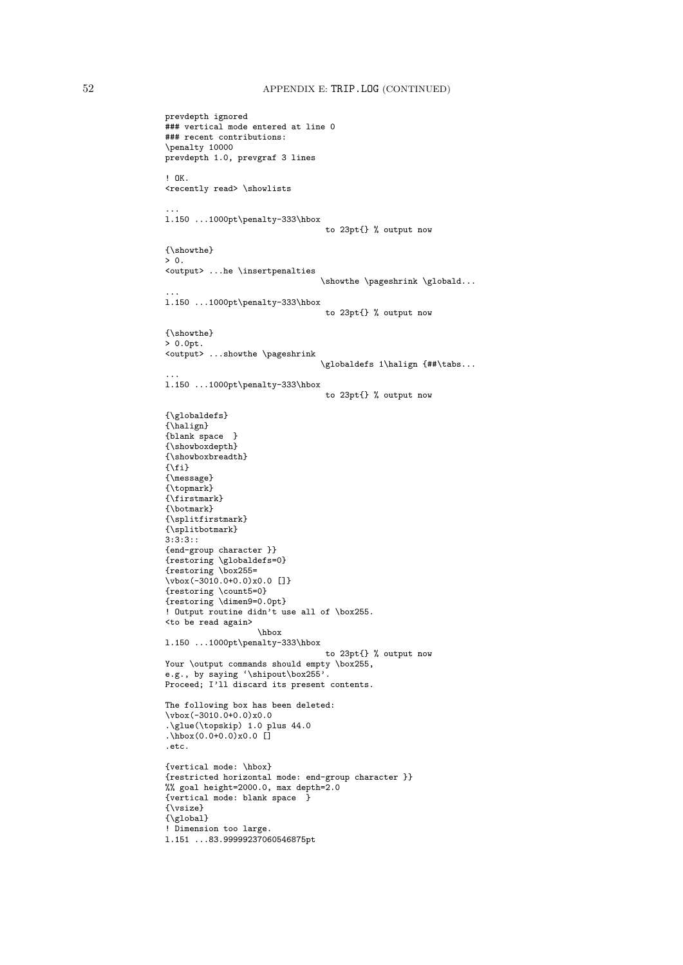```
prevdepth ignored
### vertical mode entered at line 0
### recent contributions:
\penalty 10000
prevdepth 1.0, prevgraf 3 lines
! OK.
<recently read> \showlists
...
l.150 ...1000pt\penalty-333\hbox
                                   to 23pt{} % output now
{\showthe}
> 0.<output> ...he \insertpenalties
                                  \showthe \pageshrink \globald...
...
l.150 ...1000pt\penalty-333\hbox
                                   to 23pt{} % output now
{\showthe}
> 0.0pt.
<output> ...showthe \pageshrink
                                   \globaldefs 1\halign {##\tabs...
...
l.150 ...1000pt\penalty-333\hbox
                                   to 23pt{} % output now
{\globaldefs}
{\hbox{\sf \char'13em}}{blank space }
{\showboxdepth}
{\showboxbreadth}
\{ \ifmmode \chi \else \hbar \else \hbar \else \hbar \space \fi\text{if} \fi \}{\message}
{\topmark}
{\firstmark}
{\botmark}
{\splitfirstmark}
{\splitbotmark}
3:3:3::
{end-group character }}
{restoring \globaldefs=0}
{restoring \box255=
\vbox(-3010.0+0.0)x0.0 []}
{restoring \count5=0}
{restoring \dimen9=0.0pt}
! Output routine didn't use all of \box255.
<to be read again>
                    \hbox
l.150 ...1000pt\penalty-333\hbox
                                   to 23pt{} % output now
Your \output commands should empty \box255,
e.g., by saying '\shipout\box255'.
Proceed; I'll discard its present contents.
The following box has been deleted:
\sqrt{vbox(-3010.0+0.0)x0.0}.\glue(\topskip) 1.0 plus 44.0
\hbox{hbox(0.0+0.0)x0.0}.etc.
{vertical mode: \hbox}
{restricted horizontal mode: end-group character }}
%% goal height=2000.0, max depth=2.0
{vertical mode: blank space }
{\vsize}
{\global}
! Dimension too large.
l.151 ...83.99999237060546875pt
```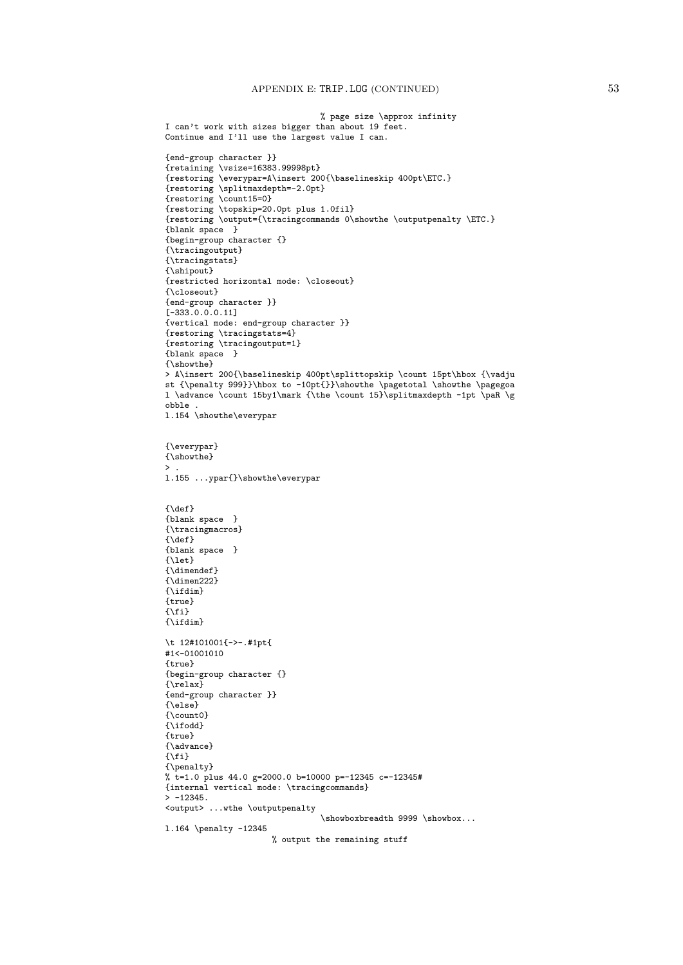```
% page size \approx infinity
I can't work with sizes bigger than about 19 feet.
Continue and I'll use the largest value I can.
{end-group character }}
{retaining \vsize=16383.99998pt}
{restoring \everypar=A\insert 200{\baselineskip 400pt\ETC.}
{restoring \splitmaxdepth=-2.0pt}
{restoring \count15=0}
{restoring \topskip=20.0pt plus 1.0fil}
{restoring \output={\tracingcommands 0\showthe \outputpenalty \ETC.}
{blank space }
{begin-group character {}
{\tracingoutput}
{\tracingstats}
{\shipout}
{restricted horizontal mode: \closeout}
{\closeout}
{end-group character }}
[-333.0.0.0.11]{vertical mode: end-group character }}
{restoring \tracingstats=4}
{restoring \tracingoutput=1}
{blank space }
{\showthe}
> A\insert 200{\baselineskip 400pt\splittopskip \count 15pt\hbox {\vadju
st {\penalty 999}}\hbox to -10pt{}}\showthe \pagetotal \showthe \pagegoa
l \advance \count 15by1\mark {\the \count 15}\splitmaxdepth -1pt \paR \g
obble .
l.154 \showthe\everypar
{\everypar}
{\showthe}
>.
l.155 ...ypar{}\showthe\everypar
{\{\text{def}\}}{blank space }
{\tracingmacros}
{\def}{blank space }
\{let\}{\dimendef}
{\dimen222}
{\hat{\tau}}{true}
\{ \text{if } \}{\ifdim}
\t 12#101001{->-.#1pt{
#1<-01001010
{true}
{begin-group character {}
{\relax}
{end-group character }}
{\else}
{\cal Q}{\ifodd}
{true}
{\advance}
{\fi}
{\penalty}
% t=1.0 plus 44.0 g=2000.0 b=10000 p=-12345 c=-12345#
{internal vertical mode: \tracingcommands}
> -12345.<output> ...wthe \outputpenalty
                                 \showboxbreadth 9999 \showbox...
l.164 \penalty -12345
                      % output the remaining stuff
```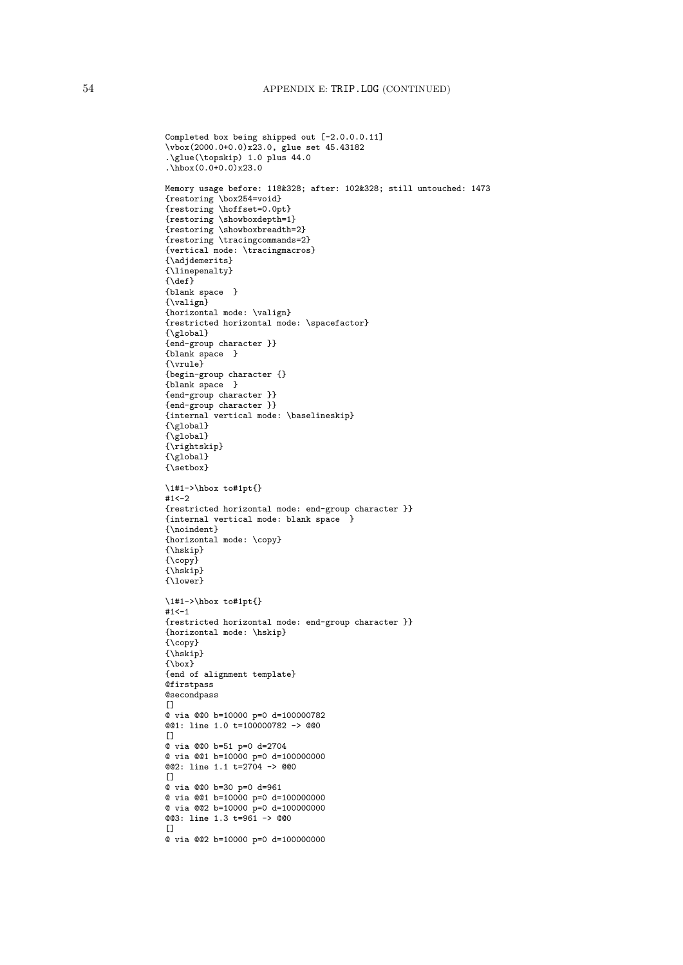```
Completed box being shipped out [-2.0.0.0.11]
\vbox(2000.0+0.0)x23.0, glue set 45.43182
.\glue(\topskip) 1.0 plus 44.0
.\hbox(0.0+0.0)x23.0Memory usage before: 118&328; after: 102&328; still untouched: 1473
{restoring \box254=void}
{restoring \hoffset=0.0pt}
{restoring \showboxdepth=1}
{restoring \showboxbreadth=2}
{restoring \tracingcommands=2}
{vertical mode: \tracingmacros}
{\adjdemerits}
{\linepenalty}
{\text{\textbackslash}}{blank space }
{\valign}
{horizontal mode: \valign}
{restricted horizontal mode: \spacefactor}
{\global}
{end-group character }}
{blank space }
{\vrule}
{begin-group character {}
{blank space }
{end-group character }}
{end-group character }}
{internal vertical mode: \baselineskip}
{\global}
{\global}
{\rightskip}
{\global}
{\setbox}
\1#1->\hbox to#1pt{}
#1<-2{restricted horizontal mode: end-group character }}
{internal vertical mode: blank space }
{\noindent}
{horizontal mode: \copy}
{\hskip}
\overline{\{ \text{conv}\}}{\hskip}
{\lower}
\1#1->\hbox to#1pt{}
#1 < -1{restricted horizontal mode: end-group character }}
{horizontal mode: \hskip}
{\copy}
{\hskip}
{\box}
{end of alignment template}
Qfirstpass
@secondpass
\Box@ via @@0 b=10000 p=0 d=100000782
@@1: line 1.0 t=100000782 -> @@0
[@ via @@0 b=51 p=0 d=2704
@ via @@1 b=10000 p=0 d=100000000
@@2: line 1.1 t=2704 -> @@0
\Box@ via @@0 b=30 p=0 d=961
@ via @@1 b=10000 p=0 d=100000000
@ via @@2 b=10000 p=0 d=100000000
@@3: line 1.3 t=961 -> @@0
\Box@ via @@2 b=10000 p=0 d=100000000
```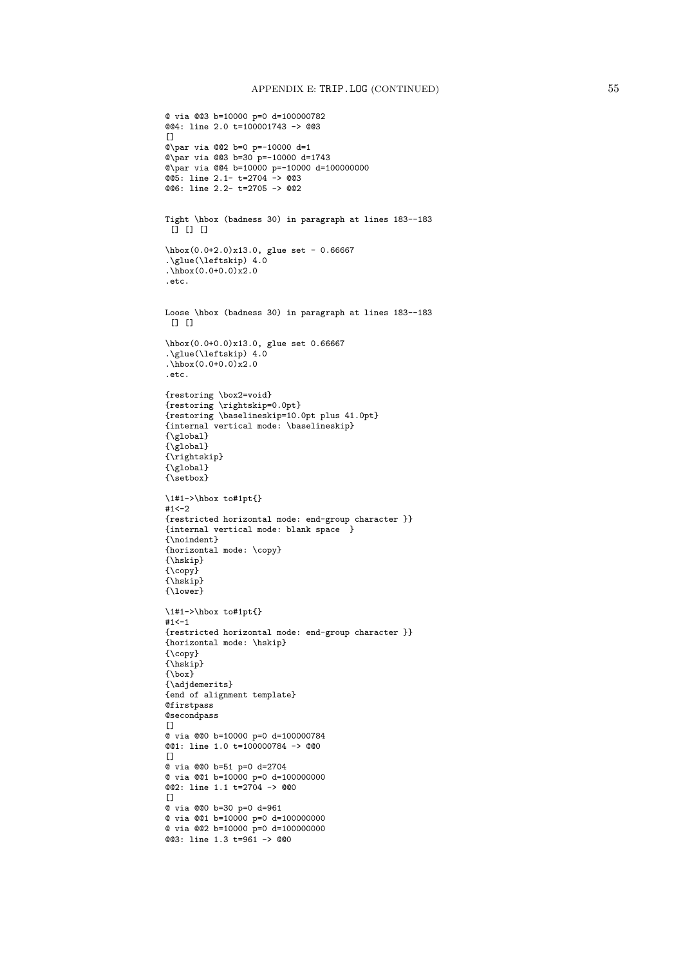```
@ via @@3 b=10000 p=0 d=100000782
@@4: line 2.0 t=100001743 -> @@3
\Box@\par via @@2 b=0 p=-10000 d=1
@\par via @@3 b=30 p=-10000 d=1743
@\par via @@4 b=10000 p=-10000 d=100000000
@@5: line 2.1- t=2704 -> @@3
@@6: line 2.2- t=2705 -> @@2
Tight \hbox (badness 30) in paragraph at lines 183--183
 [] [] []
\hbox(0.0+2.0)x13.0, glue set - 0.66667
.\glue(\leftskip) 4.0
\frac{1}{\text{hbox}(0.0+0.0)x2.0}.etc.
Loose \hbox (badness 30) in paragraph at lines 183--183
[ [ [ ] [ [ ]\hbox(0.0+0.0)x13.0, glue set 0.66667
.\glue(\leftskip) 4.0
\frac{1}{\text{hbox}(0.0+0.0)x2.0}.etc.
{restoring \box2=void}
{restoring \rightskip=0.0pt}
{restoring \baselineskip=10.0pt plus 41.0pt}
{internal vertical mode: \baselineskip}
{\global}
{\sqrt{g}lobal}{\rightskip}
{\sqrt{\gtrsim}}\{ \sqrt{\text{setbox}} \}\1#1->\hbox to#1pt{}
#1<-2{restricted horizontal mode: end-group character }}
{internal vertical mode: blank space }
{\noindent}
{horizontal mode: \copy}
{\hskip}
{\cal O}{\hskip}
{\lower}
\1#1->\hbox to#1pt{}
#1 < -1{restricted horizontal mode: end-group character }}
{horizontal mode: \hskip}
{\copy}
{\hskip}
{\box}
{\adjdemerits}
{end of alignment template}
Qfirstpass
@secondpass
\Box@ via @@0 b=10000 p=0 d=100000784
@@1: line 1.0 t=100000784 -> @@0
\Box@ via @@0 b=51 p=0 d=2704
@ via @@1 b=10000 p=0 d=100000000
@@2: line 1.1 t=2704 -> @@0
\Box@ via @@0 b=30 p=0 d=961
@ via @@1 b=10000 p=0 d=100000000
@ via @@2 b=10000 p=0 d=100000000
@@3: line 1.3 t=961 -> @@0
```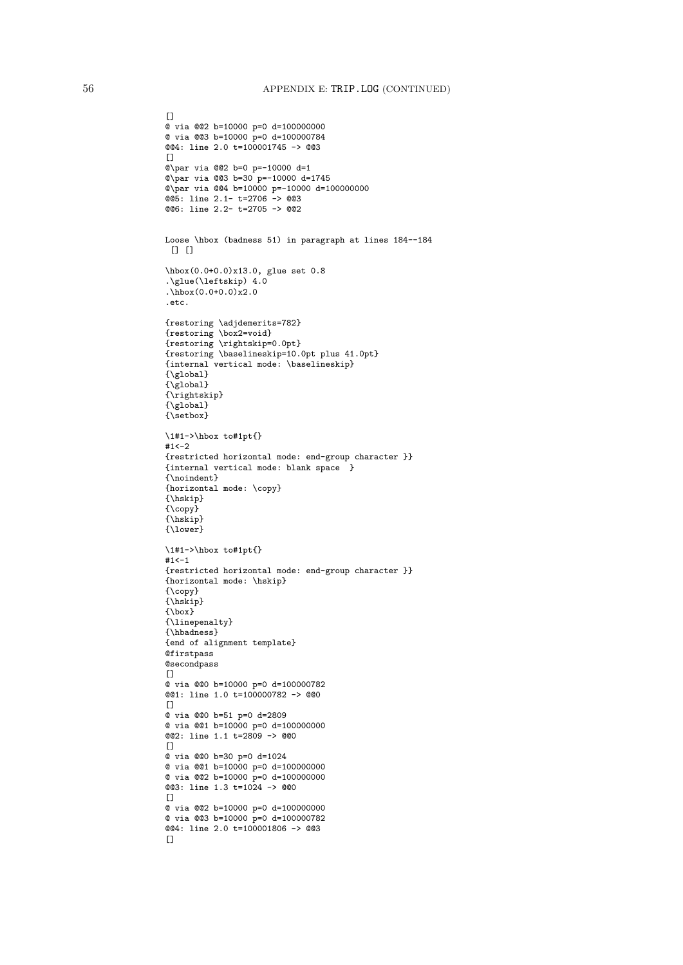```
@ via @@2 b=10000 p=0 d=100000000
@ via @@3 b=10000 p=0 d=100000784
@@4: line 2.0 t=100001745 -> @@3
[]
@\par via @@2 b=0 p=-10000 d=1
@\par via @@3 b=30 p=-10000 d=1745
@\par via @@4 b=10000 p=-10000 d=100000000
@@5: line 2.1- t=2706 -> @@3
@@6: line 2.2- t=2705 -> @@2
Loose \hbox (badness 51) in paragraph at lines 184--184
 [1]\hbox(0.0+0.0)x13.0, glue set 0.8
.\glue(\leftskip) 4.0
.\hbox(0.0+0.0)x2.0
.etc.
{restoring \adjdemerits=782}
{restoring \box2=void}
{restoring \rightskip=0.0pt}
{restoring \baselineskip=10.0pt plus 41.0pt}
{internal vertical mode: \baselineskip}
{\global}
{\sqrt{\text{global}}}{\rightskip}
{\global}
{\setbox}
\1#1->\hbox to#1pt{}
#1<-2{restricted horizontal mode: end-group character }}
{internal vertical mode: blank space }
{\noindent}
{horizontal mode: \copy}
{\hskip}
\{ \text{copy}\}{\hskip}
{\lower}
\1#1->\hbox to#1pt{}
#1<-1{restricted horizontal mode: end-group character }}
{horizontal mode: \hskip}
{\copy}
{\hskip}
{\box}
{\linepenalty}
{\hbadness}
{end of alignment template}
@firstpass
@secondpass
\Box@ via @@0 b=10000 p=0 d=100000782
@@1: line 1.0 t=100000782 -> @@0
\Box@ via @@0 b=51 p=0 d=2809
@ via @@1 b=10000 p=0 d=100000000
@@2: line 1.1 t=2809 -> @@0
[]
@ via @@0 b=30 p=0 d=1024
@ via @@1 b=10000 p=0 d=100000000
@ via @@2 b=10000 p=0 d=100000000
@@3: line 1.3 t=1024 -> @@0
\Box@ via @@2 b=10000 p=0 d=100000000
@ via @@3 b=10000 p=0 d=100000782
@@4: line 2.0 t=100001806 -> @@3
[
```
 $[$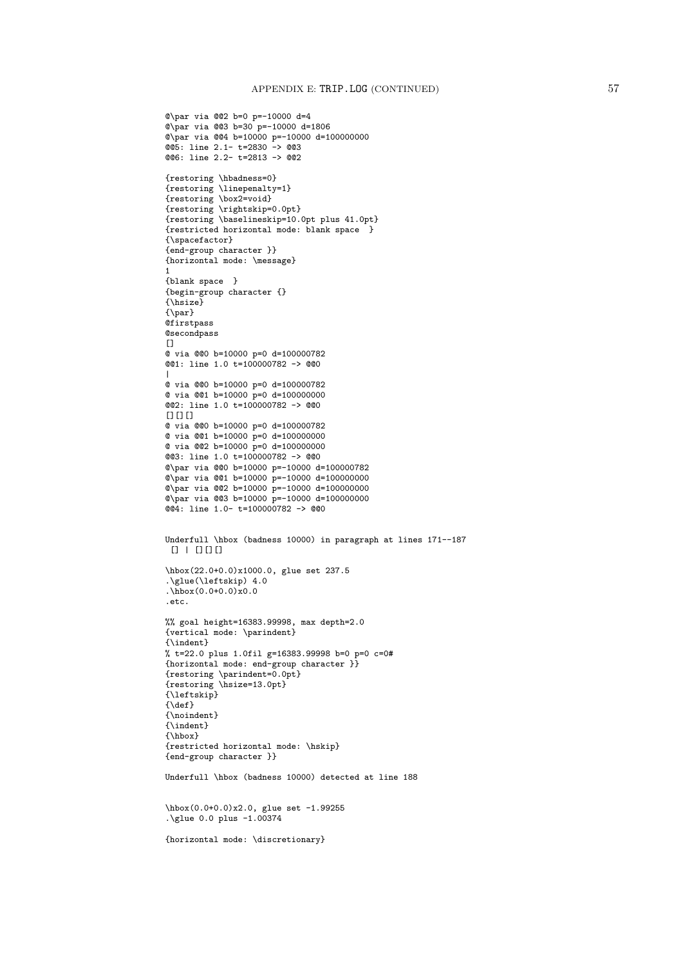```
@\par via @@2 b=0 p=-10000 d=4
@\par via @@3 b=30 p=-10000 d=1806
@\par via @@4 b=10000 p=-10000 d=100000000
@@5: line 2.1- t=2830 -> @@3
@@6: line 2.2- t=2813 -> @@2
{restoring \hbadness=0}
{restoring \linepenalty=1}
{restoring \box2=void}
{restoring \rightskip=0.0pt}
{restoring \baselineskip=10.0pt plus 41.0pt}
{restricted horizontal mode: blank space }
{\spacefactor}
{end-group character }}
{horizontal mode: \message}
1
{blank space }
{begin-group character {}
{\hsize}
{\par}
@firstpass
@secondpass
[@ via @@0 b=10000 p=0 d=100000782
@@1: line 1.0 t=100000782 -> @@0
|
@ via @@0 b=10000 p=0 d=100000782
@ via @@1 b=10000 p=0 d=100000000
@@2: line 1.0 t=100000782 -> @@0
[[][][][][][][][][][][][][][][][][][][][][][][][][][][][][][][][][][][][][][@ via @@0 b=10000 p=0 d=100000782
@ via @@1 b=10000 p=0 d=100000000
@ via @@2 b=10000 p=0 d=100000000
@@3: line 1.0 t=100000782 -> @@0
@\par via @@0 b=10000 p=-10000 d=100000782
@\par via @@1 b=10000 p=-10000 d=100000000
@\par via @@2 b=10000 p=-10000 d=100000000
@\par via @@3 b=10000 p=-10000 d=100000000
@@4: line 1.0- t=100000782 -> @@0
Underfull \hbox (badness 10000) in paragraph at lines 171--187
[1] [1] [1]\hbox(22.0+0.0)x1000.0, glue set 237.5
.\glue(\leftskip) 4.0
.\hbox(0.0+0.0)x0.0
.etc.
%% goal height=16383.99998, max depth=2.0
{vertical mode: \parindent}
{\indent}
% t=22.0 plus 1.0fil g=16383.99998 b=0 p=0 c=0#
{horizontal mode: end-group character }}
{restoring \parindent=0.0pt}
{restoring \hsize=13.0pt}
{\leftskip}
{\def}{\noindent}
{\indent}
{\hbox}
{restricted horizontal mode: \hskip}
{end-group character }}
Underfull \hbox (badness 10000) detected at line 188
\hbox(0.0+0.0)x2.0, glue set -1.99255
.\glue 0.0 plus -1.00374
{horizontal mode: \discretionary}
```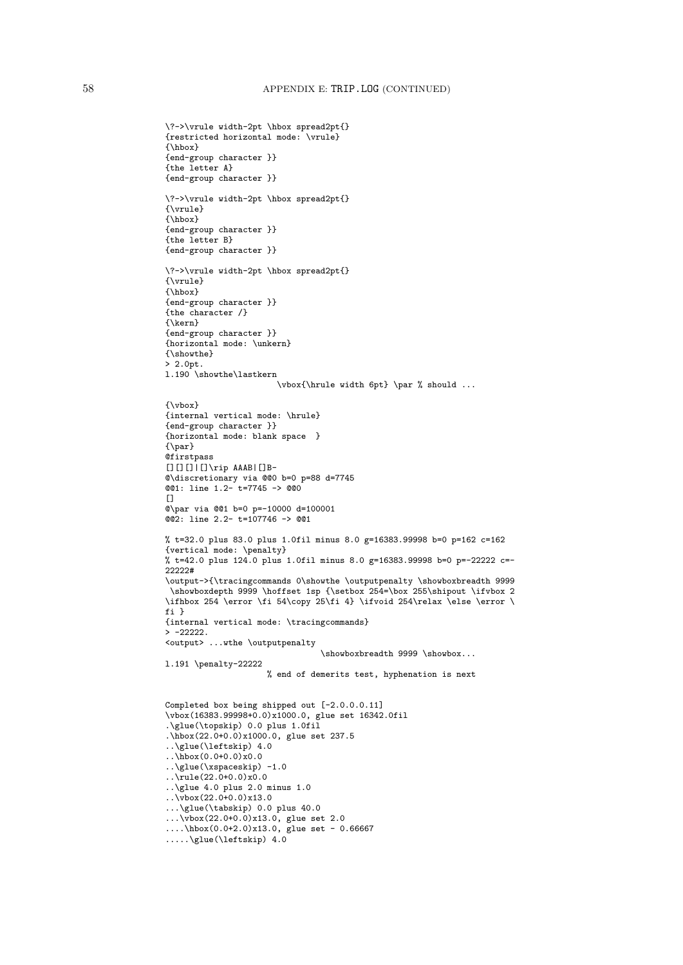```
\?->\vrule width-2pt \hbox spread2pt{}
{restricted horizontal mode: \vrule}
{\hbox}
{end-group character }}
{the letter A}
{end-group character }}
\?->\vrule width-2pt \hbox spread2pt{}
{\vrule}
{\hbox}
{end-group character }}
{the letter B}
{end-group character }}
\?->\vrule width-2pt \hbox spread2pt{}
{\vrule}
{\hbox}
{end-group character }}
{the character /}
{\kern}
{end-group character }}
{horizontal mode: \unkern}
{\showthe}
> 2.0pt.
l.190 \showthe\lastkern
                       \vbox{\hrule width 6pt} \par % should ...
{\vbox}
{internal vertical mode: \hrule}
{end-group character }}
{horizontal mode: blank space }
{\par}
@firstpass
[[][][]\[[]\[[]\[[]\[[]\[[]\[[]\[[]\][[]\[[]\][[]\][[]\]@\discretionary via @@0 b=0 p=88 d=7745
@@1: line 1.2- t=7745 -> @@0
\Box@\par via @@1 b=0 p=-10000 d=100001
@@2: line 2.2- t=107746 -> @@1
% t=32.0 plus 83.0 plus 1.0fil minus 8.0 g=16383.99998 b=0 p=162 c=162
{vertical mode: \penalty}
% t=42.0 plus 124.0 plus 1.0fil minus 8.0 g=16383.99998 b=0 p=-22222 c=-
22222#
\output->{\tracingcommands 0\showthe \outputpenalty \showboxbreadth 9999
 \showboxdepth 9999 \hoffset 1sp {\setbox 254=\box 255\shipout \ifvbox 2
\ifhbox 254 \error \fi 54\copy 25\fi 4} \ifvoid 254\relax \else \error \
fi }
{internal vertical mode: \tracingcommands}
> -22222.
<output> ...wthe \outputpenalty
                                 \showboxbreadth 9999 \showbox...
l.191 \penalty-22222
                     % end of demerits test, hyphenation is next
Completed box being shipped out [-2.0.0.0.11]
\vbox(16383.99998+0.0)x1000.0, glue set 16342.0fil
.\glue(\topskip) 0.0 plus 1.0fil
.\hbox(22.0+0.0)x1000.0, glue set 237.5
..\glue(\leftskip) 4.0
\ldots\hbox(0.0+0.0)x0.0
..glue(\xspaceskip) -1.0..\rule(22.0+0.0)x0.0
..\glue 4.0 plus 2.0 minus 1.0
\cdot. \vbox(22.0+0.0)x13.0
...\glue(\tabskip) 0.0 plus 40.0
...\vbox(22.0+0.0)x13.0, glue set 2.0
....\hbox(0.0+2.0)x13.0, glue set - 0.66667
.....\glue(\leftskip) 4.0
```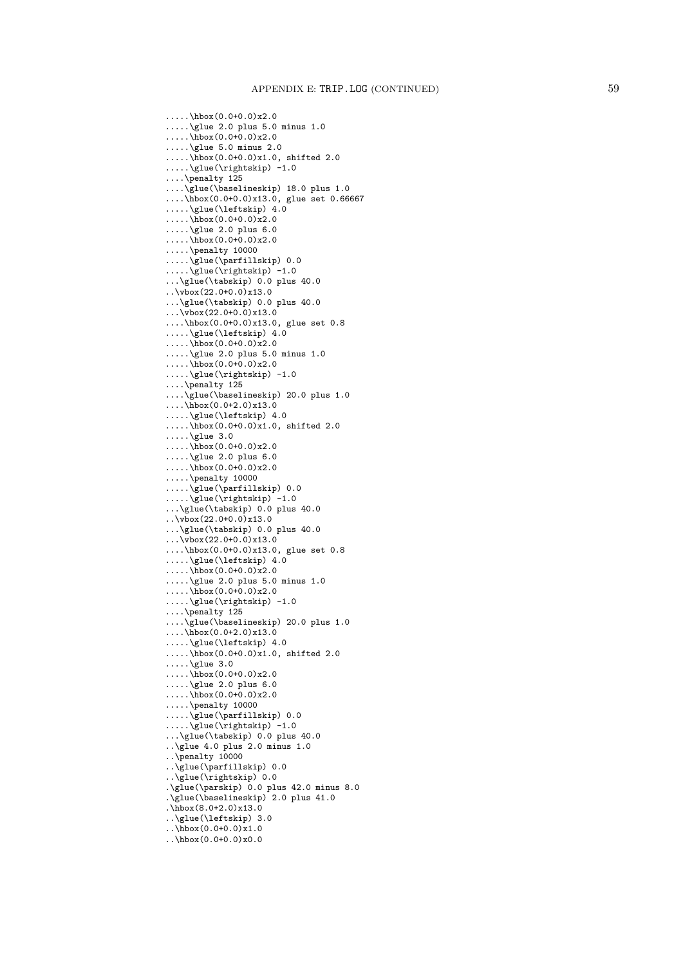.....\hbox(0.0+0.0)x2.0 .....\glue 2.0 plus 5.0 minus 1.0 .....\hbox(0.0+0.0)x2.0 .....\glue 5.0 minus 2.0  $\ldots$ ....\hbox(0.0+0.0)x1.0, shifted 2.0 .....\glue(\rightskip) -1.0 ....\penalty 125 ....\glue(\baselineskip) 18.0 plus 1.0 ....\hbox(0.0+0.0)x13.0, glue set 0.66667 .....\glue(\leftskip) 4.0  $\ldots$ .....\hbox(0.0+0.0)x2.0 .....\glue 2.0 plus 6.0 .....\hbox(0.0+0.0)x2.0 .....\penalty 10000 .....\glue(\parfillskip) 0.0 .....\glue(\rightskip) -1.0 ...\glue(\tabskip) 0.0 plus 40.0 ..\vbox(22.0+0.0)x13.0 ...\glue(\tabskip) 0.0 plus 40.0  $\ldots$  \vbox(22.0+0.0)x13.0 ....\hbox(0.0+0.0)x13.0, glue set 0.8 .....\glue(\leftskip) 4.0  $\ldots$ .....\hbox(0.0+0.0)x2.0 .....\glue 2.0 plus 5.0 minus 1.0  $\ldots$ .....\hbox(0.0+0.0)x2.0 .....\glue(\rightskip) -1.0 ....\penalty 125 ....\glue(\baselineskip) 20.0 plus 1.0 ....\hbox(0.0+2.0)x13.0 .....\glue(\leftskip) 4.0 .....\hbox(0.0+0.0)x1.0, shifted 2.0 .....\glue 3.0  $\ldots$ .....\hbox(0.0+0.0)x2.0 .....\glue 2.0 plus 6.0 ..... $\overline{h}box(0.0+0.0)x2.0$ .....\penalty 10000 .....\glue(\parfillskip) 0.0  $\ldots$ \glue(\rightskip) -1.0  $\ldots$ \glue(\tabskip) 0.0 plus 40.0  $\ldots$  \vbox(22.0+0.0)x13.0 ...\glue(\tabskip) 0.0 plus 40.0  $\ldots$ \vbox(22.0+0.0)x13.0 ....\hbox(0.0+0.0)x13.0, glue set 0.8 .....\glue(\leftskip) 4.0  $\ldots$ .....\hbox(0.0+0.0)x2.0 .....\glue 2.0 plus 5.0 minus 1.0 .....\hbox(0.0+0.0)x2.0 .....\glue(\rightskip) -1.0 ....\penalty 125 ....\glue(\baselineskip) 20.0 plus 1.0 ....\hbox(0.0+2.0)x13.0 .....\glue(\leftskip) 4.0  $\ldots$ ....\hbox(0.0+0.0)x1.0, shifted 2.0 .....\glue  $3.0$ .....\hbox(0.0+0.0)x2.0 .....\glue 2.0 plus 6.0  $\ldots$ .....\hbox(0.0+0.0)x2.0 .....\penalty 10000 .....\glue(\parfillskip) 0.0 .....\glue(\rightskip) -1.0 ...\glue(\tabskip) 0.0 plus 40.0 ..\glue 4.0 plus 2.0 minus 1.0 ..\penalty 10000 ..\glue(\parfillskip) 0.0 ..\glue(\rightskip) 0.0 .\glue(\parskip) 0.0 plus 42.0 minus 8.0 .\glue(\baselineskip) 2.0 plus 41.0 .\hbox $(8.0+2.0)x13.0$ ..\glue(\leftskip) 3.0 ..\hbox(0.0+0.0)x1.0 ..\hbox(0.0+0.0)x0.0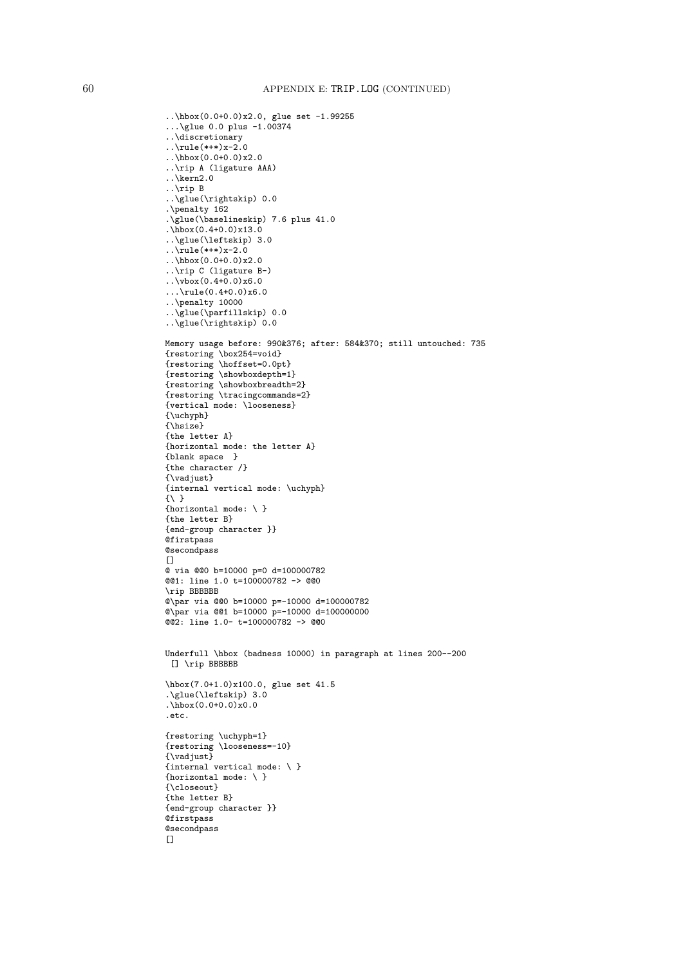```
..\hbox(0.0+0.0)x2.0, glue set -1.99255
\ldots\glue 0.0 plus -1.00374
..\discretionary
..\rule{1.5cm}{0.1cm}rule(*+*)x-2.0
..\hbox(0.0+0.0)x2.0
..\rip A (ligature AAA)
..\kern2.0
..\rip B
..\glue(\rightskip) 0.0
.\penalty 162
.\glue(\baselineskip) 7.6 plus 41.0
.\hbox(0.4+0.0)x13.0
..\glue(\leftskip) 3.0
\ldots\rule(*+*)x-2.0
\ldots\hbox(0.0+0.0)x2.0..\rip C (ligature B-)
\ldots\vbox(0.4+0.0)x6.0
...\rule(0.4+0.0)x6.0
..\penalty 10000
..\glue(\parfillskip) 0.0
\lceil \cdot \cdot \cdot \rceil 0.0
Memory usage before: 990&376; after: 584&370; still untouched: 735
{restoring \box254=void}
{restoring \hoffset=0.0pt}
{restoring \showboxdepth=1}
{restoring \showboxbreadth=2}
{restoring \tracingcommands=2}
{vertical mode: \looseness}
{\uchyph}
{\hsize}
{the letter A}
{horizontal mode: the letter A}
{blank space }
{the character /}
{\vadjust}
{internal vertical mode: \uchyph}
{\{\ \ }{horizontal mode: \ }
{the letter B}
{end-group character }}
@firstpass
@secondpass
\Box@ via @@0 b=10000 p=0 d=100000782
@@1: line 1.0 t=100000782 -> @@0
\rip BBBBBB
@\par via @@0 b=10000 p=-10000 d=100000782
@\par via @@1 b=10000 p=-10000 d=100000000
@@2: line 1.0- t=100000782 -> @@0
Underfull \hbox (badness 10000) in paragraph at lines 200--200
 [] \rip BBBBBB
\hbox(7.0+1.0)x100.0, glue set 41.5
.\glue(\leftskip) 3.0
.\hbox(0.0+0.0)x0.0
.etc.
{restoring \uchyph=1}
{restoring \looseness=-10}
{\vadjust}
{internal vertical mode: \ }
{horizontal mode: \setminus }
{\closeout}
{the letter B}
{end-group character }}
@firstpass
@secondpass
[
```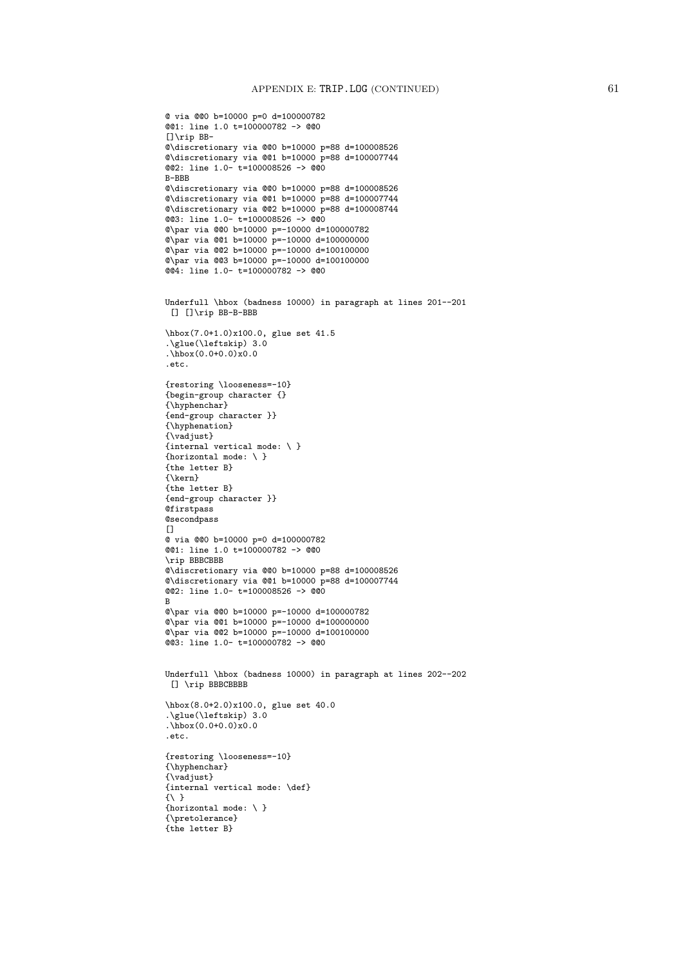```
@ via @@0 b=10000 p=0 d=100000782
@@1: line 1.0 t=100000782 -> @@0
[]\rip BB-
@\discretionary via @@0 b=10000 p=88 d=100008526
@\discretionary via @@1 b=10000 p=88 d=100007744
@@2: line 1.0- t=100008526 -> @@0
B-BBB
@\discretionary via @@0 b=10000 p=88 d=100008526
@\discretionary via @@1 b=10000 p=88 d=100007744
@\discretionary via @@2 b=10000 p=88 d=100008744
@@3: line 1.0- t=100008526 -> @@0
@\par via @@0 b=10000 p=-10000 d=100000782
Q\par via @@1 b=10000 p=-10000 d=100000000
@\par via @@2 b=10000 p=-10000 d=100100000
@\par via @@3 b=10000 p=-10000 d=100100000
@@4: line 1.0- t=100000782 -> @@0
Underfull \hbox (badness 10000) in paragraph at lines 201--201
[] []\rip BB-B-BBB
\hbox(7.0+1.0)x100.0, glue set 41.5
.\glue(\leftskip) 3.0
.\hbox{hbox}(0.0+0.0)x0.0.etc.
{restoring \looseness=-10}
{begin-group character {}
{\hyphenchar}
{end-group character }}
{\hyphenation}
{\vadjust}
{internal vertical mode: \ }
{horizontal mode: \setminus }
{the letter B}
{\kern}
{the letter B}
{end-group character }}
@firstpass
@secondpass
\Box@ via @@0 b=10000 p=0 d=100000782
@@1: line 1.0 t=100000782 -> @@0
\rip BBBCBBB
@\discretionary via @@0 b=10000 p=88 d=100008526
@\discretionary via @@1 b=10000 p=88 d=100007744
@@2: line 1.0- t=100008526 -> @@0
B
@\par via @@0 b=10000 p=-10000 d=100000782
@\par via @@1 b=10000 p=-10000 d=100000000
@\par via @@2 b=10000 p=-10000 d=100100000
@@3: line 1.0- t=100000782 -> @@0
Underfull \hbox (badness 10000) in paragraph at lines 202--202
[] \rip BBBCBBBB
\hbox(8.0+2.0)x100.0, glue set 40.0
.\glue(\leftskip) 3.0
.\hbox(0.0+0.0)x0.0
.etc.
{restoring \looseness=-10}
{\hyphenchar}
{\vadjust}
{internal vertical mode: \def}
\{\ \ \}{horizontal mode: \setminus }
{\pretolerance}
{the letter B}
```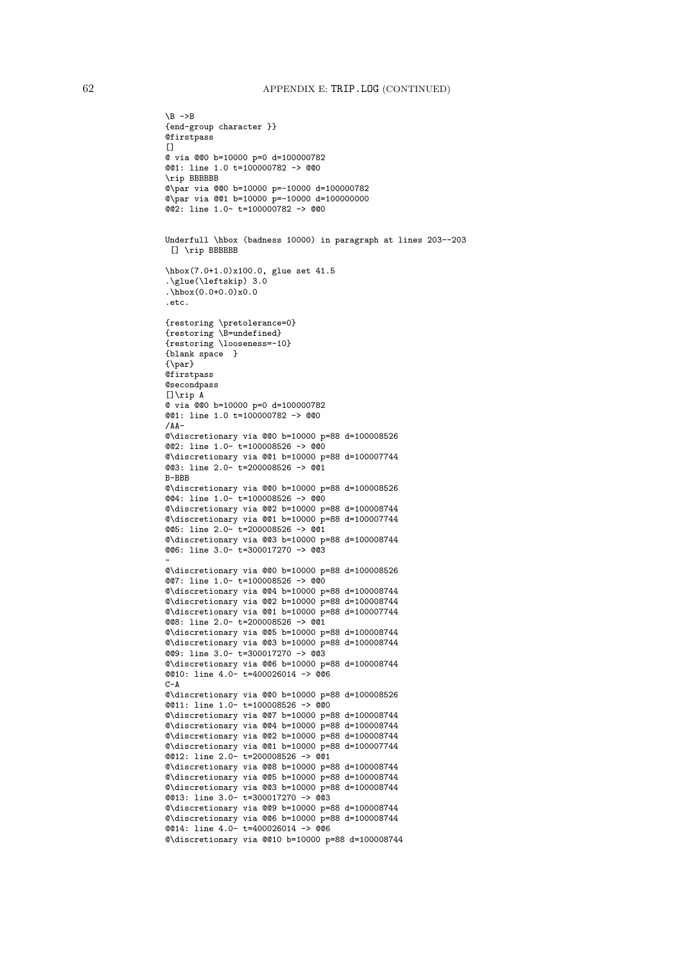```
{end-group character }}
Qfirstpass
[]
@ via @@0 b=10000 p=0 d=100000782
@@1: line 1.0 t=100000782 -> @@0
\rip BBBBBB
@\par via @@0 b=10000 p=-10000 d=100000782
@\par via @@1 b=10000 p=-10000 d=100000000
@@2: line 1.0- t=100000782 -> @@0
Underfull \hbox (badness 10000) in paragraph at lines 203--203
 [] \rip BBBBBB
\hbox(7.0+1.0)x100.0, glue set 41.5
.\glue(\leftskip) 3.0
.\hbox(0.0+0.0)x0.0
.etc.
{restoring \pretolerance=0}
{restoring \B=undefined}
{restoring \looseness=-10}
{blank space }
{\par}
@firstpass
@secondpass
[]\rip A
@ via @@0 b=10000 p=0 d=100000782
@@1: line 1.0 t=100000782 -> @@0
/\Delta\Delta-@\discretionary via @@0 b=10000 p=88 d=100008526
@@2: line 1.0- t=100008526 -> @@0
@\discretionary via @@1 b=10000 p=88 d=100007744
@@3: line 2.0- t=200008526 -> @@1
B-BBB
@\discretionary via @@0 b=10000 p=88 d=100008526
@@4: line 1.0- t=100008526 -> @@0
@\discretionary via @@2 b=10000 p=88 d=100008744
@\discretionary via @@1 b=10000 p=88 d=100007744
@@5: line 2.0- t=200008526 -> @@1
@\discretionary via @@3 b=10000 p=88 d=100008744
@@6: line 3.0- t=300017270 -> @@3
-
@\discretionary via @@0 b=10000 p=88 d=100008526
@@7: line 1.0- t=100008526 -> @@0
@\discretionary via @@4 b=10000 p=88 d=100008744
@\discretionary via @@2 b=10000 p=88 d=100008744
@\discretionary via @@1 b=10000 p=88 d=100007744
@@8: line 2.0- t=200008526 -> @@1
@\discretionary via @@5 b=10000 p=88 d=100008744
@\discretionary via @@3 b=10000 p=88 d=100008744
@@9: line 3.0- t=300017270 -> @@3
@\discretionary via @@6 b=10000 p=88 d=100008744
@@10: line 4.0- t=400026014 -> @@6
C-A@\discretionary via @@0 b=10000 p=88 d=100008526
@@11: line 1.0- t=100008526 -> @@0
@\discretionary via @@7 b=10000 p=88 d=100008744
@\discretionary via @@4 b=10000 p=88 d=100008744
@\discretionary via @@2 b=10000 p=88 d=100008744
@\discretionary via @@1 b=10000 p=88 d=100007744
@@12: line 2.0- t=200008526 -> @@1
@\discretionary via @@8 b=10000 p=88 d=100008744
@\discretionary via @@5 b=10000 p=88 d=100008744
@\discretionary via @@3 b=10000 p=88 d=100008744
@@13: line 3.0- t=300017270 -> @@3
@\discretionary via @@9 b=10000 p=88 d=100008744
@\discretionary via @@6 b=10000 p=88 d=100008744
@@14: line 4.0- t=400026014 -> @@6
@\discretionary via @@10 b=10000 p=88 d=100008744
```
 $\Bbb B$  ->B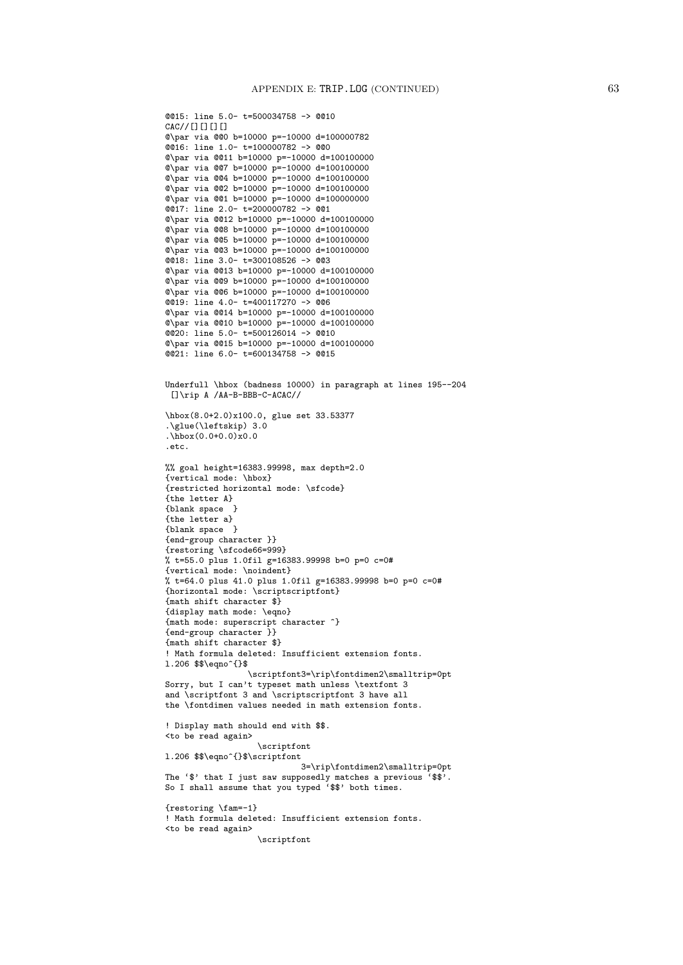```
@@15: line 5.0- t=500034758 -> @@10
CAC//[][][][]
@\par via @@0 b=10000 p=-10000 d=100000782
@@16: line 1.0- t=100000782 -> @@0
@\par via @@11 b=10000 p=-10000 d=100100000
@\par via @@7 b=10000 p=-10000 d=100100000
@\par via @@4 b=10000 p=-10000 d=100100000
@\par via @@2 b=10000 p=-10000 d=100100000
@\par via @@1 b=10000 p=-10000 d=100000000
@@17: line 2.0- t=200000782 -> @@1
@\par via @@12 b=10000 p=-10000 d=100100000
@\par via @@8 b=10000 p=-10000 d=100100000
@\par via @@5 b=10000 p=-10000 d=100100000
@\par via @@3 b=10000 p=-10000 d=100100000
@@18: line 3.0- t=300108526 -> @@3
@\par via @@13 b=10000 p=-10000 d=100100000
@\par via @@9 b=10000 p=-10000 d=100100000
@\par via @@6 b=10000 p=-10000 d=100100000
@@19: line 4.0- t=400117270 -> @@6
@\par via @@14 b=10000 p=-10000 d=100100000
@\par via @@10 b=10000 p=-10000 d=100100000
@@20: line 5.0- t=500126014 -> @@10
@\par via @@15 b=10000 p=-10000 d=100100000
@@21: line 6.0- t=600134758 -> @@15
Underfull \hbox (badness 10000) in paragraph at lines 195--204
 []\rip A /AA-B-BBB-C-ACAC//
\hbox(8.0+2.0)x100.0, glue set 33.53377
.\glue(\leftskip) 3.0
.\hbox(0.0+0.0)x0.0
.etc.
%% goal height=16383.99998, max depth=2.0
{vertical mode: \hbox}
{restricted horizontal mode: \sfcode}
{the letter A}
{blank space }
{the letter a}
{blank space }
{end-group character }}
{restoring \sfcode66=999}
% t=55.0 plus 1.0fil g=16383.99998 b=0 p=0 c=0#
{vertical mode: \noindent}
% t=64.0 plus 41.0 plus 1.0fil g=16383.99998 b=0 p=0 c=0#
{horizontal mode: \scriptscriptfont}
{math shift character $}
{display math mode: \eqno}
{math mode: superscript character ^}
{end-group character }}
{math shift character $}
! Math formula deleted: Insufficient extension fonts.
l.206 $$\eqno^{}$
                 \scriptfont3=\rip\fontdimen2\smalltrip=0pt
Sorry, but I can't typeset math unless \textfont 3
and \scriptfont 3 and \scriptscriptfont 3 have all
the \fontdimen values needed in math extension fonts.
! Display math should end with $$.
<to be read again>
                   \scriptfont
l.206 $$\eqno^{}$\scriptfont
                            3=\rip\fontdimen2\smalltrip=0pt
The '$' that I just saw supposedly matches a previous '$$'.
So I shall assume that you typed '$$' both times.
{restoring \fam=-1}
! Math formula deleted: Insufficient extension fonts.
<to be read again>
                   \scriptfont
```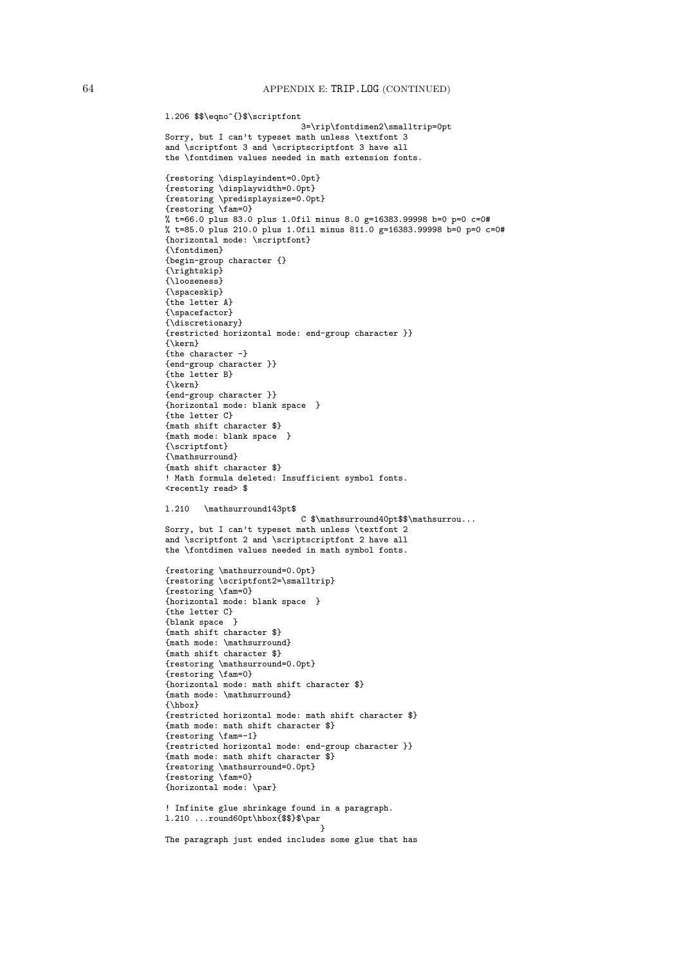```
l.206 $$\eqno^{}$\scriptfont
                            3=\rip\fontdimen2\smalltrip=0pt
Sorry, but I can't typeset math unless \textfont 3
and \scriptfont 3 and \scriptscriptfont 3 have all
the \fontdimen values needed in math extension fonts.
{restoring \displayindent=0.0pt}
{restoring \displaywidth=0.0pt}
{restoring \predisplaysize=0.0pt}
{restoring \fam=0}
% t=66.0 plus 83.0 plus 1.0fil minus 8.0 g=16383.99998 b=0 p=0 c=0#
% t=85.0 plus 210.0 plus 1.0fil minus 811.0 g=16383.99998 b=0 p=0 c=0#
{horizontal mode: \scriptfont}
{\fontdimen}
{begin-group character {}
{\rightskip}
{\looseness}
{\spaceskip}
{the letter A}
{\spacefactor}
{\discretionary}
{restricted horizontal mode: end-group character }}
{\kern}
{the character -}
{end-group character }}
{the letter B}
{\kern}
{end-group character }}
{horizontal mode: blank space }
{the letter C}
{math shift character $}
{math mode: blank space }
{\scriptfont}
{\mathsurround}
{math shift character $}
! Math formula deleted: Insufficient symbol fonts.
<recently read> $
l.210 \mathsurround143pt$
                            C $\mathsurround40pt$$\mathsurrou...
Sorry, but I can't typeset math unless \textfont 2
and \scriptfont 2 and \scriptscriptfont 2 have all
the \fontdimen values needed in math symbol fonts.
{restoring \mathsurround=0.0pt}
{restoring \scriptfont2=\smalltrip}
{restoring \fam=0}
{horizontal mode: blank space }
{the letter C}
{blank space }
{math shift character $}
{math mode: \mathsurround}
{math shift character $}
{restoring \mathsurround=0.0pt}
{restoring \fam=0}
{horizontal mode: math shift character $}
{math mode: \mathsurround}
{\hbox}
{restricted horizontal mode: math shift character $}
{math mode: math shift character $}
{restoring \fam=-1}
{restricted horizontal mode: end-group character }}
{math mode: math shift character $}
{restoring \mathsurround=0.0pt}
{restoring \fam=0}
{horizontal mode: \par}
! Infinite glue shrinkage found in a paragraph.
l.210 ...round60pt\hbox{$$}$\par
                                 }
The paragraph just ended includes some glue that has
```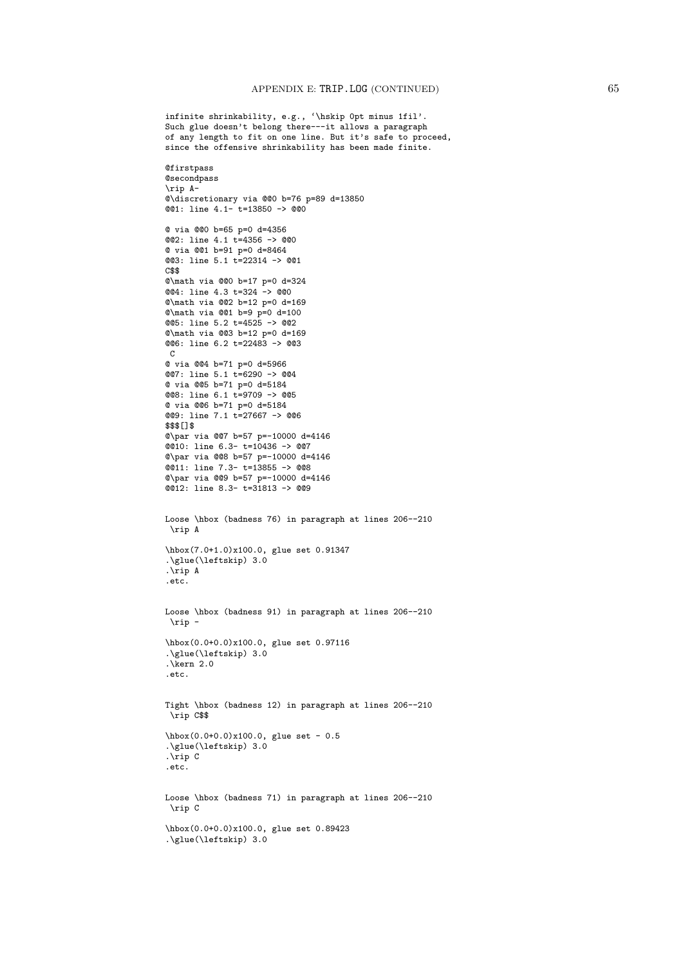infinite shrinkability, e.g., '\hskip 0pt minus 1fil'. Such glue doesn't belong there---it allows a paragraph of any length to fit on one line. But it's safe to proceed, since the offensive shrinkability has been made finite. **Qfirstpass @secondpass** \rip A- @\discretionary via @@0 b=76 p=89 d=13850 @@1: line 4.1- t=13850 -> @@0 @ via @@0 b=65 p=0 d=4356 @@2: line 4.1 t=4356 -> @@0 @ via @@1 b=91 p=0 d=8464 @@3: line 5.1 t=22314 -> @@1 C\$\$ @\math via @@0 b=17 p=0 d=324 @@4: line 4.3 t=324 -> @@0 @\math via @@2 b=12 p=0 d=169 @\math via @@1 b=9 p=0 d=100  $@65: 1ine 5.2 t=4525 -> @22$ @\math via @@3 b=12 p=0 d=169 @@6: line 6.2 t=22483 -> @@3 C @ via @@4 b=71 p=0 d=5966 @@7: line 5.1 t=6290 -> @@4 @ via @@5 b=71 p=0 d=5184 @@8: line 6.1 t=9709 -> @@5 @ via @@6 b=71 p=0 d=5184 @@9: line 7.1 t=27667 -> @@6 \$\$\$[]\$ @\par via @@7 b=57 p=-10000 d=4146 @@10: line 6.3- t=10436 -> @@7 @\par via @@8 b=57 p=-10000 d=4146 @@11: line 7.3- t=13855 -> @@8 @\par via @@9 b=57 p=-10000 d=4146 @@12: line 8.3- t=31813 -> @@9 Loose \hbox (badness 76) in paragraph at lines 206--210 \rip A \hbox(7.0+1.0)x100.0, glue set 0.91347 .\glue(\leftskip) 3.0 .\rip A .etc. Loose \hbox (badness 91) in paragraph at lines 206--210 \rip - \hbox(0.0+0.0)x100.0, glue set 0.97116 .\glue(\leftskip) 3.0  $\overline{\text{Kern 2.0}}$ .etc. Tight \hbox (badness 12) in paragraph at lines 206--210 \rip C\$\$ \hbox(0.0+0.0)x100.0, glue set - 0.5 .\glue(\leftskip) 3.0 .\rip C .etc. Loose \hbox (badness 71) in paragraph at lines 206--210 \rip C \hbox(0.0+0.0)x100.0, glue set 0.89423 .\glue(\leftskip) 3.0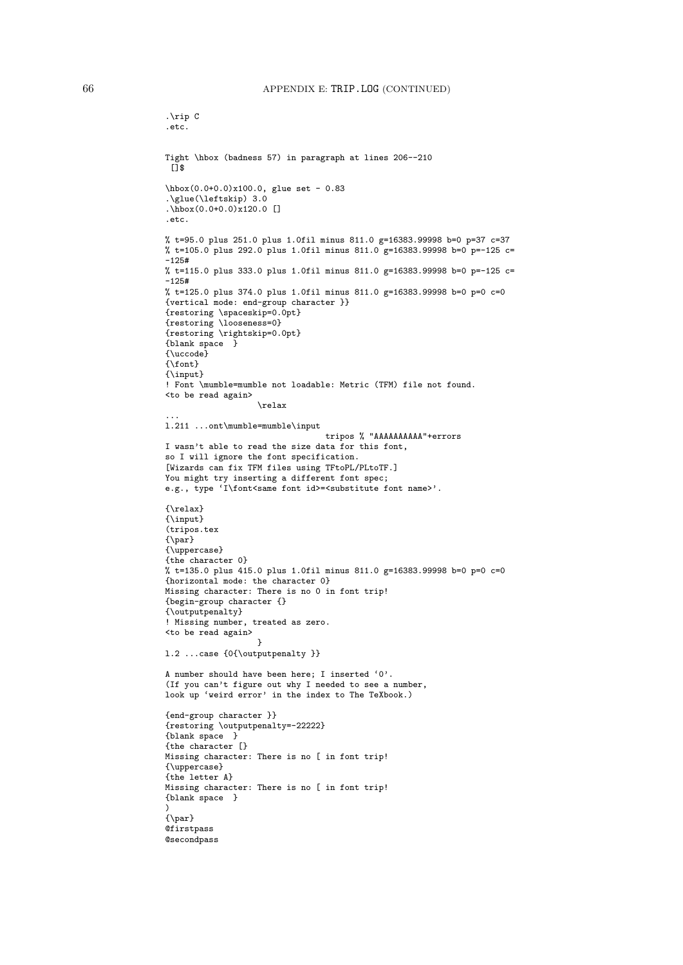```
.\rip C
.etc.
Tight \hbox (badness 57) in paragraph at lines 206--210
 \sqrt{13}\hbox(0.0+0.0)x100.0, glue set - 0.83
.\glue(\leftskip) 3.0
\hbox{\tt \`hbox(0.0+0.0)x120.0}.etc.
% t=95.0 plus 251.0 plus 1.0fil minus 811.0 g=16383.99998 b=0 p=37 c=37
% t=105.0 plus 292.0 plus 1.0fil minus 811.0 g=16383.99998 b=0 p=-125 c=
-125#% t=115.0 plus 333.0 plus 1.0fil minus 811.0 g=16383.99998 b=0 p=-125 c=
-125#% t=125.0 plus 374.0 plus 1.0fil minus 811.0 g=16383.99998 b=0 p=0 c=0
{vertical mode: end-group character }}
{restoring \spaceskip=0.0pt}
{restoring \looseness=0}
{restoring \rightskip=0.0pt}
{blank space }
{\uccode}
{\font}
{\input}
! Font \mumble=mumble not loadable: Metric (TFM) file not found.
<to be read again>
                   \relax
...
l.211 ...ont\mumble=mumble\input
                                 tripos % "AAAAAAAAAA"+errors
I wasn't able to read the size data for this font,
so I will ignore the font specification.
[Wizards can fix TFM files using TFtoPL/PLtoTF.]
You might try inserting a different font spec;
e.g., type 'I\font<same font id>=<substitute font name>'.
{\relax}
{\input}
(tripos.tex
{\par}
{\uppercase}
{the character 0}
% t=135.0 plus 415.0 plus 1.0fil minus 811.0 g=16383.99998 b=0 p=0 c=0
{horizontal mode: the character 0}
Missing character: There is no 0 in font trip!
{begin-group character {}
{\outputpenalty}
! Missing number, treated as zero.
<to be read again>
                   }
l.2 ...case {0{\outputpenalty }}
A number should have been here; I inserted '0'.
(If you can't figure out why I needed to see a number,
look up 'weird error' in the index to The TeXbook.)
{end-group character }}
{restoring \outputpenalty=-22222}
{blank space }
{the character [}
Missing character: There is no [ in font trip!
{\uppercase}
{the letter A}
Missing character: There is no [ in font trip!
{blank space }
)
{\par}
Qfirstpass
@secondpass
```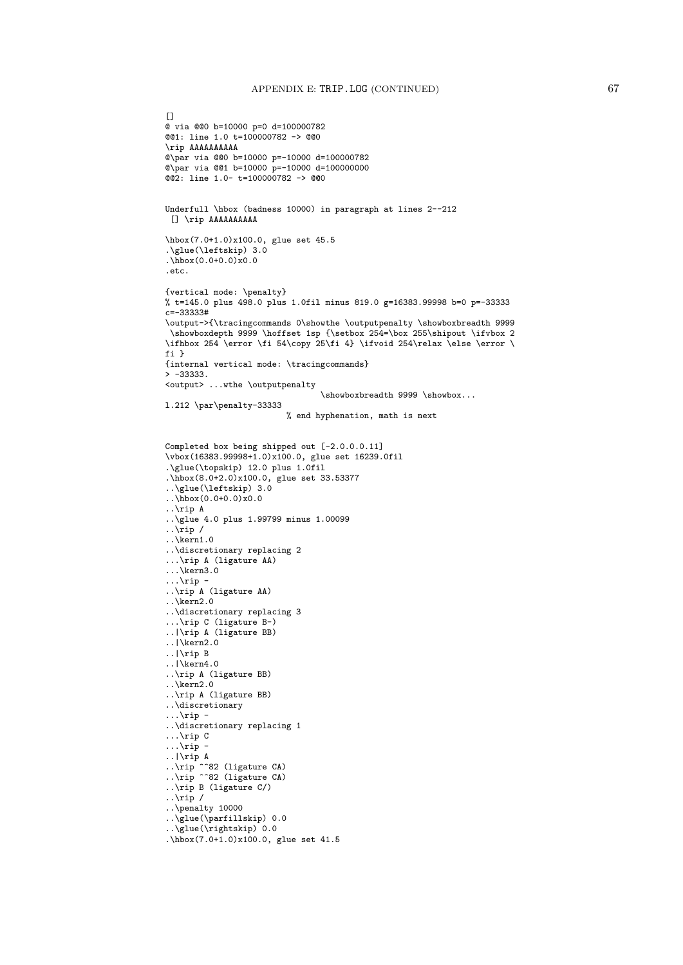```
[@ via @@0 b=10000 p=0 d=100000782
@@1: line 1.0 t=100000782 -> @@0
\rip AAAAAAAAAA
@\par via @@0 b=10000 p=-10000 d=100000782
Q\par via Q(1 b=10000 p=-10000 d=1000000000@@2: line 1.0- t=100000782 -> @@0
Underfull \hbox (badness 10000) in paragraph at lines 2--212
[] \rip AAAAAAAAAA
\hbox(7.0+1.0)x100.0, glue set 45.5
.\glue(\leftskip) 3.0
\hbox{hbox}(0.0+0.0)x0.0.etc.
{vertical mode: \penalty}
% t=145.0 plus 498.0 plus 1.0fil minus 819.0 g=16383.99998 b=0 p=-33333
c=-33333#
\output->{\tracingcommands 0\showthe \outputpenalty \showboxbreadth 9999
 \showboxdepth 9999 \hoffset 1sp {\setbox 254=\box 255\shipout \ifvbox 2
\ifhbox 254 \error \fi 54\copy 25\fi 4} \ifvoid 254\relax \else \error \
fi }
{internal vertical mode: \tracingcommands}
> -333333.
<output> ...wthe \outputpenalty
                                 \showboxbreadth 9999 \showbox...
l.212 \par\penalty-33333
                         % end hyphenation, math is next
Completed box being shipped out [-2.0.0.0.11]
\vbox(16383.99998+1.0)x100.0, glue set 16239.0fil
.\glue(\topskip) 12.0 plus 1.0fil
.\hbox(8.0+2.0)x100.0, glue set 33.53377
..\glue(\leftskip) 3.0
\ldots\hbox(0.0+0.0)x0.0
..\rip A
..\glue 4.0 plus 1.99799 minus 1.00099
\ldotsrip /
..\kern1.0
..\discretionary replacing 2
...\rip A (ligature AA)
...\kern3.0
\ldots\rip -
..\rip A (ligature AA)
..\kern2.0
..\discretionary replacing 3
...\rip C (ligature B-)
..|\rip A (ligature BB)
..|\kern2.0
..|\rip B
..|\kern4.0
..\rip A (ligature BB)
..\kern2.0
..\rip A (ligature BB)
..\discretionary
\ldots\rip -
..\discretionary replacing 1
...\rip C
\ldots\rip -
..|\ranglerip A
..\rip ^^82 (ligature CA)
..\rip ^^82 (ligature CA)
..\rip B (ligature C/)
\ldotsrip /
..\penalty 10000
..\glue(\parfillskip) 0.0
..\glue(\rightskip) 0.0
.\hbox(7.0+1.0)x100.0, glue set 41.5
```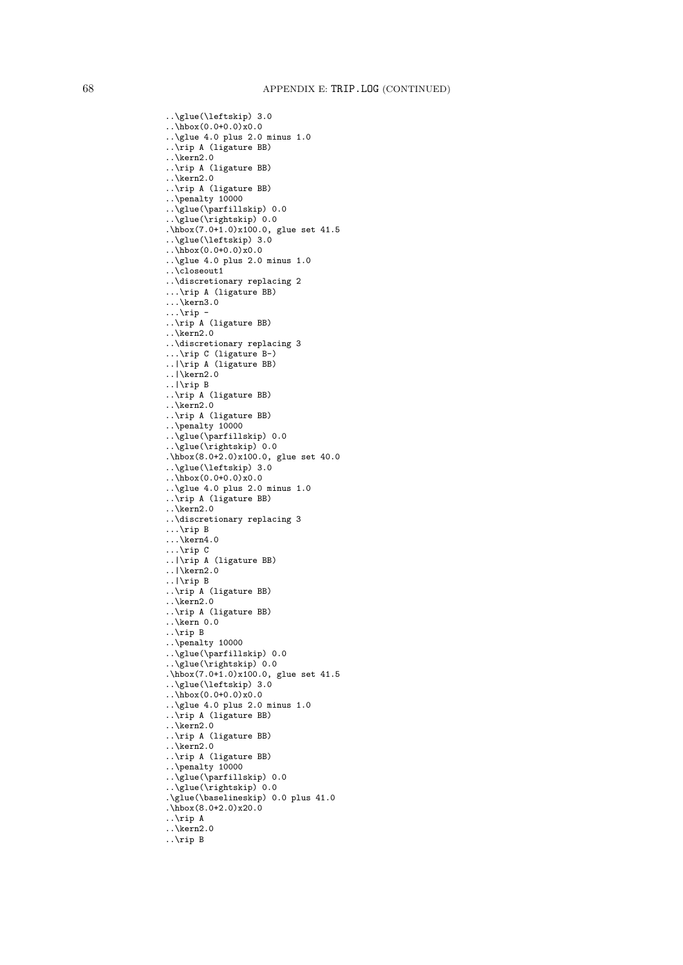```
..\glue(\leftskip) 3.0
\ldots\hbox(0.0+0.0)x0.0
..\glue 4.0 plus 2.0 minus 1.0
..\rip A (ligature BB)
..\kern2.0
..\rip A (ligature BB)
..\kern2.0
..\rip A (ligature BB)
..\penalty 10000
..\glue(\parfillskip) 0.0
..\glue(\rightskip) 0.0
...\frac{542}{1.0 \times (7.0+1.0) \times 100.0}, glue set 41.5
..\glue(\leftskip) 3.0
..\hbox(0.0+0.0)x0.0
..\glue 4.0 plus 2.0 minus 1.0
..\closeout1
..\discretionary replacing 2
...\rip A (ligature BB)
...\kern3.0
\ldots\rip -
..\rip A (ligature BB)
..\kern2.0
..\discretionary replacing 3
...\rip C (ligature B-)
..|\rip A (ligature BB)
..|\kern2.0
..|\rip B
..\rip A (ligature BB)
..\kern2.0
..\rip A (ligature BB)
..\penalty 10000
..\glue(\parfillskip) 0.0
..\glue(\rightskip) 0.0
.\hbox(8.0+2.0)x100.0, glue set 40.0
..\glue(\leftskip) 3.0
\cdot ..\hbox(0.0+0.0)x0.0
..\glue 4.0 plus 2.0 minus 1.0
..\rip A (ligature BB)
\ldotskern2.0
..\discretionary replacing 3
...\rip B
\ldots\kern4.0
...\rip C
..|\rip A (ligature BB)
..|\kern2.0
..|\rip B
..\rip A (ligature BB)
..\kern2.0
..\rip A (ligature BB)
..\kern 0.0
..\rip B
..\penalty 10000
..\glue(\parfillskip) 0.0
..\glue(\rightskip) 0.0
.\hbox(7.0+1.0)x100.0, glue set 41.5
..\glue(\leftskip) 3.0
..\hbox(0.0+0.0)x0.0
..\glue 4.0 plus 2.0 minus 1.0
..\rip A (ligature BB)
..\kern2.0
..\rip A (ligature BB)
\ldotskern2.0
..\rip A (ligature BB)
..\penalty 10000
..\glue(\parfillskip) 0.0
..\glue(\rightskip) 0.0
.\glue(\baselineskip) 0.0 plus 41.0
\hbox{hbox(8.0+2.0)x20.0}..\rip A
..\kern2.0
..\rip B
```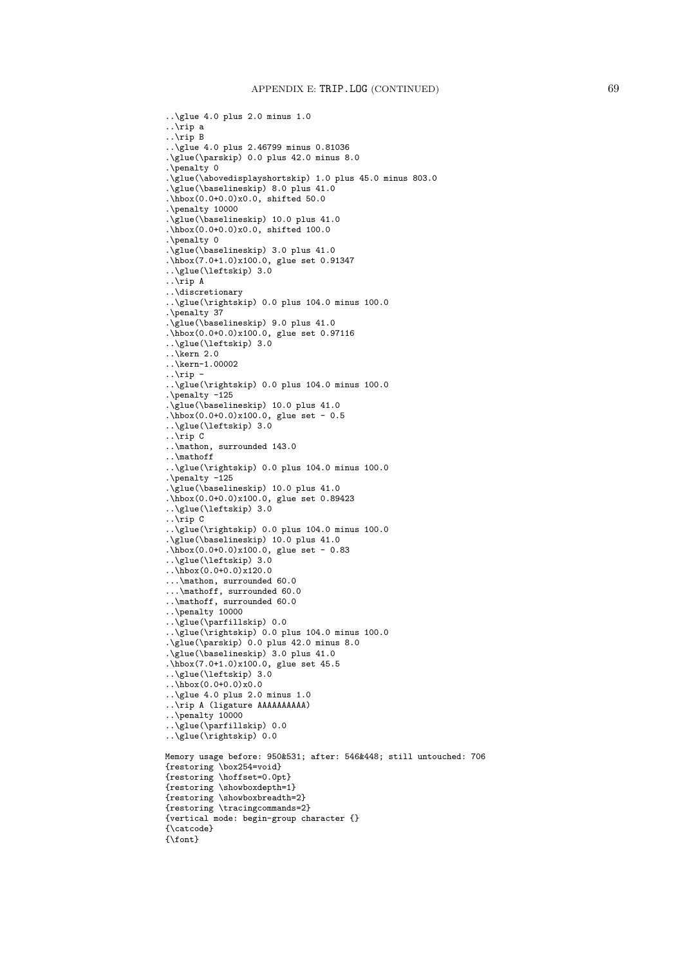```
..\glue 4.0 plus 2.0 minus 1.0
..\rip a
..\rip B
..\glue 4.0 plus 2.46799 minus 0.81036
.\glue(\parskip) 0.0 plus 42.0 minus 8.0
.\penalty 0
.\glue(\abovedisplayshortskip) 1.0 plus 45.0 minus 803.0
.\glue(\baselineskip) 8.0 plus 41.0
.\hbox(0.0+0.0)x0.0, shifted 50.0
.\penalty 10000
.\glue(\baselineskip) 10.0 plus 41.0
.\hbox(0.0+0.0)x0.0, shifted 100.0
.\penalty 0
.\glue(\baselineskip) 3.0 plus 41.0
.\hbox(7.0+1.0)x100.0, glue set 0.91347
..\glue(\leftskip) 3.0
..\rip A
..\discretionary
..\glue(\rightskip) 0.0 plus 104.0 minus 100.0
.\penalty 37
.\glue(\baselineskip) 9.0 plus 41.0
.\hbox(0.0+0.0)x100.0, glue set 0.97116
..\glue(\leftskip) 3.0
..\kern 2.0
..\kern-1.00002
.\ranglerip -
..\glue(\rightskip) 0.0 plus 104.0 minus 100.0
.\penalty -125
.\glue(\baselineskip) 10.0 plus 41.0
.\hbox(0.0+0.0)x100.0, glue set - 0.5..\glue(\leftskip) 3.0
..\rip C
..\mathon, surrounded 143.0
..\mathoff
..\glue(\rightskip) 0.0 plus 104.0 minus 100.0
.\penalty -125
.\glue(\baselineskip) 10.0 plus 41.0
.\hbox(0.0+0.0)x100.0, glue set 0.89423
..\glue(\leftskip) 3.0
..\rip C
..\glue(\rightskip) 0.0 plus 104.0 minus 100.0
.\glue(\baselineskip) 10.0 plus 41.0
.\hbox(0.0+0.0)x100.0, glue set - 0.83
..\glue(\leftskip) 3.0
\ldots\hbox(0.0+0.0)x120.0
...\mathon, surrounded 60.0
...\mathoff, surrounded 60.0
..\mathoff, surrounded 60.0
..\penalty 10000
..\glue(\parfillskip) 0.0
..\glue(\rightskip) 0.0 plus 104.0 minus 100.0
.\glue(\parskip) 0.0 plus 42.0 minus 8.0
.\glue(\baselineskip) 3.0 plus 41.0
.\hbox(7.0+1.0)x100.0, glue set 45.5
..\glue(\leftskip) 3.0
..\hbox(0.0+0.0)x0.0
..\glue 4.0 plus 2.0 minus 1.0
..\rip A (ligature AAAAAAAAAA)
..\penalty 10000
..\glue(\parfillskip) 0.0
..\glue(\rightskip) 0.0
Memory usage before: 950&531; after: 546&448; still untouched: 706
{restoring \box254=void}
{restoring \hoffset=0.0pt}
{restoring \showboxdepth=1}
{restoring \showboxbreadth=2}
{restoring \tracingcommands=2}
{vertical mode: begin-group character {}
{\catcode}
{\font}
```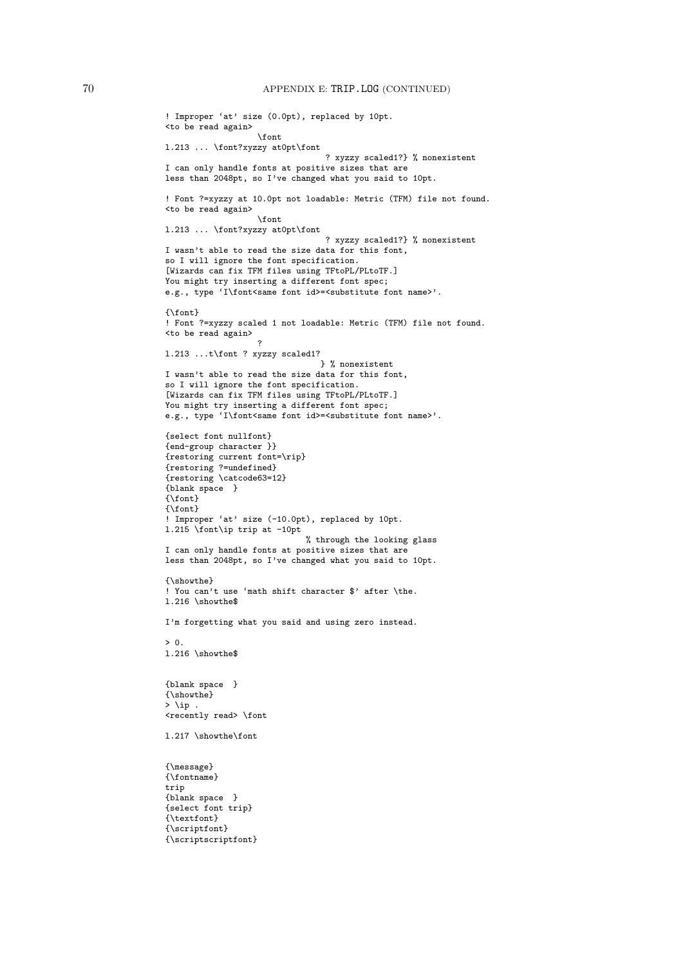```
! Improper 'at' size (0.0pt), replaced by 10pt.
<to be read again>
                   \font
l.213 ... \font?xyzzy at0pt\font
                                 ? xyzzy scaled1?} % nonexistent
I can only handle fonts at positive sizes that are
less than 2048pt, so I've changed what you said to 10pt.
! Font ?=xyzzy at 10.0pt not loadable: Metric (TFM) file not found.
<to be read again>
                   \font
l.213 ... \font?xyzzy at0pt\font
                                 ? xyzzy scaled1?} % nonexistent
I wasn't able to read the size data for this font,
so I will ignore the font specification.
[Wizards can fix TFM files using TFtoPL/PLtoTF.]
You might try inserting a different font spec;
e.g., type 'I\font<same font id>=<substitute font name>'.
{\font}
! Font ?=xyzzy scaled 1 not loadable: Metric (TFM) file not found.
<to be read again>
                   ?
l.213 ...t\font ? xyzzy scaled1?
                                } % nonexistent
I wasn't able to read the size data for this font,
so I will ignore the font specification.
[Wizards can fix TFM files using TFtoPL/PLtoTF.]
You might try inserting a different font spec;
e.g., type 'I\font<same font id>=<substitute font name>'.
{select font nullfont}
{end-group character }}
{restoring current font=\rip}
{restoring ?=undefined}
{restoring \catcode63=12}
{blank space }
{\font}
{\mathcal{M}}! Improper 'at' size (-10.0pt), replaced by 10pt.
l.215 \font\ip trip at -10pt
                            % through the looking glass
I can only handle fonts at positive sizes that are
less than 2048pt, so I've changed what you said to 10pt.
{\showthe}
! You can't use 'math shift character $' after \the.
l.216 \showthe$
I'm forgetting what you said and using zero instead.
> 0.l.216 \showthe$
{blank space }
{\showthe}
> \ip .
<recently read> \font
l.217 \showthe\font
{\message}
{\fontname}
trip
{blank space }
{select font trip}
{\textfont}
{\scriptfont}
{\scriptscriptfont}
```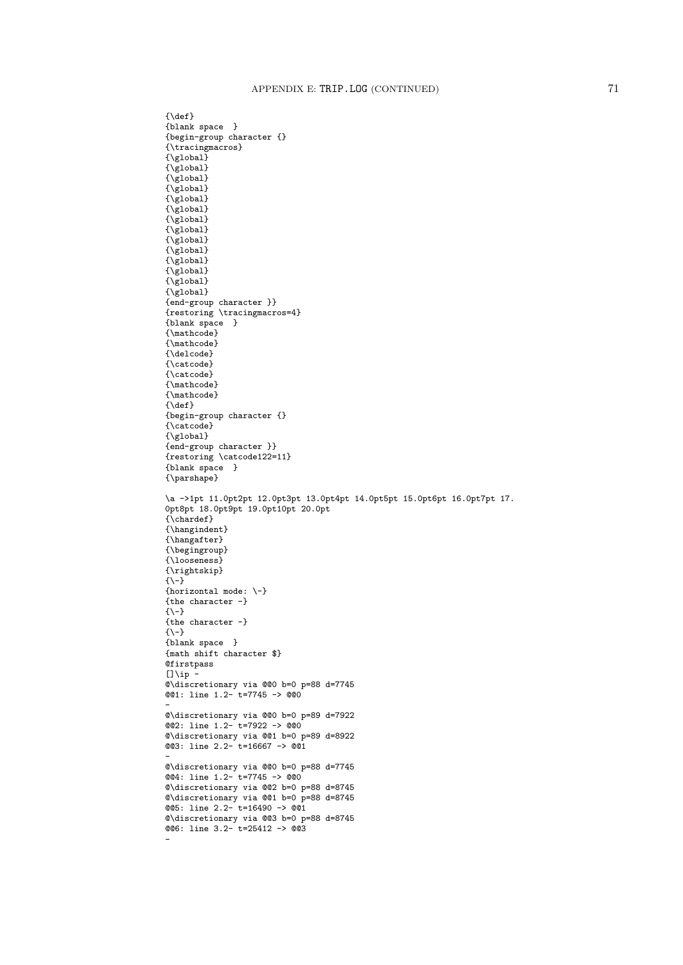${\{\text{def}\}}$ {blank space } {begin-group character {} {\tracingmacros} {\global}  ${\sqrt{\text{global}}}$  ${\sqrt{\text{global}}}$  ${\rm \{Vglobal\}}$ {\global}  ${\sqrt{\text{global}}}$  ${\sqrt{\text{global}}}$ {\global} {\global}  ${\sqrt{g}lobal}$  ${\sqrt{\text{global}}}$  ${\sqrt{\text{global}}}$  ${\sqrt{g}lobal}$ {\global} {end-group character }} {restoring \tracingmacros=4} {blank space } {\mathcode} {\mathcode} {\delcode} {\catcode} {\catcode} {\mathcode} {\mathcode}  ${\def}$ {begin-group character {} {\catcode} {\global} {end-group character }} {restoring \catcode122=11} {blank space } {\parshape} \a ->1pt 11.0pt2pt 12.0pt3pt 13.0pt4pt 14.0pt5pt 15.0pt6pt 16.0pt7pt 17. 0pt8pt 18.0pt9pt 19.0pt10pt 20.0pt  ${\widehat{\Lambda}}$ chardef} {\hangindent} {\hangafter} {\begingroup} {\looseness} {\rightskip} {\-} {horizontal mode: \-} {the character -}  ${\{-1\}}$ {the character -} {\-} {blank space } {math shift character \$} **Qfirstpass**  $[] \iota_p$ @\discretionary via @@0 b=0 p=88 d=7745 @@1: line 1.2- t=7745 -> @@0 - @\discretionary via @@0 b=0 p=89 d=7922 @@2: line 1.2- t=7922 -> @@0 @\discretionary via @@1 b=0 p=89 d=8922 @@3: line 2.2- t=16667 -> @@1 - @\discretionary via @@0 b=0 p=88 d=7745 @@4: line 1.2- t=7745 -> @@0 @\discretionary via @@2 b=0 p=88 d=8745 @\discretionary via @@1 b=0 p=88 d=8745 @@5: line 2.2- t=16490 -> @@1 @\discretionary via @@3 b=0 p=88 d=8745 @@6: line 3.2- t=25412 -> @@3 -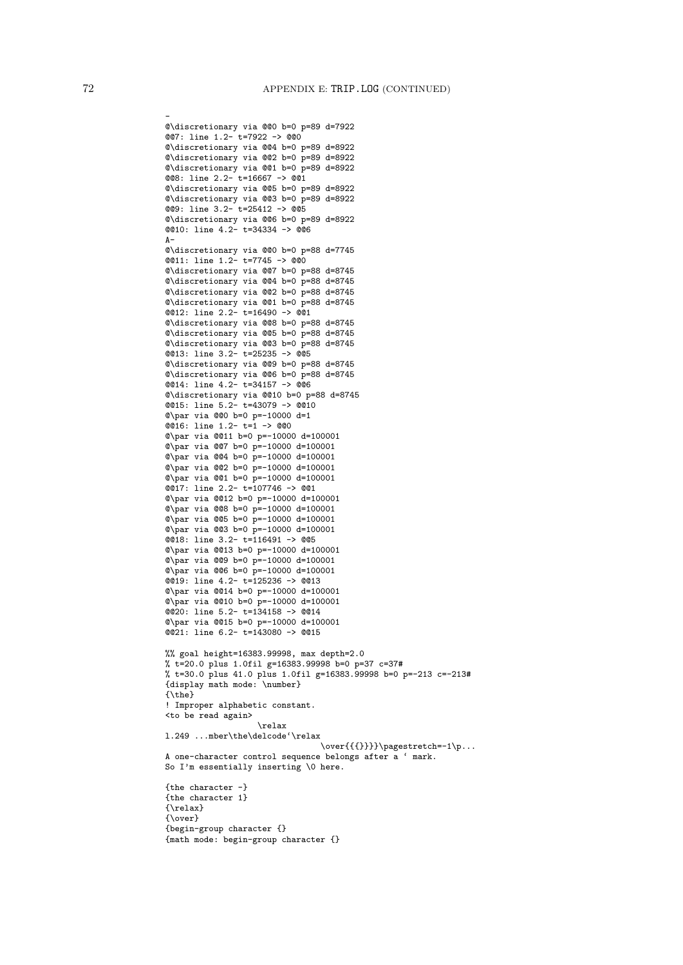```
-
@\discretionary via @@0 b=0 p=89 d=7922
@@7: line 1.2- t=7922 -> @@0
@\discretionary via @@4 b=0 p=89 d=8922
@\discretionary via @@2 b=0 p=89 d=8922
@\discretionary via @@1 b=0 p=89 d=8922
@@8: line 2.2- t=16667 -> @@1
@\discretionary via @@5 b=0 p=89 d=8922
@\discretionary via @@3 b=0 p=89 d=8922
@@9: line 3.2- t=25412 -> @@5
@\discretionary via @@6 b=0 p=89 d=8922
@@10: line 4.2- t=34334 -> @@6
\Delta-
@\discretionary via @@0 b=0 p=88 d=7745
@@11: line 1.2- t=7745 -> @@0
@\discretionary via @@7 b=0 p=88 d=8745
@\discretionary via @@4 b=0 p=88 d=8745
@\discretionary via @@2 b=0 p=88 d=8745
@\discretionary via @@1 b=0 p=88 d=8745
@@12: line 2.2- t=16490 -> @@1
@\discretionary via @@8 b=0 p=88 d=8745
@\discretionary via @@5 b=0 p=88 d=8745
@\discretionary via @@3 b=0 p=88 d=8745
@@13: line 3.2- t=25235 -> @@5
@\discretionary via @@9 b=0 p=88 d=8745
@\discretionary via @@6 b=0 p=88 d=8745
@@14: line 4.2- t=34157 -> @@6
@\discretionary via @@10 b=0 p=88 d=8745
@@15: line 5.2- t=43079 -> @@10
@\par via @@0 b=0 p=-10000 d=1
@@16: line 1.2- t=1 -> @@0
@\par via @@11 b=0 p=-10000 d=100001
@\par via @@7 b=0 p=-10000 d=100001
@\par via @@4 b=0 p=-10000 d=100001
@\par via @@2 b=0 p=-10000 d=100001
@\par via @@1 b=0 p=-10000 d=100001
@@17: line 2.2- t=107746 -> @@1
@\par via @@12 b=0 p=-10000 d=100001
@\par via @@8 b=0 p=-10000 d=100001
@\par via @@5 b=0 p=-10000 d=100001
@\par via @@3 b=0 p=-10000 d=100001
@@18: line 3.2- t=116491 -> @@5
@\par via @@13 b=0 p=-10000 d=100001
@\par via @@9 b=0 p=-10000 d=100001
@\par via @@6 b=0 p=-10000 d=100001
@@19: line 4.2- t=125236 -> @@13
@\par via @@14 b=0 p=-10000 d=100001
@\par via @@10 b=0 p=-10000 d=100001
@@20: line 5.2- t=134158 -> @@14
@\par via @@15 b=0 p=-10000 d=100001
@@21: line 6.2- t=143080 -> @@15
%% goal height=16383.99998, max depth=2.0
% t=20.0 plus 1.0fil g=16383.99998 b=0 p=37 c=37#
% t=30.0 plus 41.0 plus 1.0fil g=16383.99998 b=0 p=-213 c=-213#
{display math mode: \number}
{\the}
! Improper alphabetic constant.
<to be read again>
                   \relax
l.249 ...mber\the\delcode'\relax
                                \over{{{}}}}\pagestretch=-1\p...
A one-character control sequence belongs after a ' mark.
So I'm essentially inserting \0 here.
{the character -}
{the character 1}
{\relax}
{\over}
{begin-group character {}
{math mode: begin-group character {}
```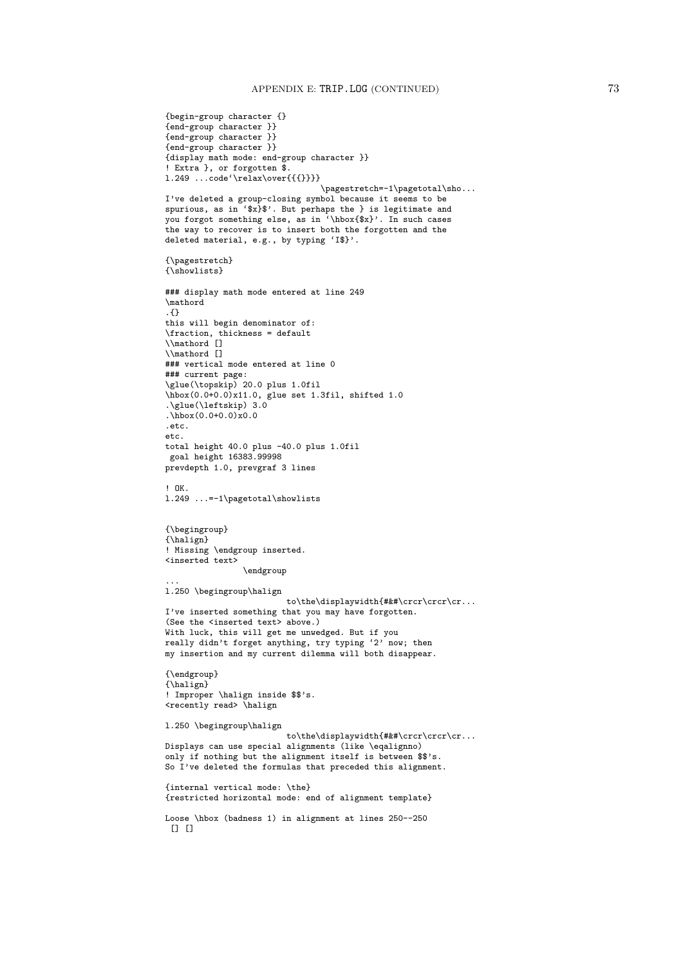```
{begin-group character {}
{end-group character }}
{end-group character }}
{end-group character }}
{display math mode: end-group character }}
! Extra }, or forgotten $.
1.249 ...code'\relax\over{{{}}}}
                                 \pagestretch=-1\pagetotal\sho...
I've deleted a group-closing symbol because it seems to be
spurious, as in 'x}$'. But perhaps the } is legitimate and
you forgot something else, as in '\hbox{$x}'. In such cases
the way to recover is to insert both the forgotten and the
deleted material, e.g., by typing 'I$}'.
{\pagestretch}
{\showlists}
### display math mode entered at line 249
\mathord
.{}
this will begin denominator of:
\fraction, thickness = default
\\mathord []
\\mathord []
### vertical mode entered at line 0
### current page:
\glue(\topskip) 20.0 plus 1.0fil
\hbox(0.0+0.0)x11.0, glue set 1.3fil, shifted 1.0
.\glue(\leftskip) 3.0
\hbox{hbox}(0.0+0.0)<sub>x0.0</sub>
e^{t}etc.
total height 40.0 plus -40.0 plus 1.0fil
goal height 16383.99998
prevdepth 1.0, prevgraf 3 lines
! OK.
l.249 ...=-1\pagetotal\showlists
{\begingroup}
{\halign}
! Missing \endgroup inserted.
<inserted text>
                \endgroup
...
l.250 \begingroup\halign
                         to\the\displaywidth{#&#\crcr\crcr\cr...
I've inserted something that you may have forgotten.
(See the <inserted text> above.)
With luck, this will get me unwedged. But if you
really didn't forget anything, try typing '2' now; then
my insertion and my current dilemma will both disappear.
{\endgroup}
{\halign}
! Improper \halign inside $$'s.
<recently read> \halign
l.250 \begingroup\halign
                         to\the\displaywidth{#&#\crcr\crcr\cr...
Displays can use special alignments (like \eqalignno)
only if nothing but the alignment itself is between $$'s.
So I've deleted the formulas that preceded this alignment.
{internal vertical mode: \the}
{restricted horizontal mode: end of alignment template}
Loose \hbox (badness 1) in alignment at lines 250--250
 [ [ [ ]
```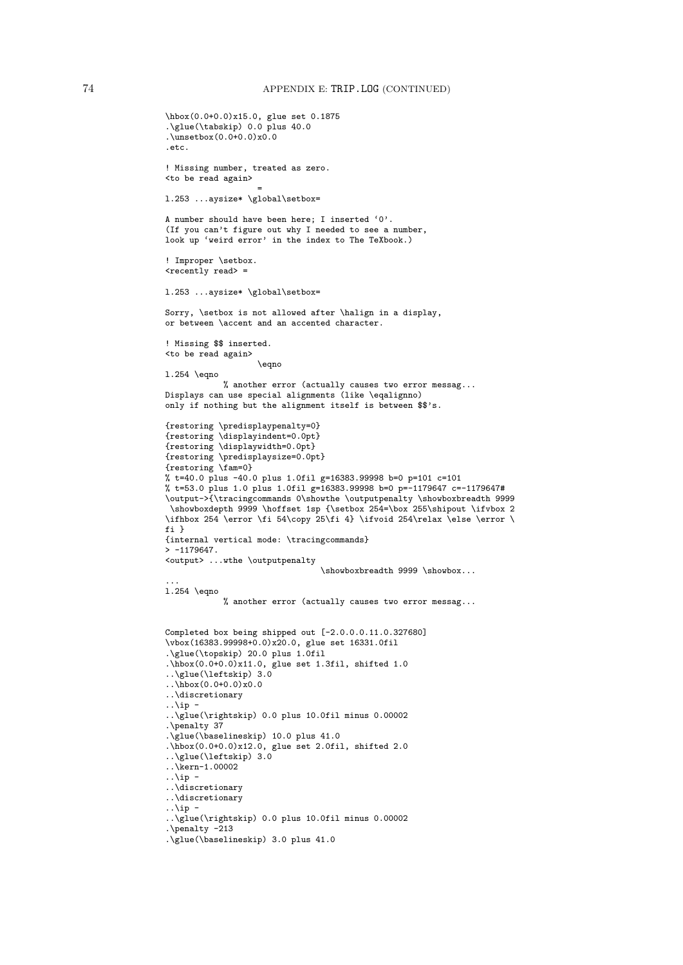```
\hbox(0.0+0.0)x15.0, glue set 0.1875
.\glue(\tabskip) 0.0 plus 40.0
.\unsetbox(0.0+0.0)x0.0
.etc.
! Missing number, treated as zero.
<to be read again>
                   =
l.253 ...aysize* \global\setbox=
A number should have been here; I inserted '0'.
(If you can't figure out why I needed to see a number,
look up 'weird error' in the index to The TeXbook.)
! Improper \setbox.
<recently read> =
l.253 ...aysize* \global\setbox=
Sorry, \setbox is not allowed after \halign in a display,
or between \accent and an accented character.
! Missing $$ inserted.
<to be read again>
                   \eqno
l.254 \eqno
           % another error (actually causes two error messag...
Displays can use special alignments (like \eqalignno)
only if nothing but the alignment itself is between $$'s.
{restoring \predisplaypenalty=0}
{restoring \displayindent=0.0pt}
{restoring \displaywidth=0.0pt}
{restoring \predisplaysize=0.0pt}
{restoring \fam=0}
% t=40.0 plus -40.0 plus 1.0fil g=16383.99998 b=0 p=101 c=101
% t=53.0 plus 1.0 plus 1.0fil g=16383.99998 b=0 p=-1179647 c=-1179647#
\output->{\tracingcommands 0\showthe \outputpenalty \showboxbreadth 9999
 \showboxdepth 9999 \hoffset 1sp {\setbox 254=\box 255\shipout \ifvbox 2
\ifhbox 254 \error \fi 54\copy 25\fi 4} \ifvoid 254\relax \else \error \
fi }
{internal vertical mode: \tracingcommands}
> -1179647.<output> ...wthe \outputpenalty
                                \showboxbreadth 9999 \showbox...
...
l.254 \eqno
           % another error (actually causes two error messag...
Completed box being shipped out [-2.0.0.0.11.0.327680]
\vbox(16383.99998+0.0)x20.0, glue set 16331.0fil
.\glue(\topskip) 20.0 plus 1.0fil
.\hbox(0.0+0.0)x11.0, glue set 1.3fil, shifted 1.0
..\glue(\leftskip) 3.0
..\hbox(0.0+0.0)x0.0
..\discretionary
..\iotaip -
..\glue(\rightskip) 0.0 plus 10.0fil minus 0.00002
.\penalty 37
.\glue(\baselineskip) 10.0 plus 41.0
.\hbox(0.0+0.0)x12.0, glue set 2.0fil, shifted 2.0
..\glue(\leftskip) 3.0
..\kern-1.00002
. \hat{ap} -
..\discretionary
..\discretionary
\ldotsip -
..\glue(\rightskip) 0.0 plus 10.0fil minus 0.00002
.\penalty -213
.\glue(\baselineskip) 3.0 plus 41.0
```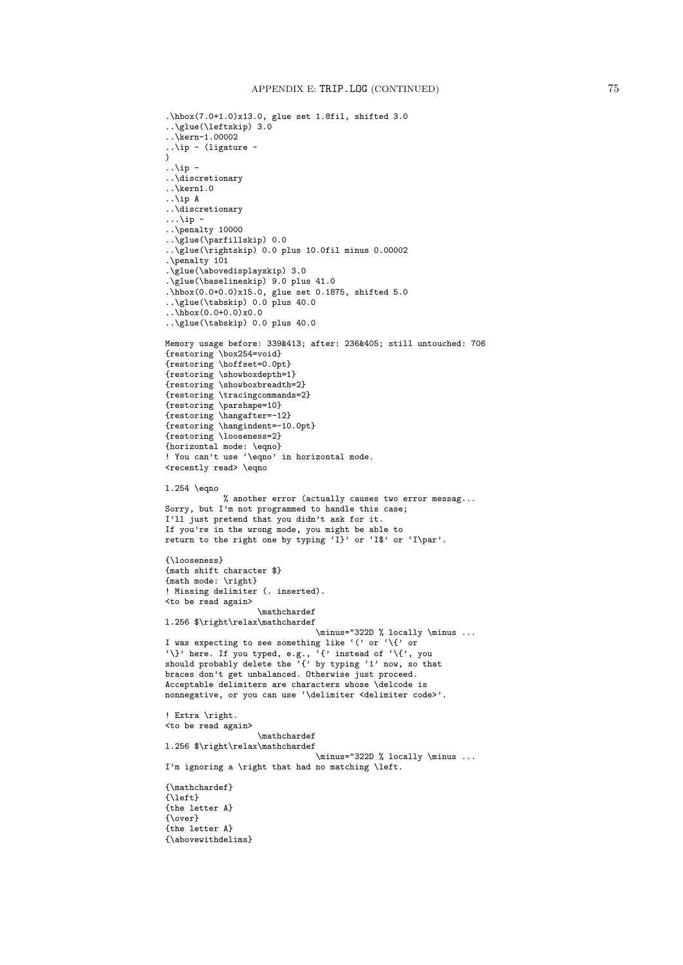```
.\hbox(7.0+1.0)x13.0, glue set 1.8fil, shifted 3.0
..\glue(\leftskip) 3.0
..\kern-1.00002
..\ip - (ligature -
\lambda\ldotsip -
..\discretionary
..\kern1.0
..\ip A
..\discretionary
\ldots\ip -
..\penalty 10000
..\glue(\parfillskip) 0.0
..\glue(\rightskip) 0.0 plus 10.0fil minus 0.00002
.\penalty 101
.\glue(\abovedisplayskip) 3.0
.\glue(\baselineskip) 9.0 plus 41.0
.\hbox(0.0+0.0)x15.0, glue set 0.1875, shifted 5.0
..\glue(\tabskip) 0.0 plus 40.0
\ldots\hbox(0.0+0.0)x0.0..\glue(\tabskip) 0.0 plus 40.0
Memory usage before: 339&413; after: 236&405; still untouched: 706
{restoring \box254=void}
{restoring \hoffset=0.0pt}
{restoring \showboxdepth=1}
{restoring \showboxbreadth=2}
{restoring \tracingcommands=2}
{restoring \parshape=10}
{restoring \hangafter=-12}
{restoring \hangindent=-10.0pt}
{restoring \looseness=2}
{horizontal mode: \eqno}
! You can't use '\eqno' in horizontal mode.
<recently read> \eqno
l.254 \eqno
            % another error (actually causes two error messag...
Sorry, but I'm not programmed to handle this case;
I'll just pretend that you didn't ask for it.
If you're in the wrong mode, you might be able to
return to the right one by typing 'I}' or 'I$' or 'I\par'.
{\looseness}
{math shift character $}
{math mode: \right}
! Missing delimiter (. inserted).
<to be read again>
                   \mathchardef
l.256 $\right\relax\mathchardef
                                \minus="322D % locally \minus ...
I was expecting to see something like '(' or '\{' or
'\}' here. If you typed, e.g., '{' instead of '\{', you
should probably delete the '{' by typing '1' now, so that
braces don't get unbalanced. Otherwise just proceed.
Acceptable delimiters are characters whose \delcode is
nonnegative, or you can use '\delimiter <delimiter code>'.
! Extra \right.
<to be read again>
                   \mathchardef
l.256 $\right\relax\mathchardef
                               \minus="322D % locally \minus ...
I'm ignoring a \right that had no matching \left.
{\mathchardef}
{\left}
{the letter A}
{\over}
{the letter A}
{\abovewithdelims}
```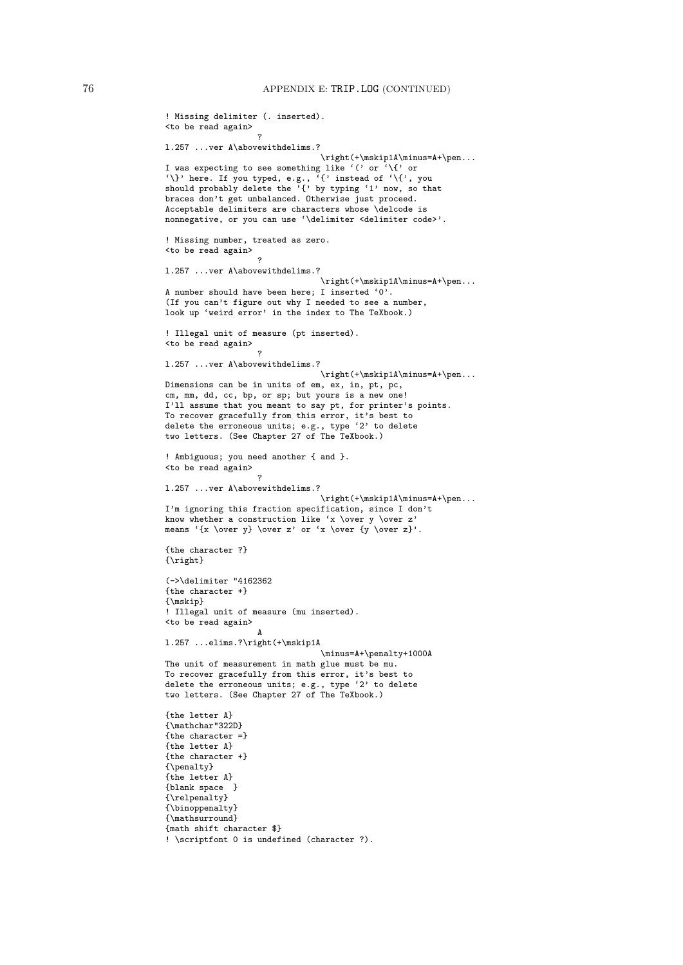```
! Missing delimiter (. inserted).
<to be read again>
                   ?
l.257 ...ver A\abovewithdelims.?
                                 \right(+\mskip1A\minus=A+\pen...
I was expecting to see something like '(' or '\{' or
\{\rangle\}' here. If you typed, e.g., \{ \}' instead of \langle \{\rangle\}, you
should probably delete the '{' by typing '1' now, so that
braces don't get unbalanced. Otherwise just proceed.
Acceptable delimiters are characters whose \delcode is
nonnegative, or you can use '\delimiter <delimiter code>'.
! Missing number, treated as zero.
<to be read again>
                   ?
l.257 ...ver A\abovewithdelims.?
                                 \right(+\mskip1A\minus=A+\pen...
A number should have been here; I inserted '0'.
(If you can't figure out why I needed to see a number,
look up 'weird error' in the index to The TeXbook.)
! Illegal unit of measure (pt inserted).
<to be read again>
                    ?
l.257 ...ver A\abovewithdelims.?
                                 \label{lem:main} $$\right(+\mskip-1mu\minus=A+\pen\ldots.Dimensions can be in units of em, ex, in, pt, pc,
cm, mm, dd, cc, bp, or sp; but yours is a new one!
I'll assume that you meant to say pt, for printer's points.
To recover gracefully from this error, it's best to
delete the erroneous units; e.g., type '2' to delete
two letters. (See Chapter 27 of The TeXbook.)
! Ambiguous; you need another { and }.
<to be read again>
                   ?
l.257 ...ver A\abovewithdelims.?
                                 \right(+\mskip1A\minus=A+\pen...
I'm ignoring this fraction specification, since I don't
know whether a construction like 'x \over y \over z'
means '{x \over y} \over z' or 'x \over {y \over z}'.
{the character ?}
{\right}
(->\delimiter "4162362
{the character +}
{\mskip}
! Illegal unit of measure (mu inserted).
<to be read again>
                   A
l.257 ...elims.?\right(+\mskip1A
                                 \minus=A+\penalty+1000A
The unit of measurement in math glue must be mu.
To recover gracefully from this error, it's best to
delete the erroneous units; e.g., type '2' to delete
two letters. (See Chapter 27 of The TeXbook.)
{the letter A}
{\mathchar"322D}
{the character =}
{the letter A}
{the character +}
{\penalty}
{the letter A}
{blank space }
{\relpenalty}
{\binoppenalty}
{\mathsurround}
{math shift character $}
! \scriptfont 0 is undefined (character ?).
```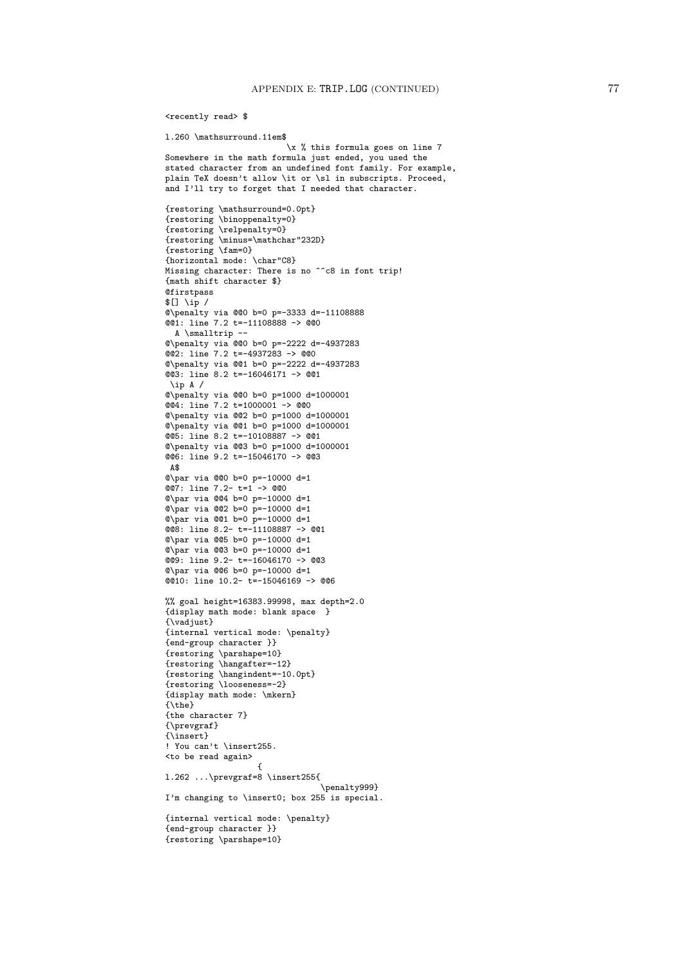<recently read> \$

```
l.260 \mathsurround.11em$
                          \x % this formula goes on line 7
Somewhere in the math formula just ended, you used the
stated character from an undefined font family. For example,
plain TeX doesn't allow \it or \sl in subscripts. Proceed,
and I'll try to forget that I needed that character.
{restoring \mathsurround=0.0pt}
{restoring \binoppenalty=0}
{restoring \relpenalty=0}
{restoring \minus=\mathchar"232D}
{restoring \fam=0}
{horizontal mode: \char"C8}
Missing character: There is no ^^c8 in font trip!
{math shift character $}
Qfirstpass
$[] \iota_p /@\penalty via @@0 b=0 p=-3333 d=-11108888
@@1: line 7.2 t=-11108888 -> @@0
 A \smalltrip --
@\penalty via @@0 b=0 p=-2222 d=-4937283
@@2: line 7.2 t=-4937283 -> @@0
@\penalty via @@1 b=0 p=-2222 d=-4937283
@@3: line 8.2 t=-16046171 -> @@1
\ip A /
@\penalty via @@0 b=0 p=1000 d=1000001
@@4: line 7.2 t=1000001 -> @@0
@\penalty via @@2 b=0 p=1000 d=1000001
@\penalty via @@1 b=0 p=1000 d=1000001
@@5: line 8.2 t=-10108887 -> @@1
@\penalty via @@3 b=0 p=1000 d=1000001
@@6: line 9.2 t=-15046170 -> @@3
A$
@\par via @@0 b=0 p=-10000 d=1
@@7: line 7.2- t=1 -> @@0
@\par via @@4 b=0 p=-10000 d=1
\sqrt{2} via \sqrt{2} b=0 p=-10000 d=1
Q<sub>par via Q1 b=0 p=-10000 d=1</sub>
@@8: line 8.2- t=-11108887 -> @@1
@\par via @@5 b=0 p=-10000 d=1
Q<sub>par via QQ3 b=0 p=-10000 d=1</sub>
@9: line 9.2- t=-16046170 -> @@3
@\par via @@6 b=0 p=-10000 d=1
@@10: line 10.2- t=-15046169 -> @@6
%% goal height=16383.99998, max depth=2.0
{display math mode: blank space }
{\vadjust}
{internal vertical mode: \penalty}
{end-group character }}
{restoring \parshape=10}
{restoring \hangafter=-12}
{restoring \hangindent=-10.0pt}
{restoring \looseness=-2}
{display math mode: \mkern}
{\theta}{the character 7}
{\prevgraf}
{\insert}
! You can't \insert255.
<to be read again>
                   {
l.262 ...\prevgraf=8 \insert255{
                                 \penalty999}
I'm changing to \insert0; box 255 is special.
{internal vertical mode: \penalty}
{end-group character }}
{restoring \parshape=10}
```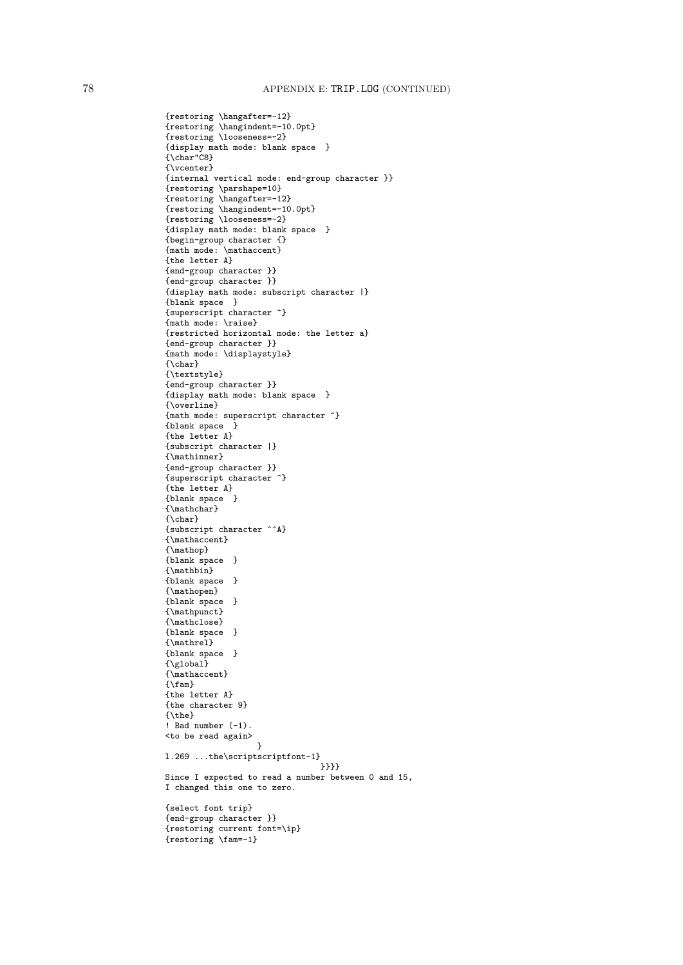{restoring \hangafter=-12} {restoring \hangindent=-10.0pt} {restoring \looseness=-2} {display math mode: blank space } {\char"C8} {\vcenter} {internal vertical mode: end-group character }} {restoring \parshape=10} {restoring \hangafter=-12} {restoring \hangindent=-10.0pt} {restoring \looseness=-2} {display math mode: blank space } {begin-group character {} {math mode: \mathaccent} {the letter A} {end-group character }} {end-group character }} {display math mode: subscript character |} {blank space } {superscript character ^} {math mode: \raise} {restricted horizontal mode: the letter a} {end-group character }} {math mode: \displaystyle} {\char} {\textstyle} {end-group character }} {display math mode: blank space } {\overline} {math mode: superscript character ^} {blank space } {the letter A} {subscript character |} {\mathinner} {end-group character }} {superscript character ^} {the letter A} {blank space } {\mathchar}  $\{\lambda \text{char}\}$ {subscript character ^^A} {\mathaccent} {\mathop} {blank space } {\mathbin} {blank space } {\mathopen} {blank space } {\mathpunct} {\mathclose} {blank space } {\mathrel} {blank space }  ${\sqrt{\text{global}}}$ {\mathaccent}  $\{\mathcal{F} \}$ {the letter A} {the character 9} {\the} ! Bad number (-1). <to be read again> } l.269 ...the\scriptscriptfont-1} }}}} Since I expected to read a number between 0 and 15, I changed this one to zero. {select font trip} {end-group character }} {restoring current font=\ip} {restoring \fam=-1}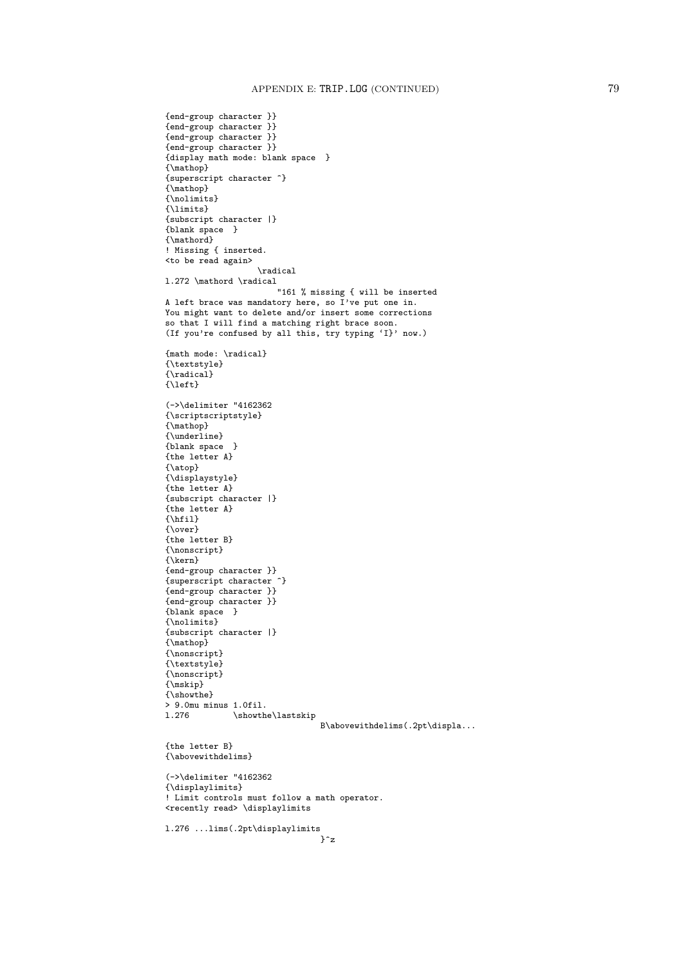```
{end-group character }}
{end-group character }}
{end-group character }}
{end-group character }}
{display math mode: blank space }
{\mathop}
{superscript character ^}
{\mathop}
{\nolimits}
{\limits}
{subscript character |}
{blank space }
{\mathord}
! Missing { inserted.
<to be read again>
                   \radical
l.272 \mathord \radical
                       "161 % missing { will be inserted
A left brace was mandatory here, so I've put one in.
You might want to delete and/or insert some corrections
so that I will find a matching right brace soon.
(If you're confused by all this, try typing 'I}' now.)
{math mode: \radical}
{\textstyle}
{\radical}
{\left}
(->\delimiter "4162362
{\scriptscriptstyle}
{\mathop}
{\underline}
{blank space }
{the letter A}
{\atop}
{\displaystyle}
{the letter A}
{subscript character |}
{the letter A}
\overline{\{\hbar\}11}{\over}
{the letter B}
{\nonscript}
{\kern}
{end-group character }}
{superscript character ^}
{end-group character }}
{end-group character }}
{blank space }
{\nolimits}
{subscript character |}
{\mathop}
{\nonscript}
{\textstyle}
{\nonscript}
{\mskip}
{\showthe}
> 9.0mu minus 1.0fil.
              \simeqB\abovewithdelims(.2pt\displa...
{the letter B}
{\abovewithdelims}
(->\delimiter "4162362
{\displaylimits}
! Limit controls must follow a math operator.
<recently read> \displaylimits
l.276 ...lims(.2pt\displaylimits
                                }^z
```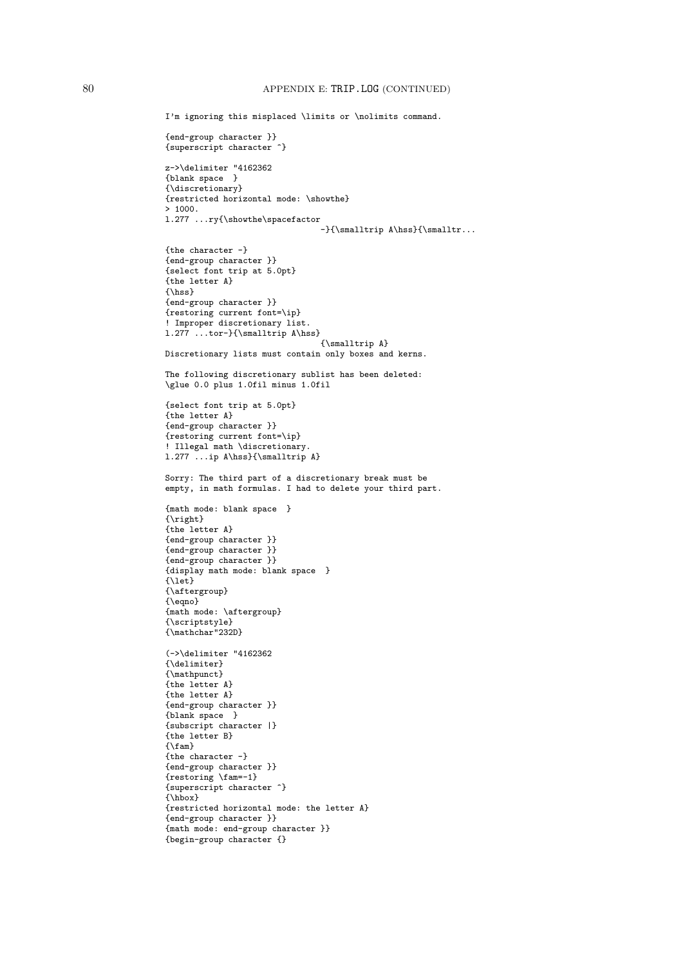```
I'm ignoring this misplaced \limits or \nolimits command.
{end-group character }}
{superscript character ^}
z->\delimiter "4162362
{blank space }
{\discretionary}
{restricted horizontal mode: \showthe}
> 1000.l.277 ...ry{\showthe\spacefactor
                                -}{\smalltrip A\hss}{\smalltr...
{the character -}
{end-group character }}
{select font trip at 5.0pt}
{the letter A}
{\hss}
{end-group character }}
{restoring current font=\ip}
! Improper discretionary list.
l.277 ...tor-}{\smalltrip A\hss}
                                {\smalltrip A}
Discretionary lists must contain only boxes and kerns.
The following discretionary sublist has been deleted:
\glue 0.0 plus 1.0fil minus 1.0fil
{select font trip at 5.0pt}
{the letter A}
{end-group character }}
{restoring current font=\ip}
! Illegal math \discretionary.
l.277 ...ip A\hss}{\smalltrip A}
Sorry: The third part of a discretionary break must be
empty, in math formulas. I had to delete your third part.
{math mode: blank space }
{\right}
{the letter A}
{end-group character }}
{end-group character }}
{end-group character }}
{display math mode: blank space }
{\let}
{\aftergroup}
{\eqno}
{math mode: \aftergroup}
{\scriptstyle}
{\mathchar"232D}
(->\delimiter "4162362
{\delimiter}
{\mathpunct}
{the letter A}
{the letter A}
{end-group character }}
{blank space }
{subscript character |}
{the letter B}
\{\lambda fam}
{the character -}
{end-group character }}
{restoring \fam=-1}
{superscript character ^}
{\hbox}
{restricted horizontal mode: the letter A}
{end-group character }}
{math mode: end-group character }}
{begin-group character {}
```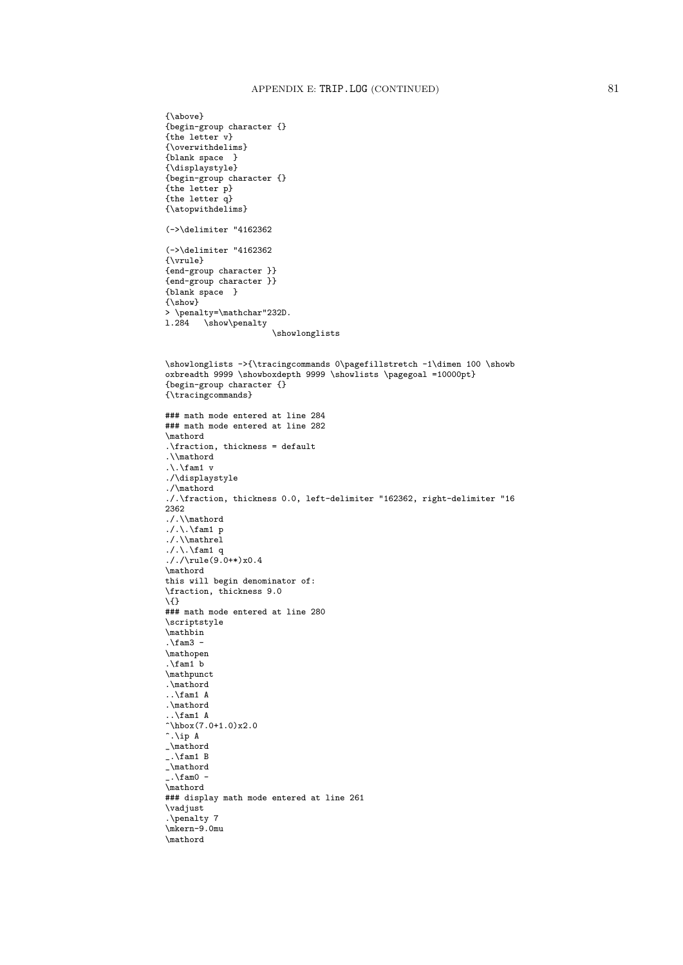```
{\above}
{begin-group character {}
{the letter v}
{\overwithdelims}
{blank space }
{\displaystyle}
{begin-group character {}
{the letter p}
{the letter q}
{\atopwithdelims}
(->\delimiter "4162362
(->\delimiter "4162362
{\vrule}
{end-group character }}
{end-group character }}
{blank space }
{\show}
> \penalty=\mathchar"232D.
1.284 \show\penalty
                       \showlonglists
\showlonglists ->{\tracingcommands 0\pagefillstretch -1\dimen 100 \showb
oxbreadth 9999 \showboxdepth 9999 \showlists \pagegoal =10000pt}
{begin-group character {}
{\tracingcommands}
### math mode entered at line 284
### math mode entered at line 282
\mathord
.\fraction, thickness = default
.\\mathord
\ldots \fam1 v
./\displaystyle
./\mathord
./.\fraction, thickness 0.0, left-delimiter "162362, right-delimiter "16
2362
./.\\mathord
./.\backslashfam1 p
./.\\mathrel
./\. \backslashfam1 q
././\rule(9.0+*)x0.4
\mathord
this will begin denominator of:
\fraction, thickness 9.0
\{}
### math mode entered at line 280
\scriptstyle
\mathbin
.\frac{1}{\text{am3}}\mathopen
.\tan 1 b
\mathpunct
.\mathord
..\fam1 A
.\mathord
..\fam1 A
\hbarbox(7.0+1.0)x2.0
\hat{\cdot}. \ip A
_\mathord
\ldots \fam1 B
_\mathord
\ldots -
\mathord
### display math mode entered at line 261
\vadjust
.\penalty 7
\mkern-9.0mu
\mathord
```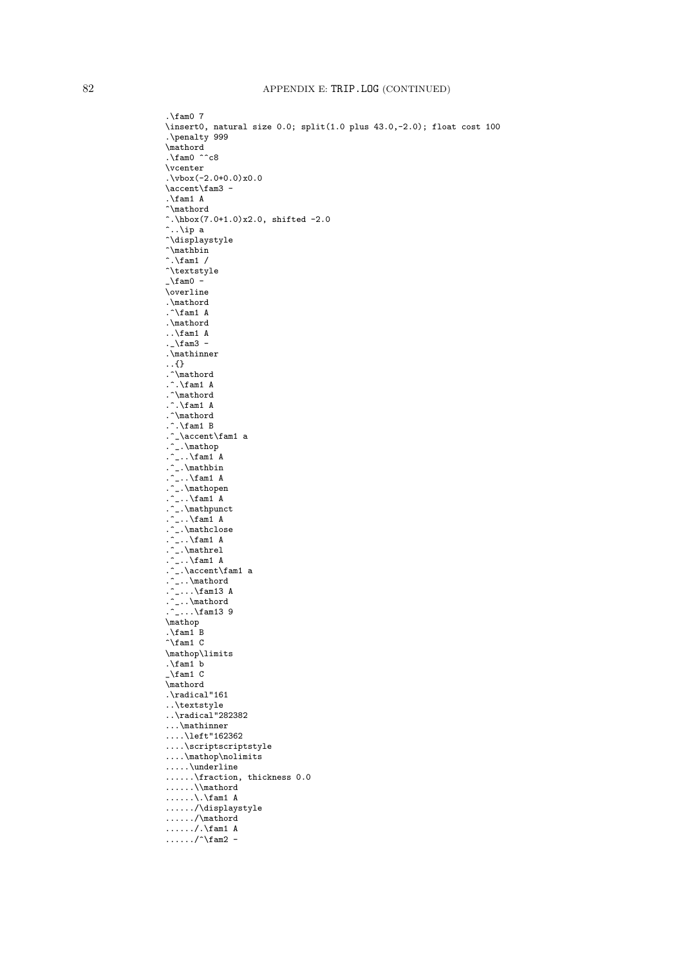. $\times$ fam0 7 \insert0, natural size 0.0; split(1.0 plus 43.0,-2.0); float cost 100 .\penalty 999 \mathord .\fam0  $\hat{ }$ c8 \vcenter  $.\sqrt{vbox(-2.0+0.0)x0.0}$ \accent\fam3 - .\fam1 A ^\mathord  $\hat{\ }$ .\hbox(7.0+1.0)x2.0, shifted -2.0  $\hat{\ }$ .. $\iota$ ip a ^\displaystyle  $\hat{\ }$  $\hat{\cdot}$ . \fam1 / ^\textstyle  $\_\lambda$ fam $0$  -\overline .\mathord . $\hat{}$ fam1 A .\mathord .. $\tan 1$  A .\_\fam3 -.\mathinner ..{} .^\mathord . $\hat{\ }$ . $\mathsf{fam1}$  A .^\mathord . $\hat{\ }$ . $\mathsf{fam1}$  A .^\mathord . $\hat{\ }$ . \fam1 B .^\_\accent\fam1 a .^\_.\mathop .^\_.. $\mathcal{f}$ am1 A .^\_.\mathbin .^\_.. $\mathcal{f}$ am1 A .^\_.\mathopen .^\_.. $\mathcal{f}$ am1 A .^\_.\mathpunct .^\_.. $\mathcal{f}$ am1 A .^\_.\mathclose .^\_.. $\mathcal{f}$ am1 A .^\_.\mathrel .^\_.. $\mathcal{f}$ am1 A .^\_.\accent\fam1 a .^\_..\mathord  $\ldots$ \fam13 A .^\_..\mathord  $\ldots$ \fam13 9 \mathop . $\frac{1}{B}$  $\hat{}$  fam1 C \mathop\limits . $\times$ fam1 b  $\lambda$ fam1 C \mathord .\radical"161 ..\textstyle ..\radical"282382 ...\mathinner ....\left"162362 ....\scriptscriptstyle ....\mathop\nolimits .....\underline ......\fraction, thickness 0.0 ......\\mathord  $\ldots$ .....\.\fam1 A ....../\displaystyle ....../\mathord ....../. $\times$  A  $\ldots$ ..../^\fam2 -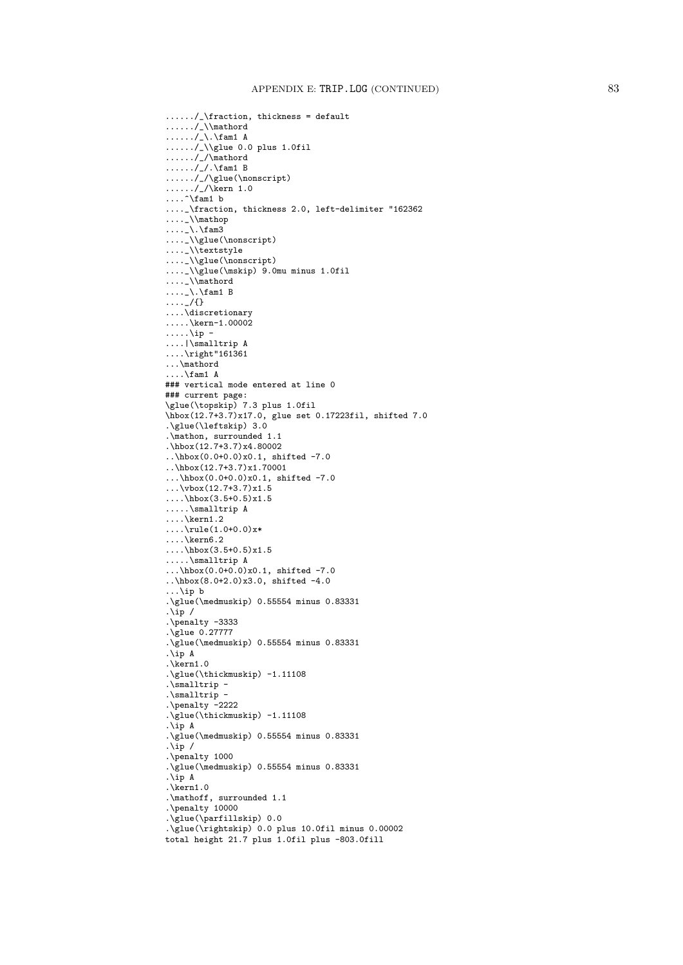```
....../_\fraction, thickness = default
....../_\\mathord
\ldots \ldots/_\.\fam1 A
....../_\\glue 0.0 plus 1.0fil
....../_/\mathord
\ldots \ldots/_/.\fam1 B
....../_/\glue(\nonscript)
\ldots..../_/\kern 1.0
\ldots ^\fam1 b
...._\fraction, thickness 2.0, left-delimiter "162362
....\mathcal{N}\ldots \ldots \fam3
...._\\glue(\nonscript)
...._\\textstyle
...._\\glue(\nonscript)
...._\\glue(\mskip) 9.0mu minus 1.0fil
...._\\mathord
....\backslash\fam1 B
\ldots \frac{1}{2}....\discretionary
\dots.\backslashkern-1.00002
\ldots....\ip -
....|\smalltrip A
....\right"161361
...\mathord
....\fam1 A
### vertical mode entered at line 0
### current page:
\glue(\topskip) 7.3 plus 1.0fil
\hbox(12.7+3.7)x17.0, glue set 0.17223fil, shifted 7.0
.\glue(\leftskip) 3.0
.\mathon, surrounded 1.1
.\hbox(12.7+3.7)x4.80002
\ldots\hbox(0.0+0.0)x0.1, shifted -7.0
\ldots\hbox(12.7+3.7)x1.70001...\hbox(0.0+0.0)x0.1, shifted -7.0
\ldots\vbox(12.7+3.7)x1.5
\ldots\hbox(3.5+0.5)x1.5
.....\smalltrip A
\ldots\kern1.2
\ldots\rule(1.0+0.0)x*
\ldots\kern6.2....\hbox(3.5+0.5)x1.5
.....\smalltrip A
...\hbar 0.0+0.0 x0.1, shifted -7.0
..\hbox(8.0+2.0)x3.0, shifted -4.0
...\ip b
.\glue(\medmuskip) 0.55554 minus 0.83331
.\ip /
.\penalty -3333
.\glue 0.27777
.\glue(\medmuskip) 0.55554 minus 0.83331
.\ip A
.\kern1.0
.\glue(\thickmuskip) -1.11108
.\smalltrip -
.\smalltrip -
.\penalty -2222
.\glue(\thickmuskip) -1.11108
.\ip A
.\glue(\medmuskip) 0.55554 minus 0.83331
.\bar{ip} /
.\penalty 1000
.\glue(\medmuskip) 0.55554 minus 0.83331
.\ip A
.\timesrn1.0
.\mathoff, surrounded 1.1
.\penalty 10000
.\glue(\parfillskip) 0.0
.\glue(\rightskip) 0.0 plus 10.0fil minus 0.00002
total height 21.7 plus 1.0fil plus -803.0fill
```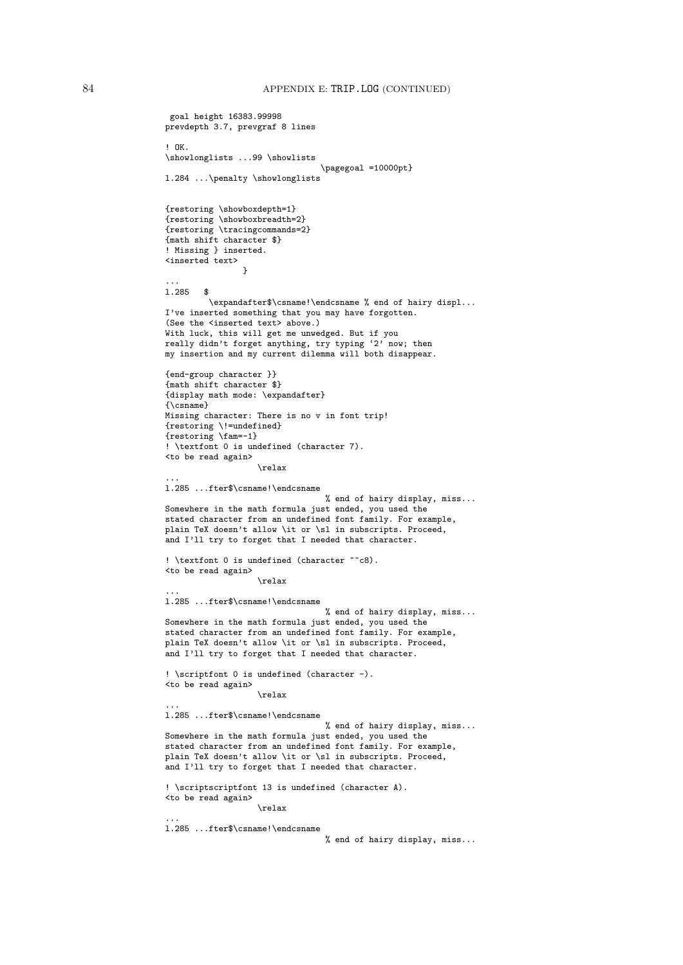```
goal height 16383.99998
prevdepth 3.7, prevgraf 8 lines
! OK.
\showlonglists ...99 \showlists
                                \pagegoal =10000pt}
l.284 ...\penalty \showlonglists
{restoring \showboxdepth=1}
{restoring \showboxbreadth=2}
{restoring \tracingcommands=2}
{math shift character $}
! Missing } inserted.
<inserted text>
                }
...
l.285 $
         \expandafter$\csname!\endcsname % end of hairy displ...
I've inserted something that you may have forgotten.
(See the <inserted text> above.)
With luck, this will get me unwedged. But if you
really didn't forget anything, try typing '2' now; then
my insertion and my current dilemma will both disappear.
{end-group character }}
{math shift character $}
{display math mode: \expandafter}
{\csname}
Missing character: There is no v in font trip!
{restoring \!=undefined}
{restoring \fam=-1}
! \textfont 0 is undefined (character 7).
<to be read again>
                   \relax
...
l.285 ...fter$\csname!\endcsname
                                 % end of hairy display, miss...
Somewhere in the math formula just ended, you used the
stated character from an undefined font family. For example,
plain TeX doesn't allow \it or \sl in subscripts. Proceed,
and I'll try to forget that I needed that character.
! \textfont 0 is undefined (character \hat{ } (8).
<to be read again>
                   \relax
...
l.285 ...fter$\csname!\endcsname
                                 % end of hairy display, miss...
Somewhere in the math formula just ended, you used the
stated character from an undefined font family. For example,
plain TeX doesn't allow \it or \sl in subscripts. Proceed,
and I'll try to forget that I needed that character.
! \scriptfont 0 is undefined (character -).
<to be read again>
                   \relax
...
l.285 ...fter$\csname!\endcsname
                                 % end of hairy display, miss...
Somewhere in the math formula just ended, you used the
stated character from an undefined font family. For example,
plain TeX doesn't allow \it or \sl in subscripts. Proceed,
and I'll try to forget that I needed that character.
! \scriptscriptfont 13 is undefined (character A).
<to be read again>
                   \relax
...
l.285 ...fter$\csname!\endcsname
```
% end of hairy display, miss...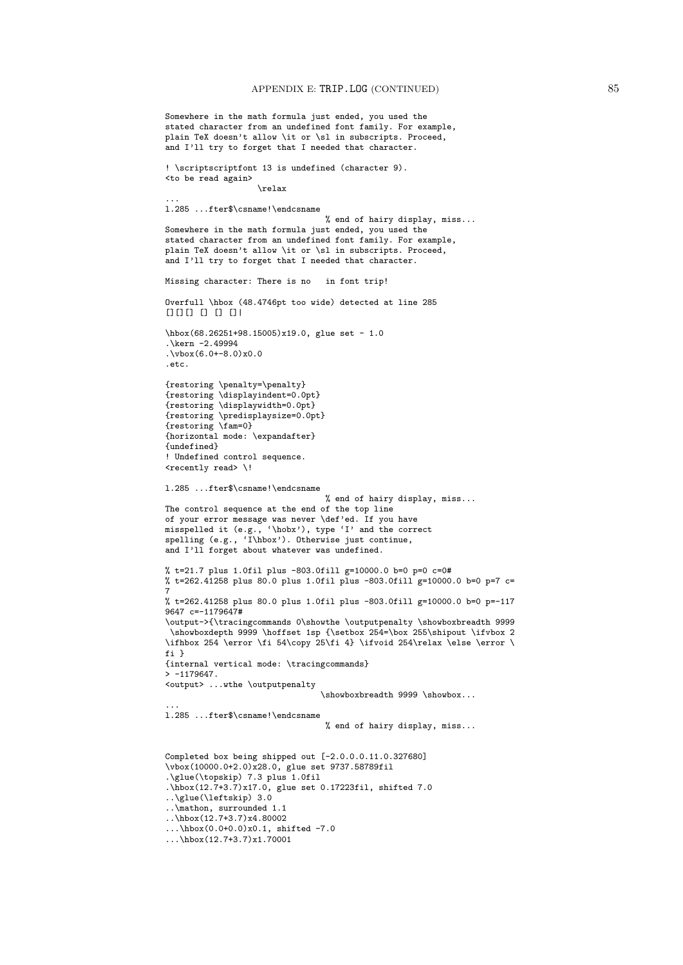```
Somewhere in the math formula just ended, you used the
stated character from an undefined font family. For example,
plain TeX doesn't allow \it or \sl in subscripts. Proceed,
and I'll try to forget that I needed that character.
! \scriptscriptfont 13 is undefined (character 9).
<to be read again>
                   \relax
...
l.285 ...fter$\csname!\endcsname
                                 % end of hairy display, miss...
Somewhere in the math formula just ended, you used the
stated character from an undefined font family. For example,
plain TeX doesn't allow \it or \sl in subscripts. Proceed,
and I'll try to forget that I needed that character.
Missing character: There is no in font trip!
Overfull \hbox (48.4746pt too wide) detected at line 285
[11] [1] [1] [1] [1]\hbox(68.26251+98.15005)x19.0, glue set - 1.0
.\kern -2.49994
.\vbox(6.0+-8.0)x0.0
.etc.
{restoring \penalty=\penalty}
{restoring \displayindent=0.0pt}
{restoring \displaywidth=0.0pt}
{restoring \predisplaysize=0.0pt}
{restoring \fam=0}
{horizontal mode: \expandafter}
{undefined}
! Undefined control sequence.
<recently read> \!
l.285 ...fter$\csname!\endcsname
                                 % end of hairy display, miss...
The control sequence at the end of the top line
of your error message was never \def'ed. If you have
misspelled it (e.g., '\hobx'), type 'I' and the correct
spelling (e.g., 'I\hbox'). Otherwise just continue,
and I'll forget about whatever was undefined.
% t=21.7 plus 1.0fil plus -803.0fill g=10000.0 b=0 p=0 c=0#
% t=262.41258 plus 80.0 plus 1.0fil plus -803.0fill g=10000.0 b=0 p=7 c=
7
% t=262.41258 plus 80.0 plus 1.0fil plus -803.0fill g=10000.0 b=0 p=-117
9647 c=-1179647#
\output->{\tracingcommands 0\showthe \outputpenalty \showboxbreadth 9999
 \showboxdepth 9999 \hoffset 1sp {\setbox 254=\box 255\shipout \ifvbox 2
\ifhbox 254 \error \fi 54\copy 25\fi 4} \ifvoid 254\relax \else \error \
fi }
{internal vertical mode: \tracingcommands}
> -1179647.<output> ...wthe \outputpenalty
                                \showboxbreadth 9999 \showbox...
...
l.285 ...fter$\csname!\endcsname
                                 % end of hairy display, miss...
Completed box being shipped out [-2.0.0.0.11.0.327680]
\vbox(10000.0+2.0)x28.0, glue set 9737.58789fil
.\glue(\topskip) 7.3 plus 1.0fil
.\hbox(12.7+3.7)x17.0, glue set 0.17223fil, shifted 7.0
..\glue(\leftskip) 3.0
..\mathon, surrounded 1.1
..\hbox(12.7+3.7)x4.80002
```
<sup>...\</sup>hbox(0.0+0.0)x0.1, shifted -7.0

<sup>...\</sup>hbox(12.7+3.7)x1.70001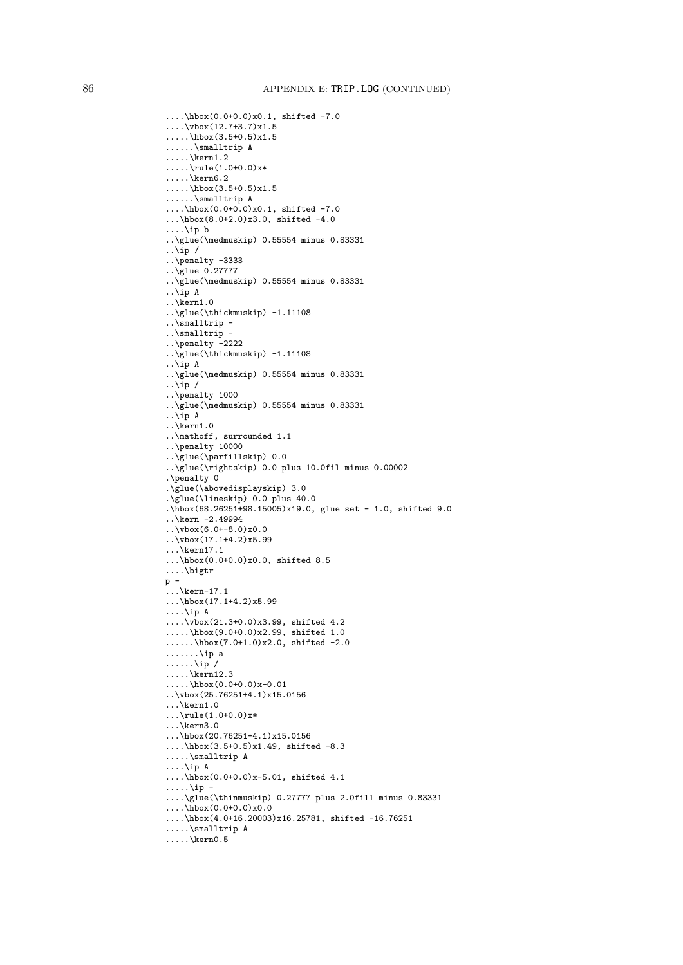```
....\hbox(0.0+0.0)x0.1, shifted -7.0
\ldots \vbox(12.7+3.7)x1.5
.....\hbox(3.5+0.5)x1.5
......\smalltrip A
\ldots.\kern1.2
\ldots.....\rule(1.0+0.0)x*
\ldots.\kern6.2
.....\hbox(3.5+0.5)x1.5
......\smalltrip A
\ldots\hbox(0.0+0.0)x0.1, shifted -7.0
...\hbox(8.0+2.0)x3.0, shifted -4.0
....\ip b
..\glue(\medmuskip) 0.55554 minus 0.83331
\ldotsip /
..\penalty -3333
..\glue 0.27777
..\glue(\medmuskip) 0.55554 minus 0.83331
..\ip A
\ldotskern1.0
..\glue(\thickmuskip) -1.11108
\ldots\smalltrip -
..\smalltrip -
..\penalty -2222
..\glue(\thickmuskip) -1.11108
..\ip A
..\glue(\medmuskip) 0.55554 minus 0.83331
\ldotsip /
..\penalty 1000
..\glue(\medmuskip) 0.55554 minus 0.83331
..\ip A
..\kern1.0
..\mathoff, surrounded 1.1
..\penalty 10000
..\glue(\parfillskip) 0.0
..\glue(\rightskip) 0.0 plus 10.0fil minus 0.00002
.\penalty 0
.\glue(\abovedisplayskip) 3.0
.\glue(\lineskip) 0.0 plus 40.0
.\hbox(68.26251+98.15005)x19.0, glue set - 1.0, shifted 9.0
..\kern -2.49994
\cdot \sqrt{\text{vbox}(6.0+-8.0)x0.0}.\cdot\cdot\cdot(17.1+4.2)x5.99...\kern17.1
\ldots\hbox(0.0+0.0)x0.0, shifted 8.5
....\bigtr
p -
\ldots\kern-17.1
...\hbarbox(17.1+4.2)x5.99
....\ip A
....\vbox(21.3+0.0)x3.99, shifted 4.2
.....\hbox(9.0+0.0)x2.99, shifted 1.0
......\hbox(7.0+1.0)x2.0, shifted -2.0
.......\ip a
\ldots....\ip /
.....\ker 12.3.....\hbox(0.0+0.0)x-0.01
..\vbox(25.76251+4.1)x15.0156
\ldots\kern1.0
\ldots\rule(1.0+0.0)x*
...\kern3.0
...\hbox(20.76251+4.1)x15.0156
....\hbox(3.5+0.5)x1.49, shifted -8.3
.....\smalltrip A
....\ip A
\ldots\hbox(0.0+0.0)x-5.01, shifted 4.1
\ldots\ip -
....\glue(\thinmuskip) 0.27777 plus 2.0fill minus 0.83331
\ldots \hbox(0.0+0.0)x0.0
....\hbox(4.0+16.20003)x16.25781, shifted -16.76251
.....\smalltrip A
\ldots\kern0.5
```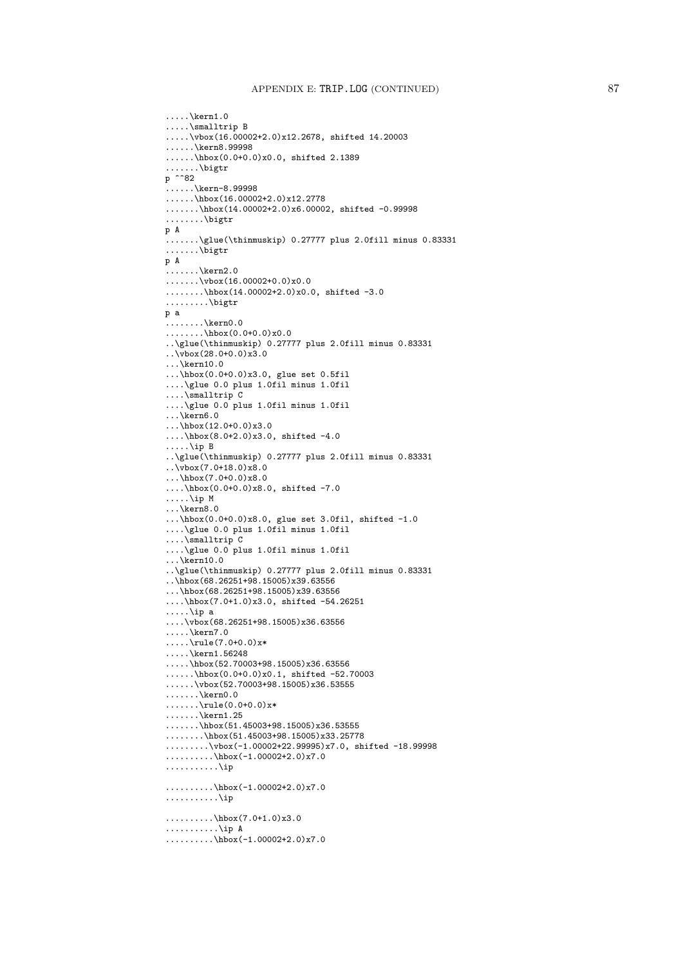```
\ldots\kern1.0
.....\smalltrip B
.....\vbox(16.00002+2.0)x12.2678, shifted 14.20003
......\kern8.99998
......\hbox(0.0+0.0)x0.0, shifted 2.1389
.......\bigtr
p ^^82
......\kern-8.99998
......\hbox(16.00002+2.0)x12.2778
.......\hbox(14.00002+2.0)x6.00002, shifted -0.99998
.......\big\backslash \text{bigtr}p A
.......\glue(\thinmuskip) 0.27777 plus 2.0fill minus 0.83331
.......\bigtr
p A
\ldots.....\kern2.0
\ldots\ldots\backslash \text{vbox}(16.00002+0.0)x0.0........\hbox(14.00002+2.0)x0.0, shifted -3.0
.........\bigtr
p a
\ldots \ldots \lambdakern0.0
\ldots......\hbox(0.0+0.0)x0.0
..\glue(\thinmuskip) 0.27777 plus 2.0fill minus 0.83331
..\vbox(28.0+0.0)x3.0
...\kern10.0
...\hbox(0.0+0.0)x3.0, glue set 0.5fil
....\glue 0.0 plus 1.0fil minus 1.0fil
....\smalltrip C
....\glue 0.0 plus 1.0fil minus 1.0fil
\ldots\backslashkern6.0
...\hbarbox(12.0+0.0)x3.0
....\hbox(8.0+2.0)x3.0, shifted -4.0
.....\ip B
..\glue(\thinmuskip) 0.27777 plus 2.0fill minus 0.83331
\ldots \vbox(7.0+18.0)x8.0
...\hbox(7.0+0.0)x8.0
....\hbox(0.0+0.0)x8.0, shifted -7.0
.....\ip M
...\kern8.0
...\hbox(0.0+0.0)x8.0, glue set 3.0fil, shifted -1.0
....\glue 0.0 plus 1.0fil minus 1.0fil
....\smalltrip C
....\glue 0.0 plus 1.0fil minus 1.0fil
...\kern10.0
..\glue(\thinmuskip) 0.27777 plus 2.0fill minus 0.83331
..\hbox(68.26251+98.15005)x39.63556
...\hbox(68.26251+98.15005)x39.63556
....\hbox(7.0+1.0)x3.0, shifted -54.26251
.....\ip a
\ldots\vbox(68.26251+98.15005)x36.63556
\ldots.\backslashkern7.0
.....\rule(7.0+0.0)x*
.....\kern1.56248
.....\hbox(52.70003+98.15005)x36.63556
......\hbox(0.0+0.0)x0.1, shifted -52.70003
......\vbox(52.70003+98.15005)x36.53555
\ldots\ldots\ker n0.0\ldots......\rule(0.0+0.0)x*
.......\kern1.25
.......\hbox(51.45003+98.15005)x36.53555
........\hbox(51.45003+98.15005)x33.25778
.........\vbox(-1.00002+22.99995)x7.0, shifted -18.99998
\ldots........\hbox(-1.00002+2.0)x7.0
...........\ip
\ldots.......\hbox(-1.00002+2.0)x7.0
...........\ip
\ldots........\hbox(7.0+1.0)x3.0
...........\ip A
\ldots........\hbox(-1.00002+2.0)x7.0
```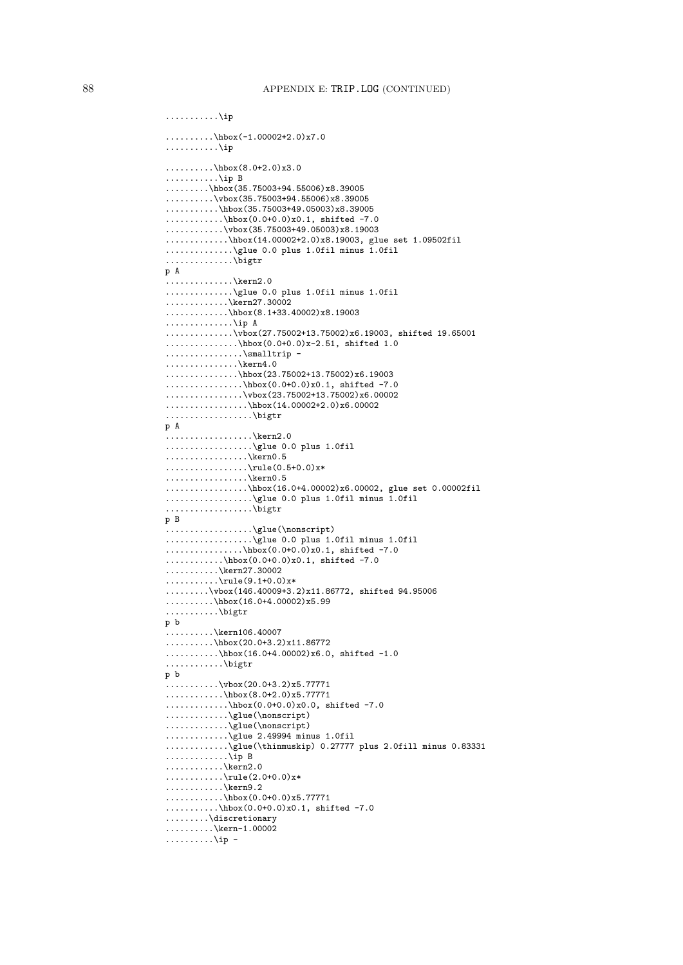```
\ldots \ldots \hbox{hbox}(-1.00002+2.0)x7.0...........\ip
..........\hbox(8.0+2.0)x3.0
...........\ip\, {\bf B}.........\hbox(35.75003+94.55006)x8.39005
\ldots.......\vbox(35.75003+94.55006)x8.39005
\ldots.......\hbox(35.75003+49.05003)x8.39005
............\hbox(0.0+0.0)x0.1, shifted -7.0
............\vbox(35.75003+49.05003)x8.19003
.............\hbox(14.00002+2.0)x8.19003, glue set 1.09502fil
..............\glue 0.0 plus 1.0fil minus 1.0fil
.............\bigtr
p A
..............\kern2.0
..............\glue 0.0 plus 1.0fil minus 1.0fil
............\kern27.30002
\ldots.........\hbox(8.1+33.40002)x8.19003
..............\ip A
..............\vbox(27.75002+13.75002)x6.19003, shifted 19.65001
...............\hbox(0.0+0.0)x-2.51, shifted 1.0
................\smalltrip -
..............\kern4.0
...............\hbox(23.75002+13.75002)x6.19003
................\hbox(0.0+0.0)x0.1, shifted -7.0
................\vbox(23.75002+13.75002)x6.00002
\ldots.............\hbox(14.00002+2.0)x6.00002
..................\bigtr
p A
..................\kern2.0
..................\glue 0.0 plus 1.0fil
................\kern0.5
.................\rule(0.5+0.0)x*
.................\kern0.5
.................\hbox(16.0+4.00002)x6.00002, glue set 0.00002fil
..................\glue 0.0 plus 1.0fil minus 1.0fil
.................\bigtr
p B
..................\glue(\nonscript)
...................\glue 0.0 plus 1.0fil minus 1.0fil
.................\hbox(0.0+0.0)x0.1, shifted -7.0
\ldots........\hbox(0.0+0.0)x0.1, shifted -7.0
\ldots \ldots \lambda^{kern27.30002}\ldots \ldots \cdot \rule{0.1cm}{0.1}.........\vbox(146.40009+3.2)x11.86772, shifted 94.95006
\ldots.......\hbox(16.0+4.00002)x5.99
...........\bigtr
p b
..........\kern106.40007
..........\hbox(20.0+3.2)x11.86772
...........\hbox(16.0+4.00002)x6.0, shifted -1.0
............\bigtr
p b
\dots\dots\dots\vee\text{box}(20.0+3.2)x5.77771............\hbox(8.0+2.0)x5.77771
.............\hbox(0.0+0.0)x0.0, shifted -7.0
............\glue(\nonscript)
.............\glue(\nonscript)
.............\glue 2.49994 minus 1.0fil
.............\glue(\thinmuskip) 0.27777 plus 2.0fill minus 0.83331
............\ip B
............\kern2.0
............\rule(2.0+0.0)x*
............\kern9.2
\ldots \ldots \ldots.......\hbox(0.0+0.0)x5.77771
...........\hbox(0.0+0.0)x0.1, shifted -7.0
.........\discretionary
.........\kern-1.00002
\ldots \ldots \ldots\ip -
```
...........\ip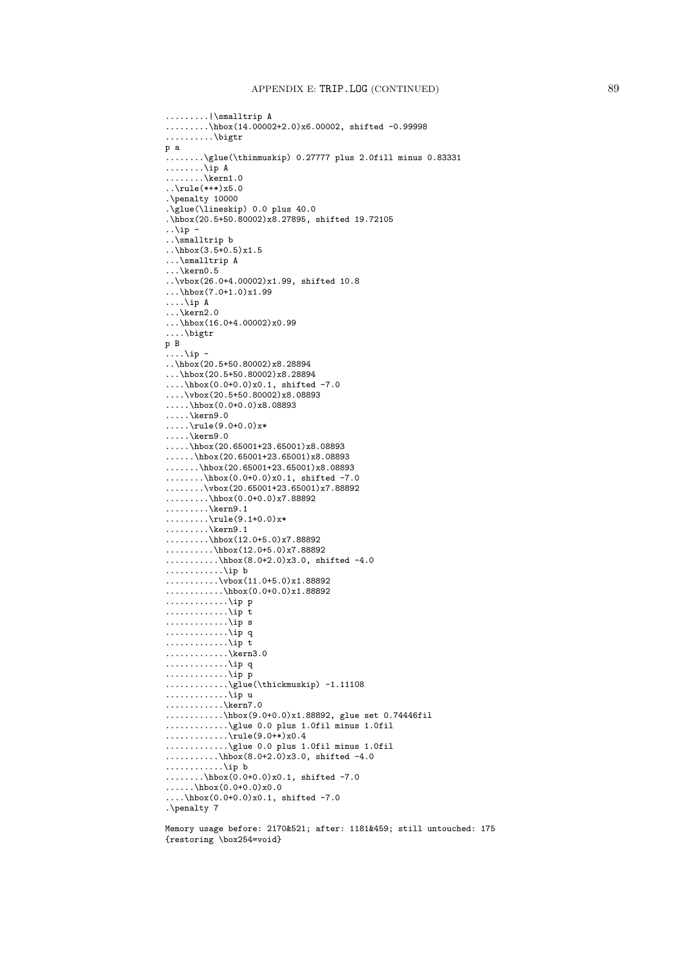```
.........|\smalltrip A
.........\hbox(14.00002+2.0)x6.00002, shifted -0.99998
..........\bigtr
p a
\ldots.......\glue(\thinmuskip) 0.27777 plus 2.0fill minus 0.83331
\ldots \ldots \veeip A
\ldots \ldots \ker 1.0.\cdot\rule(***)x5.0
.\penalty 10000
.\glue(\lineskip) 0.0 plus 40.0
.\hbox(20.5+50.80002)x8.27895, shifted 19.72105
..\ip -
..\smalltrip b
..\hbox(3.5+0.5)x1.5
...\smalltrip A
...\kern0.5
..\vbox(26.0+4.00002)x1.99, shifted 10.8
...\hbox(7.0+1.0)x1.99
....\ip A
...\kern2.0
\ldots\hbox(16.0+4.00002)x0.99
....\bigtr
p B
\ldots\ip -
\ldots\hbox(20.5+50.80002)x8.28894
...\hbox(20.5+50.80002)x8.28894
....\hbox(0.0+0.0)x0.1, shifted -7.0
....\vbox(20.5+50.80002)x8.08893
.....\hbox(0.0+0.0)x8.08893
.....\kern9.0
\ldots.....\rule(9.0+0.0)x*
\ldots.\kern9.0
.....\hbox(20.65001+23.65001)x8.08893
\ldots.....\hbox(20.65001+23.65001)x8.08893
.......\hbox(20.65001+23.65001)x8.08893
........\hbox(0.0+0.0)x0.1, shifted -7.0
........\vbox(20.65001+23.65001)x7.88892
\ldots......\hbox(0.0+0.0)x7.88892
\ldots \ldots. \kern9.1
.........\rule(9.1+0.0)x*
........\kern9.1
\ldots.......\hbox(12.0+5.0)x7.88892
\ldots.......\hbox(12.0+5.0)x7.88892
\ldots \ldots \ldots \hbox(8.0+2.0)x3.0, shifted -4.0
............\ip b
...........\vbox(11.0+5.0)x1.88892
............\hbox(0.0+0.0)x1.88892
.............\ip p
.............\ip t
.............\ip s
.............\ip q
.............\ip t
............\kern3.0
.............\ip q
.............\ip p
..............\glue(\thickmuskip) -1.11108
.............\ip u
............\kern7.0
............\hbox(9.0+0.0)x1.88892, glue set 0.74446fil
.............\glue 0.0 plus 1.0fil minus 1.0fil
\ldots..........\rule(9.0+*)x0.4
.............\glue 0.0 plus 1.0fil minus 1.0fil
...........\hbox(8.0+2.0)x3.0, shifted -4.0............\ip b
........\hbox(0.0+0.0)x0.1, shifted -7.0
......\hbox(0.0+0.0)x0.0
....\hbar x(0.0+0.0)x0.1, shifted -7.0
.\penalty 7
```

```
Memory usage before: 2170&521; after: 1181&459; still untouched: 175
{restoring \box254=void}
```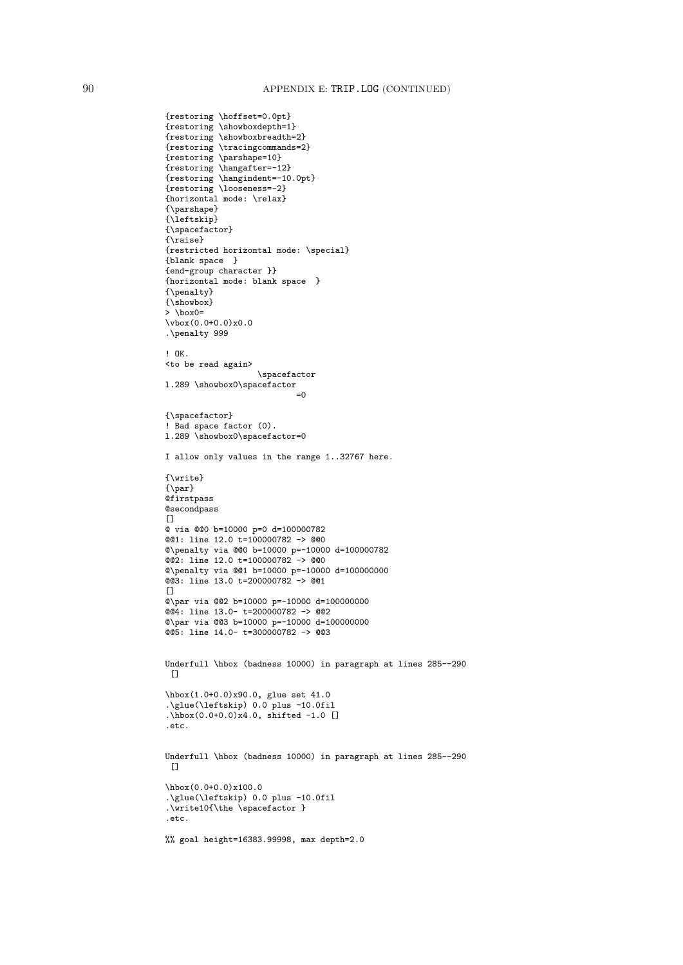```
{restoring \hoffset=0.0pt}
{restoring \showboxdepth=1}
{restoring \showboxbreadth=2}
{restoring \tracingcommands=2}
{restoring \parshape=10}
{restoring \hangafter=-12}
{restoring \hangindent=-10.0pt}
{restoring \looseness=-2}
{horizontal mode: \relax}
{\parshape}
{\leftskip}
{\spacefactor}
{\raise}
{restricted horizontal mode: \special}
{blank space }
{end-group character }}
{horizontal mode: blank space }
{\penalty}
{\showbox}
> \box0=
\forall x(0.0+0.0)x0.0.\penalty 999
! OK.
<to be read again>
                   \spacefactor
l.289 \showbox0\spacefactor
                           =0{\spacefactor}
! Bad space factor (0).
1.289 \showbox0\spacefactor=0
I allow only values in the range 1..32767 here.
{\write}
{\par}
@firstpass
@secondpass
\Box@ via @@0 b=10000 p=0 d=100000782
@@1: line 12.0 t=100000782 -> @@0
@\penalty via @@0 b=10000 p=-10000 d=100000782
@2: line 12.0 t=100000782 -> @0@\penalty via @@1 b=10000 p=-10000 d=100000000
@@3: line 13.0 t=200000782 -> @@1
[@\par via @@2 b=10000 p=-10000 d=100000000
@@4: line 13.0- t=200000782 -> @@2
@\par via @@3 b=10000 p=-10000 d=100000000
@@5: line 14.0- t=300000782 -> @@3
Underfull \hbox (badness 10000) in paragraph at lines 285--290
[]
\hbox(1.0+0.0)x90.0, glue set 41.0
.\glue(\leftskip) 0.0 plus -10.0fil
.\hbox(0.0+0.0)x4.0, shifted -1.0 []
.etc.
Underfull \hbox (badness 10000) in paragraph at lines 285--290
 []
\hbox(0.0+0.0)x100.0
.\glue(\leftskip) 0.0 plus -10.0fil
.\write10{\the \spacefactor }
.etc.
%% goal height=16383.99998, max depth=2.0
```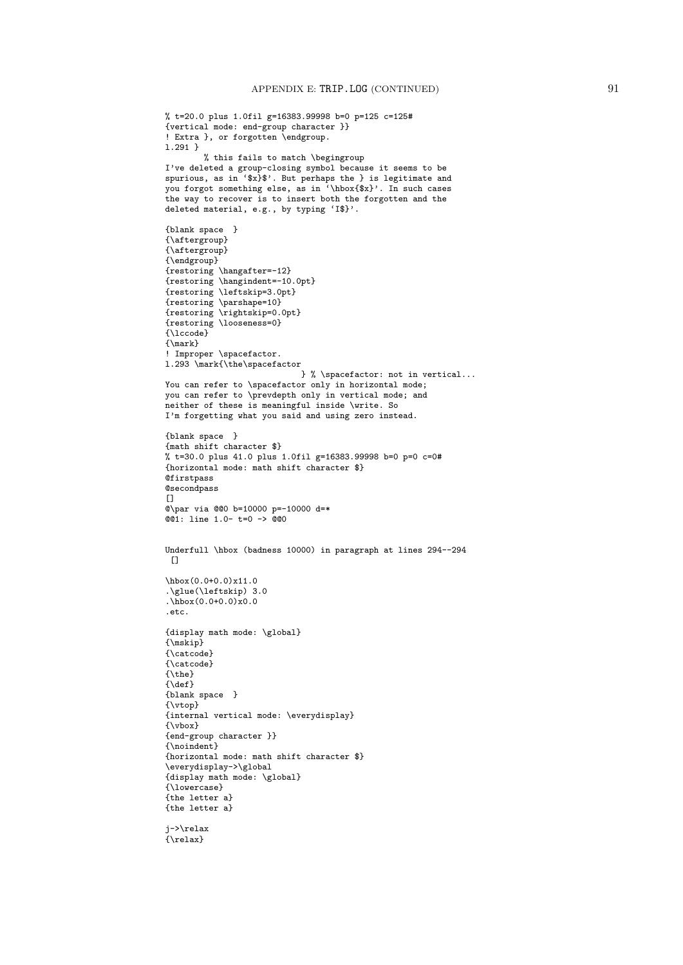```
% t=20.0 plus 1.0fil g=16383.99998 b=0 p=125 c=125#
{vertical mode: end-group character }}
! Extra }, or forgotten \endgroup.
l.291 }
        % this fails to match \begingroup
I've deleted a group-closing symbol because it seems to be
spurious, as in 'x}$'. But perhaps the } is legitimate and
you forgot something else, as in '\hbox{$x}'. In such cases
the way to recover is to insert both the forgotten and the
deleted material, e.g., by typing 'I$}'.
{blank space }
{\aftergroup}
{\aftergroup}
{\endgroup}
{restoring \hangafter=-12}
{restoring \hangindent=-10.0pt}
{restoring \leftskip=3.0pt}
{restoring \parshape=10}
{restoring \rightskip=0.0pt}
{restoring \looseness=0}
{\lccode}
{\mark}
! Improper \spacefactor.
l.293 \mark{\the\spacefactor
                            } % \spacefactor: not in vertical...
You can refer to \spacefactor only in horizontal mode;
you can refer to \prevdepth only in vertical mode; and
neither of these is meaningful inside \write. So
I'm forgetting what you said and using zero instead.
{blank space }
{math shift character $}
% t=30.0 plus 41.0 plus 1.0fil g=16383.99998 b=0 p=0 c=0#
{horizontal mode: math shift character $}
@firstpass
@secondpass
\Box@\par via @@0 b=10000 p=-10000 d=*
@01: line 1.0- t=0 -> @00Underfull \hbox (badness 10000) in paragraph at lines 294--294
\Box\hbox(0.0+0.0)x11.0
.\glue(\leftskip) 3.0
.\hbox(0.0+0.0)x0.0
.etc.
{display math mode: \global}
{\mskip}
{\catcode}
{\catcode}
{\the}
{\def}
{blank space }
{\vtop}
{internal vertical mode: \everydisplay}
{\vbox}
{end-group character }}
{\noindent}
{horizontal mode: math shift character $}
\everydisplay->\global
{display math mode: \global}
{\lowercase}
{the letter a}
{the letter a}
j->\relax
{\relax}
```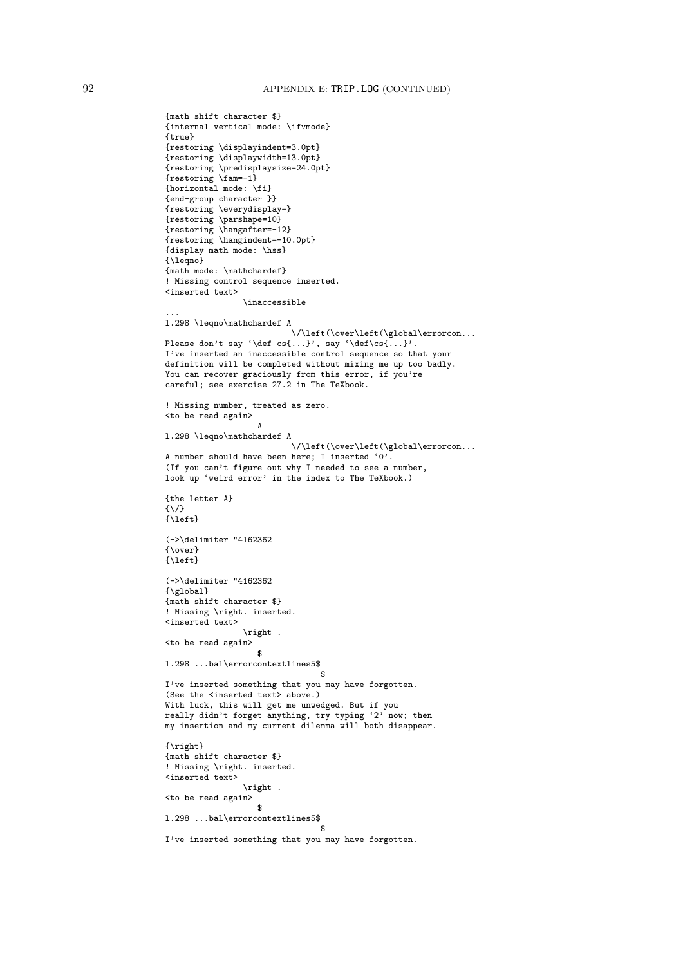{math shift character \$}

```
{internal vertical mode: \ifvmode}
{true}
{restoring \displayindent=3.0pt}
{restoring \displaywidth=13.0pt}
{restoring \predisplaysize=24.0pt}
{restoring \fam=-1}
{horizontal mode: \fi}
{end-group character }}
{restoring \everydisplay=}
{restoring \parshape=10}
{restoring \hangafter=-12}
{restoring \hangindent=-10.0pt}
{display math mode: \hss}
{\leqno}
{math mode: \mathchardef}
! Missing control sequence inserted.
<inserted text>
                \inaccessible
...
l.298 \leqno\mathchardef A
                          \/\left(\over\left(\global\errorcon...
Please don't say '\def cs{...}', say '\def\cs{...}'.
I've inserted an inaccessible control sequence so that your
definition will be completed without mixing me up too badly.
You can recover graciously from this error, if you're
careful; see exercise 27.2 in The TeXbook.
! Missing number, treated as zero.
<to be read again>
                   A
l.298 \leqno\mathchardef A
                          \/\left(\over\left(\global\errorcon...
A number should have been here; I inserted '0'.
(If you can't figure out why I needed to see a number,
look up 'weird error' in the index to The TeXbook.)
{the letter A}
{\/}
\{\langle\text{left}\}\(->\delimiter "4162362
{\over}
\{ \text{left} \}(->\delimiter "4162362
{\global}
{math shift character $}
! Missing \right. inserted.
<inserted text>
                \right .
<to be read again>
                  $
l.298 ...bal\errorcontextlines5$
                                $
I've inserted something that you may have forgotten.
(See the <inserted text> above.)
With luck, this will get me unwedged. But if you
really didn't forget anything, try typing '2' now; then
my insertion and my current dilemma will both disappear.
{\right}
{math shift character $}
! Missing \right. inserted.
<inserted text>
                \right .
<to be read again>
                   $
l.298 ...bal\errorcontextlines5$
                                 $
I've inserted something that you may have forgotten.
```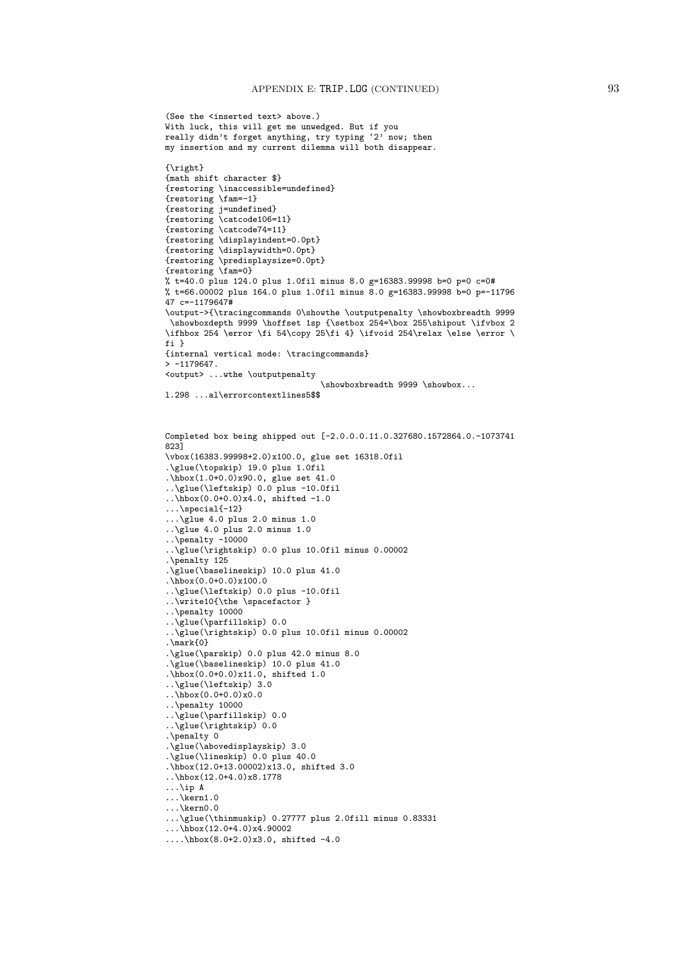```
(See the <inserted text> above.)
With luck, this will get me unwedged. But if you
really didn't forget anything, try typing '2' now; then
my insertion and my current dilemma will both disappear.
{\right}
{math shift character $}
{restoring \inaccessible=undefined}
{restoring \fam=-1}
{restoring j=undefined}
{restoring \catcode106=11}
{restoring \catcode74=11}
{restoring \displayindent=0.0pt}
{restoring \displaywidth=0.0pt}
{restoring \predisplaysize=0.0pt}
{restoring \fam=0}
% t=40.0 plus 124.0 plus 1.0fil minus 8.0 g=16383.99998 b=0 p=0 c=0#
% t=66.00002 plus 164.0 plus 1.0fil minus 8.0 g=16383.99998 b=0 p=-11796
47 c=-1179647#
\output->{\tracingcommands 0\showthe \outputpenalty \showboxbreadth 9999
 \showboxdepth 9999 \hoffset 1sp {\setbox 254=\box 255\shipout \ifvbox 2
\ifhbox 254 \error \fi 54\copy 25\fi 4} \ifvoid 254\relax \else \error \
fi }
{internal vertical mode: \tracingcommands}
> -1179647.<output> ...wthe \outputpenalty
                                \showboxbreadth 9999 \showbox...
l.298 ...al\errorcontextlines5$$
Completed box being shipped out [-2.0.0.0.11.0.327680.1572864.0.-1073741
823]
\vbox(16383.99998+2.0)x100.0, glue set 16318.0fil
.\glue(\topskip) 19.0 plus 1.0fil
.\hbox(1.0+0.0)x90.0, glue set 41.0
..\glue(\leftskip) 0.0 plus -10.0fil
\ldots\hbox(0.0+0.0)x4.0, shifted -1.0
...\special{-12}
...\glue 4.0 plus 2.0 minus 1.0
..\glue 4.0 plus 2.0 minus 1.0
\ldots\penalty -10000
..\glue(\rightskip) 0.0 plus 10.0fil minus 0.00002
.\penalty 125
.\glue(\baselineskip) 10.0 plus 41.0
.\hbox(0.0+0.0)x100.0
..\glue(\leftskip) 0.0 plus -10.0fil
..\write10{\the \spacefactor }
..\penalty 10000
..\glue(\parfillskip) 0.0
..\glue(\rightskip) 0.0 plus 10.0fil minus 0.00002
.\mark{0}
.\glue(\parskip) 0.0 plus 42.0 minus 8.0
.\glue(\baselineskip) 10.0 plus 41.0
.\hbox(0.0+0.0)x11.0, shifted 1.0
..\glue(\leftskip) 3.0
```
 $\ldots$ \hbox(0.0+0.0)x0.0 ..\penalty 10000

.\penalty 0

...\ip A ...\kern1.0 ...\kern0.0

..\glue(\parfillskip) 0.0 ..\glue(\rightskip) 0.0

..\hbox(12.0+4.0)x8.1778

...\hbox(12.0+4.0)x4.90002

....\hbox(8.0+2.0)x3.0, shifted -4.0

.\glue(\abovedisplayskip) 3.0 .\glue(\lineskip) 0.0 plus 40.0 .\hbox(12.0+13.00002)x13.0, shifted 3.0

...\glue(\thinmuskip) 0.27777 plus 2.0fill minus 0.83331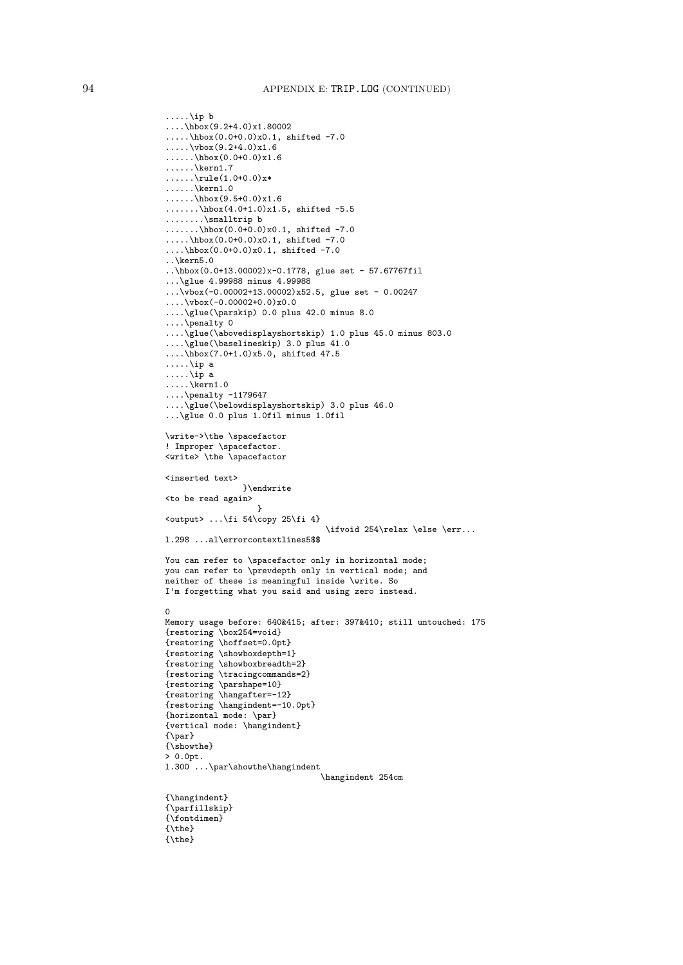```
.....\ip b
\ldots \hbox(9.2+4.0)x1.80002
.....\hbox(0.0+0.0)x0.1, shifted -7.0
\ldots.....\vbox(9.2+4.0)x1.6
\ldots.\ \hbox(0.0+0.0)x1.6
\ldots.\backslash \text{kern1.7}\ldots.....\rule(1.0+0.0)x*
\ldots.\......\hbox(9.5+0.0)x1.6
\ldots.\hbox{hbox}(4.0+1.0)x1.5, shifted -5.5
........\smalltrip b
.......\hbox(0.0+0.0)x0.1, shifted -7.0
.....\hbox(0.0+0.0)x0.1, shifted -7.0
....\hbox(0.0+0.0)x0.1, shifted -7.0
..\kern5.0
..\hbox(0.0+13.00002)x-0.1778, glue set - 57.67767fil
...\glue 4.99988 minus 4.99988
...\vbox(-0.00002+13.00002)x52.5, glue set - 0.00247
\ldots \vbox(-0.00002+0.0)x0.0
....\glue(\parskip) 0.0 plus 42.0 minus 8.0
....\penalty 0
....\glue(\abovedisplayshortskip) 1.0 plus 45.0 minus 803.0
....\glue(\baselineskip) 3.0 plus 41.0
....\hbox(7.0+1.0)x5.0, shifted 47.5
.....\ip a
.....\ip a
\ldots \kern1.0
....\penalty -1179647
....\glue(\belowdisplayshortskip) 3.0 plus 46.0
...\glue 0.0 plus 1.0fil minus 1.0fil
\write->\the \spacefactor
! Improper \spacefactor.
<write> \the \spacefactor
<inserted text>
                }\endwrite
<to be read again>
                    }
\{\text{output} \dots \t{fi} 54\copy 25\fi 4}
                                   \ifvoid 254\relax \else \err...
l.298 ...al\errorcontextlines5$$
You can refer to \spacefactor only in horizontal mode:
you can refer to \prevdepth only in vertical mode; and
neither of these is meaningful inside \write. So
I'm forgetting what you said and using zero instead.
0
Memory usage before: 640&415; after: 397&410; still untouched: 175
{restoring \box254=void}
{restoring \hoffset=0.0pt}
{restoring \showboxdepth=1}
{restoring \showboxbreadth=2}
{restoring \tracingcommands=2}
{restoring \parshape=10}
{restoring \hangafter=-12}
{restoring \hangindent=-10.0pt}
{horizontal mode: \par}
{vertical mode: \hangindent}
{\par}
{\showthe}
> 0.0pt.
l.300 ...\par\showthe\hangindent
                                 \hangindent 254cm
{\hangindent}
{\parfillskip}
{\fontdimen}
{\the}
{\the}
```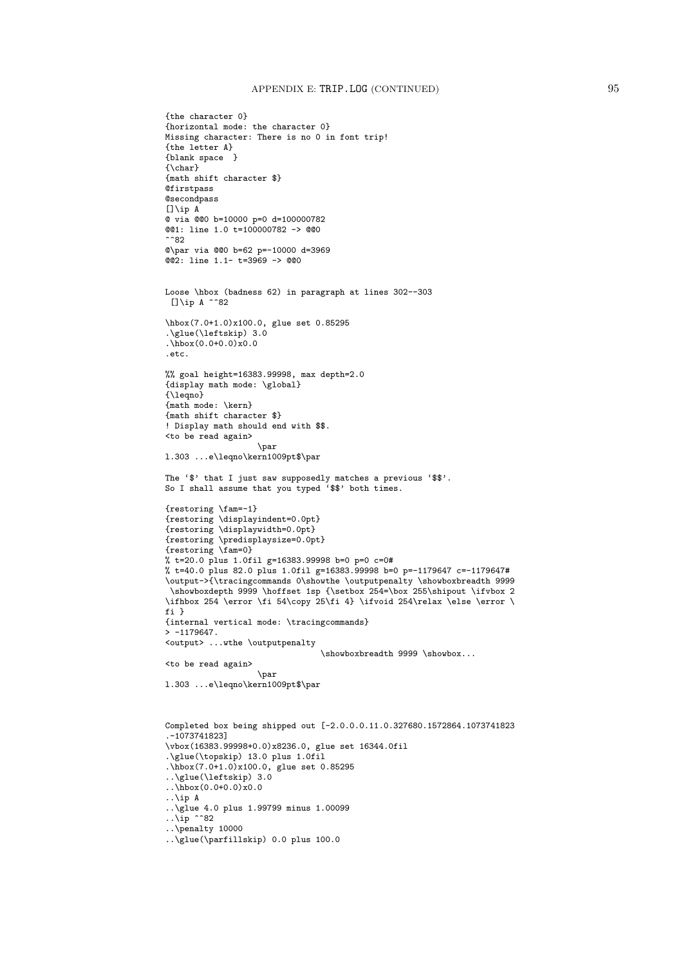```
{the character 0}
{horizontal mode: the character 0}
Missing character: There is no 0 in font trip!
{the letter A}
{blank space }
{\char}
{math shift character $}
Qfirstpass
@secondpass
[]\ip A
@ via @@0 b=10000 p=0 d=100000782
@@1: line 1.0 t=100000782 -> @@0
^^82
@\par via @@0 b=62 p=-10000 d=3969
@@2: line 1.1- t=3969 -> @@0
Loose \hbox (badness 62) in paragraph at lines 302--303
 []\ip A ^^82
\hbox(7.0+1.0)x100.0, glue set 0.85295
.\glue(\leftskip) 3.0
.\hbox{hbox}(0.0+0.0)x0.0.etc.
%% goal height=16383.99998, max depth=2.0
{display math mode: \global}
{\leqno}
{math mode: \kern}
{math shift character $}
! Display math should end with $$.
<to be read again>
                   \par
l.303 ...e\leqno\kern1009pt$\par
The '$' that I just saw supposedly matches a previous '$$'.
So I shall assume that you typed '$$' both times.
{restoring \fam=-1}
{restoring \displayindent=0.0pt}
{restoring \displaywidth=0.0pt}
{restoring \predisplaysize=0.0pt}
{restoring \fam=0}
% t=20.0 plus 1.0fil g=16383.99998 b=0 p=0 c=0#
% t=40.0 plus 82.0 plus 1.0fil g=16383.99998 b=0 p=-1179647 c=-1179647#
\output->{\tracingcommands 0\showthe \outputpenalty \showboxbreadth 9999
 \showboxdepth 9999 \hoffset 1sp {\setbox 254=\box 255\shipout \ifvbox 2
\ifhbox 254 \error \fi 54\copy 25\fi 4} \ifvoid 254\relax \else \error \
fi }
{internal vertical mode: \tracingcommands}
> -1179647.<output> ...wthe \outputpenalty
                                \showboxbreadth 9999 \showbox...
<to be read again>
                   \par
l.303 ...e\leqno\kern1009pt$\par
Completed box being shipped out [-2.0.0.0.11.0.327680.1572864.1073741823
.-1073741823]
\vbox(16383.99998+0.0)x8236.0, glue set 16344.0fil
.\glue(\topskip) 13.0 plus 1.0fil
.\hbox(7.0+1.0)x100.0, glue set 0.85295
..\glue(\leftskip) 3.0
..\hbox(0.0+0.0)x0.0
..\ip A
..\glue 4.0 plus 1.99799 minus 1.00099
\ldots \ip ^^82
..\penalty 10000
..\glue(\parfillskip) 0.0 plus 100.0
```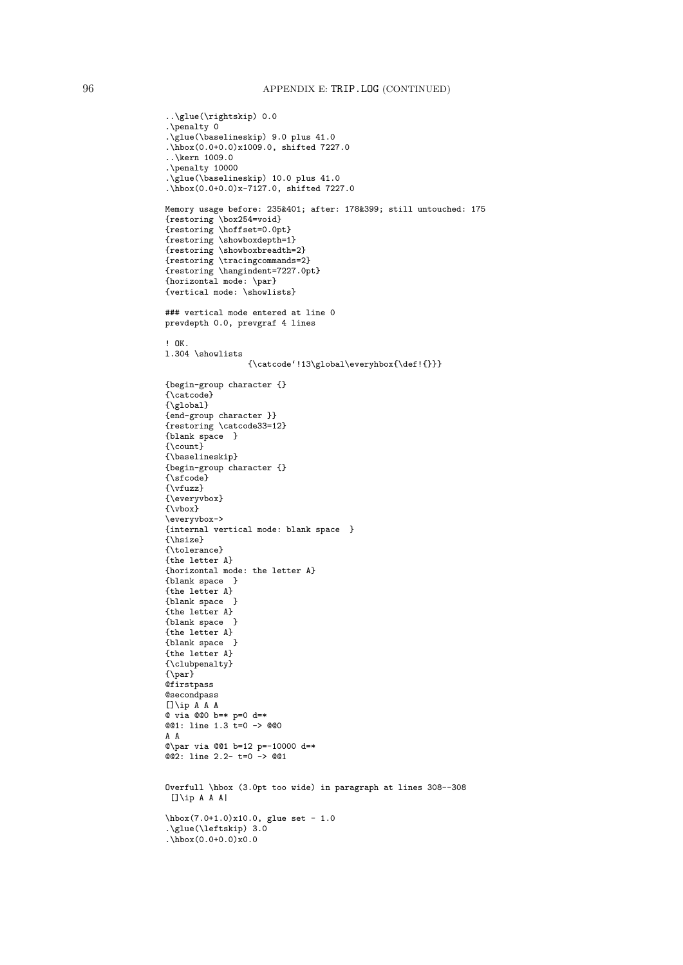```
..\glue(\rightskip) 0.0
.\penalty 0
.\glue(\baselineskip) 9.0 plus 41.0
.\hbox(0.0+0.0)x1009.0, shifted 7227.0
..\kern 1009.0
.\penalty 10000
.\glue(\baselineskip) 10.0 plus 41.0
.\hbox(0.0+0.0)x-7127.0, shifted 7227.0
Memory usage before: 235&401; after: 178&399; still untouched: 175
{restoring \box254=void}
{restoring \hoffset=0.0pt}
{restoring \showboxdepth=1}
{restoring \showboxbreadth=2}
{restoring \tracingcommands=2}
{restoring \hangindent=7227.0pt}
{horizontal mode: \par}
{vertical mode: \showlists}
### vertical mode entered at line 0
prevdepth 0.0, prevgraf 4 lines
! OK.
l.304 \showlists
                 {\catcode'!13\global\everyhbox{\def!{}}}
{begin-group character {}
{\catcode}
{\global}
{end-group character }}
{restoring \catcode33=12}
{blank space }
{\count}
{\baselineskip}
{begin-group character {}
{\sfcode}
{\vfuzz}
{\everyvbox}
{\vbox}
\everyvbox->
{internal vertical mode: blank space }
{\hsize}
{\tolerance}
{the letter A}
{horizontal mode: the letter A}
{blank space }
{the letter A}
{blank space }
{the letter A}
{blank space }
{the letter A}
{blank space }
{the letter A}
{\clubpenalty}
{\par}
@firstpass
@secondpass
[]\ip A A A
@ via @@0 b=* p=0 d=*
@@1: line 1.3 t=0 -> @@0
A A
@\par via @@1 b=12 p=-10000 d=*
@@2: line 2.2- t=0 -> @@1
Overfull \hbox (3.0pt too wide) in paragraph at lines 308--308
[]\iota p A A A]\hbox(7.0+1.0)x10.0, glue set - 1.0
.\glue(\leftskip) 3.0
.\hbox{hbox}(0.0+0.0)x0.0
```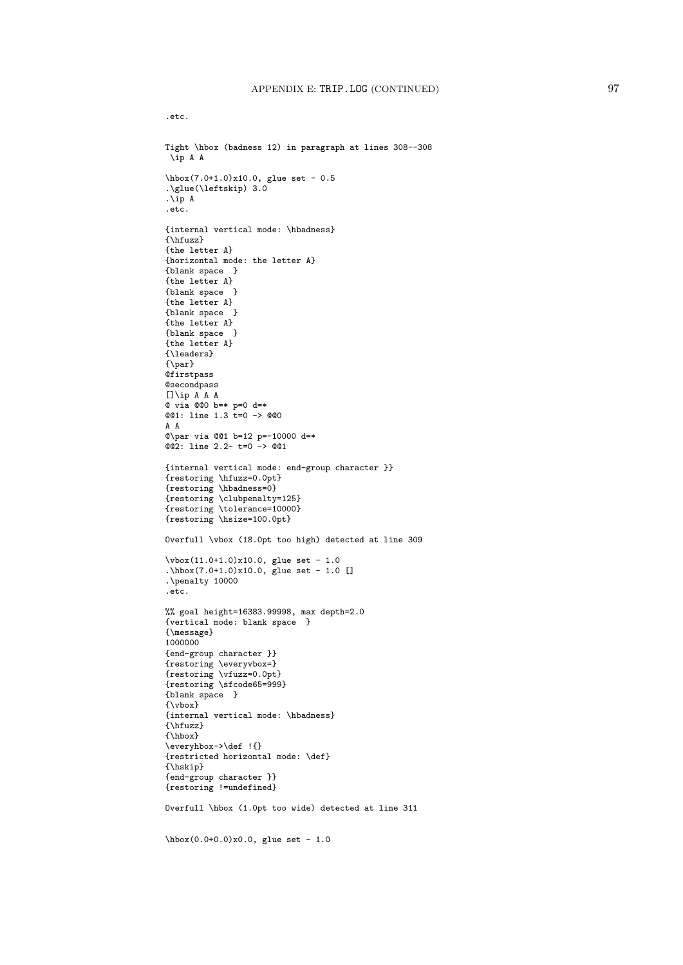.etc.

Tight \hbox (badness 12) in paragraph at lines 308--308 \ip A A \hbox(7.0+1.0)x10.0, glue set - 0.5 .\glue(\leftskip) 3.0 .\ip A .etc. {internal vertical mode: \hbadness} {\hfuzz} {the letter A} {horizontal mode: the letter A} {blank space } {the letter A} {blank space } {the letter A} {blank space } {the letter A} {blank space } {the letter A} {\leaders}  $\{\gamma\}$ @firstpass **@secondpass** []\ip A A A @ via @@0 b=\* p=0 d=\*  $@01:$  line 1.3  $t=0$  ->  $@00$ A A @\par via @@1 b=12 p=-10000 d=\* @@2: line 2.2- t=0 -> @@1 {internal vertical mode: end-group character }} {restoring \hfuzz=0.0pt} {restoring \hbadness=0} {restoring \clubpenalty=125} {restoring \tolerance=10000} {restoring \hsize=100.0pt} Overfull \vbox (18.0pt too high) detected at line 309  $\forall x$ (11.0+1.0)x10.0, glue set - 1.0 .\hbox(7.0+1.0)x10.0, glue set - 1.0 [] .\penalty 10000 .etc. %% goal height=16383.99998, max depth=2.0 {vertical mode: blank space } {\message} 1000000 {end-group character }} {restoring \everyvbox=} {restoring \vfuzz=0.0pt} {restoring \sfcode65=999} {blank space } {\vbox} {internal vertical mode: \hbadness} {\hfuzz} {\hbox} \everyhbox->\def !{} {restricted horizontal mode: \def} {\hskip} {end-group character }} {restoring !=undefined} Overfull \hbox (1.0pt too wide) detected at line 311 \hbox(0.0+0.0)x0.0, glue set - 1.0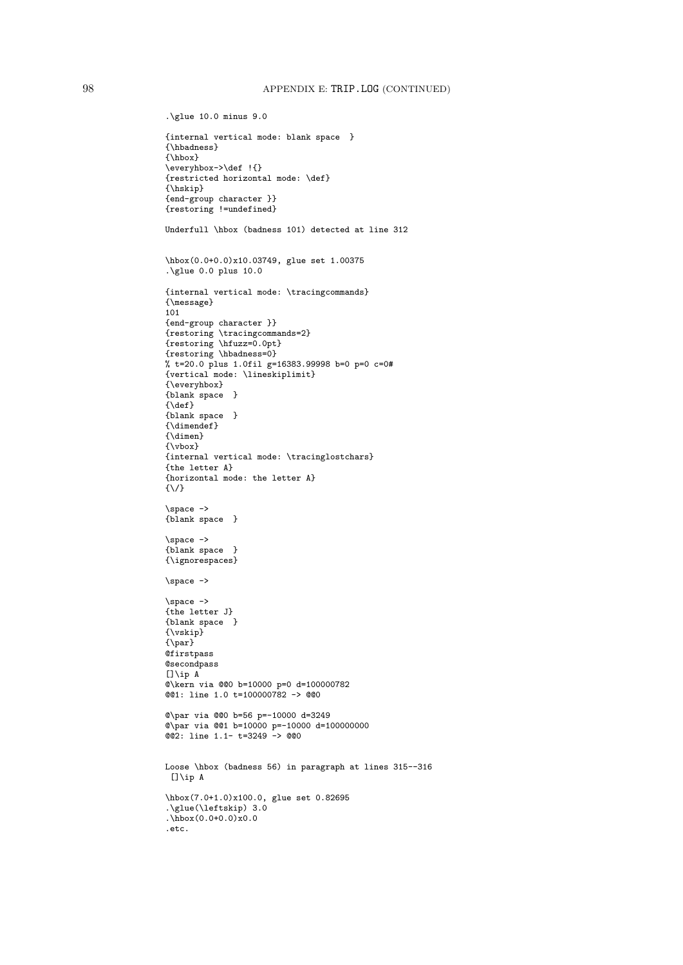```
.\glue 10.0 minus 9.0
{internal vertical mode: blank space }
{\hbadness}
{\hbox}
\everyhbox->\def !{}
{restricted horizontal mode: \def}
{\hskip}
{end-group character }}
{restoring !=undefined}
Underfull \hbox (badness 101) detected at line 312
\hbox(0.0+0.0)x10.03749, glue set 1.00375
.\glue 0.0 plus 10.0
{internal vertical mode: \tracingcommands}
{\message}
101
{end-group character }}
{restoring \tracingcommands=2}
{restoring \hfuzz=0.0pt}
{restoring \hbadness=0}
% t=20.0 plus 1.0fil g=16383.99998 b=0 p=0 c=0#
{vertical mode: \lineskiplimit}
{\everyhbox}
{blank space }
{\def}{blank space }
{\dimendef}
{\dimen}
{\vbox}
{internal vertical mode: \tracinglostchars}
{the letter A}
{horizontal mode: the letter A}
\{\setminus/\}\space ->
{blank space }
\simeq ->
{blank space }
{\ignorespaces}
\space ->
\space ->
{the letter J}
{blank space }
{\vskip}
{\par}
@firstpass
@secondpass
[]\ip A
@\kern via @@0 b=10000 p=0 d=100000782
@@1: line 1.0 t=100000782 -> @@0
@\par via @@0 b=56 p=-10000 d=3249
@\par via @@1 b=10000 p=-10000 d=100000000
@@2: line 1.1- t=3249 -> @@0
Loose \hbox (badness 56) in paragraph at lines 315--316
 []\ip A
\hbox(7.0+1.0)x100.0, glue set 0.82695
.\glue(\leftskip) 3.0
.\hbox{hbox}(0.0+0.0)x0.0.etc.
```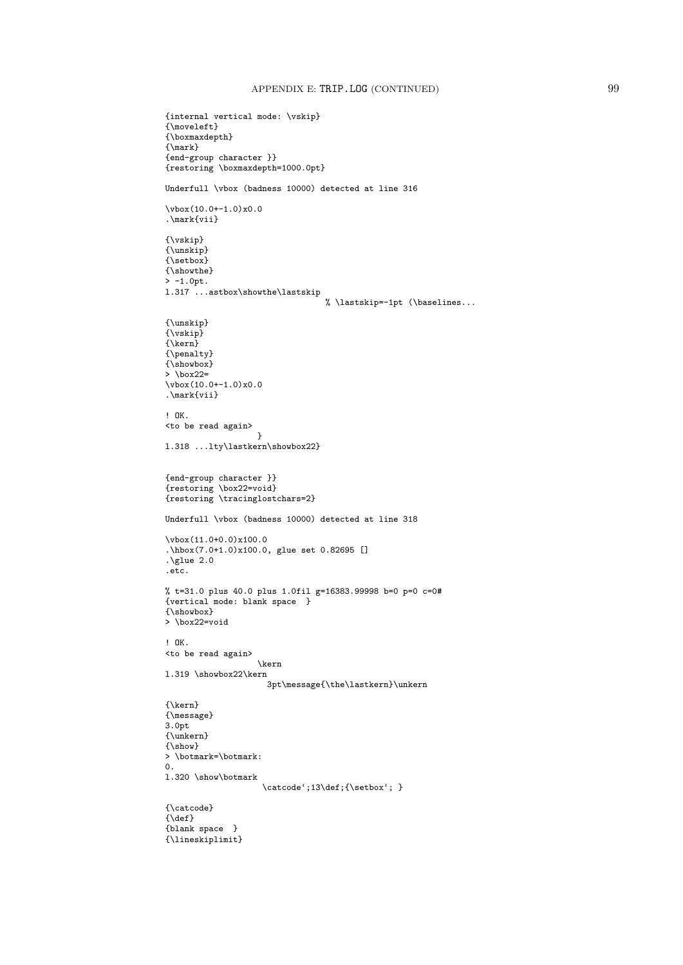```
{internal vertical mode: \vskip}
{\mathsf{N}}{\boxmaxdepth}
{\mathbb \}{end-group character }}
{restoring \boxmaxdepth=1000.0pt}
Underfull \vbox (badness 10000) detected at line 316
\forall x (10.0+-1.0)x0.0.\mark{vii}
{\vskip}
{\unskip}
{\setbox}
{\showthe}
> -1.0pt.l.317 ...astbox\showthe\lastskip
                                   % \lastskip=-1pt (\baselines...
{\unskip}
{\vskip}
{\kern}
{\penalty}
{\showbox}
> \box22=
\forall x(10.0+-1.0)x0.0.\mark{vii}
! OK.
<to be read again>
                    }
l.318 ...lty\lastkern\showbox22}
{end-group character }}
{restoring \box22=void}
{restoring \tracinglostchars=2}
Underfull \vbox (badness 10000) detected at line 318
\vbox(11.0+0.0)x100.0
.\hbox(7.0+1.0)x100.0, glue set 0.82695 []
\sqrt{\text{glue } 2.0}.etc.
% t=31.0 plus 40.0 plus 1.0fil g=16383.99998 b=0 p=0 c=0#
{vertical mode: blank space }
{\showbox}
> \box22=void
! OK.
<to be read again>
                    \kern
l.319 \showbox22\kern
                      3pt\message{\the\lastkern}\unkern
{\kern}
{\message}
3.0pt
{\unkern}
{\show}
> \botmark=\botmark:
\Omegal.320 \show\botmark
                     \catcode';13\def;{\setbox'; }
{\catcode}
\{\backslash\text{def}\}{blank space }
{\lineskiplimit}
```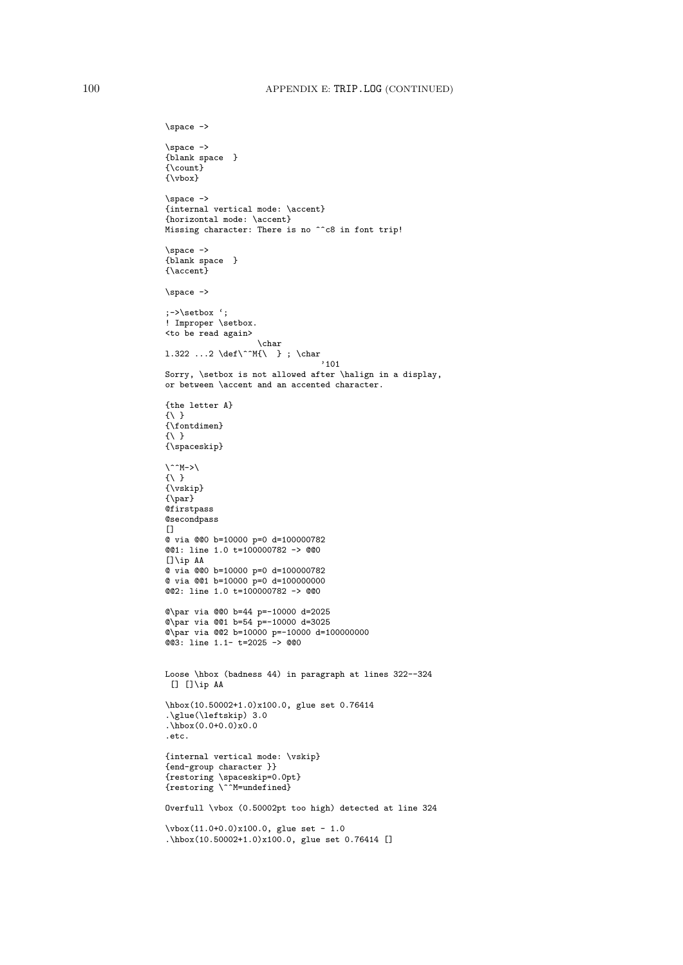```
\space ->
\space ->
{blank space }
{\text{Count}}{\vbox}
\space ->
{internal vertical mode: \accent}
{horizontal mode: \accent}
Missing character: There is no ^^c8 in font trip!
\space ->
{blank space }
{\accent}
\space ->
;->\setbox ';
! Improper \setbox.
<to be read again>
                   \char
1.322 ...2 \def\^^M{\ } ; \char
                                 '101
Sorry, \setbox is not allowed after \halign in a display,
or between \accent and an accented character.
{the letter A}
\{\ \ \}{\fontdimen}
{\{\ \ }{\spaceskip}
\langle ^^M->\rangle\{\ \ \}{\vskip}
{\n\rangle}@firstpass
@secondpass
\Box@ via @@0 b=10000 p=0 d=100000782
@@1: line 1.0 t=100000782 -> @@0
[1]ip AA
@ via @@0 b=10000 p=0 d=100000782
@ via @@1 b=10000 p=0 d=100000000
@@2: line 1.0 t=100000782 -> @@0
@\par via @@0 b=44 p=-10000 d=2025
@\par via @@1 b=54 p=-10000 d=3025
@\par via @@2 b=10000 p=-10000 d=100000000
@@3: line 1.1- t=2025 -> @@0
Loose \hbox (badness 44) in paragraph at lines 322--324
[] [] A\hbox(10.50002+1.0)x100.0, glue set 0.76414
.\glue(\leftskip) 3.0
.\hbox(0.0+0.0)x0.0
.etc.
{internal vertical mode: \vskip}
{end-group character }}
{restoring \spaceskip=0.0pt}
{restoring \^^M=undefined}
Overfull \vbox (0.50002pt too high) detected at line 324
\vbox(11.0+0.0)x100.0, glue set - 1.0
.\hbox(10.50002+1.0)x100.0, glue set 0.76414 []
```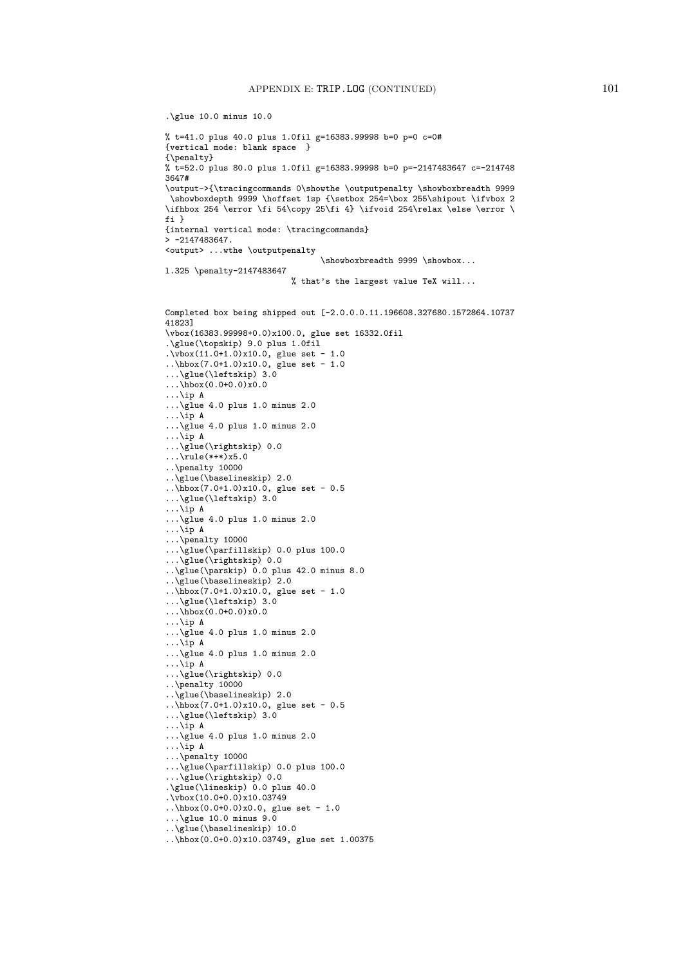```
.\glue 10.0 minus 10.0
% t=41.0 plus 40.0 plus 1.0fil g=16383.99998 b=0 p=0 c=0#
{vertical mode: blank space }
{\penalty}
% t=52.0 plus 80.0 plus 1.0fil g=16383.99998 b=0 p=-2147483647 c=-214748
3647#
\output->{\tracingcommands 0\showthe \outputpenalty \showboxbreadth 9999
 \showboxdepth 9999 \hoffset 1sp {\setbox 254=\box 255\shipout \ifvbox 2
\ifhbox 254 \error \fi 54\copy 25\fi 4} \ifvoid 254\relax \else \error \
fi }
{internal vertical mode: \tracingcommands}
> -2147483647.
<output> ...wthe \outputpenalty
                                 \showboxbreadth 9999 \showbox...
l.325 \penalty-2147483647
                          % that's the largest value TeX will...
Completed box being shipped out [-2.0.0.0.11.196608.327680.1572864.10737
41823]
\vbox(16383.99998+0.0)x100.0, glue set 16332.0fil
.\glue(\topskip) 9.0 plus 1.0fil
.\overline{\text{vbox}(11.0+1.0)} \times 10.0, \text{ glue set} - 1.0..hbox(7.0+1.0)x10.0, glue set - 1.0...\glue(\leftskip) 3.0
...\hbox(0.0+0.0)x0.0
...\ip A
...\glue 4.0 plus 1.0 minus 2.0
...\ip A
...\glue 4.0 plus 1.0 minus 2.0
...\ip A
...\glue(\rightskip) 0.0
\ldots\rule(*+*)x5.0
..\penalty 10000
..\glue(\baselineskip) 2.0
..\hbox(7.0+1.0)x10.0, glue set - 0.5
...\glue(\leftskip) 3.0
\ldots \ip A
\ldots\glue 4.0 plus 1.0 minus 2.0
...\ip A
...\penalty 10000
...\glue(\parfillskip) 0.0 plus 100.0
...\glue(\rightskip) 0.0
..\glue(\parskip) 0.0 plus 42.0 minus 8.0
..\glue(\baselineskip) 2.0
..hbox(7.0+1.0)x10.0, glue set - 1.0...\glue(\leftskip) 3.0
...\hbox(0.0+0.0)x0.0
...\ip A
...\glue 4.0 plus 1.0 minus 2.0
...\ip A
...\glue 4.0 plus 1.0 minus 2.0
...\ip A
...\glue(\rightskip) 0.0
..\penalty 10000
..\glue(\baselineskip) 2.0
..\boxdot(7.0+1.0)x10.0, glue set - 0.5
...\glue(\leftskip) 3.0
...\ip A
...\glue 4.0 plus 1.0 minus 2.0
\ldots \ip A
...\penalty 10000
...\glue(\parfillskip) 0.0 plus 100.0
...\glue(\rightskip) 0.0
.\glue(\lineskip) 0.0 plus 40.0
\sqrt{v}box(10.0+0.0)x10.03749
..\hbox(0.0+0.0)x0.0, glue set - 1.0
...\glue 10.0 minus 9.0
..\glue(\baselineskip) 10.0
..\hbox(0.0+0.0)x10.03749, glue set 1.00375
```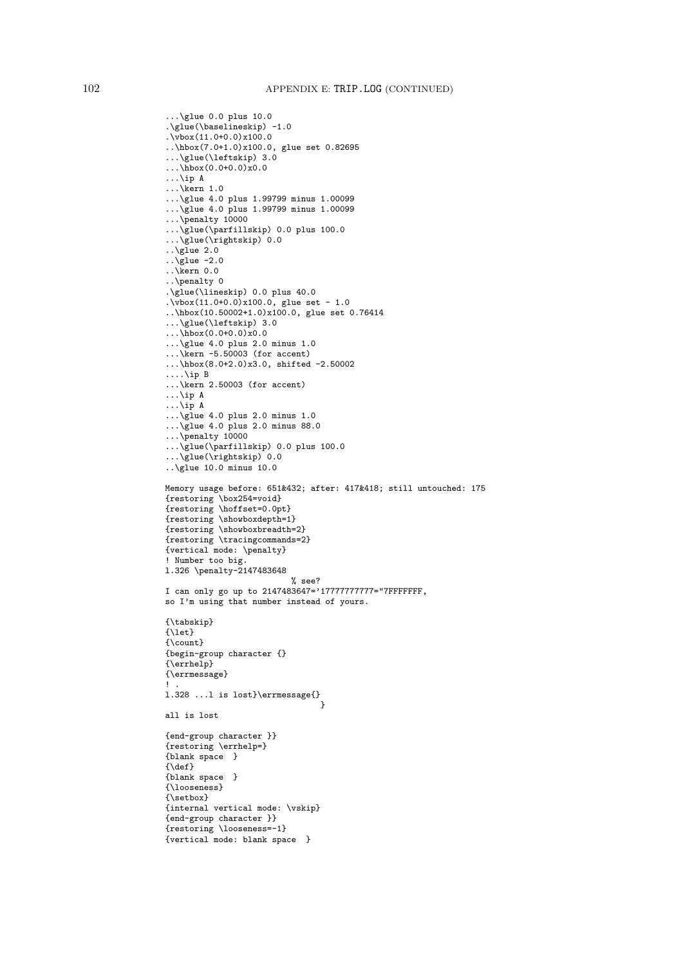```
...\glue 0.0 plus 10.0
.\glue(\baselineskip) -1.0
.\vbox(11.0+0.0)x100.0
..\hbox(7.0+1.0)x100.0, glue set 0.82695
...\glue(\leftskip) 3.0
\ldots\hbox(0.0+0.0)x0.0
...\ip A
...\kern 1.0
...\glue 4.0 plus 1.99799 minus 1.00099
...\glue 4.0 plus 1.99799 minus 1.00099
...\penalty 10000
...\glue(\parfillskip) 0.0 plus 100.0
...\glue(\rightskip) 0.0
..\glue 2.0
\overline{\sqrt{g}}lue -2.0
\ldots \ Kern 0.0
..\penalty 0
.\glue(\lineskip) 0.0 plus 40.0
.\overline{\text{vbox}(11.0+0.0)} \times 100.0, \text{ glue set} - 1.0..\hbox(10.50002+1.0)x100.0, glue set 0.76414
...\glue(\leftskip) 3.0
...\hbox(0.0+0.0)x0.0
...\glue 4.0 plus 2.0 minus 1.0
\ldots kern -5.50003 (for accent)
...\hbox(8.0+2.0)x3.0, shifted -2.50002
....\ip B
...\kern 2.50003 (for accent)
...\ip A
\ldots \ip A
...\glue 4.0 plus 2.0 minus 1.0
...\glue 4.0 plus 2.0 minus 88.0
...\penalty 10000
...\glue(\parfillskip) 0.0 plus 100.0
\ldots\glue(\rightskip) 0.0
..\glue 10.0 minus 10.0
Memory usage before: 651&432; after: 417&418; still untouched: 175
{restoring \box254=void}
{restoring \hoffset=0.0pt}
{restoring \showboxdepth=1}
{restoring \showboxbreadth=2}
{restoring \tracingcommands=2}
{vertical mode: \penalty}
! Number too big.
l.326 \penalty-2147483648
                           % see?
I can only go up to 2147483647='17777777777="7FFFFFFF,
so I'm using that number instead of yours.
{\tabskip}
{\let}
{\count}
{begin-group character {}
{\errhelp}
{\errmessage}
! .
l.328 ...l is lost}\errmessage{}
                                  }
all is lost
{end-group character }}
{restoring \errhelp=}
{blank space }
{\def}
{blank space }
{\looseness}
{\setbox}
{internal vertical mode: \vskip}
{end-group character }}
{restoring \looseness=-1}
{vertical mode: blank space }
```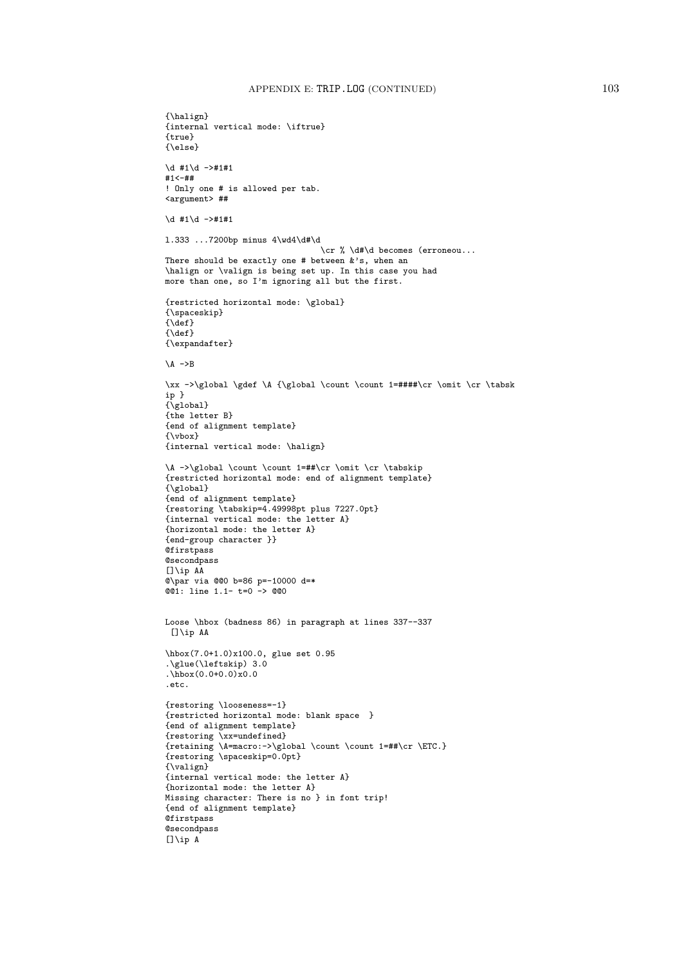```
{\halign}
{internal vertical mode: \iftrue}
{true}
{\else}
\d #1\d ->#1#1
#1<-##
! Only one # is allowed per tab.
<argument> ##
\dagger #1\dagger ->#1#1
l.333 ...7200bp minus 4\wd4\d#\d
                                 \cr % \d#\d becomes (erroneou...
There should be exactly one # between &'s, when an
\halign or \valign is being set up. In this case you had
more than one, so I'm ignoring all but the first.
{restricted horizontal mode: \global}
{\spaceskip}
{\{ \text{def} \}}{\delta}{\expandafter}
\lambda ->B
\xx ->\global \gdef \A {\global \count \count 1=####\cr \omit \cr \tabsk
ip }
{\overline{\{q}}\}{the letter B}
{end of alignment template}
{\vbox}
{internal vertical mode: \halign}
\A ->\global \count \count 1=##\cr \omit \cr \tabskip
{restricted horizontal mode: end of alignment template}
{\global}
{end of alignment template}
{restoring \tabskip=4.49998pt plus 7227.0pt}
{internal vertical mode: the letter A}
{horizontal mode: the letter A}
{end-group character }}
@firstpass
@secondpass
[]\iint A@\par via @@0 b=86 p=-10000 d=*
@@1: line 1.1- t=0 -> @@0
Loose \hbox (badness 86) in paragraph at lines 337--337
[]\ip AA
\hbox(7.0+1.0)x100.0, glue set 0.95
.\glue(\leftskip) 3.0
.\hbox(0.0+0.0)x0.0
.etc.
{restoring \looseness=-1}
{restricted horizontal mode: blank space }
{end of alignment template}
{restoring \xx=undefined}
{retaining \A=macro:->\global \count \count 1=##\cr \ETC.}
{restoring \spaceskip=0.0pt}
{\valign}
{internal vertical mode: the letter A}
{horizontal mode: the letter A}
Missing character: There is no } in font trip!
{end of alignment template}
Qfirstpass
@secondpass
[]\i<b>p</b> A
```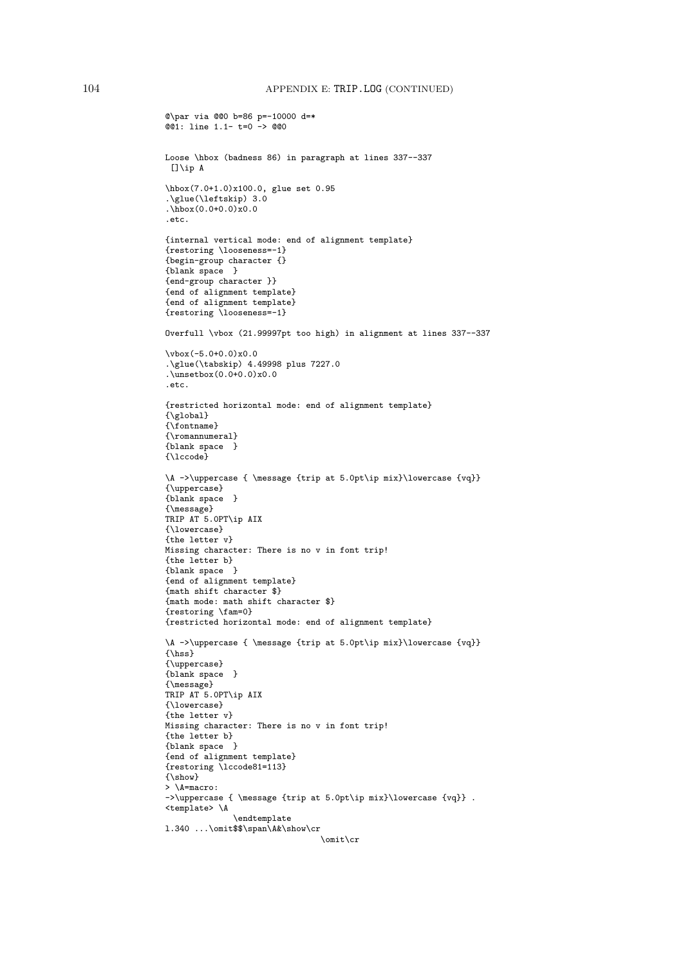```
@\par via @@0 b=86 p=-10000 d=*
\overline{001}: line 1.1- t=0 -> 000
Loose \hbox (badness 86) in paragraph at lines 337--337
[]\ip A
\hbox(7.0+1.0)x100.0, glue set 0.95
.\glue(\leftskip) 3.0
\hat{\text{hbox}}(0.0+0.0) \times 0.0.etc.
{internal vertical mode: end of alignment template}
{restoring \looseness=-1}
{begin-group character {}
{blank space }
{end-group character }}
{end of alignment template}
{end of alignment template}
{restoring \looseness=-1}
Overfull \vbox (21.99997pt too high) in alignment at lines 337--337
\vbox(-5.0+0.0)x0.0
.\glue(\tabskip) 4.49998 plus 7227.0
\u_0. \unsetbox(0.0+0.0)x0.0.etc.
{restricted horizontal mode: end of alignment template}
{\global}
{\fontname}
{\romannumeral}
{blank space }
{\lccode}
\A ->\uppercase { \message {trip at 5.0pt\ip mix}\lowercase {vq}}
{\uppercase}
{blank space }
{\message}
TRIP AT 5.0PT\ip AIX
{\lowercase}
{the letter v}
Missing character: There is no v in font trip!
{the letter b}
{blank space }
{end of alignment template}
{math shift character $}
{math mode: math shift character $}
{restoring \fam=0}
{restricted horizontal mode: end of alignment template}
\A ->\uppercase { \message {trip at 5.0pt\ip mix}\lowercase {vq}}
{\hss}
{\uppercase}
{blank space }
{\message}
TRIP AT 5.0PT\ip AIX
{\lowercase}
{the letter v}
Missing character: There is no v in font trip!
{the letter b}
{blank space }
{end of alignment template}
{restoring \lccode81=113}
{\show}
> \A=macro:
-\lambda ->\uppercase { \message {trip at 5.0pt\ip mix}\lowercase {vq}}.
<template> \A
              \endtemplate
l.340 ...\omit$$\span\A&\show\cr
                                 \omit\cr
```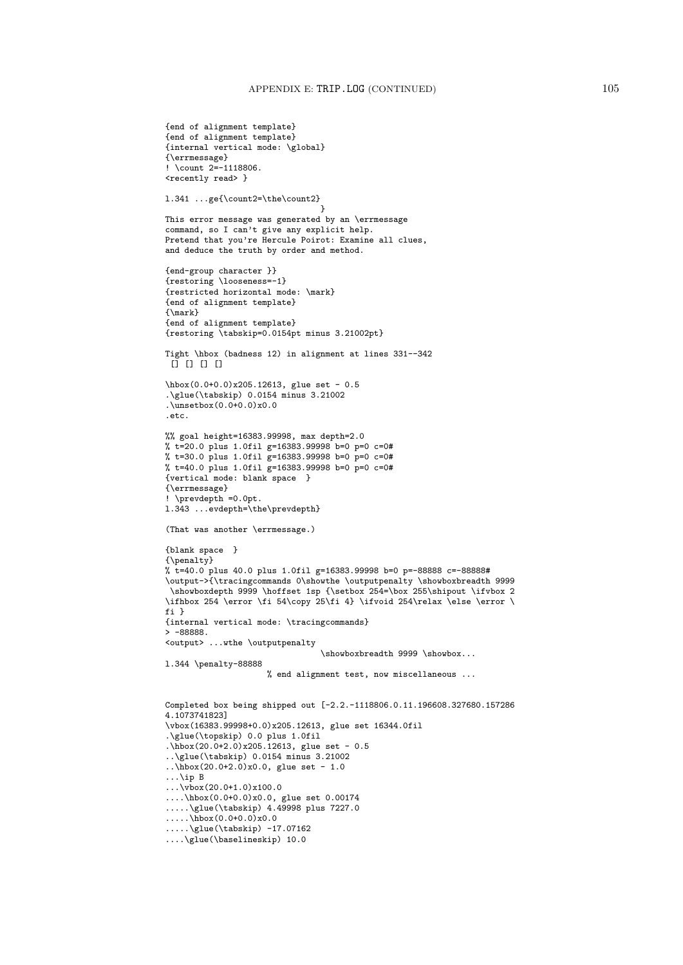```
{end of alignment template}
{end of alignment template}
{internal vertical mode: \global}
{\errmessage}
! \count 2=-1118806.
<recently read> }
l.341 ...ge{\count2=\the\count2}
                                 }
This error message was generated by an \errmessage
command, so I can't give any explicit help.
Pretend that you're Hercule Poirot: Examine all clues,
and deduce the truth by order and method.
{end-group character }}
{restoring \looseness=-1}
{restricted horizontal mode: \mark}
{end of alignment template}
{\mark}
{end of alignment template}
{restoring \tabskip=0.0154pt minus 3.21002pt}
Tight \hbox (badness 12) in alignment at lines 331--342
 \Box \Box \Box \Box\hbox(0.0+0.0)x205.12613, glue set - 0.5
.\glue(\tabskip) 0.0154 minus 3.21002
.\unsetbox(0.0+0.0)x0.0
.etc.
%% goal height=16383.99998, max depth=2.0
% t=20.0 plus 1.0fil g=16383.99998 b=0 p=0 c=0#
% t=30.0 plus 1.0fil g=16383.99998 b=0 p=0 c=0#
% t=40.0 plus 1.0fil g=16383.99998 b=0 p=0 c=0#
{vertical mode: blank space }
{\errmessage}
! \prevdepth =0.0pt.
l.343 ...evdepth=\the\prevdepth}
(That was another \errmessage.)
{blank space }
{\penalty}
% t=40.0 plus 40.0 plus 1.0fil g=16383.99998 b=0 p=-88888 c=-88888#
\output->{\tracingcommands 0\showthe \outputpenalty \showboxbreadth 9999
 \showboxdepth 9999 \hoffset 1sp {\setbox 254=\box 255\shipout \ifvbox 2
\ifhbox 254 \error \fi 54\copy 25\fi 4} \ifvoid 254\relax \else \error \
fi }
{internal vertical mode: \tracingcommands}
> -88888.<output> ...wthe \outputpenalty
                                \showboxbreadth 9999 \showbox...
l.344 \penalty-88888
                     % end alignment test, now miscellaneous ...
Completed box being shipped out [-2.2.-1118806.0.11.196608.327680.157286
4.1073741823]
\vbox(16383.99998+0.0)x205.12613, glue set 16344.0fil
.\glue(\topskip) 0.0 plus 1.0fil
.\hbox(20.0+2.0)x205.12613, glue set - 0.5
..\glue(\tabskip) 0.0154 minus 3.21002
..\hbox(20.0+2.0)x0.0, glue set - 1.0
...\ip B
\ldots\vbox(20.0+1.0)x100.0
....\hbox(0.0+0.0)x0.0, glue set 0.00174
.....\glue(\tabskip) 4.49998 plus 7227.0
\ldots.....\hbox(0.0+0.0)x0.0
.....\glue(\tabskip) -17.07162
....\glue(\baselineskip) 10.0
```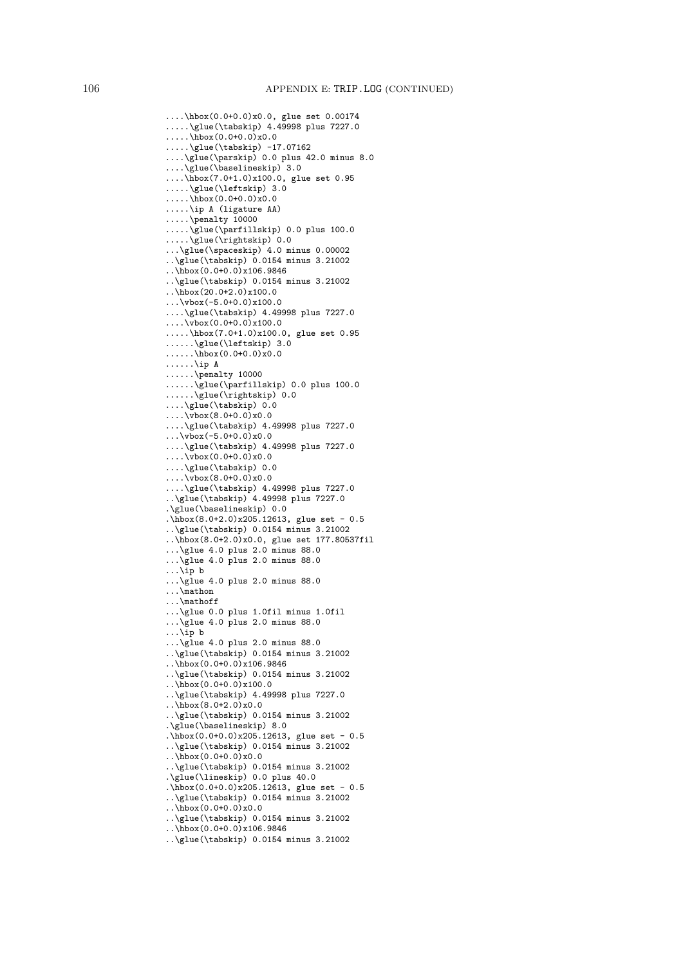```
....\hbox(0.0+0.0)x0.0, glue set 0.00174
.....\glue(\tabskip) 4.49998 plus 7227.0
.....\hbox(0.0+0.0)x0.0
.....\glue(\tabskip) -17.07162
....\glue(\parskip) 0.0 plus 42.0 minus 8.0
....\glue(\baselineskip) 3.0
....\hbox(7.0+1.0)x100.0, glue set 0.95
.....\glue(\leftskip) 3.0
.....\hbox(0.0+0.0)x0.0
.....\ip A (ligature AA)
.....\penalty 10000
.....\glue(\parfillskip) 0.0 plus 100.0
.....\glue(\rightskip) 0.0
...\glue(\spaceskip) 4.0 minus 0.00002
..\glue(\tabskip) 0.0154 minus 3.21002
\ldots\hbox(0.0+0.0)x106.9846
..\glue(\tabskip) 0.0154 minus 3.21002
..\hbox(20.0+2.0)x100.0
\ldots\vbox(-5.0+0.0)x100.0
....\glue(\tabskip) 4.49998 plus 7227.0
\ldots....\overline{v}box(0.0+0.0)x100.0
.....\hbox(7.0+1.0)x100.0, glue set 0.95
......\glue(\leftskip) 3.0
\ldots......\hbox(0.0+0.0)x0.0
......\ip A
......\penalty 10000
......\glue(\parfillskip) 0.0 plus 100.0
......\glue(\rightskip) 0.0
....\glue(\tabskip) 0.0
\ldots \vbox(8.0+0.0)x0.0
....\glue(\tabskip) 4.49998 plus 7227.0
...\vbox(-5.0+0.0)x0.0
....\glue(\tabskip) 4.49998 plus 7227.0
\ldots....\vbox(0.0+0.0)x0.0
....\glue(\tabskip) 0.0
\ldots \vbox(8.0+0.0)x0.0
....\glue(\tabskip) 4.49998 plus 7227.0
..\glue(\tabskip) 4.49998 plus 7227.0
.\glue(\baselineskip) 0.0
.\hbox(8.0+2.0)x205.12613, glue set - 0.5
..\glue(\tabskip) 0.0154 minus 3.21002
..\hbox(8.0+2.0)x0.0, glue set 177.80537fil
...\glue 4.0 plus 2.0 minus 88.0
...\glue 4.0 plus 2.0 minus 88.0
\ldots \ip b
...\glue 4.0 plus 2.0 minus 88.0
...\mathon
...\mathoff
...\glue 0.0 plus 1.0fil minus 1.0fil
...\glue 4.0 plus 2.0 minus 88.0
...\ip b
...\glue 4.0 plus 2.0 minus 88.0
..\glue(\tabskip) 0.0154 minus 3.21002
..\hbox(0.0+0.0)x106.9846
..\glue(\tabskip) 0.0154 minus 3.21002
..\hbox(0.0+0.0)x100.0
..\glue(\tabskip) 4.49998 plus 7227.0
..\hbox(8.0+2.0)x0.0
..\glue(\tabskip) 0.0154 minus 3.21002
.\glue(\baselineskip) 8.0
.\hbox{hbox(0.0+0.0)x205.12613, glue set - 0.5}..\glue(\tabskip) 0.0154 minus 3.21002
\ldots\hbox(0.0+0.0)x0.0
..\glue(\tabskip) 0.0154 minus 3.21002
.\glue(\lineskip) 0.0 plus 40.0
.\hbox{\tt \char'4}.\hbox(0.0+0.0)x205.12613, glue set - 0.5
..\glue(\tabskip) 0.0154 minus 3.21002
\ldots\hbox(0.0+0.0)x0.0
..\glue(\tabskip) 0.0154 minus 3.21002
..\hbox(0.0+0.0)x106.9846
```
..\glue(\tabskip) 0.0154 minus 3.21002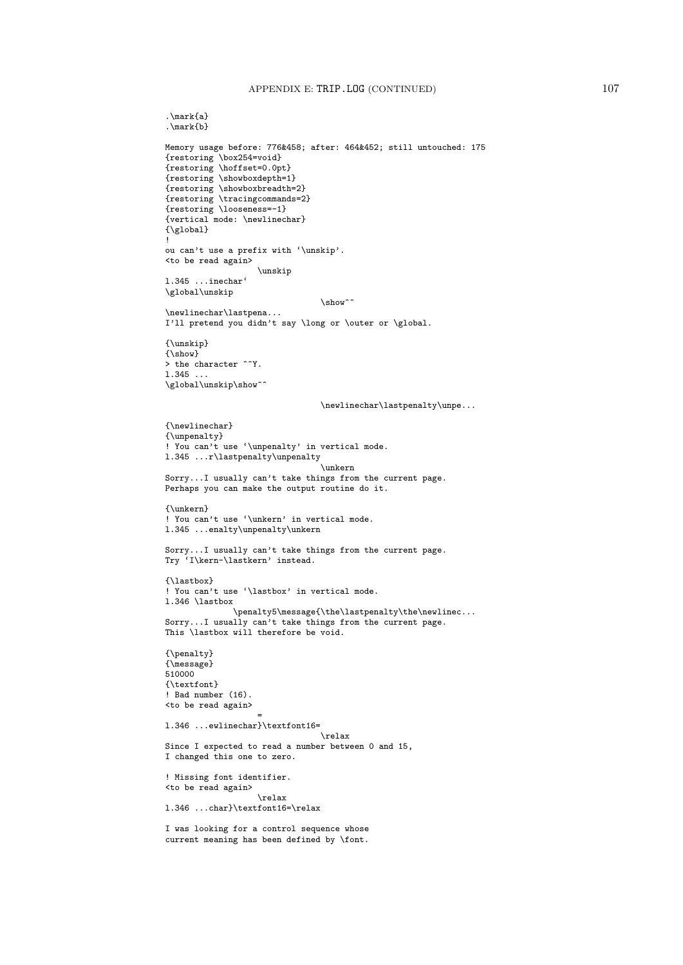.\mark{a}

```
.\mark{b}
Memory usage before: 776&458; after: 464&452; still untouched: 175
{restoring \box254=void}
{restoring \hoffset=0.0pt}
{restoring \showboxdepth=1}
{restoring \showboxbreadth=2}
{restoring \tracingcommands=2}
{restoring \looseness=-1}
{vertical mode: \newlinechar}
{\global}
!
ou can't use a prefix with '\unskip'.
<to be read again>
                    \unskip
l.345 ...inechar'
\global\unskip
                                 \show<sup>^^</sup>
\newlinechar\lastpena...
I'll pretend you didn't say \long or \outer or \global.
{\unskip}
{\show}
> the character ^^Y.
l.345 ...
\verb|\global\unskip|\show"\@ifstar\text{``\show"\&\quad\newlinechar\lastpenalty\unpe...
{\newlinechar}
{\unpenalty}
! You can't use '\unpenalty' in vertical mode.
l.345 ...r\lastpenalty\unpenalty
                                 \unkern
Sorry...I usually can't take things from the current page.
Perhaps you can make the output routine do it.
{\unkern}
! You can't use '\unkern' in vertical mode.
l.345 ...enalty\unpenalty\unkern
Sorry...I usually can't take things from the current page.
Try 'I\kern-\lastkern' instead.
{\lastbox}
! You can't use '\lastbox' in vertical mode.
l.346 \lastbox
              \penalty5\message{\the\lastpenalty\the\newlinec...
Sorry...I usually can't take things from the current page.
This \lastbox will therefore be void.
{\penalty}
{\message}
510000
{\textfont}
! Bad number (16).
<to be read again>
                    =
l.346 ...ewlinechar}\textfont16=
                                 \relax
Since I expected to read a number between 0 and 15,
I changed this one to zero.
! Missing font identifier.
<to be read again>
                    \relax
l.346 ...char}\textfont16=\relax
I was looking for a control sequence whose
current meaning has been defined by \font.
```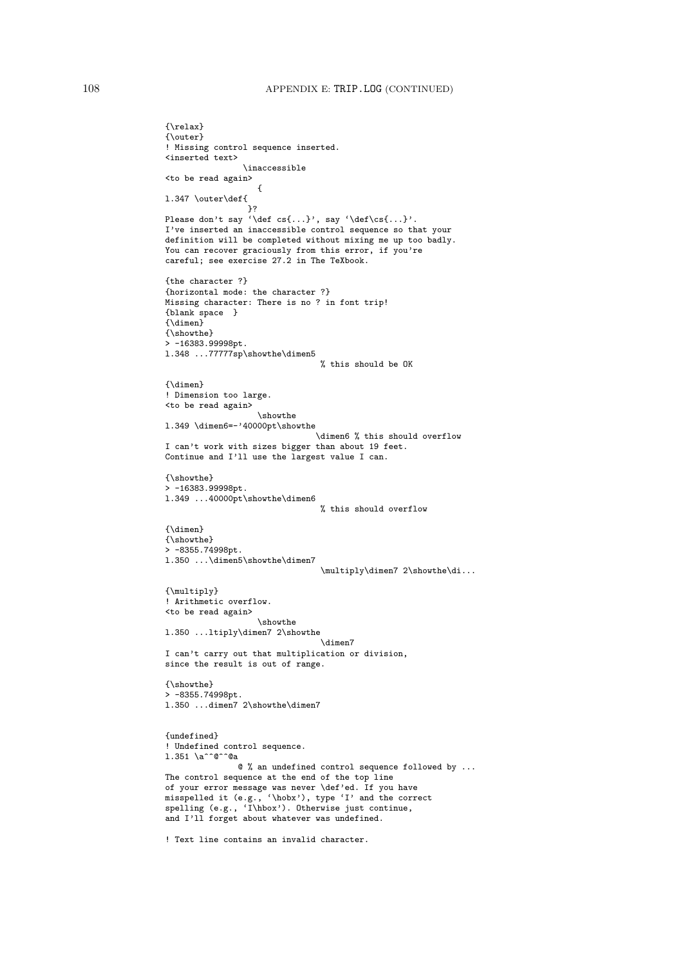```
{\relax}
{\outer}
! Missing control sequence inserted.
<inserted text>
                \inaccessible
<to be read again>
                   {
l.347 \outer\def{
                 }?
Please don't say '\def cs{...}', say '\def\cs{...}'.
I've inserted an inaccessible control sequence so that your
definition will be completed without mixing me up too badly.
You can recover graciously from this error, if you're
careful; see exercise 27.2 in The TeXbook.
{the character ?}
{horizontal mode: the character ?}
Missing character: There is no ? in font trip!
{blank space }
{\dimen}
{\showthe}
> -16383.99998pt.
l.348 ...77777sp\showthe\dimen5
                               % this should be OK
{\dimen}
! Dimension too large.
<to be read again>
                  \showthe
l.349 \dimen6=-'40000pt\showthe
                               \dimen6 % this should overflow
I can't work with sizes bigger than about 19 feet.
Continue and I'll use the largest value I can.
{\showthe}
> -16383.99998pt.
l.349 ...40000pt\showthe\dimen6
                                % this should overflow
{\dimen}
{\showthe}
> -8355.74998pt.
l.350 ...\dimen5\showthe\dimen7
                                \multiply\dimen7 2\showthe\di...
{\multiply}
! Arithmetic overflow.
<to be read again>
                   \showthe
l.350 ...ltiply\dimen7 2\showthe
                               \dimen7
I can't carry out that multiplication or division,
since the result is out of range.
{\showthe}
> -8355.74998pt.
l.350 ...dimen7 2\showthe\dimen7
{undefined}
! Undefined control sequence.
1.351 \a^^@^^@a
              @ % an undefined control sequence followed by ...
The control sequence at the end of the top line
of your error message was never \def'ed. If you have
misspelled it (e.g., '\hobx'), type 'I' and the correct
spelling (e.g., 'I\hbox'). Otherwise just continue,
and I'll forget about whatever was undefined.
! Text line contains an invalid character.
```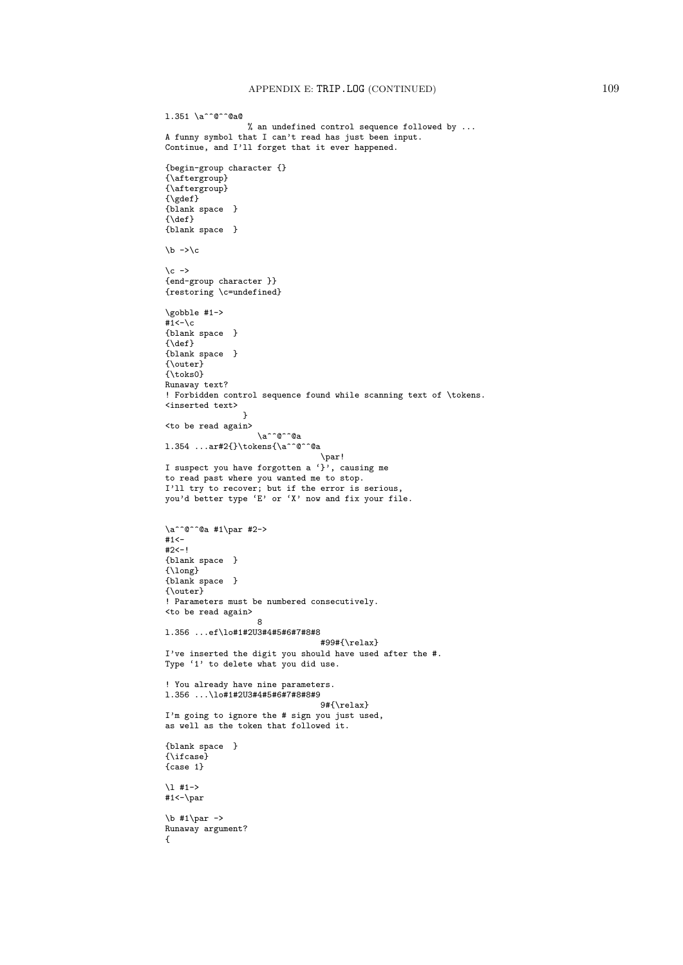```
l.351 \a^^@^^@a@
                 % an undefined control sequence followed by ...
A funny symbol that I can't read has just been input.
Continue, and I'll forget that it ever happened.
{begin-group character {}
{\aftergroup}
{\aftergroup}
{\qquad \qquad \}{blank space }
\{\det\}{blank space }
\b -\c\c -{end-group character }}
{restoring \c=undefined}
\gobble #1->
#1 < -\c{blank space }
\{\texttt{def}\}{blank space }
{\outer}
{\toks0}
Runaway text?
! Forbidden control sequence found while scanning text of \tokens.
<inserted text>
                 }
<to be read again>
                   \a^^@^^@a
l.354 ...ar#2{}\tokens{\a^^@^^@a
                                \par!
I suspect you have forgotten a \overrightarrow{y}, causing me
to read past where you wanted me to stop.
I'll try to recover; but if the error is serious,
you'd better type 'E' or 'X' now and fix your file.
\a^{\circ}° \alpha #1\par #2->
#1<-#2<-!{blank space }
{\long}
{blank space }
{\outer}
! Parameters must be numbered consecutively.
<to be read again>
                   8
l.356 ...ef\lo#1#2U3#4#5#6#7#8#8
                                #99#{\relax}
I've inserted the digit you should have used after the #.
Type '1' to delete what you did use.
! You already have nine parameters.
l.356 ...\lo#1#2U3#4#5#6#7#8#8#9
                                9#{\relax}
I'm going to ignore the # sign you just used,
as well as the token that followed it.
{blank space }
{\ifcase}
{case 1}
\l #1->
#1 < -\parrow\b #1\par ->
Runaway argument?
{
```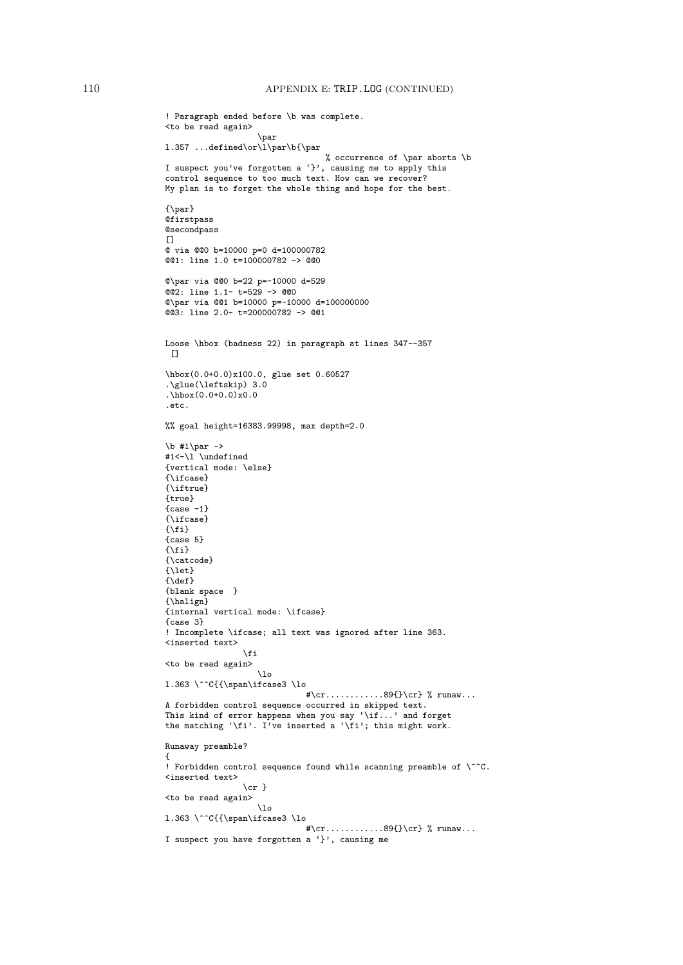```
! Paragraph ended before \b was complete.
<to be read again>
                    \par
l.357 ...defined\or\l\par\b{\par
                                 % occurrence of \par aborts \b
I suspect you've forgotten a '}', causing me to apply this
control sequence to too much text. How can we recover?
My plan is to forget the whole thing and hope for the best.
{\par}
@firstpass
@secondpass
[@ via @@0 b=10000 p=0 d=100000782
@@1: line 1.0 t=100000782 -> @@0
@\par via @@0 b=22 p=-10000 d=529
@@2: line 1.1- t=529 -> @@0
@\par via @@1 b=10000 p=-10000 d=100000000
@@3: line 2.0- t=200000782 -> @@1
Loose \hbox (badness 22) in paragraph at lines 347--357
 []
\hbox(0.0+0.0)x100.0, glue set 0.60527
.\glue(\leftskip) 3.0
.\hbox{hbox}(0.0+0.0)x0.0.etc.
%% goal height=16383.99998, max depth=2.0
\b #1\par ->
#1<-\lvert \cdot \rvert \undefined
{vertical mode: \else}
{\ifcase}
{\iftrue}
{true}
{case -1}{\ifcase}
\{ \text{if } \}{case 5}
\{\setminus f\}{\catcode}
\{let}
{\def}
{blank space }
{\halign}
{internal vertical mode: \ifcase}
{case 3}
! Incomplete \ifcase; all text was ignored after line 363.
<inserted text>
                \fi
<to be read again>
                   \lambdalo
1.363 \^^C{{\span\ifcase3 \lo
                              #\cr............89{}\cr} % runaw...
A forbidden control sequence occurred in skipped text.
This kind of error happens when you say '\if...' and forget
the matching '\fi'. I've inserted a '\fi'; this might work.
Runaway preamble?
{
! Forbidden control sequence found while scanning preamble of \^^C.
<inserted text>
                 \{cr\}<to be read again>
                   \lambdalo
l.363 \^^C{{\span\ifcase3 \lo
                              #\cr............89{}\cr} % runaw...
I suspect you have forgotten a '}', causing me
```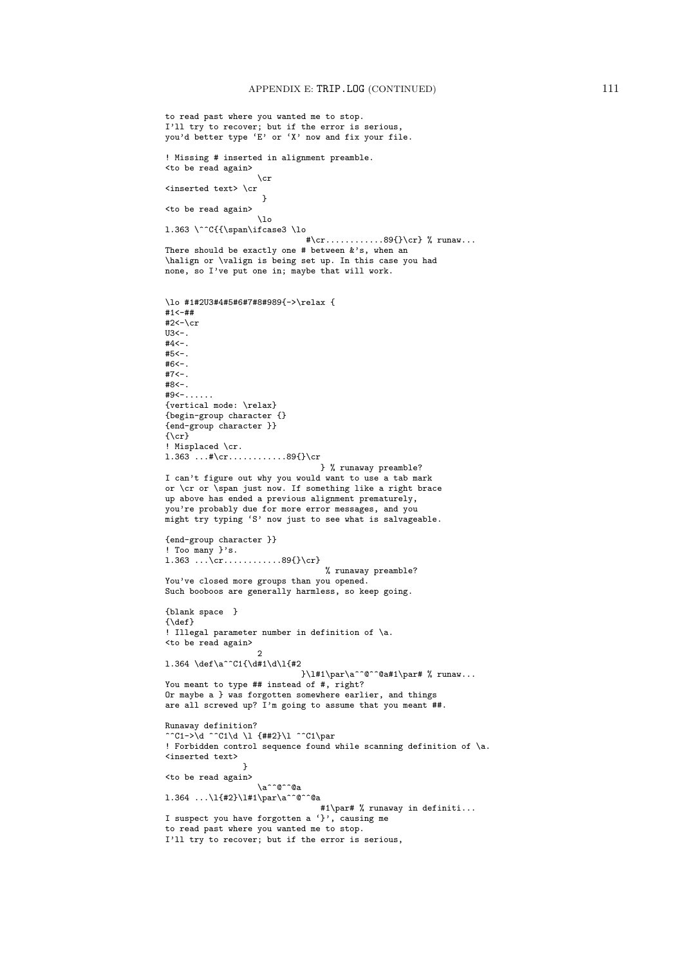```
to read past where you wanted me to stop.
I'll try to recover; but if the error is serious,
you'd better type 'E' or 'X' now and fix your file.
! Missing # inserted in alignment preamble.
<to be read again>
                   \chi_{\rm cr}<inserted text> \cr
                     }
<to be read again>
                   \lambdalo
l.363 \^^C{{\span\ifcase3 \lo
                             #\cr............89{}\cr} % runaw...
There should be exactly one # between k's, when an
\halign or \valign is being set up. In this case you had
none, so I've put one in; maybe that will work.
\lo #1#2U3#4#5#6#7#8#989{->\relax {
#1<-##
#2<-\crU3< -.
#4<-.
#5<-.
#6 < -#7<-.
#8<-.
#9<-......
{vertical mode: \relax}
{begin-group character {}
{end-group character }}
\{ \c{r} \}! Misplaced \cr.
1.363... \{r... 89\} \cr} % runaway preamble?
I can't figure out why you would want to use a tab mark
or \cr or \span just now. If something like a right brace
up above has ended a previous alignment prematurely,
you're probably due for more error messages, and you
might try typing 'S' now just to see what is salvageable.
{end-group character }}
! Too many }'s.
l.363 ...\cr............89{}\cr}
                                 % runaway preamble?
You've closed more groups than you opened.
Such booboos are generally harmless, so keep going.
{blank space }
{\def}
! Illegal parameter number in definition of \a.
<to be read again>
                    2
l.364 \def\a^^C1{\d#1\d\l{#2
                            }\l#1\par\a^^@^^@a#1\par# % runaw...
You meant to type ## instead of #, right?
Or maybe a } was forgotten somewhere earlier, and things
are all screwed up? I'm going to assume that you meant ##.
Runaway definition?
^^C1->\d ^^C1\d \l {##2}\l ^^C1\par
! Forbidden control sequence found while scanning definition of \a.
<inserted text>
                }
<to be read again>
                   \a^^@^^@a
l.364 \ldots\lceil ... \l{#2}\l#1\par\a^^@^^@a
                                #1\par# % runaway in definiti...
I suspect you have forgotten a '}', causing me
to read past where you wanted me to stop.
I'll try to recover; but if the error is serious,
```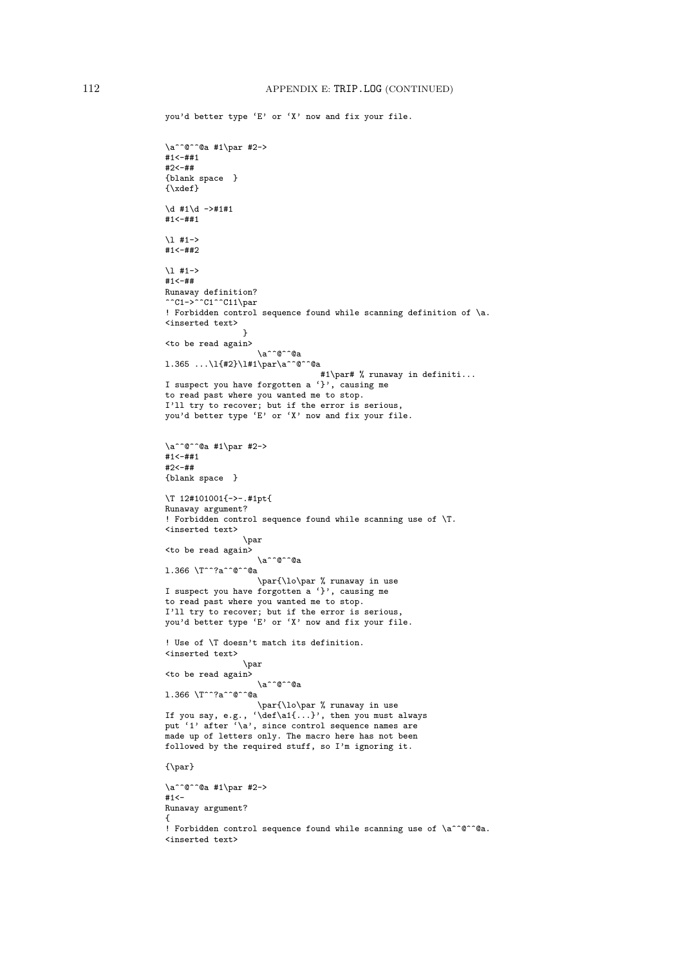you'd better type 'E' or 'X' now and fix your file.

```
\a^^@^^@a #1\par #2->
#1<-##1
#2<-##
{blank space }
{\xdef}
\dagger #1\dagger ->#1#1
#1<-##1\l #1->
#1<-##2
\1 + 1 -#1<-##
Runaway definition?
^^C1->^^C1^^C11\par
! Forbidden control sequence found while scanning definition of \a.
<inserted text>
                }
<to be read again>
                   \a^^@^^@a
l.365 ...\l{#2}\l#1\par\a^^@^^@a
                                #1\par# % runaway in definiti...
I suspect you have forgotten a '}', causing me
to read past where you wanted me to stop.
I'll try to recover; but if the error is serious,
you'd better type 'E' or 'X' now and fix your file.
\a^^@^^@a #1\par #2->
#1<-##1
#2<-##
{blank space }
\T 12#101001{->-.#1pt{
Runaway argument?
! Forbidden control sequence found while scanning use of \T.
<inserted text>
                \par
<to be read again>
                  \a^^@^^@a
l.366 \T^^?a^^@^^@a
                   \par{\lo\par % runaway in use
I suspect you have forgotten a '}', causing me
to read past where you wanted me to stop.
I'll try to recover; but if the error is serious,
you'd better type 'E' or 'X' now and fix your file.
! Use of \T doesn't match its definition.
<inserted text>
                \par
<to be read again>
                   \a^^@^^@a
l.366 \T^^?a^^@^^@a
                   \par{\lo\par % runaway in use
If you say, e.g., '\def\a1{...}', then you must always
put '1' after '\a', since control sequence names are
made up of letters only. The macro here has not been
followed by the required stuff, so I'm ignoring it.
{\par}
\a^^@^^@a #1\par #2->
#1 < –
Runaway argument?
{
! Forbidden control sequence found while scanning use of \a^^@^^@a.
<inserted text>
```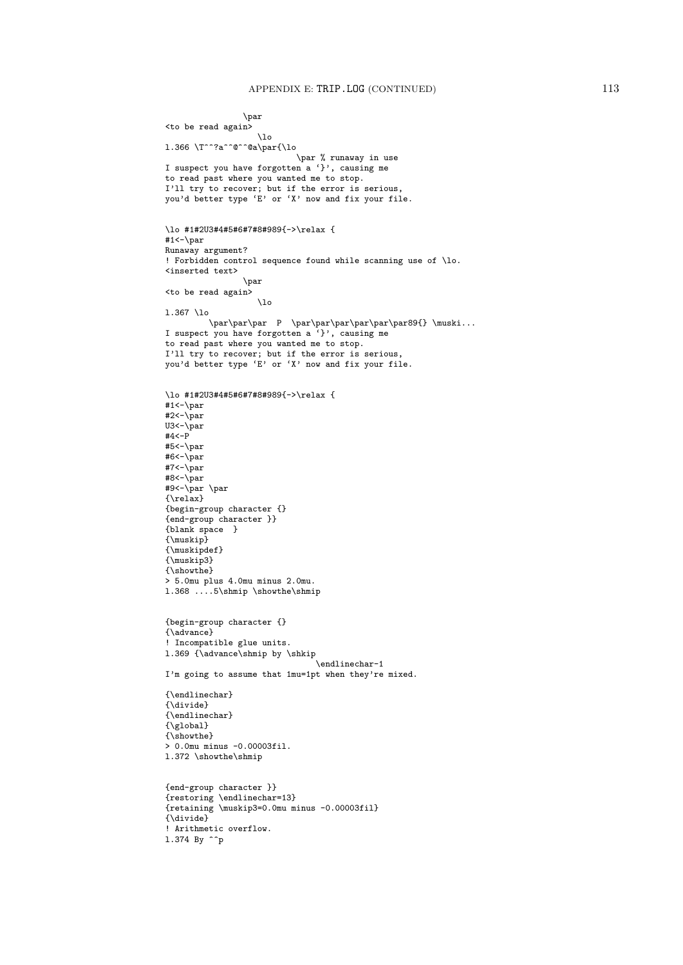```
\par
<to be read again>
                   \lambdalo
l.366 \T^^?a^^@^^@a\par{\lo
                            \par % runaway in use
I suspect you have forgotten a '}', causing me
to read past where you wanted me to stop.
I'll try to recover; but if the error is serious,
you'd better type 'E' or 'X' now and fix your file.
\lo #1#2U3#4#5#6#7#8#989{->\relax {
#1<-\par
Runaway argument?
! Forbidden control sequence found while scanning use of \lo.
<inserted text>
                \par
<to be read again>
                    \overline{10}l.367 \lo
          \par\par\par P \par\par\par\par\par\par89{} \muski...
I suspect you have forgotten a '}', causing me
to read past where you wanted me to stop.
I'll try to recover; but if the error is serious,
you'd better type 'E' or 'X' now and fix your file.
\lo #1#2U3#4#5#6#7#8#989{->\relax {
#1<-\par
#2<-\overline{par}U3<-\par
#4<-P
#5<-\par
#6<-\overline{\parbox{15pt}{\rm bar}}*7 \gamma-\parrow#8<-\par
#9<-\par \par
{\relax}
{begin-group character {}
{end-group character }}
{blank space }
{\muskip}
{\muskipdef}
{\muskip3}
{\showthe}
> 5.0mu plus 4.0mu minus 2.0mu.
l.368 ....5\shmip \showthe\shmip
{begin-group character {}
{\advance}
! Incompatible glue units.
1.369 {\advance\shmip by \shkip
                                 \endlinechar-1
I'm going to assume that 1mu=1pt when they're mixed.
{\endlinechar}
{\divide}
{\endlinechar}
{\global}
{\showthe}
> 0.0mu minus -0.00003fil.
l.372 \showthe\shmip
{end-group character }}
{restoring \endlinechar=13}
{retaining \muskip3=0.0mu minus -0.00003fil}
{\divide}
! Arithmetic overflow.
1.374 By \hat{p}
```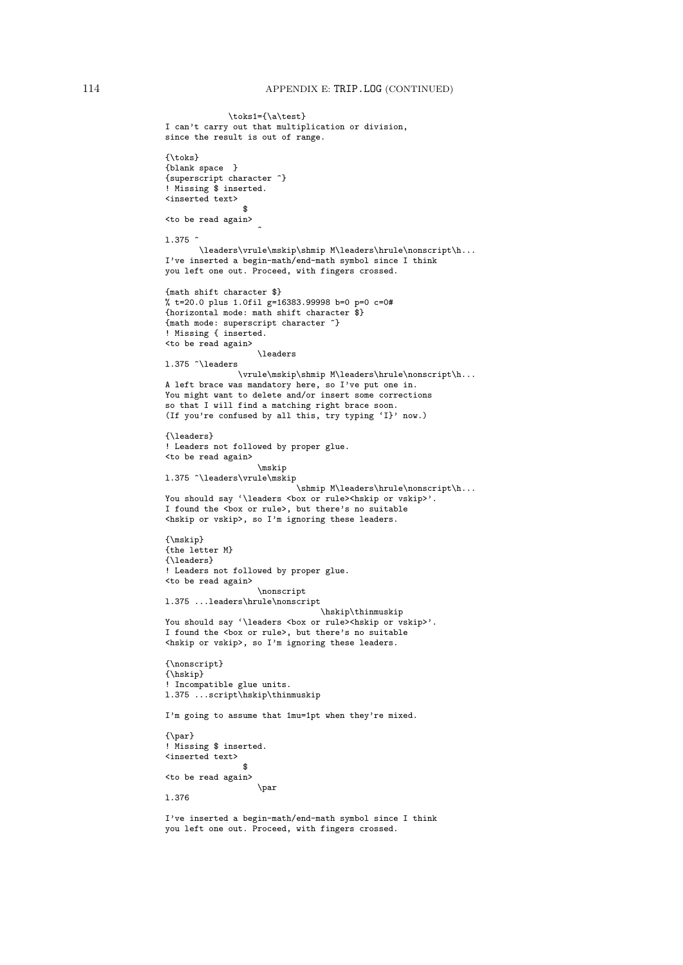```
\toks1={\a\test}
I can't carry out that multiplication or division,
since the result is out of range.
{\toks}
{blank space }
{superscript character ^}
! Missing $ inserted.
<inserted text>
                 $
<to be read again>
                    \hat{ }l.375 ^
       \leaders\vrule\mskip\shmip M\leaders\hrule\nonscript\h...
I've inserted a begin-math/end-math symbol since I think
you left one out. Proceed, with fingers crossed.
{math shift character $}
% t=20.0 plus 1.0fil g=16383.99998 b=0 p=0 c=0#
{horizontal mode: math shift character $}
{math mode: superscript character ^}
! Missing { inserted.
<to be read again>
                   \leaders
l.375 ^\leaders
               \vrule\mskip\shmip M\leaders\hrule\nonscript\h...
A left brace was mandatory here, so I've put one in.
You might want to delete and/or insert some corrections
so that I will find a matching right brace soon.
(If you're confused by all this, try typing 'I}' now.)
{\leaders}
! Leaders not followed by proper glue.
<to be read again>
                   \mskip
l.375 ^\leaders\vrule\mskip
                            \shmip M\leaders\hrule\nonscript\h...
You should say '\leaders <br/> <br/> <br/>valuation or vskip>'.
I found the <box or rule>, but there's no suitable
<hskip or vskip>, so I'm ignoring these leaders.
{\mskip}
{the letter M}
{\leaders}
! Leaders not followed by proper glue.
<to be read again>
                   \nonscript
l.375 ...leaders\hrule\nonscript
                                 \hskip\thinmuskip
You should say '\leaders <br/> <br/> <br/>vor rule><hskip or vskip>'.
I found the <br/>box or rule>, but there's no suitable
<hskip or vskip>, so I'm ignoring these leaders.
{\nonscript}
{\hskip}
! Incompatible glue units.
l.375 ...script\hskip\thinmuskip
I'm going to assume that 1mu=1pt when they're mixed.
{\par}
! Missing $ inserted.
<inserted text>
                 $
<to be read again>
                   \par
l.376
I've inserted a begin-math/end-math symbol since I think
```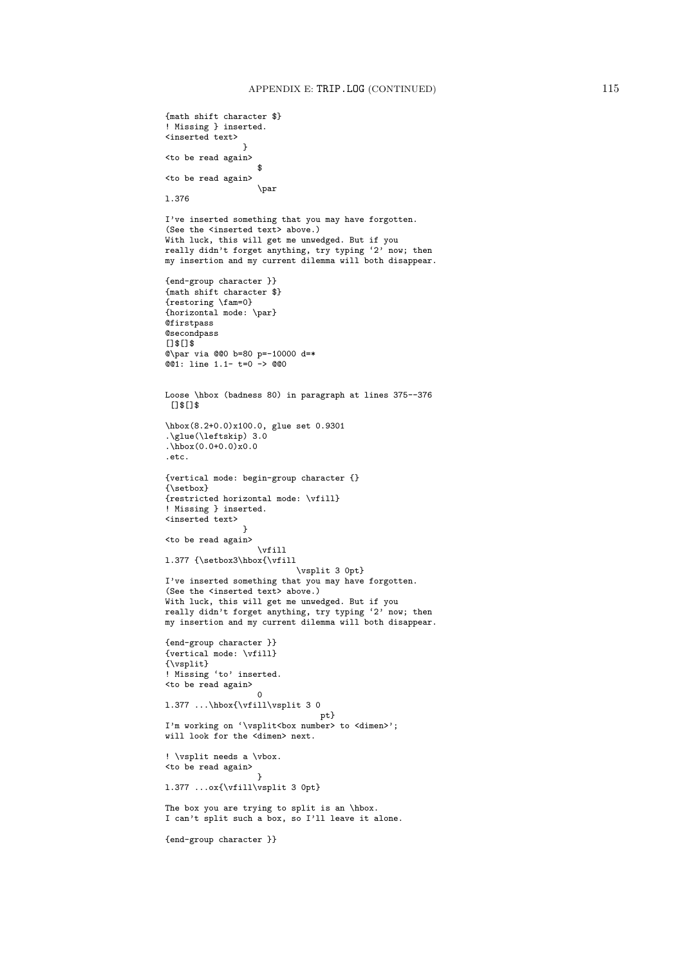```
{math shift character $}
! Missing } inserted.
<inserted text>
                 }
<to be read again>
                   $
<to be read again>
                   \par
l.376
I've inserted something that you may have forgotten.
(See the <inserted text> above.)
With luck, this will get me unwedged. But if you
really didn't forget anything, try typing '2' now; then
my insertion and my current dilemma will both disappear.
{end-group character }}
{math shift character $}
{restoring \fam=0}
{horizontal mode: \par}
@firstpass
@secondpass
[]$[]$
@\par via @@0 b=80 p=-10000 d=*
@01: line 1.1- t=0 -> @00Loose \hbox (badness 80) in paragraph at lines 375--376
 []$[]$
\hbox(8.2+0.0)x100.0, glue set 0.9301
.\glue(\leftskip) 3.0
.\hbox{hbox}(0.0+0.0)x0.0.etc.
{vertical mode: begin-group character {}
{\setbox}
{restricted horizontal mode: \vfill}
! Missing } inserted.
<inserted text>
                 }
<to be read again>
                   \vfill
l.377 {\setbox3\hbox{\vfill
                           \vsplit 3 0pt}
I've inserted something that you may have forgotten.
(See the <inserted text> above.)
With luck, this will get me unwedged. But if you
really didn't forget anything, try typing '2' now; then
my insertion and my current dilemma will both disappear.
{end-group character }}
{vertical mode: \vfill}
{\vsplit}
! Missing 'to' inserted.
<to be read again>
                   \Omegal.377 ...\hbox{\vfill\vsplit 3 0
                                pt}
I'm working on '\vsplit<br/>box number> to <dimen>';
will look for the <dimen> next.
! \vsplit needs a \vbox.
<to be read again>
                   \overline{1}l.377 ...ox{\vfill\vsplit 3 0pt}
The box you are trying to split is an \hbox.
I can't split such a box, so I'll leave it alone.
{end-group character }}
```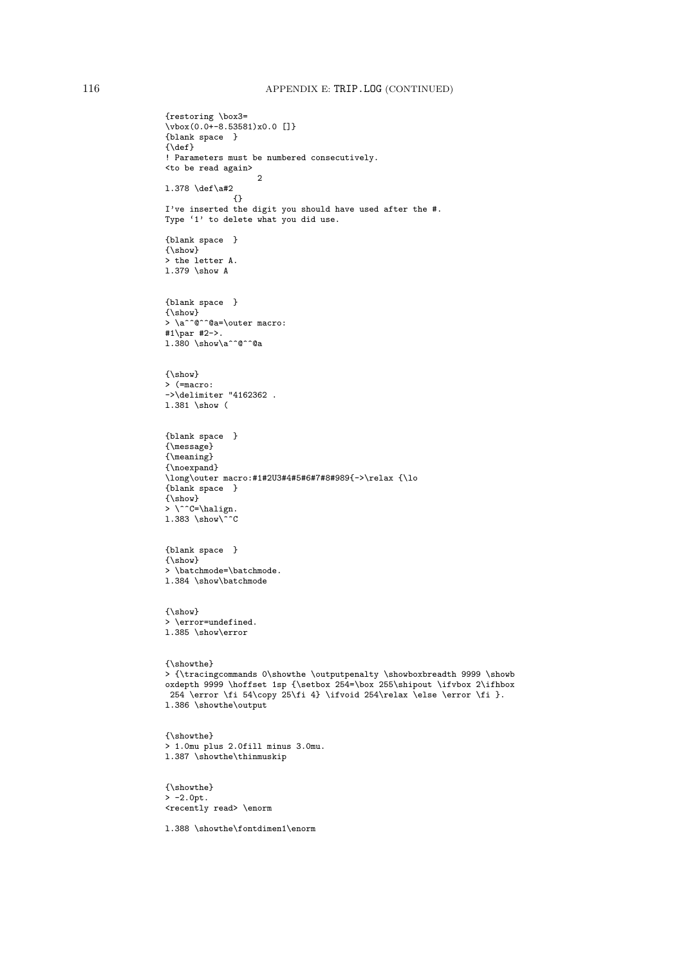```
{restoring \box3=
\forall x (0.0+-8.53581)x0.0 []}
{blank space }
{\mathcal{A}}! Parameters must be numbered consecutively.
<to be read again>
                    \mathcal{L}l.378 \def\a#2
              {}
I've inserted the digit you should have used after the #.
Type '1' to delete what you did use.
{blank space }
{\show}
> the letter A.
l.379 \show A
{blank space }
\{ \simeq \}> \a^^@^^@a=\outer macro:
#1\par #2->.
l.380 \show\a^^@^^@a
{\show}
> (=macro:
->\delimiter "4162362 .
l.381 \show (
{blank space }
{\message}
{\meaning}
{\noexpand}
\long\outer macro:#1#2U3#4#5#6#7#8#989{->\relax {\lo
{blank space }
{\show}
> \ ^{\circ}C=\h{halign.}1.383 \hbox{show}^c{blank space }
\{ \simeq \}> \batchmode=\batchmode.
l.384 \show\batchmode
{\show}
> \error=undefined.
l.385 \show\error
{\showthe}
> {\tracingcommands 0\showthe \outputpenalty \showboxbreadth 9999 \showb
oxdepth 9999 \hoffset 1sp {\setbox 254=\box 255\shipout \ifvbox 2\ifhbox
254 \error \fi 54\copy 25\fi 4} \ifvoid 254\relax \else \error \fi }.
l.386 \showthe\output
{\showthe}
> 1.0mu plus 2.0fill minus 3.0mu.
l.387 \showthe\thinmuskip
{\showthe}
> -2.0pt.<recently read> \enorm
l.388 \showthe\fontdimen1\enorm
```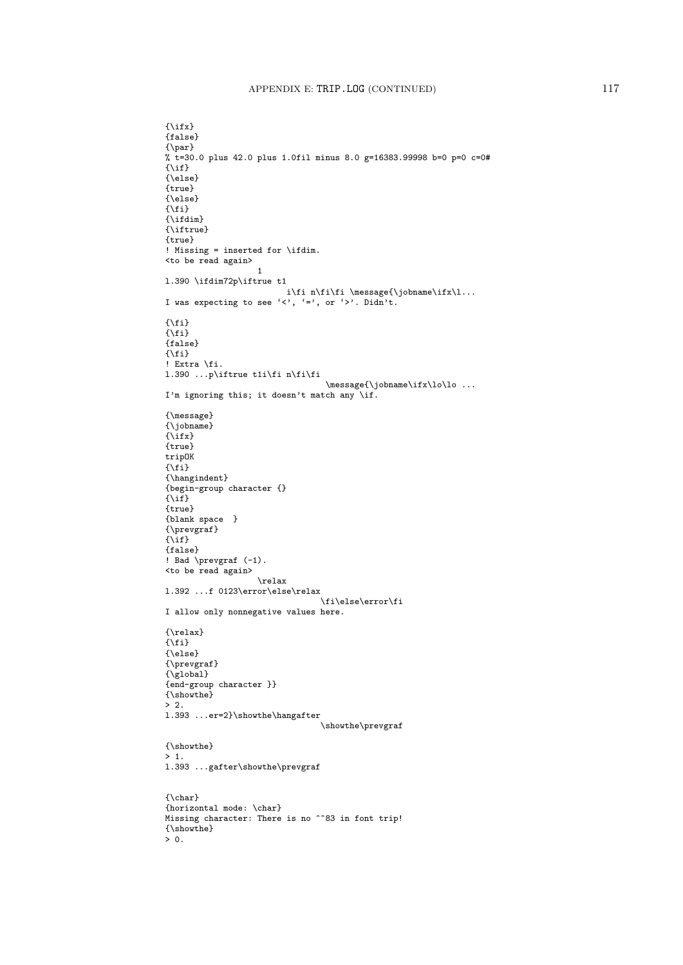```
{\{\right\}}{false}
{\par}
% t=30.0 plus 42.0 plus 1.0fil minus 8.0 g=16383.99998 b=0 p=0 c=0#
{\if}
{\else}
{true}
{\else}
\{\hat{i}\}{\hat{\tau}}{\iftrue}
{true}
! Missing = inserted for \ifdim.
<to be read again>
                     1
l.390 \ifdim72p\iftrue t1
                            i\fi n\fi\fi \message{\jobname\ifx\l...
I was expecting to see '\langle \cdot, \cdot \rangle = \langle \cdot, \cdot \rangle. Didn't.
{\fi}
\{\text{f} \}{false}
\{\verb|\fi\}! Extra \fi.
l.390 ...p\iftrue t1i\fi n\fi\fi
                                     \message{\jobname\ifx\lo\lo ...
I'm ignoring this; it doesn't match any \if.
{\message}
{\jobname}
\{ \text{if } x \}{true}
tripOK
\{\hat{i}\}{\hangindent}
{begin-group character {}
\{\setminus i\check{f}\}{true}
{blank space }
{\prevgraf}
\{\iota\}{false}
! Bad \prevgraf (-1).
<to be read again>
                     \relax
l.392 ...f 0123\error\else\relax
                                   \fi\else\error\fi
I allow only nonnegative values here.
{\relax}
\{\text{f} \}{\else}
{\prevgraf}
{\global}
{end-group character }}
{\showthe}
> 2.l.393 ...er=2}\showthe\hangafter
                                    \showthe\prevgraf
{\showthe}
> 1.
l.393 ...gafter\showthe\prevgraf
{\char}
{horizontal mode: \char}
Missing character: There is no ^^83 in font trip!
{\showthe}
> 0.
```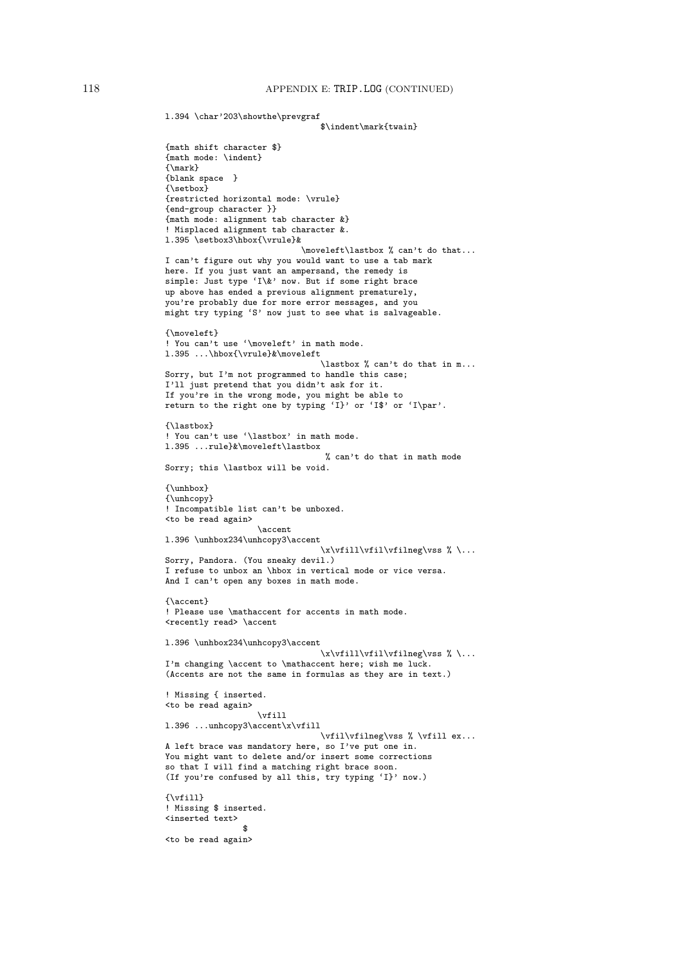l.394 \char'203\showthe\prevgraf

```
$\indent\mark{twain}
{math shift character $}
{math mode: \indent}
{\max}{blank space }
{\setbox}
{restricted horizontal mode: \vrule}
{end-group character }}
{math mode: alignment tab character &}
! Misplaced alignment tab character &.
l.395 \setbox3\hbox{\vrule}&
                            \moveleft\lastbox % can't do that...
I can't figure out why you would want to use a tab mark
here. If you just want an ampersand, the remedy is
simple: Just type 'I\&' now. But if some right brace
up above has ended a previous alignment prematurely,
you're probably due for more error messages, and you
might try typing 'S' now just to see what is salvageable.
{\moveleft}
! You can't use '\moveleft' in math mode.
l.395 ...\hbox{\vrule}&\moveleft
                                \lastbox % can't do that in m...
Sorry, but I'm not programmed to handle this case;
I'll just pretend that you didn't ask for it.
If you're in the wrong mode, you might be able to
return to the right one by typing 'I}' or 'I$' or 'I\par'.
{\lastbox}
! You can't use '\lastbox' in math mode.
l.395 ...rule}&\moveleft\lastbox
                                 % can't do that in math mode
Sorry; this \lastbox will be void.
{\unhbox}
{\unhcopy}
! Incompatible list can't be unboxed.
<to be read again>
                   \accent
l.396 \unhbox234\unhcopy3\accent
                                \x\vfill\vfil\vfilneg\vss % \...
Sorry, Pandora. (You sneaky devil.)
I refuse to unbox an \hbox in vertical mode or vice versa.
And I can't open any boxes in math mode.
{\accent}
! Please use \mathaccent for accents in math mode.
<recently read> \accent
l.396 \unhbox234\unhcopy3\accent
                                \x\vtill\vf1\vtill\vf1\neq\vss % \...
I'm changing \accent to \mathaccent here; wish me luck.
(Accents are not the same in formulas as they are in text.)
! Missing { inserted.
<to be read again>
                   \vfill
l.396 ...unhcopy3\accent\x\vfill
                                 \vfil\vfilneg\vss % \vfill ex...
A left brace was mandatory here, so I've put one in.
You might want to delete and/or insert some corrections
so that I will find a matching right brace soon.
(If you're confused by all this, try typing 'I}' now.)
{\forall}! Missing $ inserted.
<inserted text>
                $
<to be read again>
```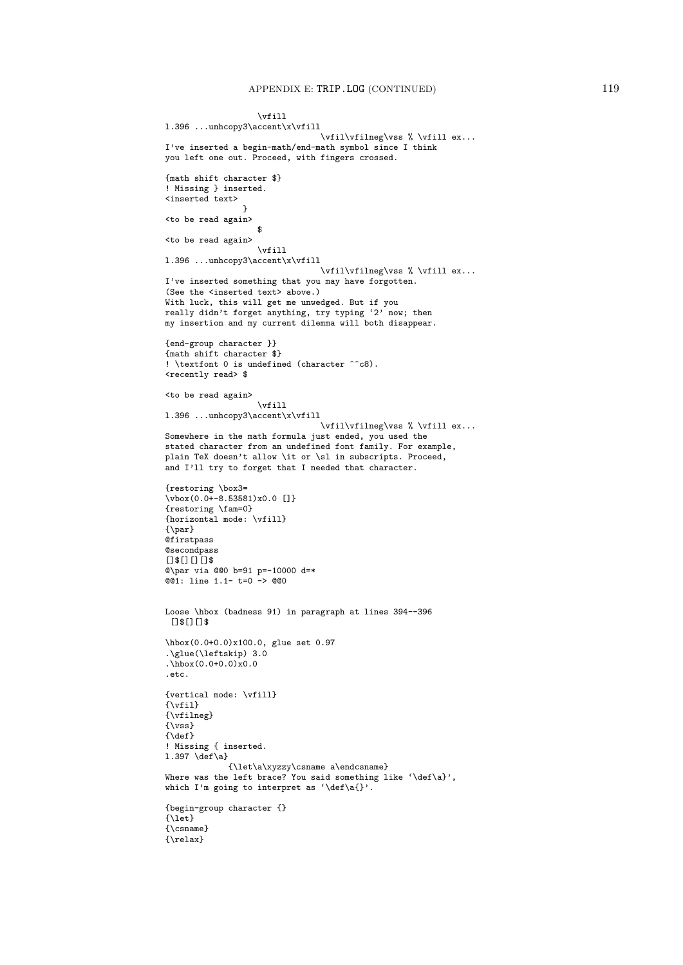```
\vfill
l.396 ...unhcopy3\accent\x\vfill
                                 \vfil\vfilneg\vss % \vfill ex...
I've inserted a begin-math/end-math symbol since I think
you left one out. Proceed, with fingers crossed.
{math shift character $}
! Missing } inserted.
<inserted text>
                 }
<to be read again>
                   $
<to be read again>
                   \vfill
l.396 ...unhcopy3\accent\x\vfill
                                 \vfil\vfilneg\vss % \vfill ex...
I've inserted something that you may have forgotten.
(See the <inserted text> above.)
With luck, this will get me unwedged. But if you
really didn't forget anything, try typing '2' now; then
my insertion and my current dilemma will both disappear.
{end-group character }}
{math shift character $}
! \textfont 0 is undefined (character ^^c8).
<recently read> $
<to be read again>
                   \vfill
l.396 ...unhcopy3\accent\x\vfill
                                 \vfil\vfilneg\vss % \vfill ex...
Somewhere in the math formula just ended, you used the
stated character from an undefined font family. For example,
plain TeX doesn't allow \it or \sl in subscripts. Proceed,
and I'll try to forget that I needed that character.
{restoring \box3=
\vbox(0.0+-8.53581)x0.0 []}
{restoring \fam=0}
{horizontal mode: \vfill}
{\par}
@firstpass
@secondpass
[1$6][1$6]@\par via @@0 b=91 p=-10000 d=*
@@1: line 1.1- t=0 -> @@0
Loose \hbox (badness 91) in paragraph at lines 394--396
 []$[][]$
\hbox(0.0+0.0)x100.0, glue set 0.97
.\glue(\leftskip) 3.0
\hbox{\tt \ddot{h}box(0.0+0.0)}\x0.0.etc.
{vertical mode: \vfill}
\{ \v{tril} \}{\vfilneg}
{\vss}
{\delta}! Missing { inserted.
1.397 \text{def}\a{\let\a\xyzzy\csname a\endcsname}
Where was the left brace? You said something like '\def\a}',
which I'm going to interpret as '\def\a{}'.
{begin-group character {}
{\let}
{\csname}
{\relax}
```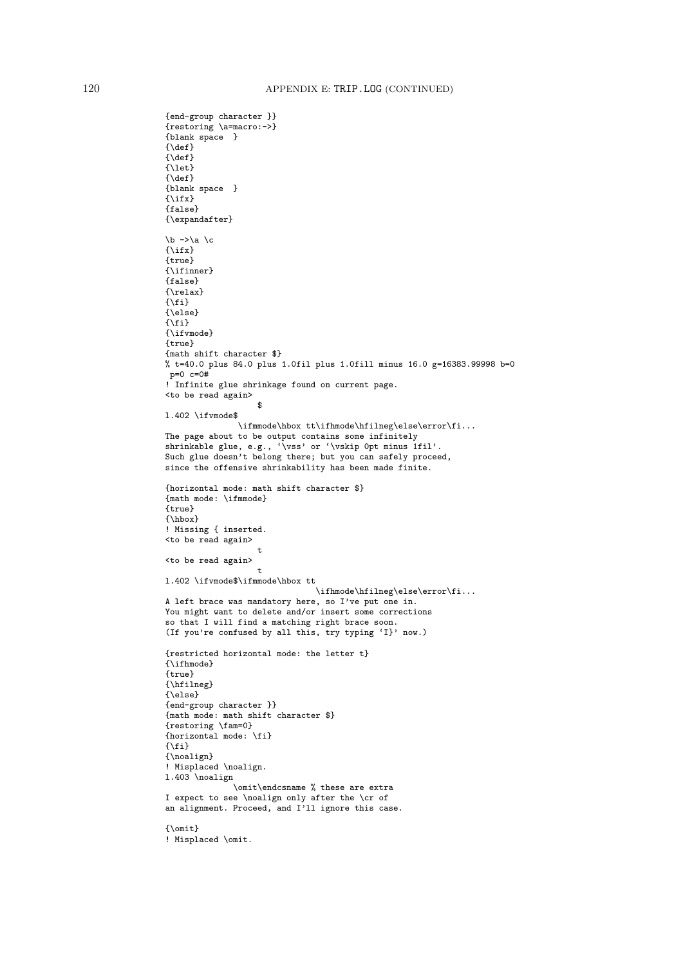```
{end-group character }}
{restoring \a=macro:->}
{blank space }
{\def}{\setminus}def}
{\let}
{\def}
{blank space }
{\ifx}
{false}
{\expandafter}
\b ->\a \c
{\ifx}
{true}
{\ifinner}
{false}
{\relax}
\{\text{f} \}{\else}
{\fi}
{\ifvmode}
{true}
{math shift character $}
% t=40.0 plus 84.0 plus 1.0fil plus 1.0fill minus 16.0 g=16383.99998 b=0
p=0 c=0#! Infinite glue shrinkage found on current page.
<to be read again>
                     $
l.402 \ifvmode$
                \label{thmode:1} $$\ifmmode{\hbox{\thinspace}\hspace{1.2mm}}\label{thm-1} $$\ifmmode{\hbox{\thinspace}\hspace{1.2mm}}\} $$The page about to be output contains some infinitely
shrinkable glue, e.g., '\vss' or '\vskip 0pt minus 1fil'
Such glue doesn't belong there; but you can safely proceed,
since the offensive shrinkability has been made finite.
{horizontal mode: math shift character $}
{math mode: \ifmmode}
{true}
{\hbox{\sf \{hbox\}}}! Missing { inserted.
<to be read again>
                     t
<to be read again>
                    t
l.402 \ifvmode$\ifmmode\hbox tt
                                 \ifhmode\hfilneg\else\error\fi...
A left brace was mandatory here, so I've put one in.
You might want to delete and/or insert some corrections
so that I will find a matching right brace soon.
(If you're confused by all this, try typing 'I}' now.)
{restricted horizontal mode: the letter t}
{\ifhmode}
{true}
{\hfilneg}
{\else}
{end-group character }}
{math mode: math shift character $}
{restoring \fam=0}
{horizontal mode: \fi}
\{ \xi \}{\noalign}
! Misplaced \noalign.
l.403 \noalign
               \omit\endcsname % these are extra
I expect to see \noalign only after the \cr of
an alignment. Proceed, and I'll ignore this case.
{\omit}
! Misplaced \omit.
```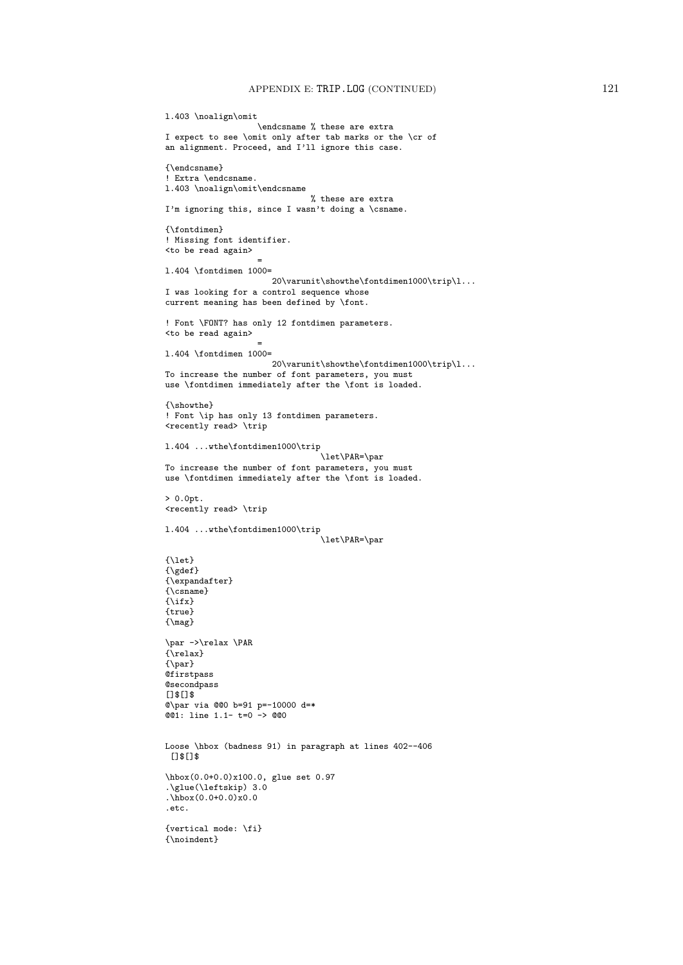```
l.403 \noalign\omit
                   \endcsname % these are extra
I expect to see \omit only after tab marks or the \cr of
an alignment. Proceed, and I'll ignore this case.
{\endcsname}
! Extra \endcsname.
l.403 \noalign\omit\endcsname
                              % these are extra
I'm ignoring this, since I wasn't doing a \csname.
{\fontdimen}
! Missing font identifier.
<to be read again>
                    =
l.404 \fontdimen 1000=
                      20\varphi\show the \font' {\tt{ontdimen1000\trip}\l. . .}I was looking for a control sequence whose
current meaning has been defined by \font.
! Font \FONT? has only 12 fontdimen parameters.
<to be read again>
                    =
l.404 \fontdimen 1000=
                      20\varunit\showthe\fontdimen1000\trip\l...
To increase the number of font parameters, you must
use \fontdimen immediately after the \font is loaded.
{\showthe}
! Font \ip has only 13 fontdimen parameters.
<recently read> \trip
l.404 ...wthe\fontdimen1000\trip
                                 \let\PAR=\par
To increase the number of font parameters, you must
use \fontdimen immediately after the \font is loaded.
> 0.0pt.
<recently read> \trip
l.404 ...wthe\fontdimen1000\trip
                                 \let\PAR=\par
{\let}
{\qquad \qquad}{\expandafter}
{\csname}
{\ifx}
{true}
{\mag}
\par ->\relax \PAR
{\relax}
\{\gamma\}Qfirstpass
@secondpass
[]$[]$
@\par via @@0 b=91 p=-10000 d=*
@01: line 1.1- t=0 -> @00Loose \hbox (badness 91) in paragraph at lines 402--406
[1$13]\hbox(0.0+0.0)x100.0, glue set 0.97
.\glue(\leftskip) 3.0
\hbox{hbox}(0.0+0.0)x0.0.etc.
{vertical mode: \fi}
{\noindent}
```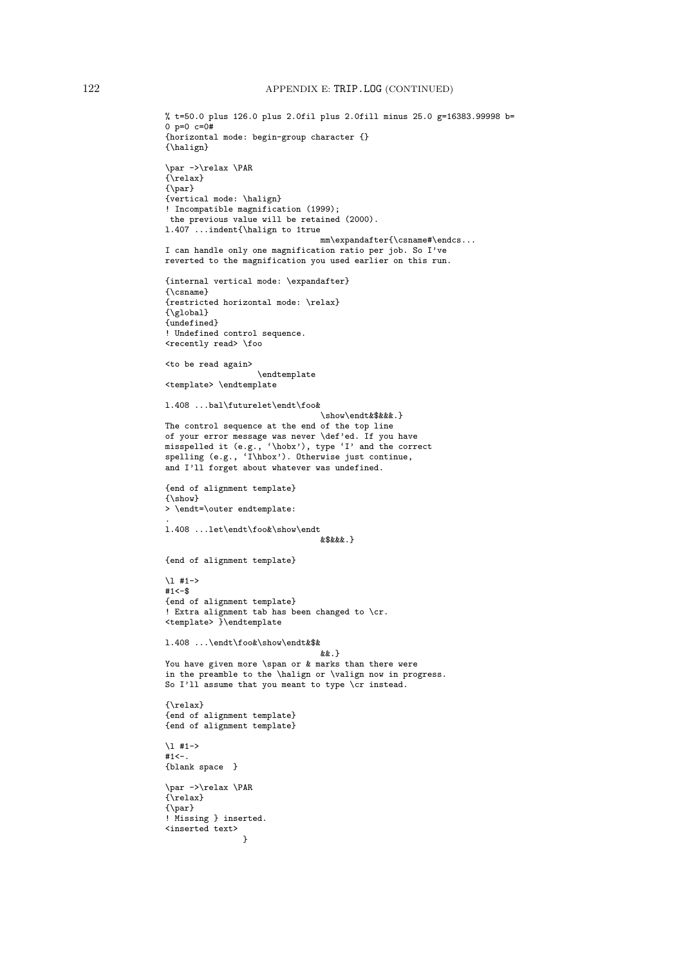```
% t=50.0 plus 126.0 plus 2.0fil plus 2.0fill minus 25.0 g=16383.99998 b=
0 p=0 c=0+{horizontal mode: begin-group character {}
{\halign}
\par ->\relax \PAR
{\relax}
{\par}
{vertical mode: \halign}
! Incompatible magnification (1999);
the previous value will be retained (2000).
l.407 ...indent{\halign to 1true
                                mm\expandafter{\csname#\endcs...
I can handle only one magnification ratio per job. So I've
reverted to the magnification you used earlier on this run.
{internal vertical mode: \expandafter}
{\csname}
{restricted horizontal mode: \relax}
{\global}
{undefined}
! Undefined control sequence.
<recently read> \foo
<to be read again>
                   \endtemplate
<template> \endtemplate
l.408 ...bal\futurelet\endt\foo&
                                \show\endt&$&&&.}
The control sequence at the end of the top line
of your error message was never \def'ed. If you have
misspelled it (e.g., '\hobx'), type 'I' and the correct
spelling (e.g., 'I\hbox'). Otherwise just continue,
and I'll forget about whatever was undefined.
{end of alignment template}
{\show}
> \endt=\outer endtemplate:
.
l.408 ...let\endt\foo&\show\endt
                                8x$x & x{end of alignment template}
\l #1->
#1 < -$
{end of alignment template}
! Extra alignment tab has been changed to \cr.
<template> }\endtemplate
l.408 ...\endt\foo&\show\endt&$&
                                &&.}
You have given more \span or & marks than there were
in the preamble to the \halign or \valign now in progress.
So I'll assume that you meant to type \cr instead.
{\relax}
{end of alignment template}
{end of alignment template}
\l #1->
#1<-.
{blank space }
\par ->\relax \PAR
{\relax}
{\par}
! Missing } inserted.
<inserted text>
                \overline{1}
```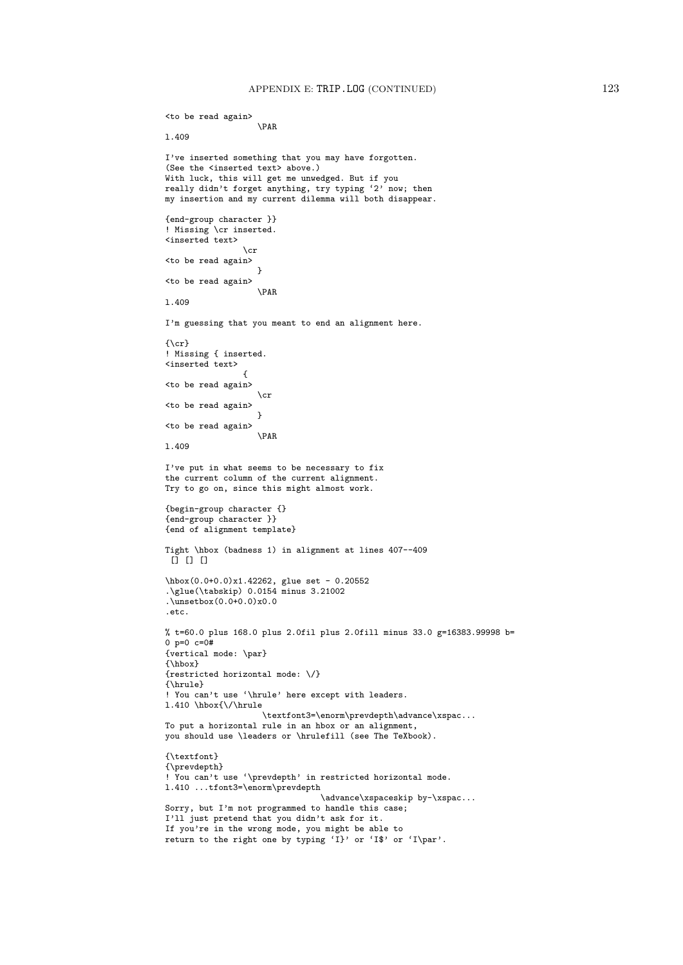```
<to be read again>
                   \PAR
l.409
I've inserted something that you may have forgotten.
(See the <inserted text> above.)
With luck, this will get me unwedged. But if you
really didn't forget anything, try typing '2' now; then
my insertion and my current dilemma will both disappear.
{end-group character }}
! Missing \cr inserted.
<inserted text>
                \cr
<to be read again>
                   }
<to be read again>
                   \PAR
l.409
I'm guessing that you meant to end an alignment here.
\{ \c{r} \}! Missing { inserted.
<inserted text>
                 {
<to be read again>
                   \cr
<to be read again>
                   }
<to be read again>
                   \PAR
l.409
I've put in what seems to be necessary to fix
the current column of the current alignment.
Try to go on, since this might almost work.
{begin-group character {}
{end-group character }}
{end of alignment template}
Tight \hbox (badness 1) in alignment at lines 407--409
\overline{D} n \overline{D}\hbox(0.0+0.0)x1.42262, glue set - 0.20552
.\glue(\tabskip) 0.0154 minus 3.21002
.\unsetbox(0.0+0.0)x0.0
.etc.
% t=60.0 plus 168.0 plus 2.0fil plus 2.0fill minus 33.0 g=16383.99998 b=
0 p=0 c=0#
{vertical mode: \par}
{\hbox}
{restricted horizontal mode: \/}
{\hrule}
! You can't use '\hrule' here except with leaders.
l.410 \hbox{\/\hrule
                    \textfont3=\enorm\prevdepth\advance\xspac...
To put a horizontal rule in an hbox or an alignment,
you should use \leaders or \hrulefill (see The TeXbook).
{\textfont}
{\prevdepth}
! You can't use '\prevdepth' in restricted horizontal mode.
l.410 ...tfont3=\enorm\prevdepth
                                \advance\xspaceskip by-\xspac...
Sorry, but I'm not programmed to handle this case;
I'll just pretend that you didn't ask for it.
If you're in the wrong mode, you might be able to
return to the right one by typing 'I}' or 'I$' or 'I\par'.
```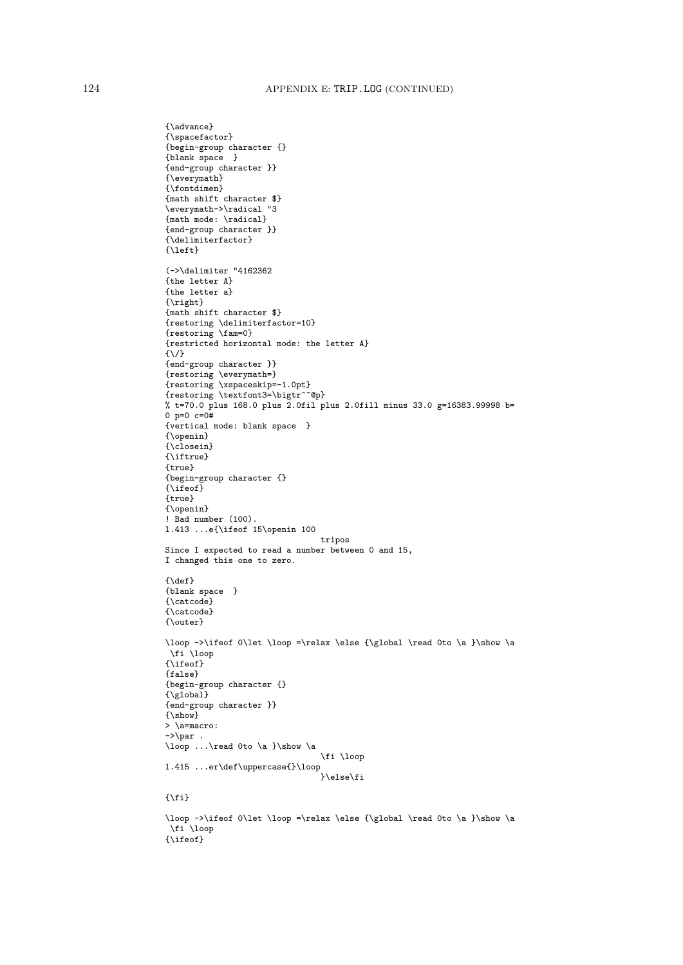```
{\advance}
{\spacefactor}
{begin-group character {}
{blank space }
{end-group character }}
\{\verb|\everymath|{\fontdimen}
{math shift character $}
\everymath->\radical "3
{math mode: \radical}
{end-group character }}
{\delimiterfactor}
{\left}
(->\delimiter "4162362
{the letter A}
{the letter a}
{\right}
{math shift character $}
{restoring \delimiterfactor=10}
{restoring \fam=0}
{restricted horizontal mode: the letter A}
{\/}
{end-group character }}
{restoring \everymath=}
{restoring \xspaceskip=-1.0pt}
{restoring \textfont3=\bigtr^^@p}
% t=70.0 plus 168.0 plus 2.0fil plus 2.0fill minus 33.0 g=16383.99998 b=
0 p=0 c=0#
{vertical mode: blank space }
{\openin}
{\closein}
{\iftrue}
{true}
{begin-group character {}
{\ifeof}
{true}
{\openin}
! Bad number (100).
l.413 ...e{\ifeof 15\openin 100
                                 tripos
Since I expected to read a number between 0 and 15,
I changed this one to zero.
{\def}
{blank space }
{\catcode}
{\catcode}
{\outer}
\loop ->\ifeof 0\let \loop =\relax \else {\global \read 0to \a }\show \a
 \fi \loop
{\ifeof}
{false}
{begin-group character {}
{\global}
{end-group character }}
\{\n \text{show}\}> \a=macro:
-\frac{\sqrt{p}}{p}.
\loop ...\read 0to \a }\show \a
                                 \fi \loop
l.415 ...er\def\uppercase{}\loop
                                 }\else\fi
\{\hat{i}\}\loop ->\ifeof 0\let \loop =\relax \else {\global \read 0to \a }\show \a
 \fi \loop
```
{\ifeof}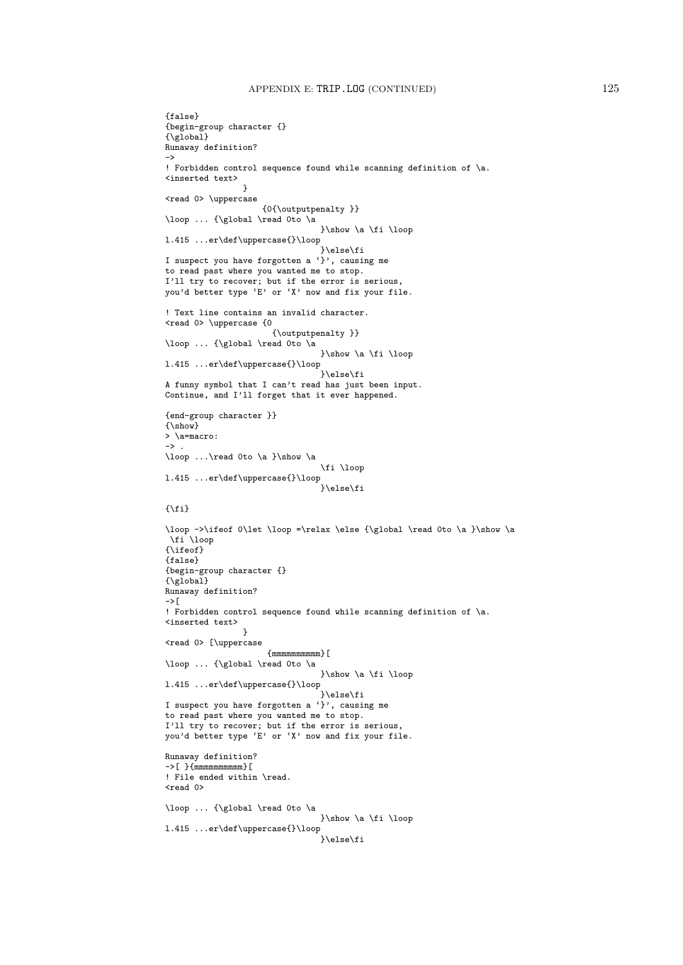```
{false}
{begin-group character {}
{\global}
Runaway definition?
->
! Forbidden control sequence found while scanning definition of \a.
<inserted text>
                }
<read 0> \uppercase
                     {0{\outputpenalty }}
\loop ... {\global \read 0to \a
                                 }\show \a \fi \loop
l.415 ...er\def\uppercase{}\loop
                                 }\else\fi
I suspect you have forgotten a '}', causing me
to read past where you wanted me to stop.
I'll try to recover; but if the error is serious,
you'd better type 'E' or 'X' now and fix your file.
! Text line contains an invalid character.
<read 0> \uppercase {0
                      {\outputpenalty }}
\loop ... {\global \read 0to \a
                                }\show \a \fi \loop
l.415 ...er\def\uppercase{}\loop
                                 }\else\fi
A funny symbol that I can't read has just been input.
Continue, and I'll forget that it ever happened.
{end-group character }}
{\show}
> \a=macro:
\rightarrow.
\loop ...\read 0to \a }\show \a
                                 \fi \loop
l.415 ...er\def\uppercase{}\loop
                                 }\else\fi
\{\setminus f\}\loop ->\ifeof 0\let \loop =\relax \else {\global \read 0to \a }\show \a
 \fi \loop
{\ifeof}
{false}
{begin-group character {}
{\global}
Runaway definition?
\rightarrow[
! Forbidden control sequence found while scanning definition of \a.
<inserted text>
                }
<read 0> [\uppercase
                     {mmmmmmmmmm}[
\loop ... {\global \read 0to \a
                                }\show \a \fi \loop
l.415 ...er\def\uppercase{}\loop
                                 }\else\fi
I suspect you have forgotten a '}', causing me
to read past where you wanted me to stop.
I'll try to recover; but if the error is serious,
you'd better type 'E' or 'X' now and fix your file.
Runaway definition?
\rightarrow[ }{mmmmmmmmmmm}[
! File ended within \read.
<read 0>
\loop ... {\global \read 0to \a
                                 }\show \a \fi \loop
l.415 ...er\def\uppercase{}\loop
                                 }\else\fi
```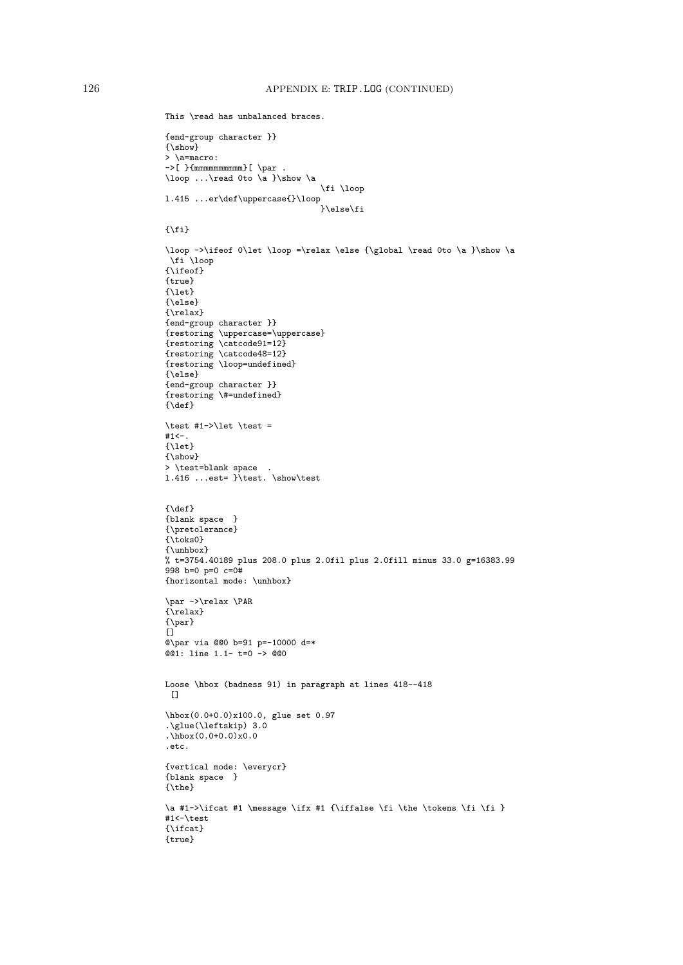```
This \read has unbalanced braces.
{end-group character }}
{\show}
> \a=macro:
\rightarrow[ }{mmmmmmmmmmmm][ \par .
\loop ...\read 0to \a }\show \a
                                   \fi \loop
l.415 ...er\def\uppercase{}\loop
                                   }\else\fi
\{\text{f} \}\loop ->\ifeof 0\let \loop =\relax \else {\global \read 0to \a }\show \a
 \overline{\iota} \loop
{\ifeof}
{true}
{\let}
{\else}
{\relax}
{end-group character }}
{restoring \uppercase=\uppercase}
{restoring \catcode91=12}
{restoring \catcode48=12}
{restoring \loop=undefined}
{\else}
{end-group character }}
{restoring \#=undefined}
{\{ \text{def} \}}\test #1->\let \test =
#1<-.
{\let}
{\show}
> \test=blank space .
1.416 ...est= \iota test. \show\test
{\{ \text{def} \}}{blank space }
{\pretolerance}
{\toks0}
{\unhbox}
% t=3754.40189 plus 208.0 plus 2.0fil plus 2.0fill minus 33.0 g=16383.99
998 b=0 p=0 c=0#
{horizontal mode: \unhbox}
\par ->\relax \PAR
{\relax}
{\par}
[]
@\par via @@0 b=91 p=-10000 d=*
@01: line 1.1- t=0 -> @00Loose \hbox (badness 91) in paragraph at lines 418--418
[]
\hbox(0.0+0.0)x100.0, glue set 0.97
.\glue(\leftskip) 3.0
\hbox{\tt \ddot{h}box(0.0+0.0)}\x0.0.etc.
{vertical mode: \everycr}
{blank space }
\{\texttt{\textbackslash}\a #1->\ifcat #1 \message \ifx #1 {\iffalse \fi \the \tokens \fi \fi }
#1<-\test
{\ifcat}
{true}
```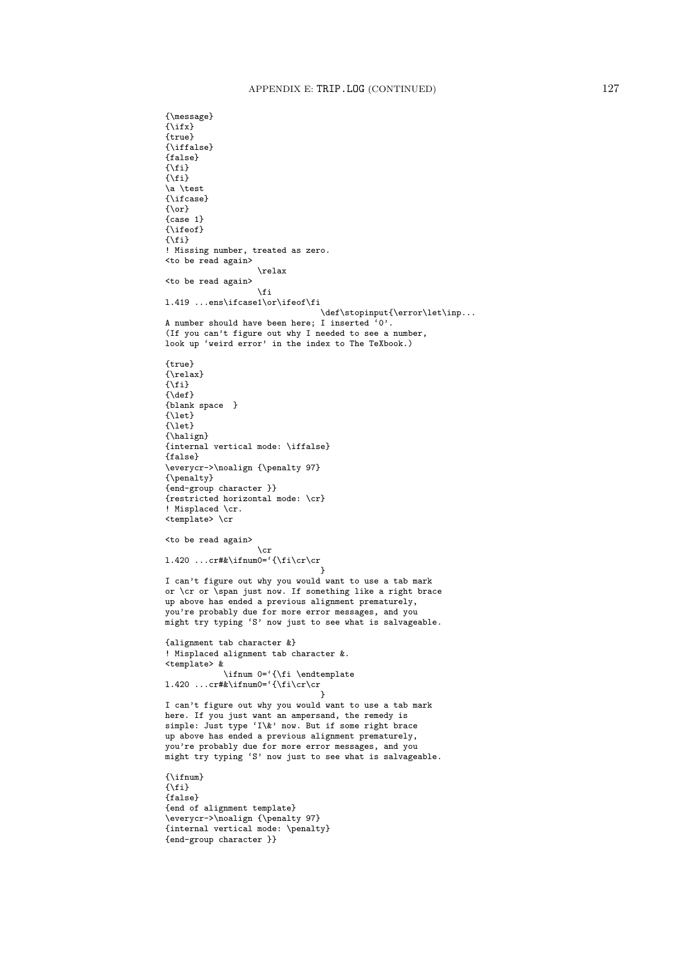```
{\message}
{\{\right\}}{true}
{\iffalse}
{false}
{\mathcal{N}}{\fi}
\a \test
{\ifcase}
\{ \text{or} \}{case 1}
{\ifeof}
\{\text{f} \}! Missing number, treated as zero.
<to be read again>
                   \relax
<to be read again>
                    \fi
l.419 ...ens\ifcase1\or\ifeof\fi
                                 \def\stopinput{\error\let\inp...
A number should have been here; I inserted '0'.
(If you can't figure out why I needed to see a number,
look up 'weird error' in the index to The TeXbook.)
{true}
{\relax}
{\fi}
{\delta}{blank space }
{\let}
{\let}
{\halign}
{internal vertical mode: \iffalse}
{false}
\everycr->\noalign {\penalty 97}
{\penalty}
{end-group character }}
{restricted horizontal mode: \cr}
! Misplaced \cr.
<template> \cr
<to be read again>
                    \cr
1.420 ...cr#&\ifnum0='{\fi\cr\cr
                                 }
I can't figure out why you would want to use a tab mark
or \csc or \operatorname{span} just now. If something like a right brace
up above has ended a previous alignment prematurely,
you're probably due for more error messages, and you
might try typing 'S' now just to see what is salvageable.
{alignment tab character &}
! Misplaced alignment tab character &.
<template> &
            \ifnum 0='{\fi \endtemplate
1.420 ...cr#&\ifnum0='{\fi\cr\cr
                                 }
I can't figure out why you would want to use a tab mark
here. If you just want an ampersand, the remedy is
simple: Just type 'I\&' now. But if some right brace
up above has ended a previous alignment prematurely,
you're probably due for more error messages, and you
might try typing 'S' now just to see what is salvageable.
{\ifnum}
\{\verb|\fi\}{false}
{end of alignment template}
\everycr->\noalign {\penalty 97}
{internal vertical mode: \penalty}
{end-group character }}
```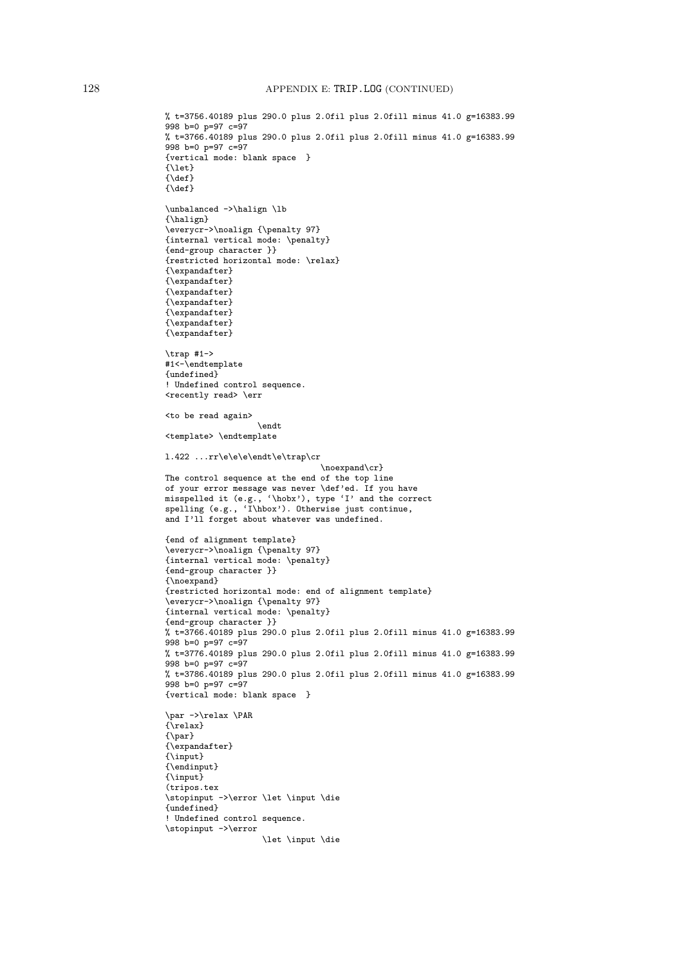```
% t=3756.40189 plus 290.0 plus 2.0fil plus 2.0fill minus 41.0 g=16383.99
998 b=0 p=97 c=97
% t=3766.40189 plus 290.0 plus 2.0fil plus 2.0fill minus 41.0 g=16383.99
998 b=0 p=97 c=97
{vertical mode: blank space }
{\let}
{\def}
{\def}
\unbalanced ->\halign \lb
{\halign}
\everycr->\noalign {\penalty 97}
{internal vertical mode: \penalty}
{end-group character }}
{restricted horizontal mode: \relax}
{\expandafter}
{\expandafter}
{\expandafter}
{\expandafter}
{\expandafter}
{\expandafter}
{\expandafter}
\trap #1->
#1<-\endtemplate
{undefined}
! Undefined control sequence.
<recently read> \err
<to be read again>
                   \endt
<template> \endtemplate
l.422 ...rr\e\e\e\endt\e\trap\cr
                                \noexpand\cr}
The control sequence at the end of the top line
of your error message was never \def'ed. If you have
misspelled it (e.g., '\hobx'), type 'I' and the correct
spelling (e.g., 'I\hbox'). Otherwise just continue,
and I'll forget about whatever was undefined.
{end of alignment template}
\everycr->\noalign {\penalty 97}
{internal vertical mode: \penalty}
{end-group character }}
{\noexpand}
{restricted horizontal mode: end of alignment template}
\everycr->\noalign {\penalty 97}
{internal vertical mode: \penalty}
{end-group character }}
% t=3766.40189 plus 290.0 plus 2.0fil plus 2.0fill minus 41.0 g=16383.99
998 b=0 p=97 c=97
% t=3776.40189 plus 290.0 plus 2.0fil plus 2.0fill minus 41.0 g=16383.99
998 b=0 p=97 c=97
% t=3786.40189 plus 290.0 plus 2.0fil plus 2.0fill minus 41.0 g=16383.99
998 b=0 p=97 c=97
{vertical mode: blank space }
\par ->\relax \PAR
{\relax}
{\par}
{\expandafter}
{\input}
{\endinput}
{\input}
(tripos.tex
\stopinput ->\error \let \input \die
{undefined}
! Undefined control sequence.
\stopinput ->\error
                    \let \input \die
```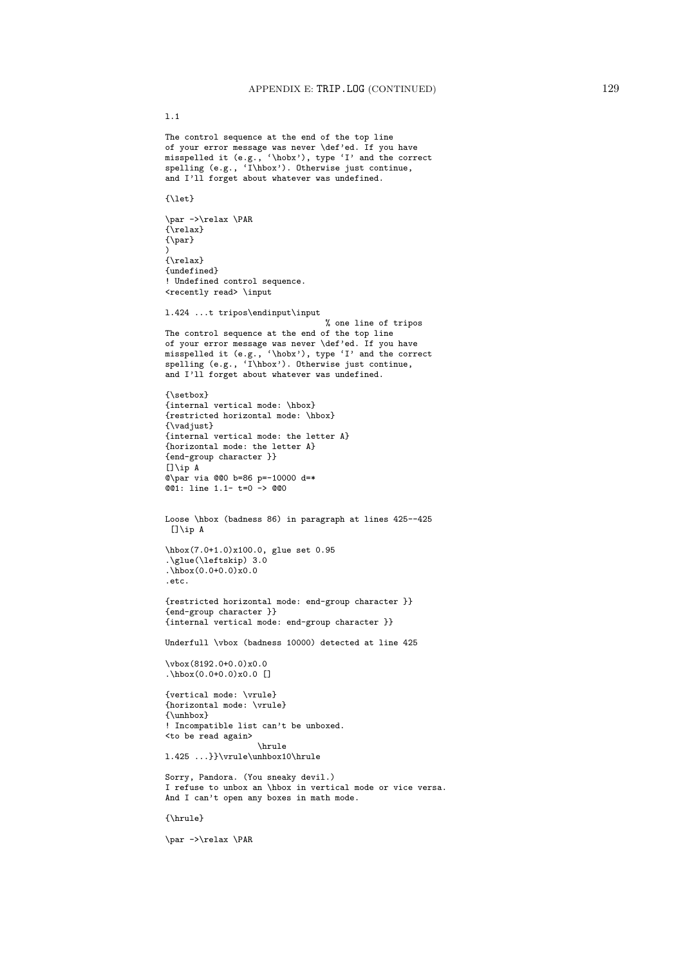l.1

The control sequence at the end of the top line of your error message was never \def'ed. If you have misspelled it (e.g., '\hobx'), type 'I' and the correct spelling (e.g., 'I\hbox'). Otherwise just continue, and I'll forget about whatever was undefined. {\let} \par ->\relax \PAR {\relax} {\par} ) {\relax} {undefined} ! Undefined control sequence. <recently read> \input l.424 ...t tripos\endinput\input % one line of tripos The control sequence at the end of the top line of your error message was never \def'ed. If you have misspelled it (e.g., '\hobx'), type 'I' and the correct spelling (e.g., 'I\hbox'). Otherwise just continue, and I'll forget about whatever was undefined. {\setbox} {internal vertical mode: \hbox} {restricted horizontal mode: \hbox} {\vadjust} {internal vertical mode: the letter A} {horizontal mode: the letter A} {end-group character }}  $[1\$ {ip} A @\par via @@0 b=86 p=-10000 d=\* @@1: line 1.1- t=0 -> @@0 Loose \hbox (badness 86) in paragraph at lines 425--425 []\ip A \hbox(7.0+1.0)x100.0, glue set 0.95 .\glue(\leftskip) 3.0  $\hbar b x(0.0+0.0)x0.0$ .etc. {restricted horizontal mode: end-group character }} {end-group character }} {internal vertical mode: end-group character }} Underfull \vbox (badness 10000) detected at line 425 \ybox(8192.0+0.0)x0.0 .\hbox(0.0+0.0)x0.0 [] {vertical mode: \vrule} {horizontal mode: \vrule} {\unhbox} ! Incompatible list can't be unboxed. <to be read again> \hrule l.425 ...}}\vrule\unhbox10\hrule Sorry, Pandora. (You sneaky devil.) I refuse to unbox an \hbox in vertical mode or vice versa. And I can't open any boxes in math mode. {\hrule}

\par ->\relax \PAR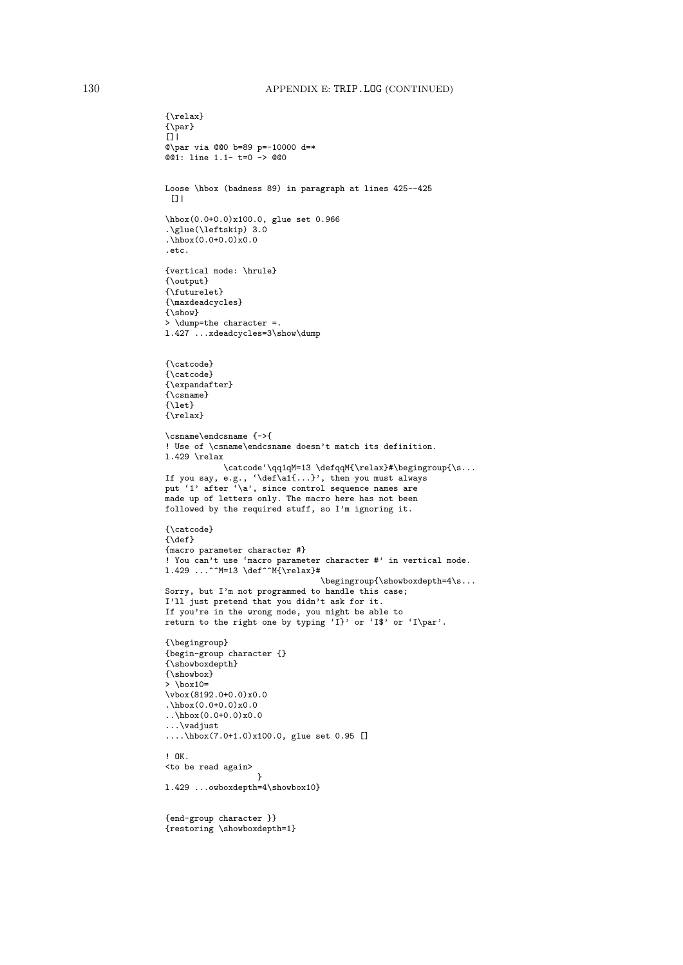## 130 APPENDIX E: TRIP.LOG (CONTINUED)

```
{\relax}
\{\gamma\}[]|
@\par via @@0 b=89 p=-10000 d=*
@01: line 1.1- t=0 -> @00Loose \hbox (badness 89) in paragraph at lines 425--425
 []|
\hbox(0.0+0.0)x100.0, glue set 0.966
.\glue(\leftskip) 3.0
.\hbox(0.0+0.0)x0.0
.etc.
{vertical mode: \hrule}
{\output}
{\futurelet}
{\maxdeadcycles}
{\show}
> \dump=the character =.
l.427 ...xdeadcycles=3\show\dump
{\catcode}
{\catcode}
{\expandafter}
{\cal \S}{\let}
{\relax}
\csname\endcsname {->{
! Use of \csname\endcsname doesn't match its definition.
l.429 \relax
            \catcode'\qq1qM=13 \defqqM{\relax}#\begingroup{\s...
If you say, e.g., '\def\a1{...}', then you must always
put '1' after '\a', since control sequence names are
made up of letters only. The macro here has not been
followed by the required stuff, so I'm ignoring it.
{\catcode}
{\def}{macro parameter character #}
! You can't use 'macro parameter character #' in vertical mode.
1.429 ...^^M=13 \def^^M{\relax}#
                                \begingroup{\showboxdepth=4\s...
Sorry, but I'm not programmed to handle this case;
I'll just pretend that you didn't ask for it.
If you're in the wrong mode, you might be able to
return to the right one by typing 'I}' or 'I$' or 'I\par'.
{\begingroup}
{begin-group character {}
{\showboxdepth}
{\showbox}
> \box10=
\vbox(8192.0+0.0)x0.0
.\hbox(0.0+0.0)x0.0
..\hbox(0.0+0.0)x0.0
...\vadjust
....\hbox(7.0+1.0)x100.0, glue set 0.95 []
! OK.
<to be read again>
                   }
l.429 ...owboxdepth=4\showbox10}
{end-group character }}
{restoring \showboxdepth=1}
```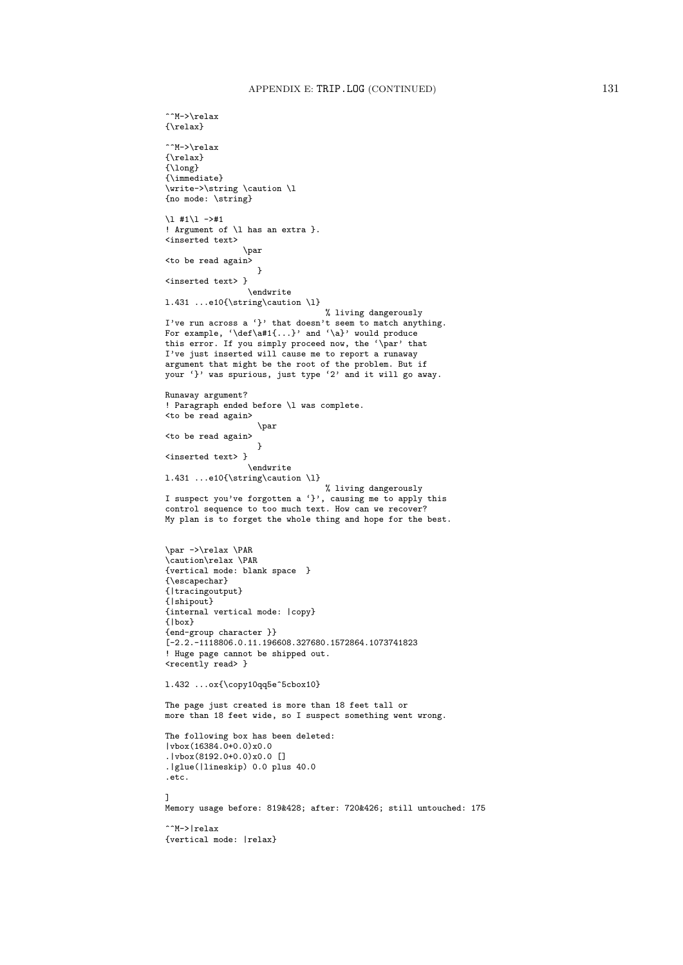```
^^M->\relax
{\relax}
\lceil \cdot \rceilM->\relax
{\relax}
{\long}
{\immediate}
\write->\string \caution \l
{no mode: \string}
\lceil 1 \nmid 41 \rceil - \rceil! Argument of \l has an extra }.
<inserted text>
                 \par
<to be read again>
                   \rightarrow<inserted text> }
                  \endwrite
l.431 ...e10{\string\caution \l}
                                  % living dangerously
I've run across a '}' that doesn't seem to match anything.
For example, '\def\a#1{...}' and '\a}' would produce
this error. If you simply proceed now, the '\par' that
I've just inserted will cause me to report a runaway
argument that might be the root of the problem. But if
your '}' was spurious, just type '2' and it will go away.
Runaway argument?
! Paragraph ended before \l was complete.
<to be read again>
                   \par
<to be read again>
                    }
<inserted text> }
                 \endwrite
l.431 ...e10{\string\caution \l}
                                 % living dangerously
I suspect you've forgotten a '}', causing me to apply this
control sequence to too much text. How can we recover?
My plan is to forget the whole thing and hope for the best.
\par ->\relax \PAR
\caution\relax \PAR
{vertical mode: blank space }
{\escapechar}
{|tracingoutput}
{|shipout}
{internal vertical mode: |copy}
{|box}
{end-group character }}
[-2.2.-1118806.0.11.196608.327680.1572864.1073741823
! Huge page cannot be shipped out.
<recently read> }
l.432 ...ox{\copy10qq5e^5cbox10}
The page just created is more than 18 feet tall or
more than 18 feet wide, so I suspect something went wrong.
The following box has been deleted:
|vbox(16384.0+0.0)x0.0
.|vbox(8192.0+0.0)x0.0 []
.|glue(|lineskip) 0.0 plus 40.0
.etc.
]
Memory usage before: 819&428; after: 720&426; still untouched: 175
^^M->|relax
{vertical mode: |relax}
```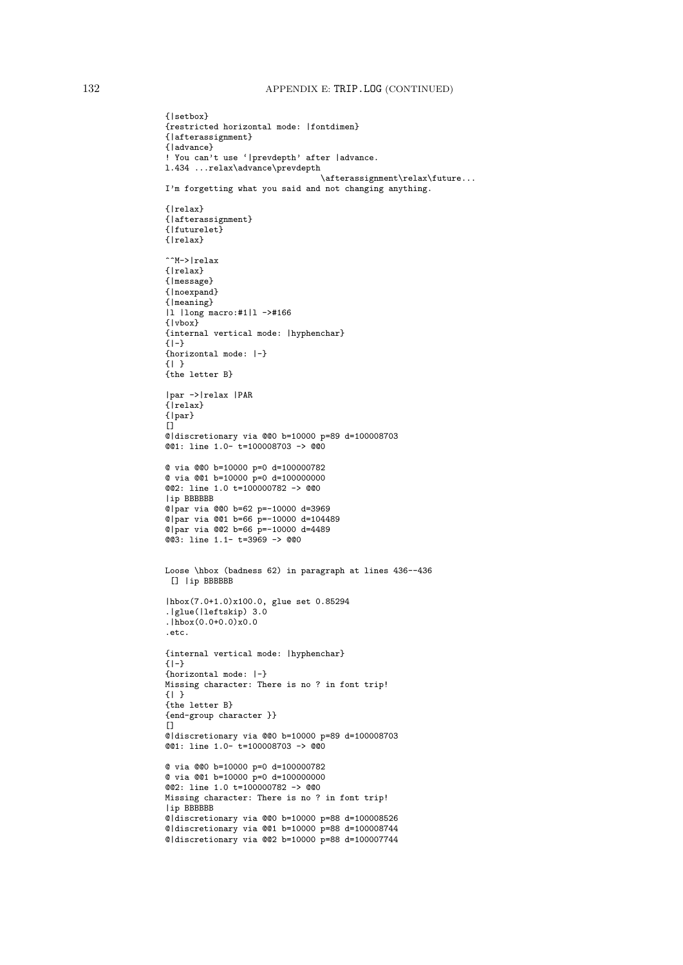```
{|setbox}
{restricted horizontal mode: |fontdimen}
{|afterassignment}
{|advance}
! You can't use '|prevdepth' after |advance.
l.434 ...relax\advance\prevdepth
                                \afterassignment\relax\future...
I'm forgetting what you said and not changing anything.
{|relax}
{|afterassignment}
{|futurelet}
{|relax}
^^M->|relax
{|relax}
{|message}
{|noexpand}
{|meaning}
|l |long macro:#1|l ->#166
{|vbox}
{internal vertical mode: |hyphenchar}
\{-|-\}{horizontal mode: |-}
{| }
{the letter B}
|par ->|relax |PAR
{|relax}
{|par}
\Box@|discretionary via @@0 b=10000 p=89 d=100008703
@@1: line 1.0- t=100008703 -> @@0
@ via @@0 b=10000 p=0 d=100000782
@ via @@1 b=10000 p=0 d=100000000
@@2: line 1.0 t=100000782 -> @@0
|ip BBBBBB
@|par via @@0 b=62 p=-10000 d=3969
@|par via @@1 b=66 p=-10000 d=104489
@|par via @@2 b=66 p=-10000 d=4489@@3: line 1.1- t=3969 -> @@0
Loose \hbox (badness 62) in paragraph at lines 436--436
[] |ip BBBBBB
|hbox(7.0+1.0)x100.0, glue set 0.85294
.|glue(|leftskip) 3.0
.|hbox(0.0+0.0)x0.0.etc.
{internal vertical mode: |hyphenchar}
{1-}{horizontal mode: |-}
Missing character: There is no ? in font trip!
{| }
{the letter B}
{end-group character }}
\Box@|discretionary via @@0 b=10000 p=89 d=100008703
@@1: line 1.0- t=100008703 -> @@0
@ via @@0 b=10000 p=0 d=100000782
@ via @@1 b=10000 p=0 d=100000000
@@2: line 1.0 t=100000782 -> @@0
Missing character: There is no ? in font trip!
|ip BBBBBB
@|discretionary via @@0 b=10000 p=88 d=100008526
@|discretionary via @@1 b=10000 p=88 d=100008744
@|discretionary via @@2 b=10000 p=88 d=100007744
```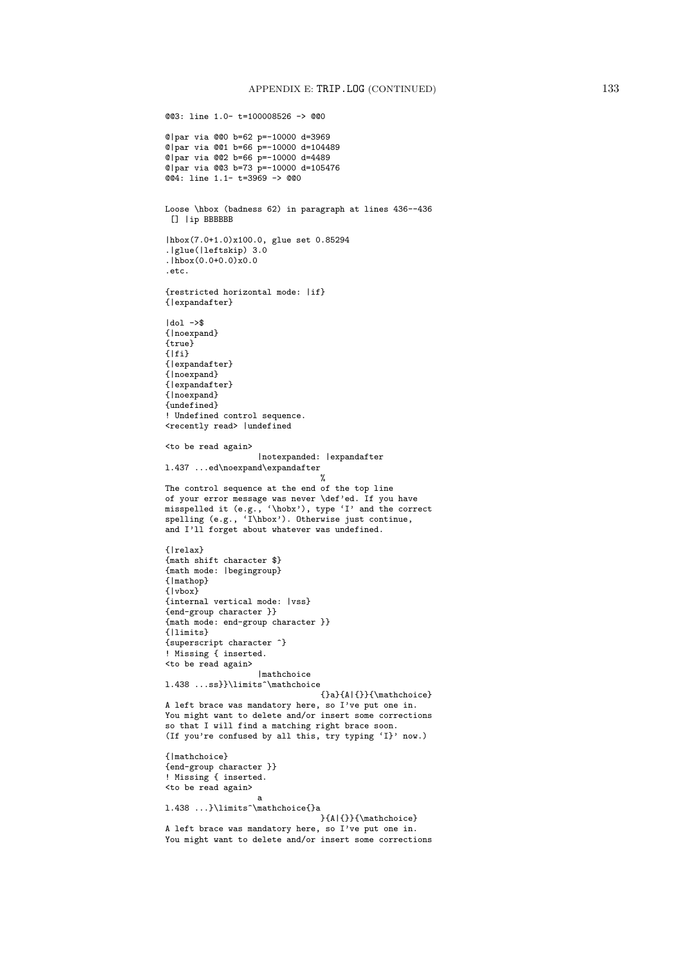```
@@3: line 1.0- t=100008526 -> @@0
@|par via @@0 b=62 p=-10000 d=3969
@|par via @@1 b=66 p=-10000 d=104489
@|par via @@2 b=66 p=-10000 d=4489
@|par via @@3 b=73 p=-10000 d=105476
@@4: line 1.1- t=3969 -> @@0
Loose \hbox (badness 62) in paragraph at lines 436--436
 [] |ip BBBBBB
|hbox(7.0+1.0)x100.0, glue set 0.85294
.|glue(|leftskip) 3.0
\frac{1}{h} \text{hbox}(0.0+0.0)x0.0.etc.
{restricted horizontal mode: |if}
{|expandafter}
|dol ->$
{|noexpand}
{true}
\{|fi\}{|expandafter}
{|noexpand}
{|expandafter}
{|noexpand}
{undefined}
! Undefined control sequence.
<recently read> |undefined
<to be read again>
                   |notexpanded: |expandafter
l.437 ...ed\noexpand\expandafter
                                 \gammaThe control sequence at the end of the top line
of your error message was never \def'ed. If you have
misspelled it (e.g., '\hobx'), type 'I' and the correct
spelling (e.g., 'I\hbox'). Otherwise just continue,
and I'll forget about whatever was undefined.
{|relax}
{math shift character $}
{math mode: |begingroup}
{|mathop}
{|vbox}
{internal vertical mode: |vss}
{end-group character }}
{math mode: end-group character }}
{|limits}
{superscript character ^}
! Missing { inserted.
<to be read again>
                   |mathchoice
l.438 ...ss}}\limits^\mathchoice
                                {}a}{A|{}}{\mathchoice}
A left brace was mandatory here, so I've put one in.
You might want to delete and/or insert some corrections
so that I will find a matching right brace soon.
(If you're confused by all this, try typing 'I}' now.)
{|mathchoice}
{end-group character }}
! Missing { inserted.
<to be read again>
                   a
l.438 ...}\limits^\mathchoice{}a
                                }{A|{}}{\mathchoice}
A left brace was mandatory here, so I've put one in.
You might want to delete and/or insert some corrections
```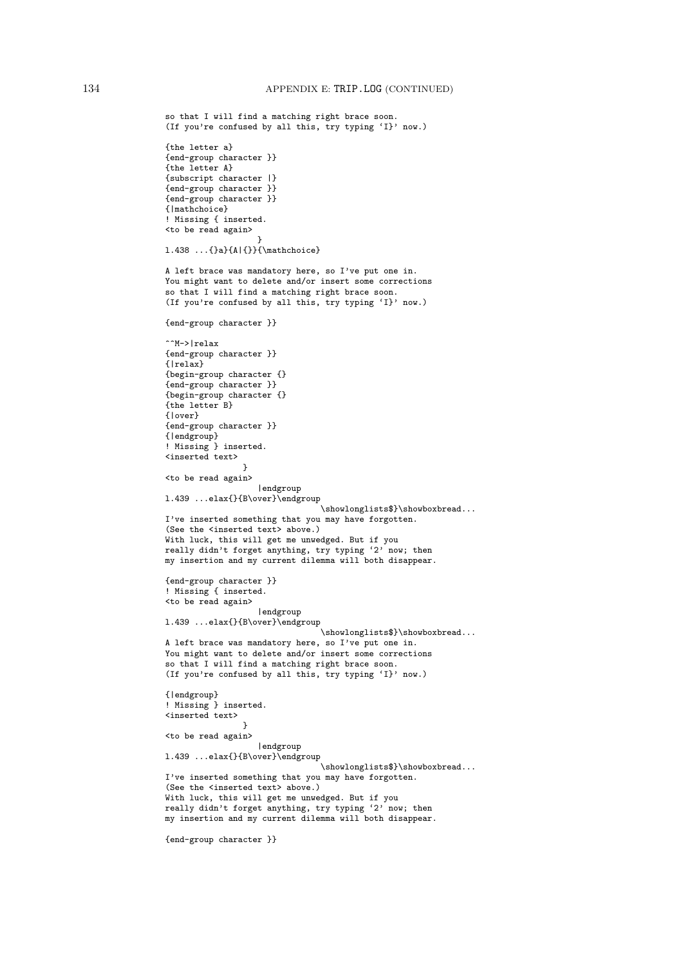```
so that I will find a matching right brace soon.
(If you're confused by all this, try typing 'I}' now.)
{the letter a}
{end-group character }}
{the letter A}
{subscript character |}
{end-group character }}
{end-group character }}
{|mathchoice}
! Missing { inserted.
<to be read again>
                   }
l.438 ...{}a}{A|{}}{\mathchoice}
A left brace was mandatory here, so I've put one in.
You might want to delete and/or insert some corrections
so that I will find a matching right brace soon.
(If you're confused by all this, try typing 'I}' now.)
{end-group character }}
^^M->|relax
{end-group character }}
{|relax}
{begin-group character {}
{end-group character }}
{begin-group character {}
{the letter B}
{|over}
{end-group character }}
{|endgroup}
! Missing } inserted.
<inserted text>
                }
<to be read again>
                   |endgroup
l.439 ...elax{}{B\over}\endgroup
                                \showlonglists$}\showboxbread...
I've inserted something that you may have forgotten.
(See the <inserted text> above.)
With luck, this will get me unwedged. But if you
really didn't forget anything, try typing '2' now; then
my insertion and my current dilemma will both disappear.
{end-group character }}
! Missing { inserted.
<to be read again>
                   |endgroup
l.439 ...elax{}{B\over}\endgroup
                                \showlonglists$}\showboxbread...
A left brace was mandatory here, so I've put one in.
You might want to delete and/or insert some corrections
so that I will find a matching right brace soon.
(If you're confused by all this, try typing 'I}' now.)
{|endgroup}
! Missing } inserted.
<inserted text>
                }
<to be read again>
                   |endgroup
l.439 ...elax{}{B\over}\endgroup
                                \showlonglists$}\showboxbread...
I've inserted something that you may have forgotten.
(See the <inserted text> above.)
With luck, this will get me unwedged. But if you
really didn't forget anything, try typing '2' now; then
my insertion and my current dilemma will both disappear.
{end-group character }}
```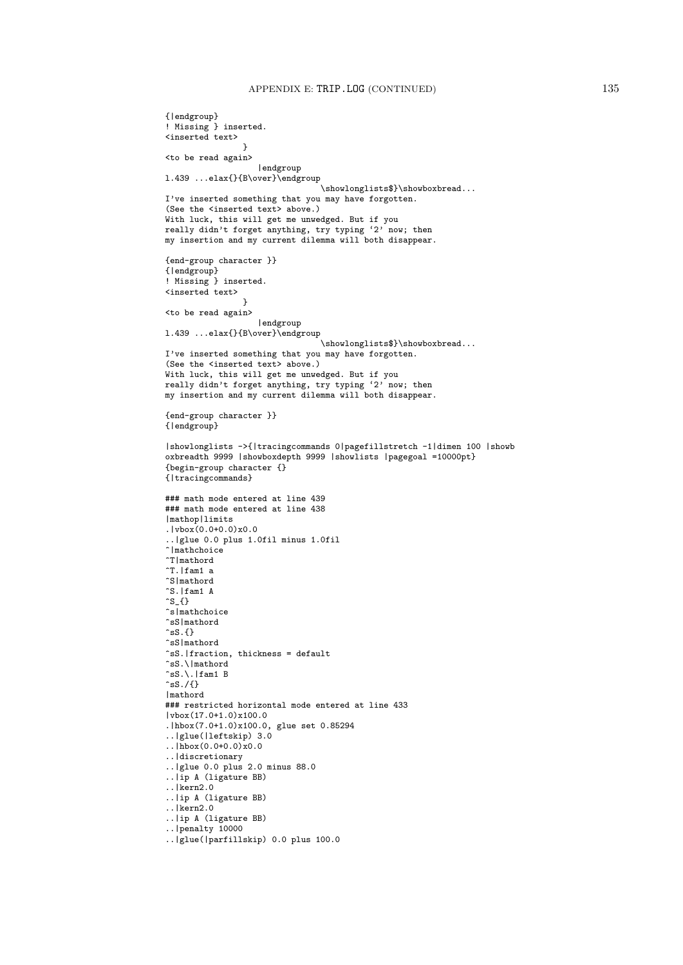```
{|endgroup}
! Missing } inserted.
<inserted text>
                 }
<to be read again>
                    |endgroup
l.439 ...elax{}{B\over}\endgroup
                                  \showlonglists$}\showboxbread...
I've inserted something that you may have forgotten.
(See the <inserted text> above.)
With luck, this will get me unwedged. But if you
really didn't forget anything, try typing '2' now; then
my insertion and my current dilemma will both disappear.
{end-group character }}
{|endgroup}
! Missing } inserted.
<inserted text>
                 }
<to be read again>
                    |endgroup
1.439 ...elax{}{B\over}\endgroup
                                  \showlonglists$}\showboxbread...
I've inserted something that you may have forgotten.
(See the <inserted text> above.)
With luck, this will get me unwedged. But if you
really didn't forget anything, try typing '2' now; then
my insertion and my current dilemma will both disappear.
{end-group character }}
{|endgroup}
|showlonglists ->{|tracingcommands 0|pagefillstretch -1|dimen 100 |showb
oxbreadth 9999 |showboxdepth 9999 |showlists |pagegoal =10000pt}
{begin-group character {}
{|tracingcommands}
### math mode entered at line 439
### math mode entered at line 438
|mathop|limits
.|vbox(0.0+0.0)x0.0
..|glue 0.0 plus 1.0fil minus 1.0fil
\hat{\ }Imathchoice
^T|mathord
\tilde{T}. |fam1 a
^S|mathord
^S.|fam1 A
\hat{}s_{}
^s|mathchoice
^sS|mathord
\hat{c}sS.\{\}^sS|mathord
^sS.|fraction, thickness = default
\hat{\text{ss}}.\backslash\text{|mathord}\hat{c}sS.\.|fam1 B
\hat{c}sS./{}
|mathord
### restricted horizontal mode entered at line 433
|vbox(17.0+1.0)x100.0
.|hbox(7.0+1.0)x100.0, glue set 0.85294
..|glue(|leftskip) 3.0
. |hbox(0.0+0.0)x0.0..|discretionary
..|glue 0.0 plus 2.0 minus 88.0
..|ip A (ligature BB)
..|kern2.0
..|ip A (ligature BB)
..|kern2.0
..|ip A (ligature BB)
..|penalty 10000
..|glue(|parfillskip) 0.0 plus 100.0
```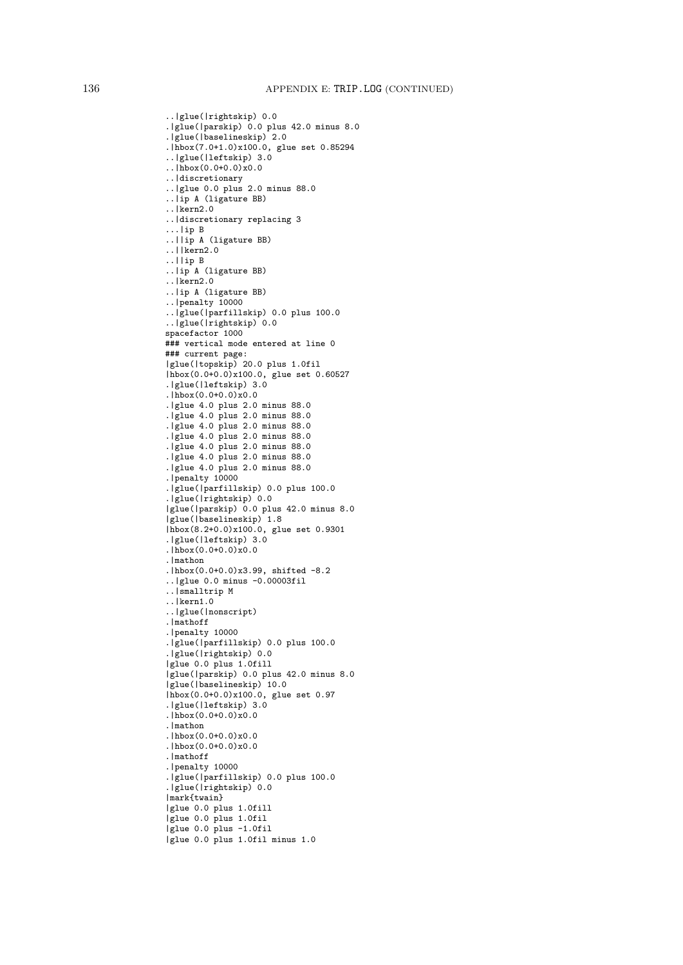```
..|glue(|rightskip) 0.0
.|glue(|parskip) 0.0 plus 42.0 minus 8.0
.|glue(|baselineskip) 2.0
.|hbox(7.0+1.0)x100.0, glue set 0.85294
..|glue(|leftskip) 3.0
. |hbox(0.0+0.0)x0.0
..|discretionary
..|glue 0.0 plus 2.0 minus 88.0
..|ip A (ligature BB)
..|kern2.0
..|discretionary replacing 3
...lip B..||ip A (ligature BB)
..||kern2.0
..||ip B
..|ip A (ligature BB)
..|kern2.0
..|ip A (ligature BB)
..|penalty 10000
..|glue(|parfillskip) 0.0 plus 100.0
..|glue(|rightskip) 0.0
spacefactor 1000
### vertical mode entered at line 0
### current page:
|glue(|topskip) 20.0 plus 1.0fil
|hbox(0.0+0.0)x100.0, glue set 0.60527
.|glue(|leftskip) 3.0
.|hbox(0.0+0.0)x0.0
.|glue 4.0 plus 2.0 minus 88.0
.|glue 4.0 plus 2.0 minus 88.0
.|glue 4.0 plus 2.0 minus 88.0
.|glue 4.0 plus 2.0 minus 88.0
.|glue 4.0 plus 2.0 minus 88.0
.|glue 4.0 plus 2.0 minus 88.0
.|glue 4.0 plus 2.0 minus 88.0
.|penalty 10000
.|glue(|parfillskip) 0.0 plus 100.0
.|glue(|rightskip) 0.0
|glue(|parskip) 0.0 plus 42.0 minus 8.0
|glue(|baselineskip) 1.8
|hbox(8.2+0.0)x100.0, glue set 0.9301
.|glue(|leftskip) 3.0
.|hbox(0.0+0.0)x0.0.|mathon
.|hbox(0.0+0.0)x3.99, shifted -8.2
..|glue 0.0 minus -0.00003fil
..|smalltrip M
..|kern1.0
..|glue(|nonscript)
.|mathoff
.|penalty 10000
.|glue(|parfillskip) 0.0 plus 100.0
.|glue(|rightskip) 0.0
|glue 0.0 plus 1.0fill
|glue(|parskip) 0.0 plus 42.0 minus 8.0
|glue(|baselineskip) 10.0
|hbox(0.0+0.0)x100.0, glue set 0.97
.|glue(|leftskip) 3.0
.|hbox(0.0+0.0)x0.0.|mathon
.|hbox(0.0+0.0)x0.0
.|hbox(0.0+0.0)x0.0
.|mathoff
.|penalty 10000
.|glue(|parfillskip) 0.0 plus 100.0
.|glue(|rightskip) 0.0
|mark{twain}
|glue 0.0 plus 1.0fill
|glue 0.0 plus 1.0fil
|glue 0.0 plus -1.0fil
|glue 0.0 plus 1.0fil minus 1.0
```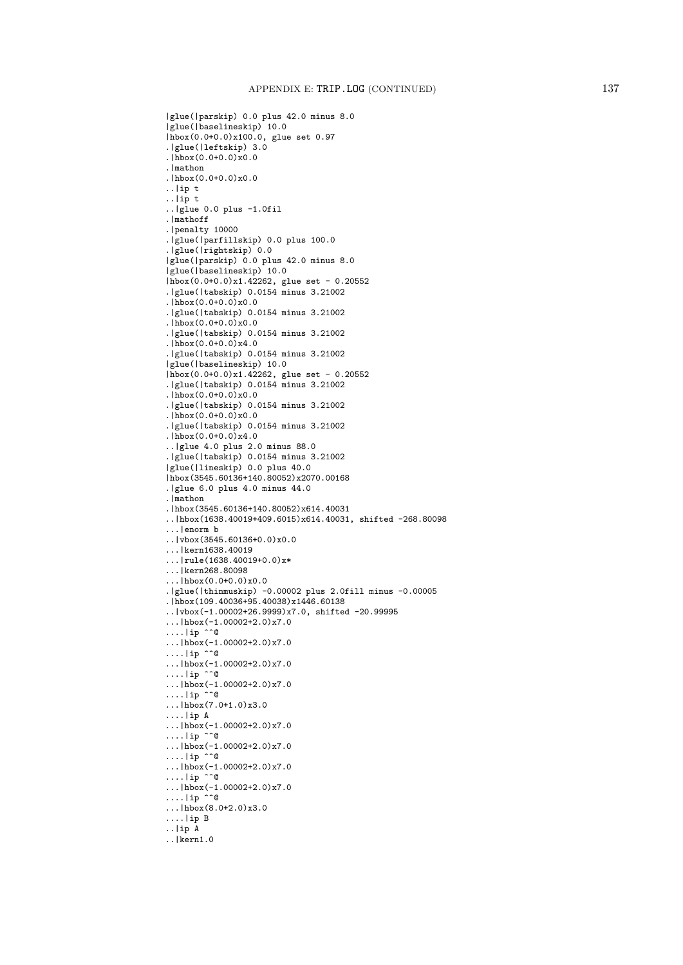```
|glue(|parskip) 0.0 plus 42.0 minus 8.0
|glue(|baselineskip) 10.0
|hbox(0.0+0.0)x100.0, glue set 0.97
.|glue(|leftskip) 3.0
.\overline{hbox(0.0+0.0)x0.0}.|mathon
.|hbox(0.0+0.0)x0.0
..|ip t
..|ip t
\ldots|glue 0.0 plus -1.0fil
.|mathoff
.|penalty 10000
.|glue(|parfillskip) 0.0 plus 100.0
.|glue(|rightskip) 0.0
|glue(|parskip) 0.0 plus 42.0 minus 8.0
|glue(|baselineskip) 10.0
|hbox(0.0+0.0)x1.42262, glue set - 0.20552
.|glue(|tabskip) 0.0154 minus 3.21002
.|hbox(0.0+0.0)x0.0
.|glue(|tabskip) 0.0154 minus 3.21002
\ln\log(0.0+0.0)x0.0.|glue(|tabskip) 0.0154 minus 3.21002
.|hbox(0.0+0.0)x4.0
.|glue(|tabskip) 0.0154 minus 3.21002
|glue(|baselineskip) 10.0
|hbox(0.0+0.0)x1.42262, glue set - 0.20552
.|glue(|tabskip) 0.0154 minus 3.21002
.|hbox(0.0+0.0)x0.0
.|glue(|tabskip) 0.0154 minus 3.21002
.|hbox(0.0+0.0)x0.0.|glue(|tabskip) 0.0154 minus 3.21002
.|hbox(0.0+0.0)x4.0
..|glue 4.0 plus 2.0 minus 88.0
.|glue(|tabskip) 0.0154 minus 3.21002
|glue(|lineskip) 0.0 plus 40.0
|hbox(3545.60136+140.80052)x2070.00168
.|glue 6.0 plus 4.0 minus 44.0
.|mathon
.|hbox(3545.60136+140.80052)x614.40031
..|hbox(1638.40019+409.6015)x614.40031, shifted -268.80098
...|enorm b
..|vbox(3545.60136+0.0)x0.0
...|kern1638.40019
...|rule(1638.40019+0.0)x*
...|kern268.80098
...|hbox(0.0+0.0)x0.0
.|glue(|thinmuskip) -0.00002 plus 2.0fill minus -0.00005
.|hbox(109.40036+95.40038)x1446.60138
..|vbox(-1.00002+26.9999)x7.0, shifted -20.99995
\ldots|hbox(-1.00002+2.0)x7.0
\dots...|ip ^^@
...|hbox(-1.00002+2.0)x7.0
....lip \cap \mathbb{Q}...|hbox(-1.00002+2.0)x7.0
\dots...p \cap Q\ldots |hbox(-1.00002+2.0)x7.0
\dots...p \cap Q...|hbox(7.0+1.0)x3.0
....|ip A
\ldots|hbox(-1.00002+2.0)x7.0
\dots...|ip ^^@
\ldots|hbox(-1.00002+2.0)x7.0
....lip \cap \emptyset...|hbox(-1.00002+2.0)x7.0
\dots...p \cap Q...\ln 5x(-1.00002+2.0)x7.0\dots...p \cap Q...|hbox(8.0+2.0)x3.0
....|ip B
..|ip A
..|kern1.0
```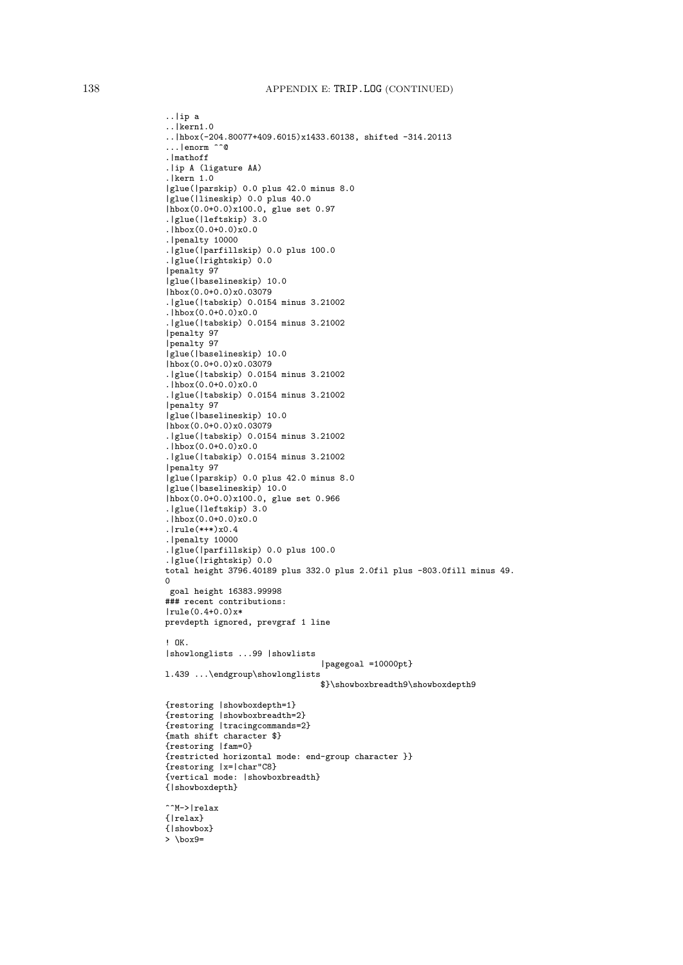## 138 APPENDIX E: TRIP.LOG (CONTINUED)

```
..|ip a
..|kern1.0
..|hbox(-204.80077+409.6015)x1433.60138, shifted -314.20113
...|enorm ^^@
.|mathoff
.|ip A (ligature AA)
.|kern 1.0
|glue(|parskip) 0.0 plus 42.0 minus 8.0
|glue(|lineskip) 0.0 plus 40.0
|hbox(0.0+0.0)x100.0, glue set 0.97
.|glue(|leftskip) 3.0
.|hbox(0.0+0.0)x0.0
.|penalty 10000
.|glue(|parfillskip) 0.0 plus 100.0
.|glue(|rightskip) 0.0
|penalty 97
|glue(|baselineskip) 10.0
|hbox(0.0+0.0)x0.03079
.|glue(|tabskip) 0.0154 minus 3.21002
\cdot|hbox(0.0+0.0)x0.0.|glue(|tabskip) 0.0154 minus 3.21002
|penalty 97
|penalty 97
|glue(|baselineskip) 10.0
|hbox(0.0+0.0)x0.03079
.|glue(|tabskip) 0.0154 minus 3.21002
.\overline{hbox(0.0+0.0)}\times0.0.|glue(|tabskip) 0.0154 minus 3.21002
|penalty 97
|glue(|baselineskip) 10.0
|hbox(0.0+0.0)x0.03079
.|glue(|tabskip) 0.0154 minus 3.21002
.|hbox(0.0+0.0)x0.0
.|glue(|tabskip) 0.0154 minus 3.21002
|penalty 97
|glue(|parskip) 0.0 plus 42.0 minus 8.0
|glue(|baselineskip) 10.0
|hbox(0.0+0.0)x100.0, glue set 0.966
.|glue(|leftskip) 3.0
\frac{1}{h}hbox(0.0+0.0)x0.0
.|rule(*+*)x0.4
.|penalty 10000
.|glue(|parfillskip) 0.0 plus 100.0
.|glue(|rightskip) 0.0
total height 3796.40189 plus 332.0 plus 2.0fil plus -803.0fill minus 49.
\Omegagoal height 16383.99998
### recent contributions:
|rule(0.4+0.0)x*
prevdepth ignored, prevgraf 1 line
! OK.
|showlonglists ...99 |showlists
                                 |pagegoal =10000pt}
l.439 ...\endgroup\showlonglists
                                 $}\showboxbreadth9\showboxdepth9
{restoring |showboxdepth=1}
{restoring |showboxbreadth=2}
{restoring |tracingcommands=2}
{math shift character $}
{restoring |fam=0}
{restricted horizontal mode: end-group character }}
{restoring |x=|char"C8}
{vertical mode: |showboxbreadth}
{|showboxdepth}
^^M->|relax
{|relax}
{|showbox}
> \box9=
```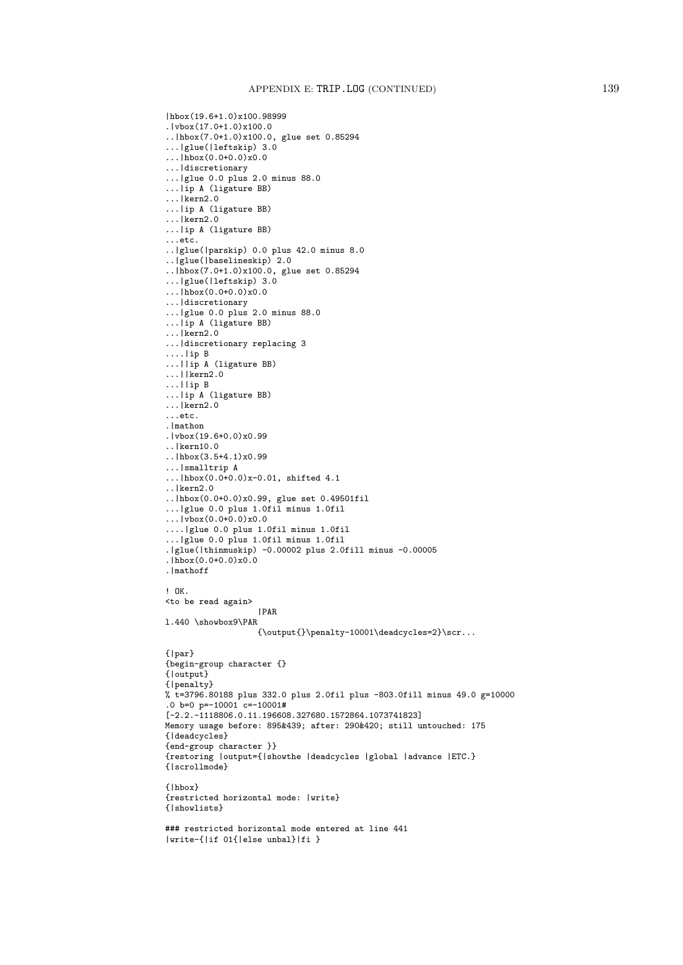```
|hbox(19.6+1.0)x100.98999
.|vbox(17.0+1.0)x100.0
..|hbox(7.0+1.0)x100.0, glue set 0.85294
...|glue(|leftskip) 3.0
\ldots|hbox(0.0+0.0)x0.0
...|discretionary
...|glue 0.0 plus 2.0 minus 88.0
...|ip A (ligature BB)
...|kern2.0
...|ip A (ligature BB)
...|kern2.0
...|ip A (ligature BB)
...etc.
..|glue(|parskip) 0.0 plus 42.0 minus 8.0
..|glue(|baselineskip) 2.0
..|hbox(7.0+1.0)x100.0, glue set 0.85294
...|glue(|leftskip) 3.0
...|hbox(0.0+0.0)x0.0
...|discretionary
...|glue 0.0 plus 2.0 minus 88.0
...|ip A (ligature BB)
...|kern2.0
...|discretionary replacing 3
....|ip B
...||ip A (ligature BB)
...||kern2.0
...||ip B
...|ip A (ligature BB)
...|kern2.0
...etc.
.|mathon
.|vbox(19.6+0.0)x0.99
..|kern10.0
..|hbox(3.5+4.1)x0.99
...|smalltrip A
...|hbox(0.0+0.0)x-0.01, shifted 4.1..|kern2.0
..|hbox(0.0+0.0)x0.99, glue set 0.49501fil
...|glue 0.0 plus 1.0fil minus 1.0fil
\ldots | vbox(0.0+0.0) x0.0
....|glue 0.0 plus 1.0fil minus 1.0fil
...|glue 0.0 plus 1.0fil minus 1.0fil
.|glue(|thinmuskip) -0.00002 plus 2.0fill minus -0.00005
\cdot|hbox(0.0+0.0)x0.0.|mathoff
! OK.
<to be read again>
                   |PAR
l.440 \showbox9\PAR
                   {\output}\pmod{10001\deadcycles=2}\scr...{|par}
{begin-group character {}
{|output}
{|penalty}
% t=3796.80188 plus 332.0 plus 2.0fil plus -803.0fill minus 49.0 g=10000
.0 b=0 p=-10001 c=-10001#
[-2.2.-1118806.0.11.196608.327680.1572864.1073741823]
Memory usage before: 895&439; after: 290&420; still untouched: 175
{|deadcycles}
{end-group character }}
{restoring |output={|showthe |deadcycles |global |advance |ETC.}
{|scrollmode}
{|hbox}
{restricted horizontal mode: |write}
{|showlists}
### restricted horizontal mode entered at line 441
|write-{|if 01{|else unbal}|fi }
```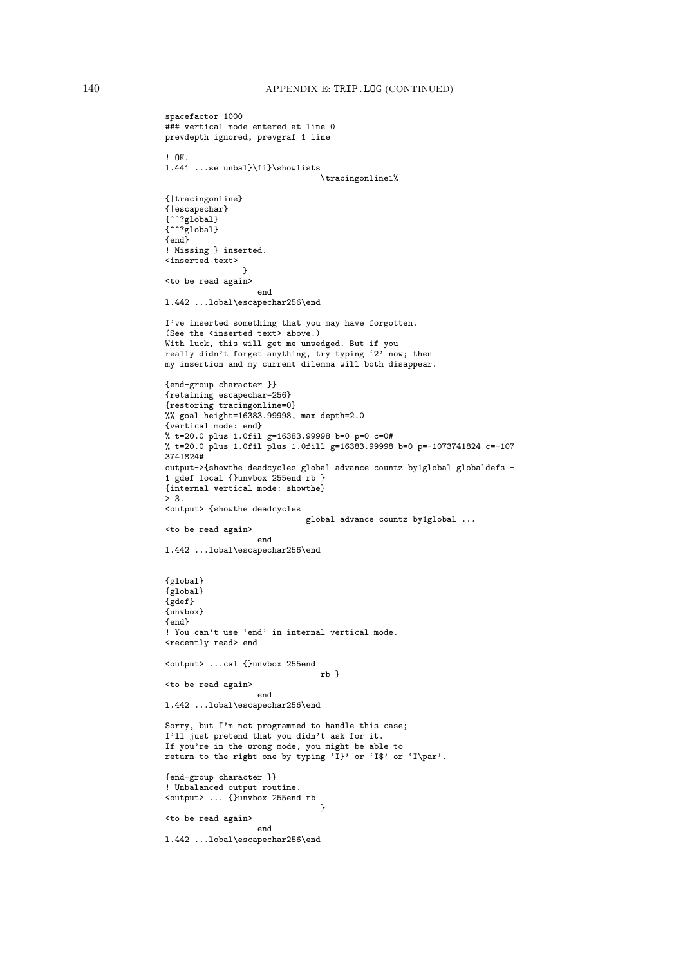```
spacefactor 1000
### vertical mode entered at line 0
prevdepth ignored, prevgraf 1 line
! OK.
l.441 ...se unbal}\fi}\showlists
                                \tracingonline1%
{|tracingonline}
{|escapechar}
{^^?global}
{^^?global}
{end}
! Missing } inserted.
<inserted text>
                }
<to be read again>
                   end
l.442 ...lobal\escapechar256\end
I've inserted something that you may have forgotten.
(See the <inserted text> above.)
With luck, this will get me unwedged. But if you
really didn't forget anything, try typing '2' now; then
my insertion and my current dilemma will both disappear.
{end-group character }}
{retaining escapechar=256}
{restoring tracingonline=0}
%% goal height=16383.99998, max depth=2.0
{vertical mode: end}
% t=20.0 plus 1.0fil g=16383.99998 b=0 p=0 c=0#
% t=20.0 plus 1.0fil plus 1.0fill g=16383.99998 b=0 p=-1073741824 c=-107
3741824#
output->{showthe deadcycles global advance countz by1global globaldefs -
1 gdef local {}unvbox 255end rb }
{internal vertical mode: showthe}
> 3.<output> {showthe deadcycles
                             global advance countz by1global ...
<to be read again>
                   end
l.442 ...lobal\escapechar256\end
{global}
{global}
{gdef}
{unvbox}
{end}
! You can't use 'end' in internal vertical mode.
<recently read> end
<output> ...cal {}unvbox 255end
                                rb }
<to be read again>
                   end
l.442 ...lobal\escapechar256\end
Sorry, but I'm not programmed to handle this case;
I'll just pretend that you didn't ask for it.
If you're in the wrong mode, you might be able to
return to the right one by typing 'I}' or 'I$' or 'I\par'.
{end-group character }}
! Unbalanced output routine.
<output> ... {}unvbox 255end rb
                                }
<to be read again>
                   end
l.442 ...lobal\escapechar256\end
```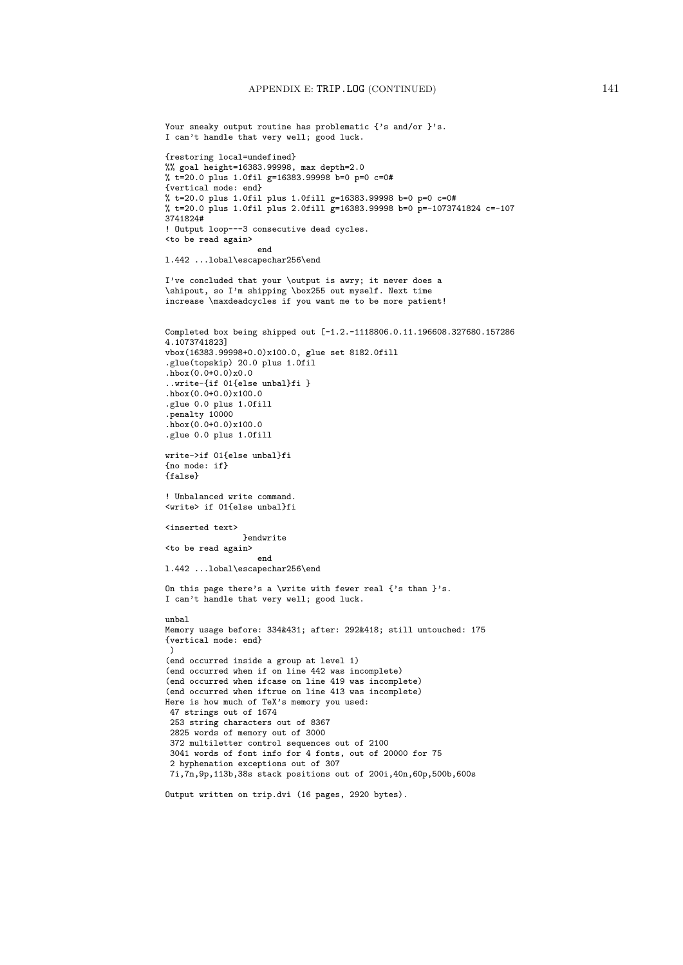```
Your sneaky output routine has problematic {'s and/or }'s.
I can't handle that very well; good luck.
{restoring local=undefined}
%% goal height=16383.99998, max depth=2.0
% t=20.0 plus 1.0fil g=16383.99998 b=0 p=0 c=0#
{vertical mode: end}
% t=20.0 plus 1.0fil plus 1.0fill g=16383.99998 b=0 p=0 c=0#
% t=20.0 plus 1.0fil plus 2.0fill g=16383.99998 b=0 p=-1073741824 c=-107
3741824#
! Output loop---3 consecutive dead cycles.
<to be read again>
                   end
l.442 ...lobal\escapechar256\end
I've concluded that your \output is awry; it never does a
\shipout, so I'm shipping \box255 out myself. Next time
increase \maxdeadcycles if you want me to be more patient!
Completed box being shipped out [-1.2.-1118806.0.11.196608.327680.157286
4.1073741823]
vbox(16383.99998+0.0)x100.0, glue set 8182.0fill
.glue(topskip) 20.0 plus 1.0fil
.hbox(0.0+0.0)x0.0..write-{if 01{else unbal}fi }
.hbox(0.0+0.0)x100.0
.glue 0.0 plus 1.0fill
.penalty 10000
.hbox(0.0+0.0)x100.0.glue 0.0 plus 1.0fill
write->if 01{else unbal}fi
{no mode: if}
{false}
! Unbalanced write command.
<write> if 01{else unbal}fi
<inserted text>
                }endwrite
<to be read again>
                   end
l.442 ...lobal\escapechar256\end
On this page there's a \write with fewer real \{'s than \}'s.
I can't handle that very well; good luck.
unbal
Memory usage before: 334&431; after: 292&418; still untouched: 175
{vertical mode: end}
 \lambda(end occurred inside a group at level 1)
(end occurred when if on line 442 was incomplete)
(end occurred when ifcase on line 419 was incomplete)
(end occurred when iftrue on line 413 was incomplete)
Here is how much of TeX's memory you used:
 47 strings out of 1674
 253 string characters out of 8367
 2825 words of memory out of 3000
 372 multiletter control sequences out of 2100
 3041 words of font info for 4 fonts, out of 20000 for 75
 2 hyphenation exceptions out of 307
 7i,7n,9p,113b,38s stack positions out of 200i,40n,60p,500b,600s
Output written on trip.dvi (16 pages, 2920 bytes).
```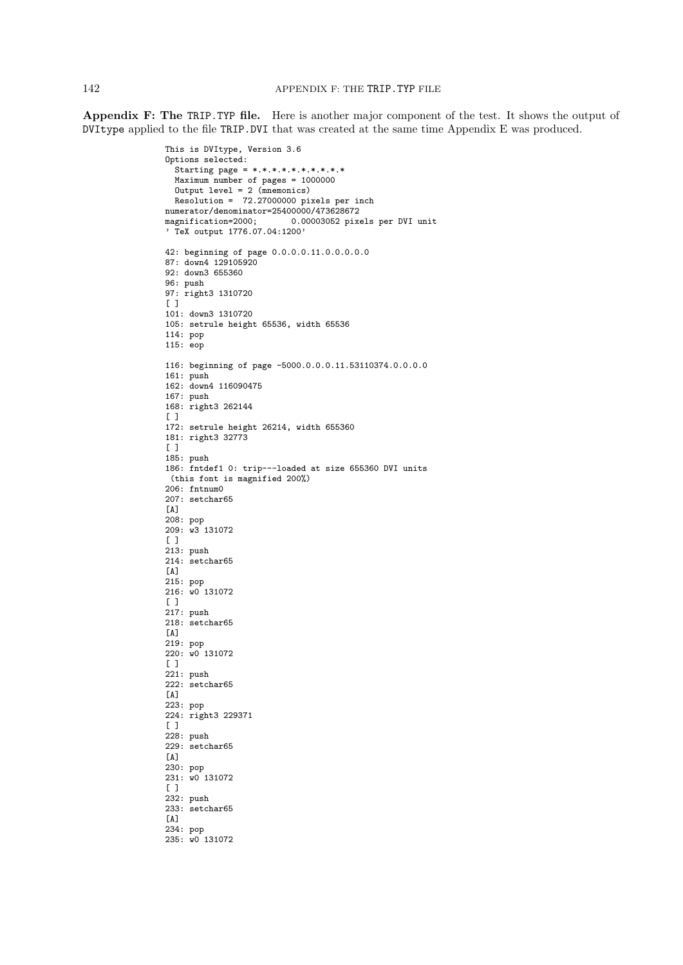Appendix F: The TRIP.TYP file. Here is another major component of the test. It shows the output of DVItype applied to the file TRIP.DVI that was created at the same time Appendix E was produced.

```
This is DVItype, Version 3.6
Options selected:
  Starting page = *,*,*,*,*,*,*,*,*,*Maximum number of pages = 1000000
  Output level = 2 (mnemonics)
  Resolution = 72.27000000 pixels per inch
numerator/denominator=25400000/473628672<br>magnification=2000; 0.00003052 pix
                            0.00003052 pixels per DVI unit
' TeX output 1776.07.04:1200'
42: beginning of page 0.0.0.0.11.0.0.0.0.0
87: down4 129105920
92: down3 655360
96: push
97: right3 1310720
\lceil \rceil101: down3 1310720
105: setrule height 65536, width 65536
114: pop
115: eop
116: beginning of page -5000.0.0.0.11.53110374.0.0.0.0
161: push
162: down4 116090475
167: push
168: right3 262144
[ ]
172: setrule height 26214, width 655360
181: right3 32773
\lceil \rceil185: push
186: fntdef1 0: trip---loaded at size 655360 DVI units
(this font is magnified 200%)
206: fntnum0
207: setchar65
[A]
208: pop
209: w3 131072
[ ]
213: push
214: setchar65
\lceil A \rceil215: pop
216: w0 131072
[ ]217: push
218: setchar65
[A]
219: pop
220: w0 131072
[ ]221: push
222: setchar65
[A]
223: pop
224: right3 229371
\lceil \rceil228: push
229: setchar65
\lceil A \rceil230: pop
231: w0 131072
[ ]
232: push
233: setchar65
[A]
234: pop
235: w0 131072
```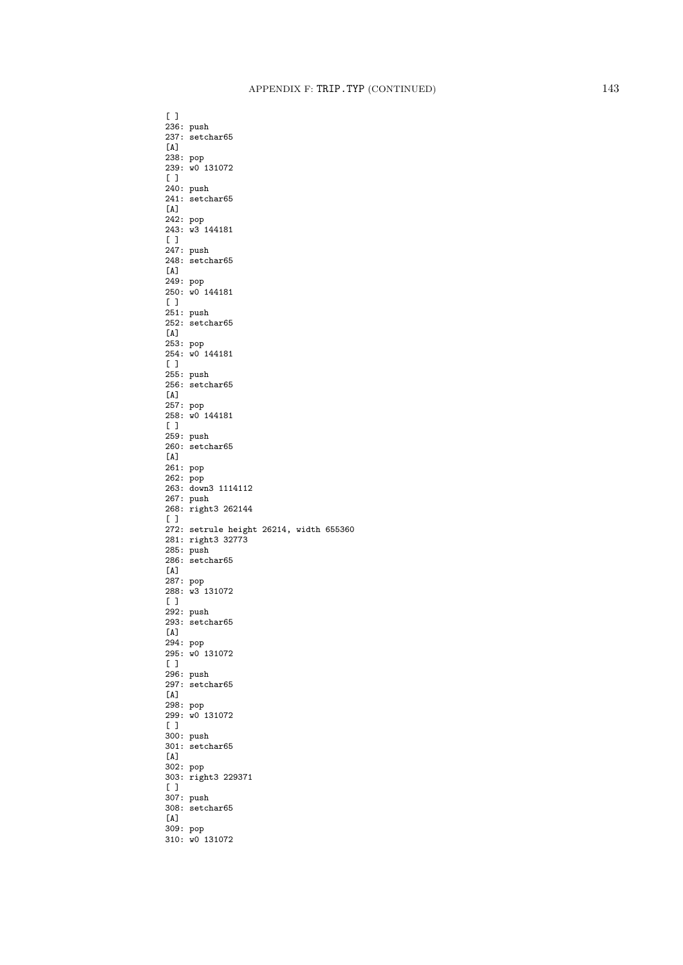[ ] 236: push 237: setchar65 [A] 238: pop 239: w0 131072  $[$   $]$ 240: push 241: setchar65  $[A]$ 242: pop 243: w3 144181  $[$   $]$ 247: push 248: setchar65  $[A]$ 249: pop 250: w0 144181  $[$   $]$ 251: push 252: setchar65 [A] 253: pop 254: w0 144181  $[ ]$ 255: push 256: setchar65 [A] 257: pop 258: w0 144181 [ ] 259: push 260: setchar65  $[A]$ 261: pop 262: pop 263: down3 1114112 267: push 268: right3 262144  $\sqrt{ }$ 272: setrule height 26214, width 655360 281: right3 32773 285: push 286: setchar65  $[A]$ 287: pop 288: w3 131072  $[$   $]$ 292: push 293: setchar65 [A] 294: pop 295: w0 131072 [ ] 296: push 297: setchar65 [A] 298: pop 299: w0 131072  $[$   $]$ 300: push 301: setchar65  $[A]$ 302: pop 303: right3 229371  $[$   $]$ 307: push 308: setchar65 [A] 309: pop 310: w0 131072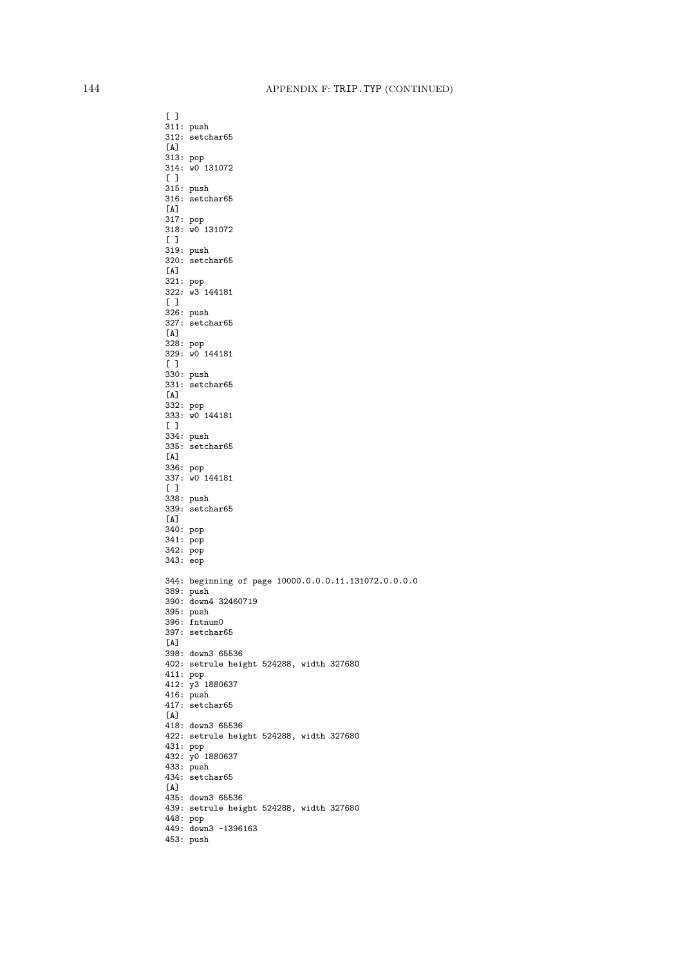$[$   $]$ 311: push 312: setchar65 [A] 313: pop 314: w0 131072  $[ ]$ 315: push 316: setchar65  $[A]$ 317: pop 318: w0 131072  $[$   $]$ 319: push 320: setchar65  $[A]$ 321: pop 322: w3 144181  $[$   $]$ 326: push 327: setchar65 [A] 328: pop 329: w0 144181  $[ ]$ 330: push 331: setchar65 [A] 332: pop 333: w0 144181 [ ] 334: push 335: setchar65  $[A]$ 336: pop 337: w0 144181  $[ ]$ 338: push 339: setchar65  $\lceil A \rceil$ 340: pop 341: pop 342: pop 343: eop 344: beginning of page 10000.0.0.0.11.131072.0.0.0.0 389: push 390: down4 32460719 395: push 396: fntnum0 397: setchar65 [A] 398: down3 65536 402: setrule height 524288, width 327680 411: pop 412: y3 1880637 416: push 417: setchar65  $\sqrt{A}$ 418: down3 65536 422: setrule height 524288, width 327680 431: pop 432: y0 1880637 433: push 434: setchar65 [A] 435: down3 65536 439: setrule height 524288, width 327680 448: pop 449: down3 -1396163 453: push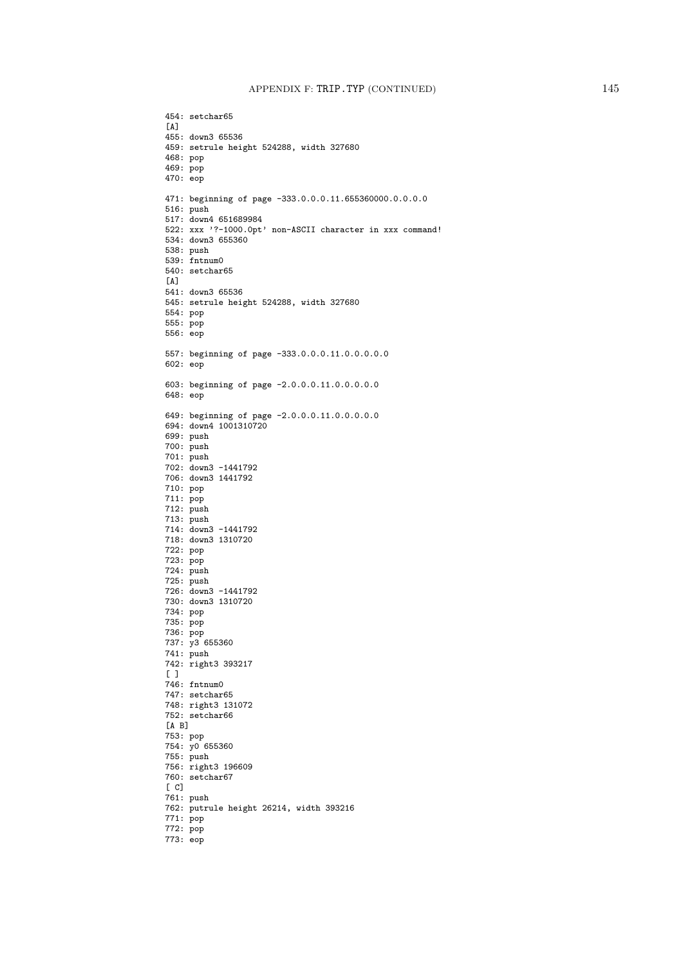454: setchar65  $\lceil A \rceil$ 455: down3 65536 459: setrule height 524288, width 327680 468: pop 469: pop 470: eop 471: beginning of page -333.0.0.0.11.655360000.0.0.0.0 516: push 517: down4 651689984 522: xxx '?-1000.0pt' non-ASCII character in xxx command! 534: down3 655360 538: push 539: fntnum0 540: setchar65  $[A]$ 541: down3 65536 545: setrule height 524288, width 327680 554: pop 555: pop 556: eop 557: beginning of page -333.0.0.0.11.0.0.0.0.0 602: eop 603: beginning of page -2.0.0.0.11.0.0.0.0.0 648: eop 649: beginning of page -2.0.0.0.11.0.0.0.0.0 694: down4 1001310720 699: push 700: push 701: push 702: down3 -1441792 706: down3 1441792 710: pop 711: pop  $712: \text{push}$ 713: push 714: down3 -1441792 718: down3 1310720 722: pop 723: pop 724: push 725: push 726: down3 -1441792 730: down3 1310720 734: pop 735: pop 736: pop 737: y3 655360 741: push 742: right3 393217 [ ] 746: fntnum0 747: setchar65 748: right3 131072 752: setchar66 [A B] 753: pop 754: y0 655360 755: push 756: right3 196609 760: setchar67 [ C] 761: push 762: putrule height 26214, width 393216 771: pop 772: pop 773: eop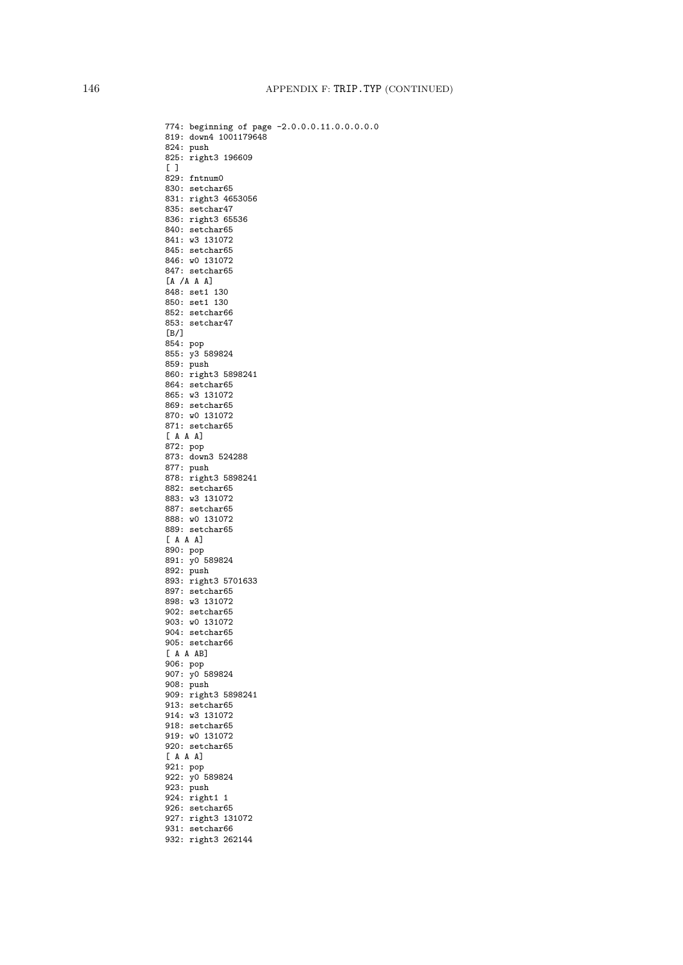774: beginning of page -2.0.0.0.11.0.0.0.0.0 819: down4 1001179648 824: push 825: right3 196609  $[$   $]$ 829: fntnum0 830: setchar65 831: right3 4653056 835: setchar47 836: right3 65536 840: setchar65 841: w3 131072 845: setchar65 846: w0 131072 847: setchar65  $[A \ /A \ A \ A]$ 848: set1 130 850: set1 130 852: setchar66 853: setchar47 [B/] 854: pop 855: y3 589824 859: push 860: right3 5898241 864: setchar65 865: w3 131072 869: setchar65 870: w0 131072 871: setchar65 [ A A A] 872: pop 873: down3 524288 877: push 878: right3 5898241 882: setchar65 883: w3 131072 887: setchar65 888: w0 131072 889: setchar65 [ A A A] 890: pop 891: y0 589824 892: push 893: right3 5701633 897: setchar65 898: w3 131072 902: setchar65 903: w0 131072 904: setchar65 905: setchar66 [ A A AB] 906: pop 907: y0 589824 908: push 909: right3 5898241 913: setchar65 914: w3 131072 918: setchar65 919: w0 131072 920: setchar65 [ A A A] 921: pop 922: y0 589824 923: push 924: right1 1 926: setchar65 927: right3 131072 931: setchar66 932: right3 262144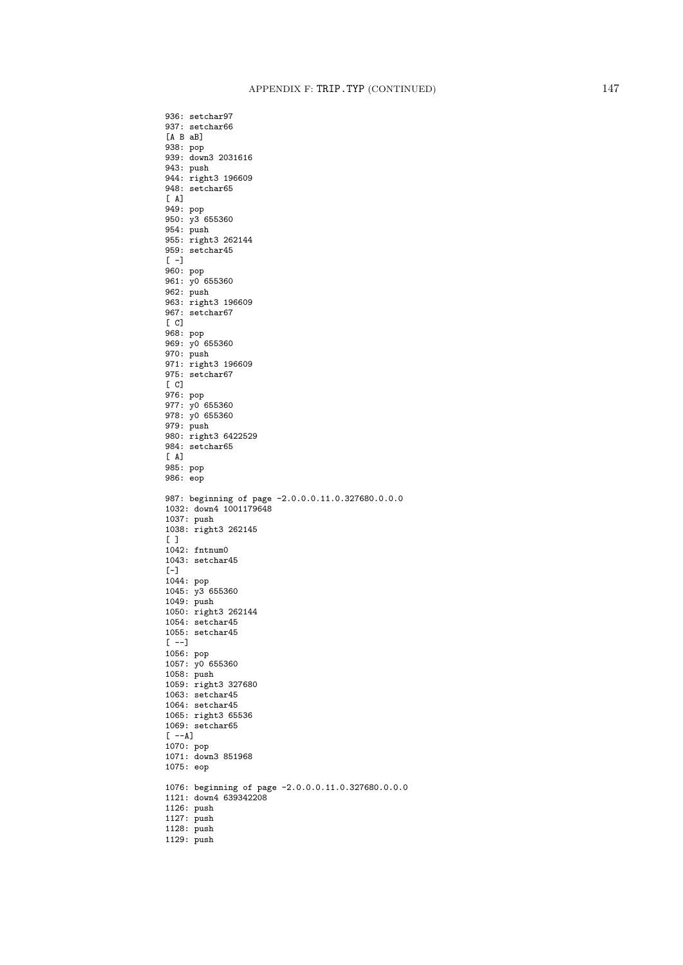936: setchar97 937: setchar66 [A B aB] 938: pop 939: down3 2031616 943: push 944: right3 196609 948: setchar65  $[$  A] 949: pop 950: y3 655360 954: push 955: right3 262144 959: setchar45  $[-1]$ 960: pop 961: y0 655360 962: push 963: right3 196609 967: setchar67  $\Gamma$  C 968: pop 969: y0 655360 970: push 971: right3 196609 975: setchar67  $[C]$ 976: pop 977: y0 655360 978: y0 655360 979: push 980: right3 6422529 984: setchar65 [ A] 985: pop 986: eop 987: beginning of page -2.0.0.0.11.0.327680.0.0.0 1032: down4 1001179648 1037: push 1038: right3 262145  $[$   $]$ 1042: fntnum0 1043: setchar45  $[-]$ 1044: pop 1045: y3 655360 1049: push 1050: right3 262144 1054: setchar45 1055: setchar45  $[--]$ 1056: pop 1057: y0 655360 1058: push 1059: right3 327680 1063: setchar45 1064: setchar45 1065: right3 65536 1069: setchar65  $[--A]$ 1070: pop 1071: down3 851968 1075: eop 1076: beginning of page -2.0.0.0.11.0.327680.0.0.0 1121: down4 639342208 1126: push 1127: push 1128: push 1129: push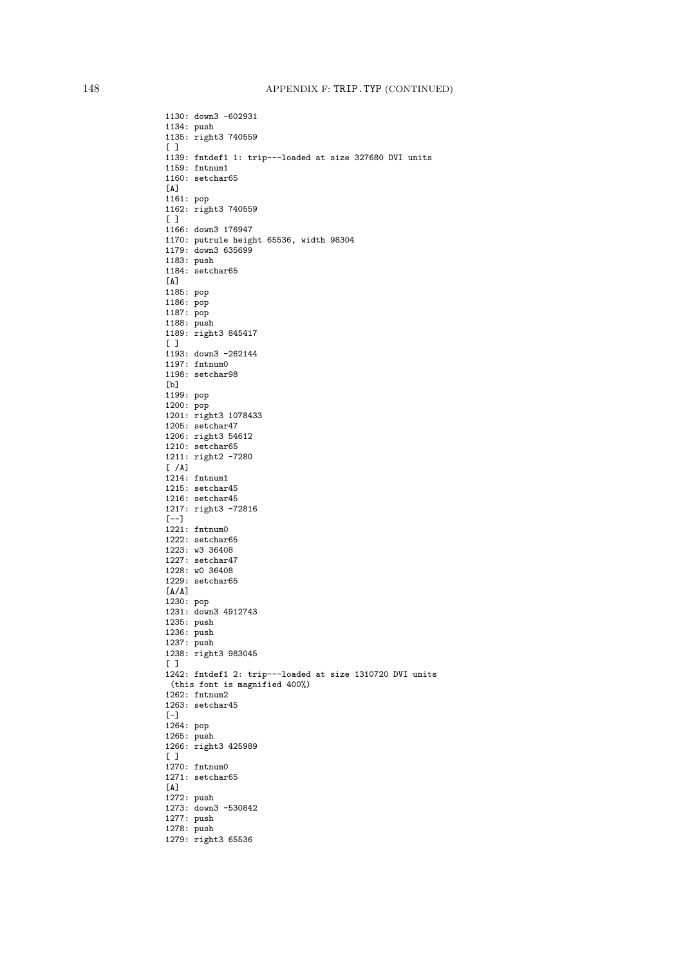1130: down3 -602931 1134: push 1135: right3 740559 [ ] 1139: fntdef1 1: trip---loaded at size 327680 DVI units 1159: fntnum1 1160: setchar65 [A] 1161: pop 1162: right3 740559 [ ] 1166: down3 176947 1170: putrule height 65536, width 98304 1179: down3 635699 1183: push 1184: setchar65 [A] 1185: pop 1186: pop 1187: pop 1188: push 1189: right3 845417 [ ] 1193: down3 -262144 1197: fntnum0 1198: setchar98 [b] 1199: pop 1200: pop 1201: right3 1078433 1205: setchar47 1206: right3 54612 1210: setchar65 1211: right2 -7280  $\lceil$  /A] 1214: fntnum1 1215: setchar45 1216: setchar45 1217: right3 -72816  $[--1]$ 1221: fntnum0 1222: setchar65 1223: w3 36408 1227: setchar47 1228: w0 36408 1229: setchar65 [A/A] 1230: pop 1231: down3 4912743 1235: push 1236: push 1237: push 1238: right3 983045 [ ] 1242: fntdef1 2: trip---loaded at size 1310720 DVI units (this font is magnified 400%) 1262: fntnum2 1263: setchar45  $[-]$ 1264: pop 1265: push 1266: right3 425989  $[$   $]$ 1270: fntnum0 1271: setchar65 [A] 1272: push 1273: down3 -530842 1277: push 1278: push 1279: right3 65536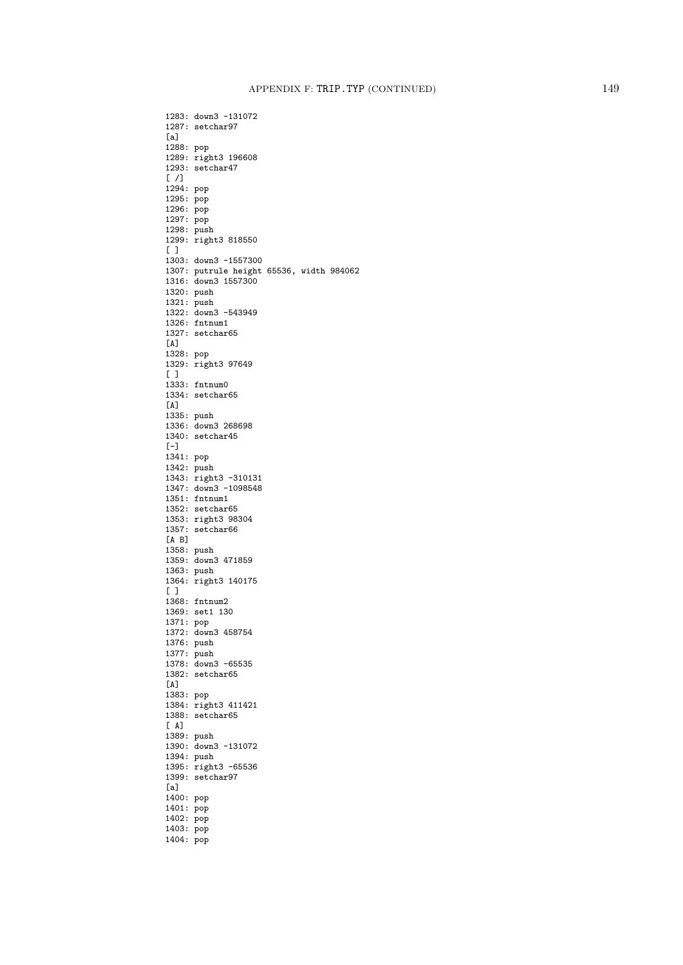1287: setchar97 [a] 1288: pop 1289: right3 196608 1293: setchar47  $[$   $/$ ] 1294: pop 1295: pop 1296: pop 1297: pop 1298: push 1299: right3 818550 [ ] 1303: down3 -1557300 1307: putrule height 65536, width 984062 1316: down3 1557300 1320: push 1321: push 1322: down3 -543949 1326: fntnum1 1327: setchar65 [A] 1328: pop 1329: right3 97649  $[ ]$ 1333: fntnum0 1334: setchar65 [A] 1335: push 1336: down3 268698 1340: setchar45  $[-]$ 1341: pop 1342: push 1343: right3 -310131 1347: down3 -1098548 1351: fntnum1 1352: setchar65 1353: right3 98304 1357: setchar66 [A B] 1358: push 1359: down3 471859 1363: push 1364: right3 140175 [ ] 1368: fntnum2 1369: set1 130 1371: pop 1372: down3 458754 1376: push 1377: push 1378: down3 -65535 1382: setchar65 [A] 1383: pop 1384: right3 411421 1388: setchar65 [ A] 1389: push 1390: down3 -131072 1394: push 1395: right3 -65536 1399: setchar97 [a] 1400: pop 1401: pop 1402: pop 1403: pop 1404: pop

1283: down3 -131072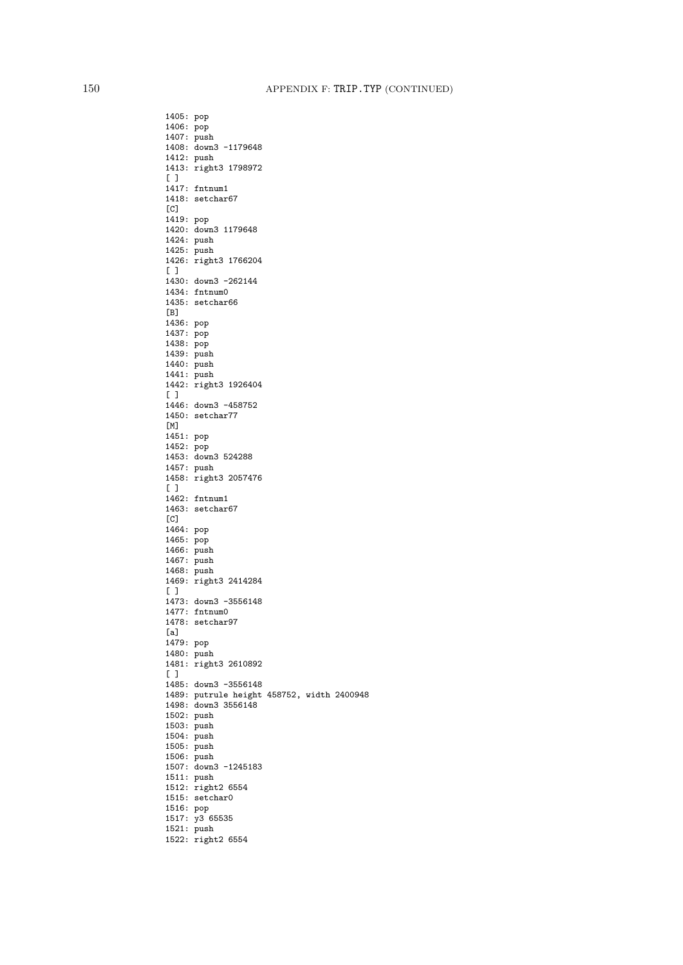1405: pop 1406: pop 1407: push 1408: down3 -1179648 1412: push 1413: right3 1798972  $\lceil$   $\rceil$ 1417: fntnum1 1418: setchar67  $[C]$ 1419: pop 1420: down3 1179648 1424: push 1425: push 1426: right3 1766204  $[ ]$ 1430: down3 -262144 1434: fntnum0 1435: setchar66 [B] 1436: pop 1437: pop 1438: pop 1439: push 1440: push 1441: push 1442: right3 1926404 [ ] 1446: down3 -458752 1450: setchar77 [M] 1451: pop 1452: pop 1453: down3 524288 1457: push 1458: right3 2057476  $[ ]$ 1462: fntnum1 1463: setchar67  $[CI]$ 1464: pop 1465: pop 1466: push 1467: push 1468: push 1469: right3 2414284 [ ] 1473: down3 -3556148 1477: fntnum0 1478: setchar97 [a] 1479: pop 1480: push 1481: right3 2610892 [ ] 1485: down3 -3556148 1489: putrule height 458752, width 2400948 1498: down3 3556148 1502: push 1503: push 1504: push 1505: push 1506: push 1507: down3 -1245183 1511: push 1512: right2 6554 1515: setchar0 1516: pop 1517: y3 65535 1521: push 1522: right2 6554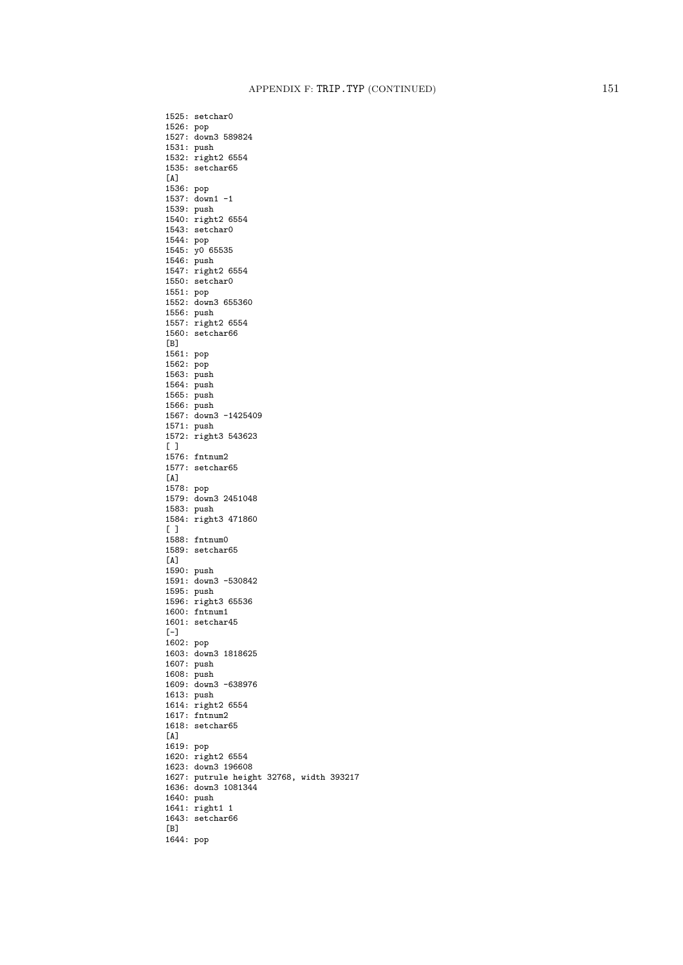1525: setchar0 1526: pop 1527: down3 589824 1531: push 1532: right2 6554 1535: setchar65  $\lceil A \rceil$ 1536: pop 1537: down1 -1 1539: push 1540: right2 6554 1543: setchar0 1544: pop 1545: y0 65535 1546: push 1547: right2 6554 1550: setchar0 1551: pop 1552: down3 655360 1556: push 1557: right2 6554 1560: setchar66 [B] 1561: pop 1562: pop 1563: push 1564: push 1565: push 1566: push 1567: down3 -1425409 1571: push 1572: right3 543623  $[$   $]$ 1576: fntnum2 1577: setchar65  $\sqrt{A}$ 1578: pop 1579: down3 2451048 1583: push 1584: right3 471860  $\lceil$   $\rceil$ 1588: fntnum0 1589: setchar65  $[A]$ 1590: push 1591: down3 -530842 1595: push 1596: right3 65536 1600: fntnum1 1601: setchar45 [-] 1602: pop 1603: down3 1818625 1607: push 1608: push 1609: down3 -638976 1613: push 1614: right2 6554 1617: fntnum2 1618: setchar65 [A] 1619: pop 1620: right2 6554 1623: down3 196608 1627: putrule height 32768, width 393217 1636: down3 1081344 1640: push 1641: right1 1 1643: setchar66 [B] 1644: pop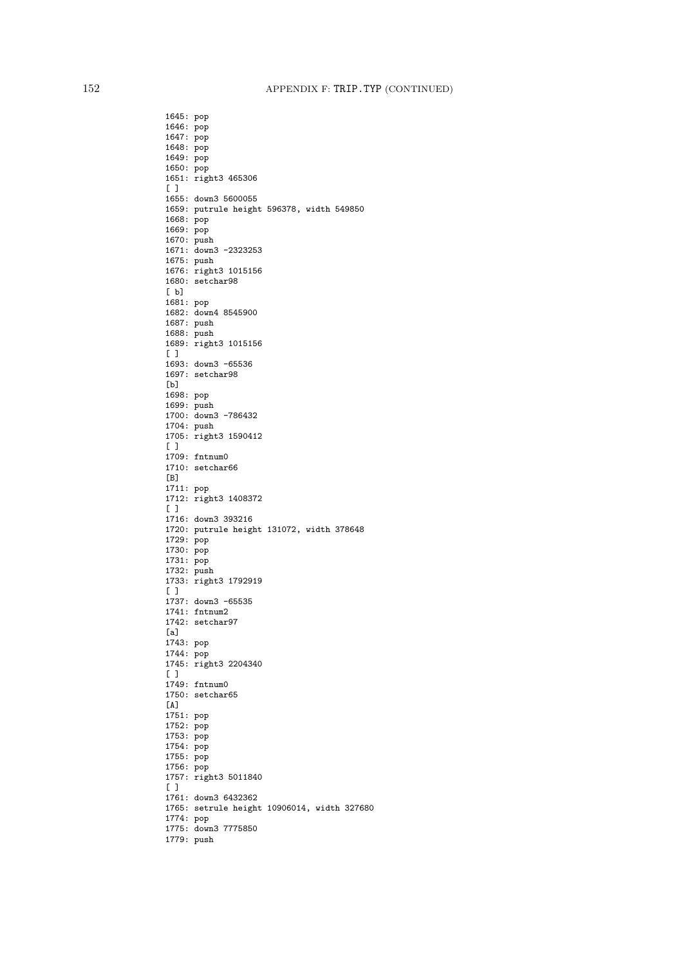1646: pop 1647: pop 1648: pop 1649: pop 1650: pop 1651: right3 465306 [ ] 1655: down3 5600055 1659: putrule height 596378, width 549850 1668: pop 1669: pop 1670: push 1671: down3 -2323253 1675: push 1676: right3 1015156 1680: setchar98 [ b] 1681: pop 1682: down4 8545900 1687: push 1688: push 1689: right3 1015156 [ ] 1693: down3 -65536 1697: setchar98 [b] 1698: pop 1699: push 1700: down3 -786432 1704: push 1705: right3 1590412  $[$   $]$ 1709: fntnum0 1710: setchar66  $[B]$ 1711: pop 1712: right3 1408372  $\begin{bmatrix} 1 \end{bmatrix}$ 1716: down3 393216 1720: putrule height 131072, width 378648 1729: pop 1730: pop 1731: pop 1732: push 1733: right3 1792919 [ ] 1737: down3 -65535 1741: fntnum2 1742: setchar97 [a] 1743: pop 1744: pop 1745: right3 2204340 [ ] 1749: fntnum0 1750: setchar65  $[A]$ 1751: pop 1752: pop 1753: pop 1754: pop 1755: pop 1756: pop 1757: right3 5011840 [ ] 1761: down3 6432362 1765: setrule height 10906014, width 327680 1774: pop 1775: down3 7775850 1779: push

1645: pop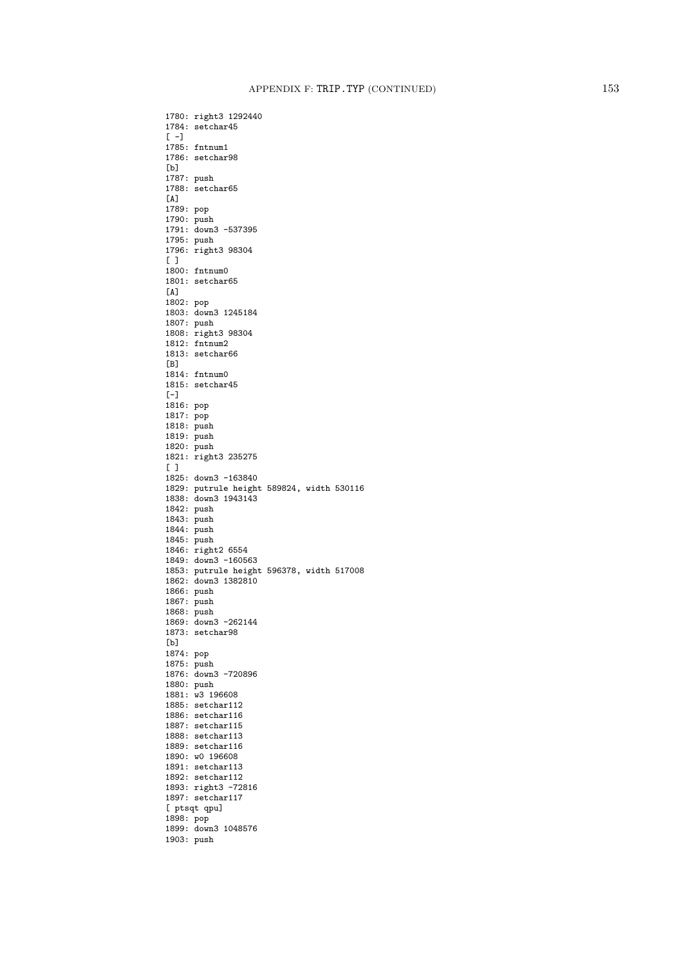1780: right3 1292440 1784: setchar45  $[-]$ 1785: fntnum1 1786: setchar98 [b] 1787: push 1788: setchar65 [A] 1789: pop 1790: push 1791: down3 -537395 1795: push 1796: right3 98304  $[ ]$ 1800: fntnum0 1801: setchar65 [A] 1802: pop 1803: down3 1245184 1807: push 1808: right3 98304 1812: fntnum2 1813: setchar66 [B] 1814: fntnum0 1815: setchar45 [-] 1816: pop 1817: pop 1818: push 1819: push 1820: push 1821: right3 235275  $[$   $]$ 1825: down3 -163840 1829: putrule height 589824, width 530116 1838: down3 1943143 1842: push 1843: push 1844: push 1845: push 1846: right2 6554 1849: down3 -160563 1853: putrule height 596378, width 517008 1862: down3 1382810 1866: push 1867: push 1868: push 1869: down3 -262144 1873: setchar98 [b] 1874: pop 1875: push 1876: down3 -720896 1880: push 1881: w3 196608 1885: setchar112 1886: setchar116 1887: setchar115 1888: setchar113 1889: setchar116 1890: w0 196608 1891: setchar113 1892: setchar112 1893: right3 -72816 1897: setchar117 [ ptsqt qpu] 1898: pop 1899: down3 1048576 1903: push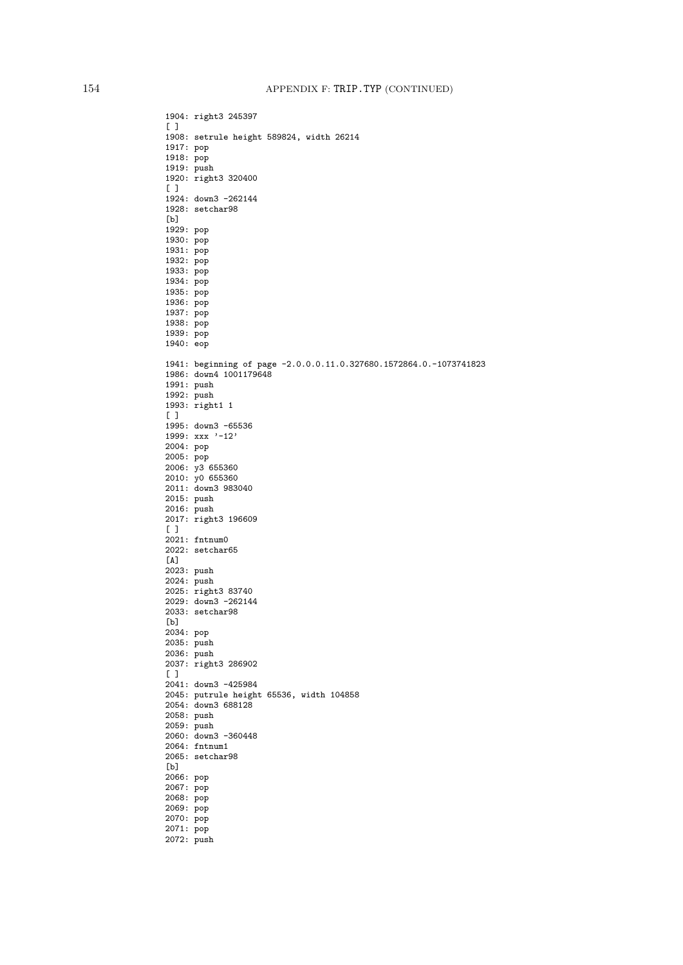1904: right3 245397  $[$   $]$ 1908: setrule height 589824, width 26214 1917: pop 1918: pop 1919: push 1920: right3 320400 [ ] 1924: down3 -262144 1928: setchar98 [b] 1929: pop 1930: pop 1931: pop 1932: pop 1933: pop 1934: pop 1935: pop 1936: pop 1937: pop 1938: pop 1939: pop 1940: eop 1941: beginning of page -2.0.0.0.11.0.327680.1572864.0.-1073741823 1986: down4 1001179648 1991: push 1992: push 1993: right1 1  $[ ]$ 1995: down3 -65536 1999: xxx '-12' 2004: pop 2005: pop 2006: y3 655360 2010: y0 655360 2011: down3 983040 2015: push 2016: push 2017: right3 196609 [ ] 2021: fntnum0 2022: setchar65  $\lceil A \rceil$ 2023: push 2024: push 2025: right3 83740 2029: down3 -262144 2033: setchar98 [b] 2034: pop 2035: push 2036: push 2037: right3 286902  $[$   $]$ 2041: down3 -425984 2045: putrule height 65536, width 104858 2054: down3 688128 2058: push 2059: push 2060: down3 -360448 2064: fntnum1 2065: setchar98 [b] 2066: pop 2067: pop 2068: pop 2069: pop 2070: pop 2071: pop 2072: push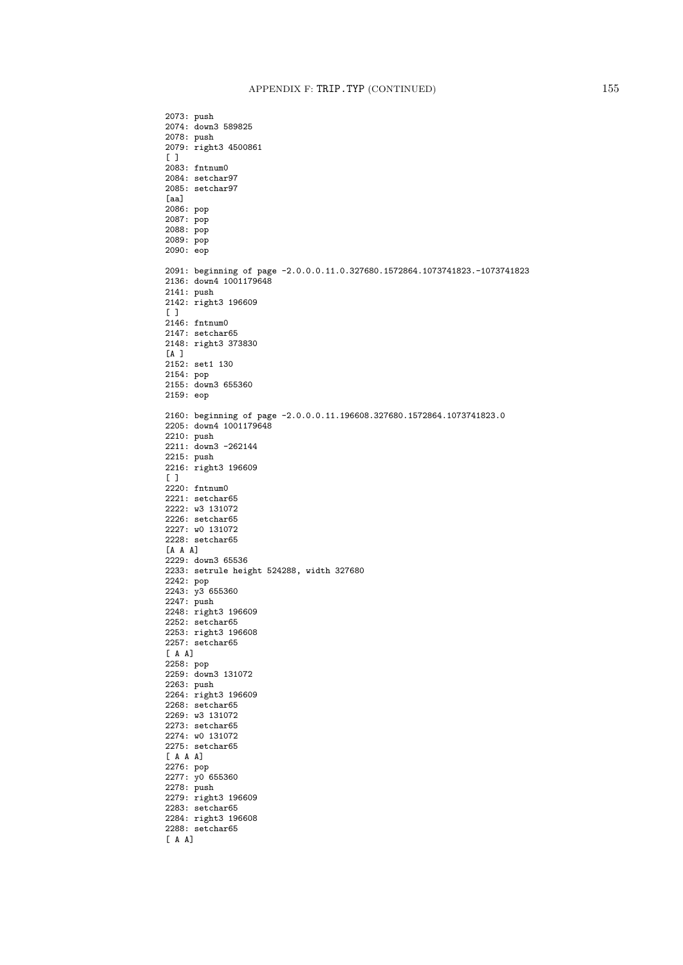2073: push 2074: down3 589825 2078: push 2079: right3 4500861  $[$   $]$ 2083: fntnum0 2084: setchar97 2085: setchar97 [aa] 2086: pop 2087: pop 2088: pop 2089: pop 2090: eop 2091: beginning of page -2.0.0.0.11.0.327680.1572864.1073741823.-1073741823 2136: down4 1001179648 2141: push 2142: right3 196609  $[ ]$ 2146: fntnum0 2147: setchar65 2148: right3 373830 [A ] 2152: set1 130 2154: pop 2155: down3 655360 2159: eop 2160: beginning of page -2.0.0.0.11.196608.327680.1572864.1073741823.0 2205: down4 1001179648 2210: push 2211: down3 -262144 2215: push 2216: right3 196609  $\lceil$   $\rceil$ 2220: fntnum0 2221: setchar65 2222: w3 131072 2226: setchar65 2227: w0 131072 2228: setchar65 [A A A] 2229: down3 65536 2233: setrule height 524288, width 327680 2242: pop 2243: y3 655360 2247: push 2248: right3 196609 2252: setchar65 2253: right3 196608 2257: setchar65 [ A A] 2258: pop 2259: down3 131072 2263: push 2264: right3 196609 2268: setchar65 2269: w3 131072 2273: setchar65 2274: w0 131072 2275: setchar65 [ A A A] 2276: pop 2277: y0 655360 2278: push 2279: right3 196609 2283: setchar65 2284: right3 196608 2288: setchar65 [ A A]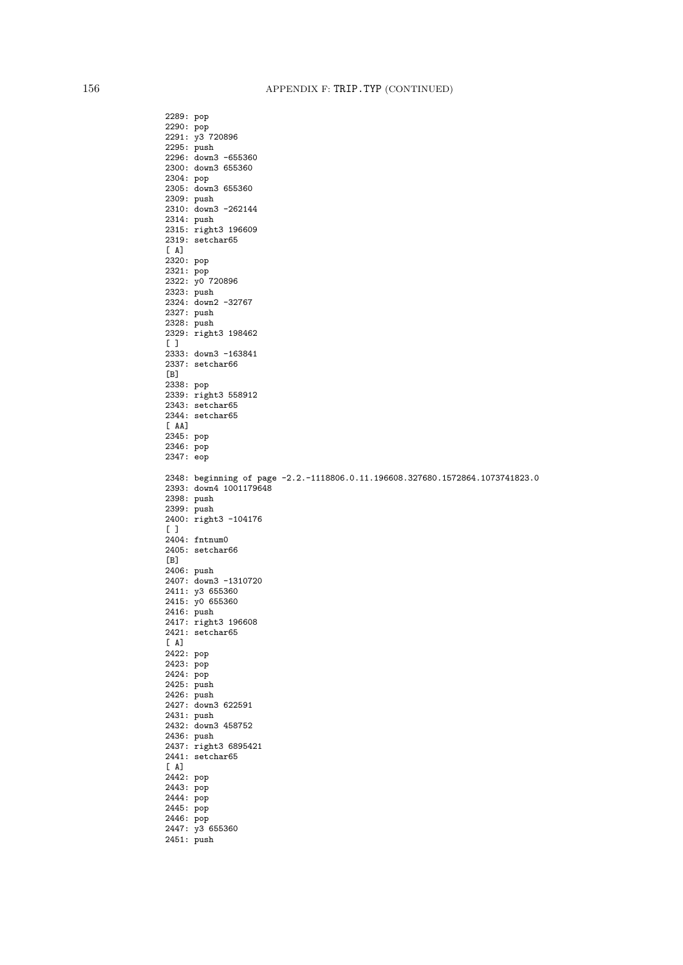2289: pop 2290: pop 2291: y3 720896 2295: push 2296: down3 -655360 2300: down3 655360 2304: pop 2305: down3 655360 2309: push 2310: down3 -262144 2314: push 2315: right3 196609 2319: setchar65  $[A]$ 2320: pop 2321: pop 2322: y0 720896 2323: push 2324: down2 -32767 2327: push 2328: push 2329: right3 198462  $[$   $]$ 2333: down3 -163841 2337: setchar66  $[B]$ 2338: pop 2339: right3 558912 2343: setchar65 2344: setchar65  $[AA]$ 2345: pop 2346: pop 2347: eop 2348: beginning of page -2.2.-1118806.0.11.196608.327680.1572864.1073741823.0 2393: down4 1001179648 2398: push 2399: push 2400: right3 -104176  $[ ]$ 2404: fntnum0 2405: setchar66  $[B]$ 2406: push 2407: down3 -1310720 2411: y3 655360 2415: y0 655360 2416: push 2417: right3 196608 2421: setchar65  $[A]$ 2422: pop 2423: pop 2424: pop 2425: push 2426: push 2427: down3 622591 2431: push 2432: down3 458752 2436: push 2437: right3 6895421 2441: setchar65 [ A] 2442: pop 2443: pop 2444: pop 2445: pop 2446: pop 2447: y3 655360 2451: push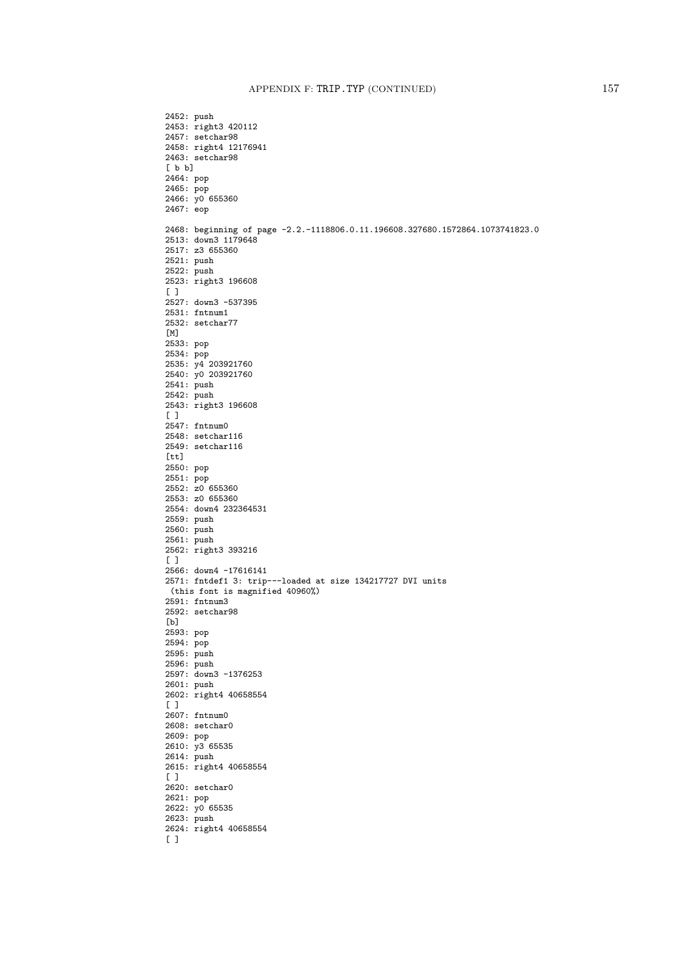2452: push 2453: right3 420112 2457: setchar98 2458: right4 12176941 2463: setchar98 [ b b] 2464: pop 2465: pop 2466: y0 655360 2467: eop 2468: beginning of page -2.2.-1118806.0.11.196608.327680.1572864.1073741823.0 2513: down3 1179648 2517: z3 655360 2521: push 2522: push 2523: right3 196608 [ ] 2527: down3 -537395 2531: fntnum1 2532: setchar77 [M] 2533: pop 2534: pop 2535: y4 203921760 2540: y0 203921760 2541: push 2542: push 2543: right3 196608  $[$   $]$ 2547: fntnum0 2548: setchar116 2549: setchar116  $[tt]$ 2550: pop 2551: pop 2552: z0 655360 2553: z0 655360 2554: down4 232364531 2559: push 2560: push 2561: push 2562: right3 393216  $\overline{1}$ 2566: down4 -17616141 2571: fntdef1 3: trip---loaded at size 134217727 DVI units (this font is magnified 40960%) 2591: fntnum3 2592: setchar98 [b] 2593: pop 2594: pop 2595: push 2596: push 2597: down3 -1376253 2601: push 2602: right4 40658554  $[$   $]$ 2607: fntnum0 2608: setchar0 2609: pop 2610: y3 65535 2614: push 2615: right4 40658554  $[$   $]$ 2620: setchar0 2621: pop 2622: y0 65535 2623: push 2624: right4 40658554  $[$   $]$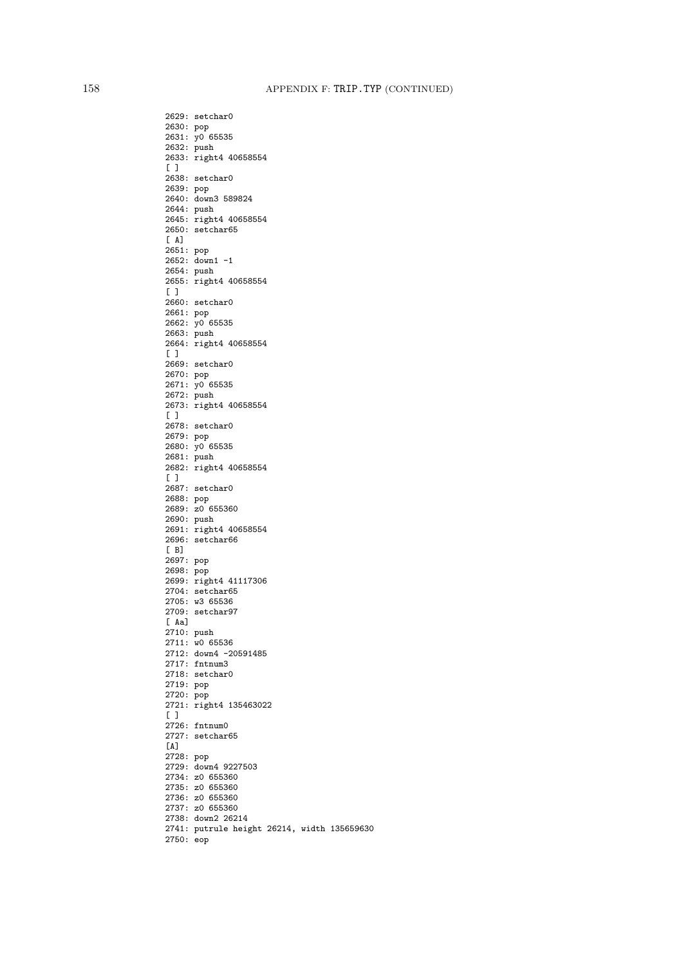2629: setchar0 2630: pop 2631: y0 65535 2632: push 2633: right4 40658554  $[$   $]$ 2638: setchar0 2639: pop 2640: down3 589824 2644: push 2645: right4 40658554 2650: setchar65 [ A] 2651: pop 2652: down1 -1 2654: push 2655: right4 40658554 [ ] 2660: setchar0 2661: pop 2662: y0 65535 2663: push 2664: right4 40658554 [ ] 2669: setchar0 2670: pop 2671: y0 65535 2672: push 2673: right4 40658554  $[ ]$ 2678: setchar0 2679: pop 2680: y0 65535 2681: push 2682: right4 40658554  $[ ]$ 2687: setchar0 2688: pop 2689: z0 655360 2690: push 2691: right4 40658554 2696: setchar66 [ B] 2697: pop 2698: pop 2699: right4 41117306 2704: setchar65 2705: w3 65536 2709: setchar97 [ Aa] 2710: push 2711: w0 65536 2712: down4 -20591485 2717: fntnum3 2718: setchar0 2719: pop 2720: pop 2721: right4 135463022  $\lceil$   $\rceil$ 2726: fntnum0 2727: setchar65  $[A]$ 2728: pop 2729: down4 9227503 2734: z0 655360 2735: z0 655360 2736: z0 655360 2737: z0 655360 2738: down2 26214 2741: putrule height 26214, width 135659630 2750: eop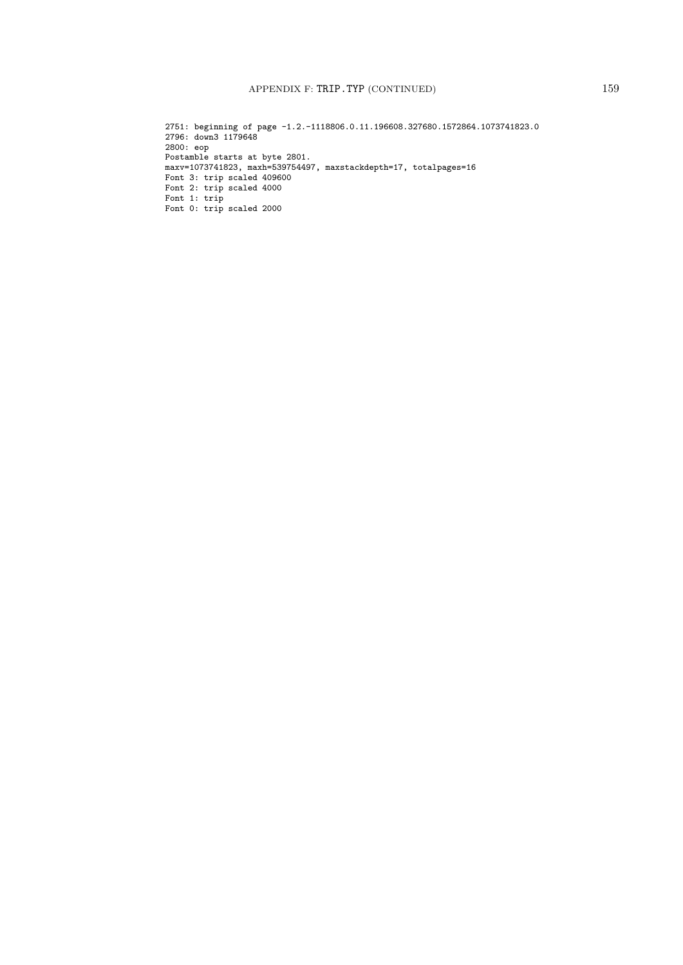## APPENDIX F: TRIP.TYP (CONTINUED) 159

2751: beginning of page -1.2.-1118806.0.11.196608.327680.1572864.1073741823.0 2796: down3 1179648 2800: eop Postamble starts at byte 2801. maxv=1073741823, maxh=539754497, maxstackdepth=17, totalpages=16 Font 3: trip scaled 409600 Font 2: trip scaled 4000 Font 1: trip Font 0: trip scaled 2000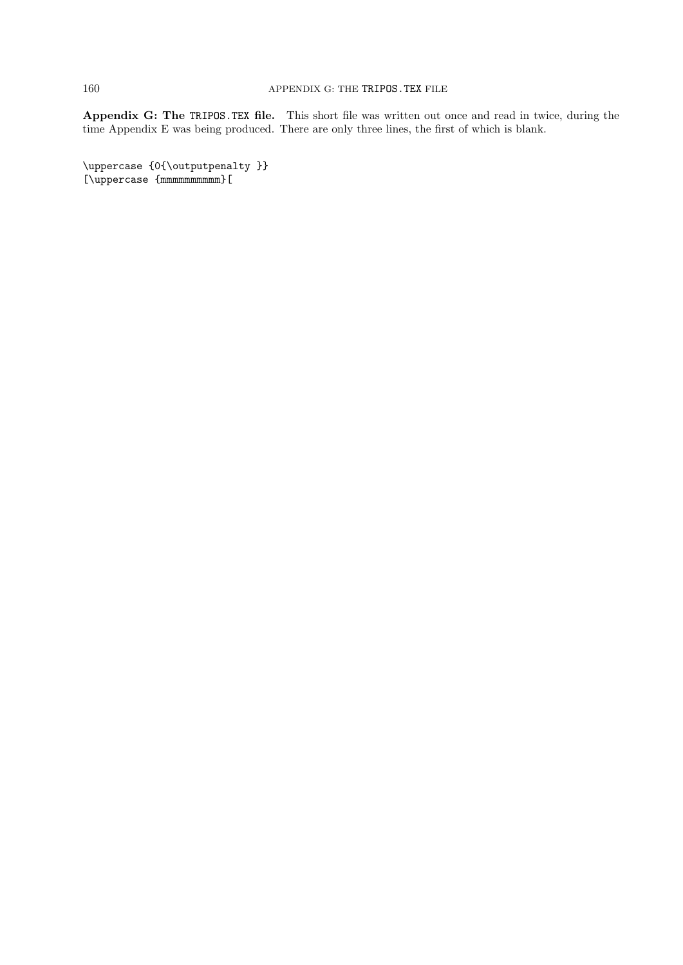Appendix G: The TRIPOS.TEX file. This short file was written out once and read in twice, during the time Appendix E was being produced. There are only three lines, the first of which is blank.

\uppercase {0{\outputpenalty }} [\uppercase {mmmmmmmmmm}[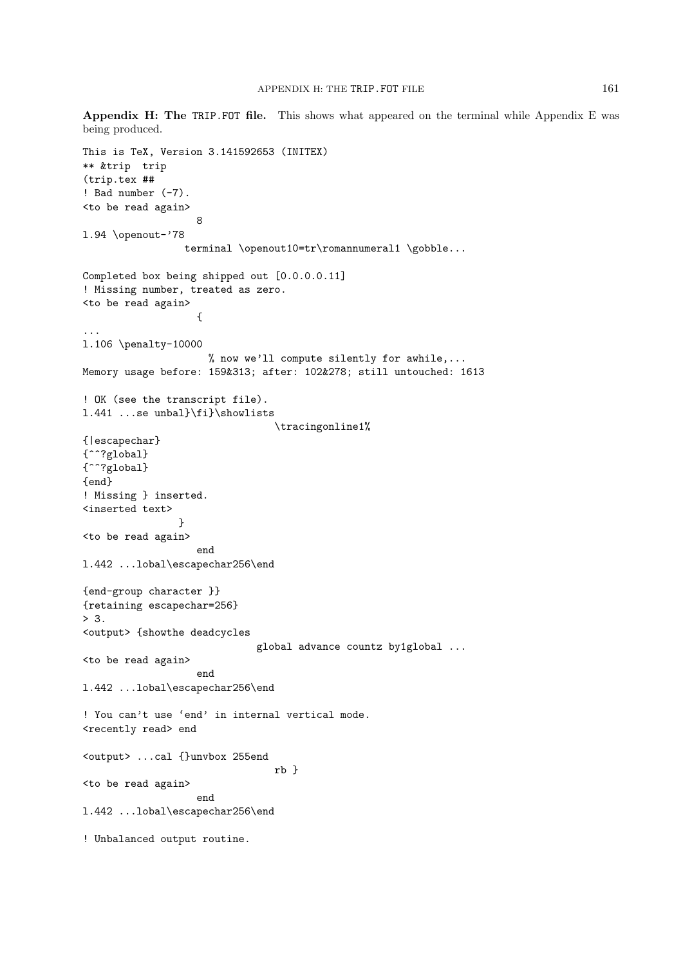Appendix H: The TRIP.FOT file. This shows what appeared on the terminal while Appendix E was being produced. This is TeX, Version 3.141592653 (INITEX) \*\* &trip trip (trip.tex ## ! Bad number  $(-7)$ . <to be read again> 8 l.94 \openout-'78 terminal \openout10=tr\romannumeral1 \gobble... Completed box being shipped out [0.0.0.0.11] ! Missing number, treated as zero. <to be read again> { ... l.106 \penalty-10000 % now we'll compute silently for awhile,... Memory usage before: 159&313; after: 102&278; still untouched: 1613 ! OK (see the transcript file). l.441 ...se unbal}\fi}\showlists \tracingonline1% {|escapechar} {^^?global}  $\{\uparrow\uparrow\uparrow g$ lobal} {end} ! Missing } inserted. <inserted text> } <to be read again> end l.442 ...lobal\escapechar256\end {end-group character }} {retaining escapechar=256}  $> 3.$ <output> {showthe deadcycles global advance countz by1global ... <to be read again> end l.442 ...lobal\escapechar256\end ! You can't use 'end' in internal vertical mode. <recently read> end <output> ...cal {}unvbox 255end rb } <to be read again> end l.442 ...lobal\escapechar256\end ! Unbalanced output routine.